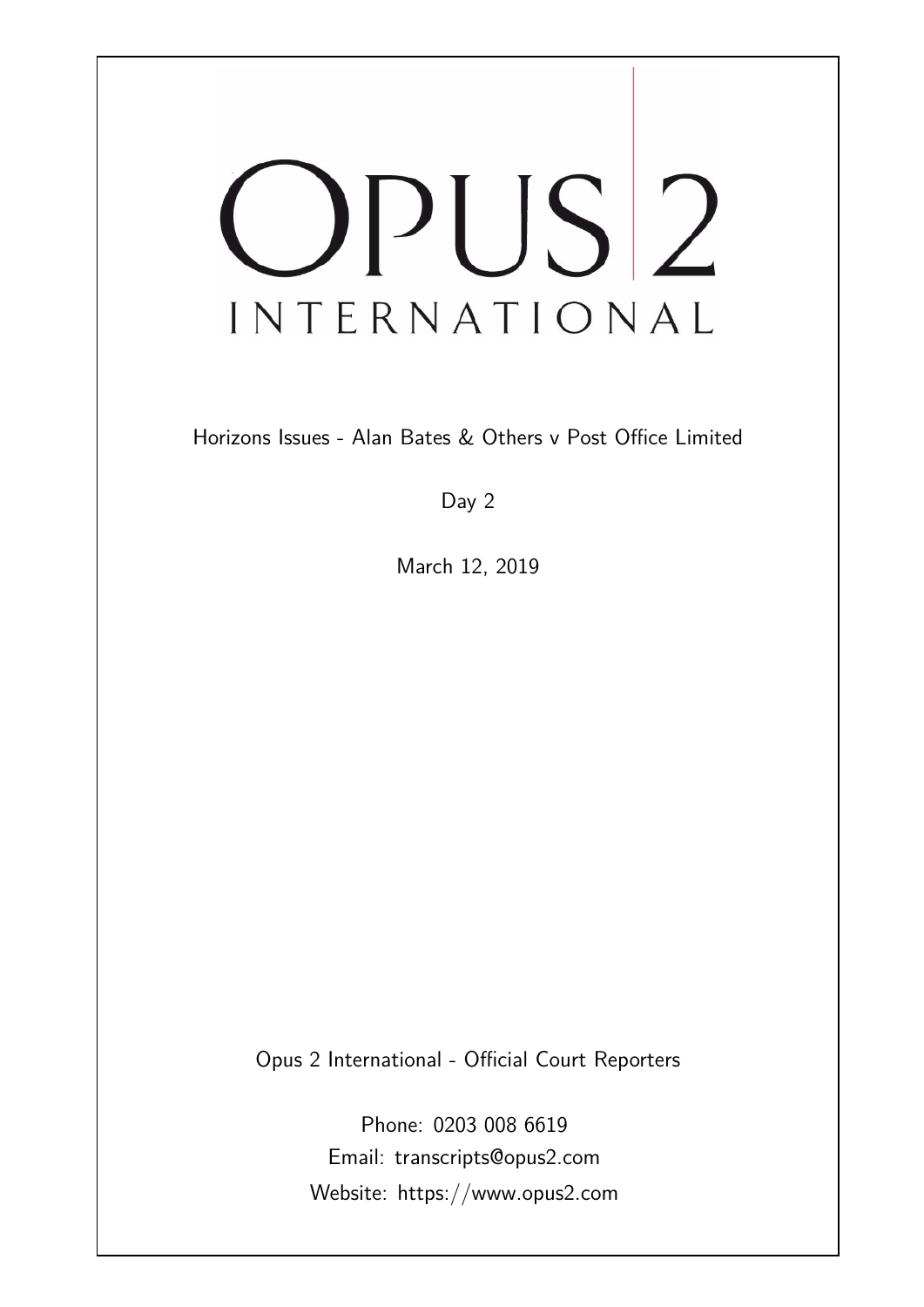# OPUS<sup>2</sup> INTERNATIONAL

Horizons Issues - Alan Bates & Others v Post Office Limited

Day 2

March 12, 2019

Opus 2 International - Official Court Reporters

Phone: 0203 008 6619 Email: transcripts@opus2.com Website: https://www.opus2.com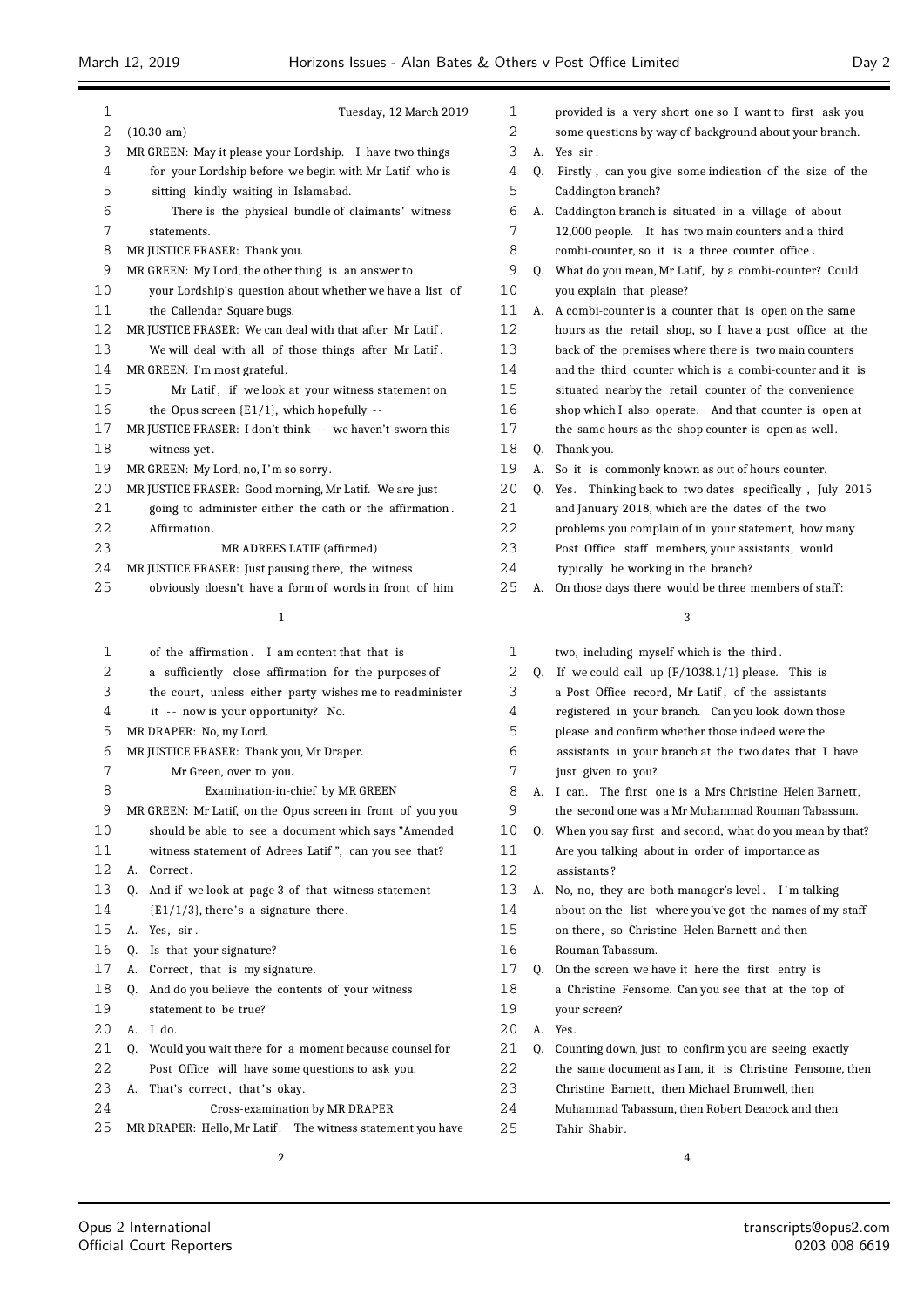| 1  | Tuesday, 12 March 2019                                      | 1  |    | provided is a very short one so I want to first ask you    |
|----|-------------------------------------------------------------|----|----|------------------------------------------------------------|
| 2  | $(10.30 \text{ am})$                                        | 2  |    | some questions by way of background about your branch.     |
| 3  | MR GREEN: May it please your Lordship. I have two things    | 3  |    | A. Yes sir.                                                |
| 4  | for your Lordship before we begin with Mr Latif who is      | 4  | Q. | Firstly, can you give some indication of the size of the   |
| 5  | sitting kindly waiting in Islamabad.                        | 5  |    | Caddington branch?                                         |
| 6  | There is the physical bundle of claimants' witness          | 6  |    | A. Caddington branch is situated in a village of about     |
| 7  | statements.                                                 | 7  |    | 12,000 people. It has two main counters and a third        |
| 8  | MR JUSTICE FRASER: Thank you.                               | 8  |    | combi-counter, so it is a three counter office.            |
| 9  | MR GREEN: My Lord, the other thing is an answer to          | 9  | O. | What do you mean, Mr Latif, by a combi-counter? Could      |
| 10 | your Lordship's question about whether we have a list of    | 10 |    | you explain that please?                                   |
| 11 | the Callendar Square bugs.                                  | 11 |    | A. A combi-counter is a counter that is open on the same   |
| 12 | MR JUSTICE FRASER: We can deal with that after Mr Latif.    | 12 |    | hours as the retail shop, so I have a post office at the   |
| 13 | We will deal with all of those things after Mr Latif.       | 13 |    | back of the premises where there is two main counters      |
| 14 | MR GREEN: I'm most grateful.                                | 14 |    | and the third counter which is a combi-counter and it is   |
| 15 | Mr Latif, if we look at your witness statement on           | 15 |    | situated nearby the retail counter of the convenience      |
| 16 | the Opus screen $\{E1/1\}$ , which hopefully --             | 16 |    | shop which I also operate. And that counter is open at     |
| 17 | MR JUSTICE FRASER: I don't think -- we haven't sworn this   | 17 |    | the same hours as the shop counter is open as well.        |
| 18 | witness yet.                                                | 18 | Q. | Thank you.                                                 |
| 19 | MR GREEN: My Lord, no, I'm so sorry.                        | 19 | А. | So it is commonly known as out of hours counter.           |
| 20 | MR JUSTICE FRASER: Good morning, Mr Latif. We are just      | 20 |    | Q. Yes. Thinking back to two dates specifically, July 2015 |
| 21 | going to administer either the oath or the affirmation.     | 21 |    | and January 2018, which are the dates of the two           |
| 22 | Affirmation.                                                | 22 |    | problems you complain of in your statement, how many       |
| 23 | MR ADREES LATIF (affirmed)                                  | 23 |    | Post Office staff members, your assistants, would          |
| 24 | MR JUSTICE FRASER: Just pausing there, the witness          | 24 |    | typically be working in the branch?                        |
| 25 | obviously doesn't have a form of words in front of him      | 25 | А. | On those days there would be three members of staff:       |
|    | 1                                                           |    |    | 3                                                          |
|    |                                                             |    |    |                                                            |
| 1  | of the affirmation. I am content that that is               | 1  |    | two, including myself which is the third.                  |
| 2  | a sufficiently close affirmation for the purposes of        | 2  | 0. | If we could call up $\{F/1038.1/1\}$ please. This is       |
| 3  | the court, unless either party wishes me to readminister    | 3  |    | a Post Office record, Mr Latif, of the assistants          |
| 4  | it -- now is your opportunity? No.                          | 4  |    | registered in your branch. Can you look down those         |
| 5  | MR DRAPER: No, my Lord.                                     | 5  |    | please and confirm whether those indeed were the           |
| 6  | MR JUSTICE FRASER: Thank you, Mr Draper.                    | 6  |    | assistants in your branch at the two dates that I have     |
| 7  | Mr Green, over to you.                                      | 7  |    | just given to you?                                         |
| 8  | Examination-in-chief by MR GREEN                            | 8  |    | A. I can. The first one is a Mrs Christine Helen Barnett,  |
| 9  | MR GREEN: Mr Latif, on the Opus screen in front of you you  | 9  |    | the second one was a Mr Muhammad Rouman Tabassum.          |
| 10 | should be able to see a document which says "Amended        | 10 | 0. | When you say first and second, what do you mean by that?   |
| 11 | witness statement of Adrees Latif ", can you see that?      | 11 |    | Are you talking about in order of importance as            |
| 12 | Correct.<br>А.                                              | 12 |    | assistants?                                                |
| 13 | Q. And if we look at page 3 of that witness statement       | 13 |    | A. No, no, they are both manager's level. I'm talking      |
| 14 | $\{E1/1/3\}$ , there's a signature there.                   | 14 |    | about on the list where you've got the names of my staff   |
| 15 | A. Yes, sir.                                                | 15 |    | on there, so Christine Helen Barnett and then              |
| 16 | Is that your signature?<br>Q.                               | 16 |    | Rouman Tabassum.                                           |
| 17 | Correct, that is my signature.<br>А.                        | 17 |    | Q. On the screen we have it here the first entry is        |
| 18 | And do you believe the contents of your witness<br>0.       | 18 |    | a Christine Fensome. Can you see that at the top of        |
| 19 | statement to be true?                                       | 19 |    | your screen?                                               |
| 20 | A. I do.                                                    | 20 |    | A. Yes.                                                    |
| 21 | Would you wait there for a moment because counsel for<br>Q. | 21 | Q. | Counting down, just to confirm you are seeing exactly      |
| 22 | Post Office will have some questions to ask you.            | 22 |    | the same document as I am, it is Christine Fensome, then   |
| 23 | A. That's correct, that's okay.                             | 23 |    | Christine Barnett, then Michael Brumwell, then             |
| 24 | Cross-examination by MR DRAPER                              | 24 |    | Muhammad Tabassum, then Robert Deacock and then            |
|    |                                                             |    |    | Tahir Shabir.                                              |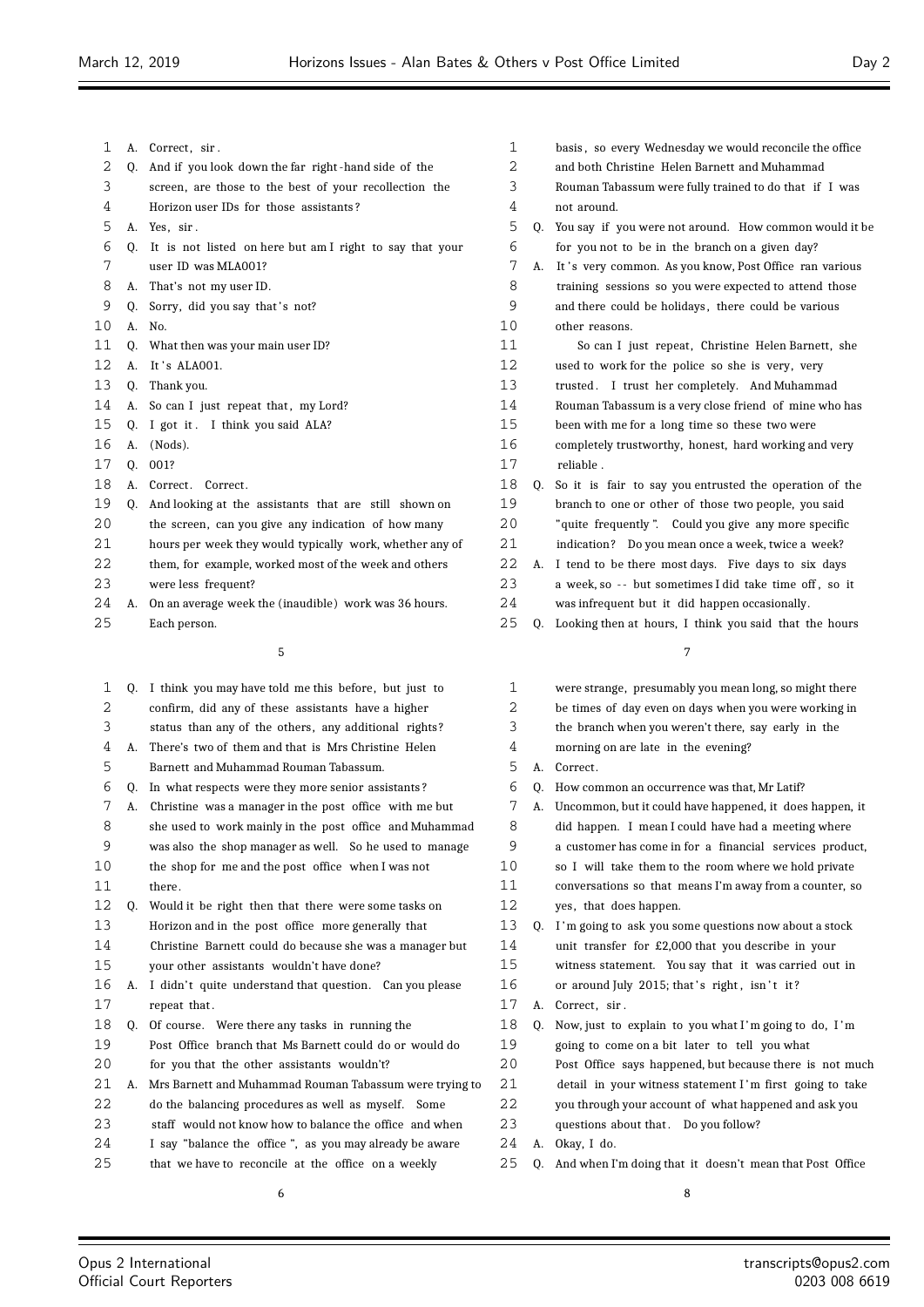- 1 A. Correct, sir.
- Q. And if you look down the far right -hand side of the
- screen, are those to the best of your recollection the
- Horizon user IDs for those assistants ?
- A. Yes, sir .
- Q. It is not listed on here but am I right to say that your user ID was MLA001?
- A. That's not my user ID.
- 9 Q. Sorry, did you say that's not?
- A. No.
- Q. What then was your main user ID?
- 12 A. It's ALA001.
- Q. Thank you.
- 14 A. So can I just repeat that, my Lord?
- Q. I got it . I think you said ALA?
- A. (Nods).
- Q. 001?
- 18 A. Correct. Correct.
- Q. And looking at the assistants that are still shown on
- the screen, can you give any indication of how many
- hours per week they would typically work, whether any of
- them, for example, worked most of the week and others
- were less frequent?
- A. On an average week the (inaudible) work was 36 hours. Each person.

| 1  |    | Q. I think you may have told me this before, but just to |
|----|----|----------------------------------------------------------|
| 2  |    | confirm, did any of these assistants have a higher       |
| 3  |    | status than any of the others, any additional rights?    |
| 4  | А. | There's two of them and that is Mrs Christine Helen      |
| 5  |    | Barnett and Muhammad Rouman Tabassum.                    |
| 6  | 0. | In what respects were they more senior assistants?       |
| 7  | A. | Christine was a manager in the post office with me but   |
| 8  |    | she used to work mainly in the post office and Muhammad  |
| 9  |    | was also the shop manager as well. So he used to manage  |
| 10 |    | the shop for me and the post office when I was not       |
| 11 |    | there.                                                   |
| 12 | Q. | Would it be right then that there were some tasks on     |
| 13 |    | Horizon and in the post office more generally that       |
| 14 |    | Christine Barnett could do because she was a manager but |
| 15 |    | your other assistants wouldn't have done?                |
| 16 | А. | I didn't quite understand that question. Can you please  |
| 17 |    | repeat that.                                             |
| 18 | 0. | Of course. Were there any tasks in running the           |
| 19 |    | Post Office branch that Ms Barnett could do or would do  |
| 20 |    | for you that the other assistants wouldn't?              |
| 21 | А. | Mrs Barnett and Muhammad Rouman Tabassum were trying to  |
| 22 |    | do the balancing procedures as well as myself. Some      |
| 23 |    | staff would not know how to balance the office and when  |
| 24 |    | I say "balance the office", as you may already be aware  |
| 25 |    | that we have to reconcile at the office on a weekly      |

| 3  |    | Rouman Tabassum were fully trained to do that if I was  |
|----|----|---------------------------------------------------------|
| 4  |    | not around.                                             |
| 5  | 0. | You say if you were not around. How common would it be  |
| 6  |    | for you not to be in the branch on a given day?         |
| 7  | А. | It's very common. As you know, Post Office ran various  |
| 8  |    | training sessions so you were expected to attend those  |
| 9  |    | and there could be holidays, there could be various     |
| 10 |    | other reasons.                                          |
| 11 |    | So can I just repeat, Christine Helen Barnett, she      |
| 12 |    | used to work for the police so she is very, very        |
| 13 |    | trusted. I trust her completely. And Muhammad           |
| 14 |    | Rouman Tabassum is a very close friend of mine who has  |
| 15 |    | been with me for a long time so these two were          |
| 16 |    | completely trustworthy, honest, hard working and very   |
| 17 |    | reliable.                                               |
| 18 | Q. | So it is fair to say you entrusted the operation of the |
| 19 |    | branch to one or other of those two people, you said    |
| 20 |    | "quite frequently". Could you give any more specific    |
| 21 |    | indication? Do you mean once a week, twice a week?      |

 basis , so every Wednesday we would reconcile the office and both Christine Helen Barnett and Muhammad

- A. I tend to be there most days. Five days to six days
- 23 a week, so -- but sometimes I did take time off, so it was infrequent but it did happen occasionally.
- Q. Looking then at hours, I think you said that the hours

| 1  |    | were strange, presumably you mean long, so might there   |
|----|----|----------------------------------------------------------|
| 2  |    | be times of day even on days when you were working in    |
| 3  |    | the branch when you weren't there, say early in the      |
| 4  |    | morning on are late in the evening?                      |
| 5  | A. | Correct.                                                 |
| 6  | 0. | How common an occurrence was that, Mr Latif?             |
| 7  | A. | Uncommon, but it could have happened, it does happen, it |
| 8  |    | did happen. I mean I could have had a meeting where      |
| 9  |    | a customer has come in for a financial services product, |
| 10 |    | so I will take them to the room where we hold private    |
| 11 |    | conversations so that means I'm away from a counter, so  |
| 12 |    | yes, that does happen.                                   |
| 13 | 0. | I'm going to ask you some questions now about a stock    |
| 14 |    | unit transfer for £2,000 that you describe in your       |
| 15 |    | witness statement. You say that it was carried out in    |
| 16 |    | or around July 2015; that's right, isn't it?             |
| 17 | А. | Correct, sir.                                            |
| 18 | 0. | Now, just to explain to you what I'm going to do, I'm    |
| 19 |    | going to come on a bit later to tell you what            |
| 20 |    | Post Office says happened, but because there is not much |
| 21 |    | detail in your witness statement I'm first going to take |
| 22 |    | you through your account of what happened and ask you    |
| 23 |    | questions about that. Do you follow?                     |
| 24 | А. | Okay, I do.                                              |
| 25 | 0. | And when I'm doing that it doesn't mean that Post Office |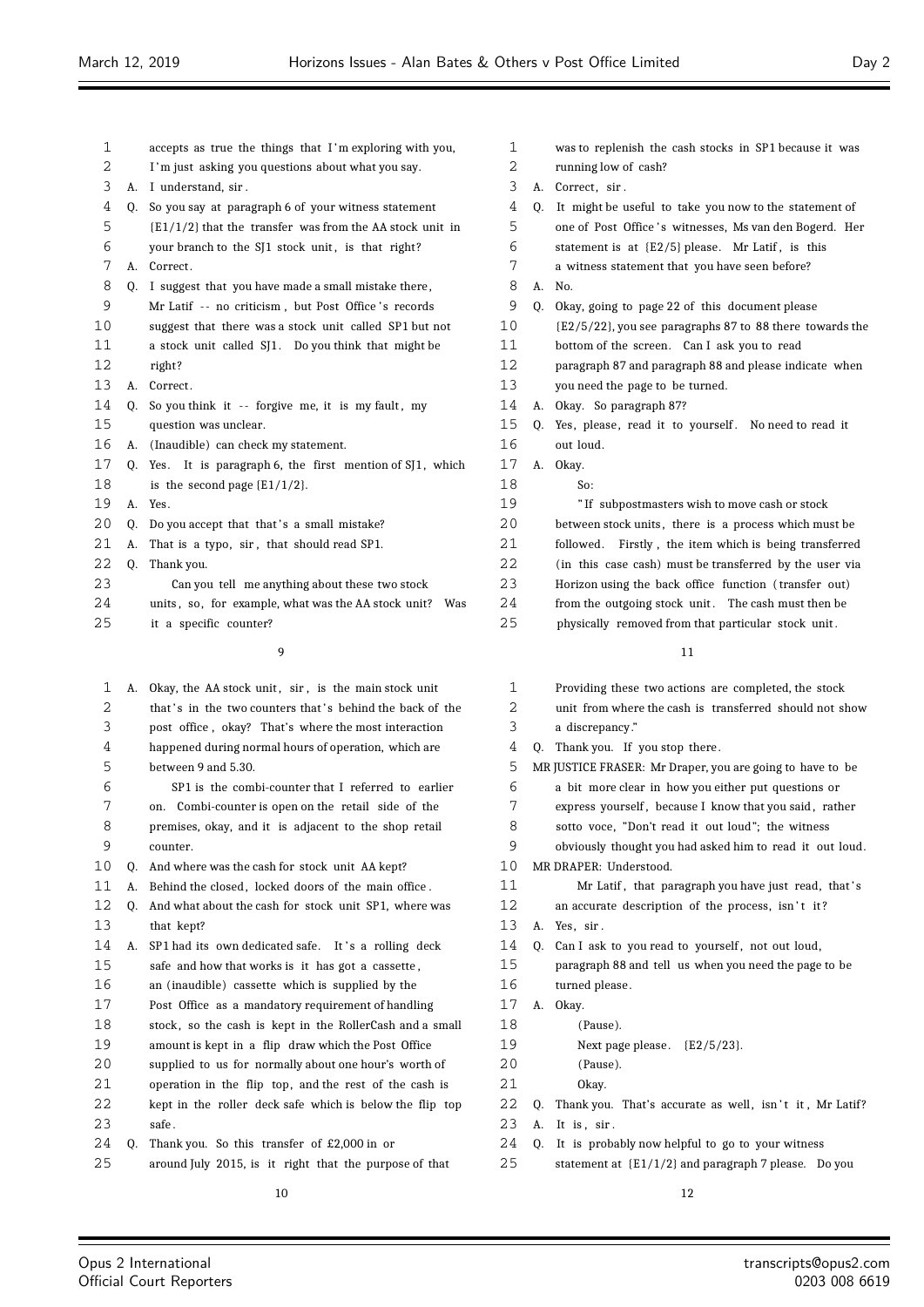| 1  |    | accepts as true the things that I'm exploring with you,      | 1  |  |
|----|----|--------------------------------------------------------------|----|--|
| 2  |    | I'm just asking you questions about what you say.            | 2  |  |
| 3  | А. | I understand, sir.                                           | 3  |  |
| 4  | Q. | So you say at paragraph 6 of your witness statement          | 4  |  |
| 5  |    | $\{E1/1/2\}$ that the transfer was from the AA stock unit in | 5  |  |
| 6  |    | your branch to the SJ1 stock unit, is that right?            | 6  |  |
| 7  | А. | Correct.                                                     | 7  |  |
| 8  | Q. | I suggest that you have made a small mistake there,          | 8  |  |
| 9  |    | Mr Latif -- no criticism, but Post Office's records          | 9  |  |
| 10 |    | suggest that there was a stock unit called SP1 but not       | 10 |  |
| 11 |    | a stock unit called SJ1. Do you think that might be          | 11 |  |
| 12 |    | right?                                                       | 12 |  |
| 13 | А. | Correct.                                                     | 13 |  |
| 14 | Q. | So you think it -- forgive me, it is my fault, my            | 14 |  |
| 15 |    | question was unclear.                                        | 15 |  |
| 16 | А. | (Inaudible) can check my statement.                          | 16 |  |
| 17 | Q. | It is paragraph 6, the first mention of SJ1, which<br>Yes.   | 17 |  |
| 18 |    | is the second page $\{E1/1/2\}$ .                            | 18 |  |
| 19 | А. | Yes.                                                         | 19 |  |
| 20 | Q. | Do you accept that that's a small mistake?                   | 20 |  |
| 21 | А. | That is a typo, sir, that should read SP1.                   | 21 |  |
| 22 | Q. | Thank you.                                                   | 22 |  |
| 23 |    | Can you tell me anything about these two stock               | 23 |  |
| 24 |    | units, so, for example, what was the AA stock unit?<br>Was   | 24 |  |
| 25 |    | it a specific counter?                                       | 25 |  |
|    |    | 9                                                            |    |  |
| 1  |    | A. Okay, the AA stock unit, sir, is the main stock unit      | 1  |  |
| 2  |    | that's in the two counters that's behind the back of the     | 2  |  |
| 3  |    | post office, okay? That's where the most interaction         | 3  |  |
| 4  |    | happened during normal hours of operation, which are         | 4  |  |
| 5  |    | between 9 and 5.30.                                          | 5  |  |
| 6  |    | SP1 is the combi-counter that I referred to earlier          | 6  |  |
| 7  |    | on. Combi-counter is open on the retail side of the          | 7  |  |
| 8  |    | premises, okay, and it is adjacent to the shop retail        | 8  |  |
| 9  |    | counter.                                                     | 9  |  |
| 10 | Q. | And where was the cash for stock unit AA kept?               | 10 |  |
| 11 | А. | Behind the closed, locked doors of the main office.          | 11 |  |
| 12 | Q. | And what about the cash for stock unit SP1, where was        | 12 |  |
| 13 |    | that kept?                                                   | 13 |  |
| 14 | А. | SP1 had its own dedicated safe. It's a rolling deck          | 14 |  |

- safe and how that works is it has got a cassette ,
- an (inaudible) cassette which is supplied by the
- Post Office as a mandatory requirement of handling
- stock , so the cash is kept in the RollerCash and a small
- amount is kept in a flip draw which the Post Office
- supplied to us for normally about one hour's worth of
- operation in the flip top, and the rest of the cash is
- kept in the roller deck safe which is below the flip top 23 safe.
- Q. Thank you. So this transfer of £2,000 in or
- around July 2015, is it right that the purpose of that

| 1  |    | was to replenish the cash stocks in SP1 because it was    |
|----|----|-----------------------------------------------------------|
| 2  |    | running low of cash?                                      |
| 3  | А. | Correct, sir.                                             |
| 4  | 0. | It might be useful to take you now to the statement of    |
| 5  |    | one of Post Office's witnesses, Ms van den Bogerd. Her    |
| 6  |    | statement is at {E2/5} please. Mr Latif, is this          |
| 7  |    | a witness statement that you have seen before?            |
| 8  | А. | N <sub>0</sub>                                            |
| 9  | 0. | Okay, going to page 22 of this document please            |
| 10 |    | {E2/5/22}, you see paragraphs 87 to 88 there towards the  |
| 11 |    | bottom of the screen. Can I ask you to read               |
| 12 |    | paragraph 87 and paragraph 88 and please indicate when    |
| 13 |    | you need the page to be turned.                           |
| 14 | А. | Okay. So paragraph 87?                                    |
| 15 | 0. | Yes, please, read it to yourself. No need to read it      |
| 16 |    | out loud.                                                 |
| 17 | А. | Okay.                                                     |
| 18 |    | So:                                                       |
| 19 |    | "If subpostmasters wish to move cash or stock             |
| 20 |    | between stock units, there is a process which must be     |
| 21 |    | Firstly, the item which is being transferred<br>followed. |
| 22 |    | (in this case cash) must be transferred by the user via   |
| 23 |    | Horizon using the back office function (transfer out)     |
| 24 |    | from the outgoing stock unit. The cash must then be       |
| 25 |    | physically removed from that particular stock unit.       |
|    |    | 11                                                        |
| 1  |    | Providing these two actions are completed, the stock      |

| 1  |    | Providing these two actions are completed, the stock      |
|----|----|-----------------------------------------------------------|
| 2  |    | unit from where the cash is transferred should not show   |
| 3  |    | a discrepancy."                                           |
| 4  | 0. | Thank you. If you stop there.                             |
| 5  |    | MR JUSTICE FRASER: Mr Draper, you are going to have to be |
| 6  |    | a bit more clear in how you either put questions or       |
| 7  |    | express yourself, because I know that you said, rather    |
| 8  |    | sotto voce, "Don't read it out loud"; the witness         |
| 9  |    | obviously thought you had asked him to read it out loud.  |
| 10 |    | MR DRAPER: Understood.                                    |
| 11 |    | Mr Latif, that paragraph you have just read, that's       |
| 12 |    | an accurate description of the process, isn't it?         |
| 13 | А. | Yes, sir.                                                 |
| 14 | 0. | Can I ask to you read to yourself, not out loud,          |
| 15 |    | paragraph 88 and tell us when you need the page to be     |
| 16 |    | turned please.                                            |
| 17 | А. | Okay.                                                     |
| 18 |    | (Pause).                                                  |
| 19 |    | Next page please. $E2/5/23$ .                             |
| 20 |    | (Pause).                                                  |
| 21 |    | Okay.                                                     |
| 22 | 0. | Thank you. That's accurate as well, isn't it, Mr Latif?   |
| 23 | А. | It is, sir.                                               |
| 24 | 0. | It is probably now helpful to go to your witness          |
| ≘⊓ |    |                                                           |

statement at {E1/1/2} and paragraph 7 please. Do you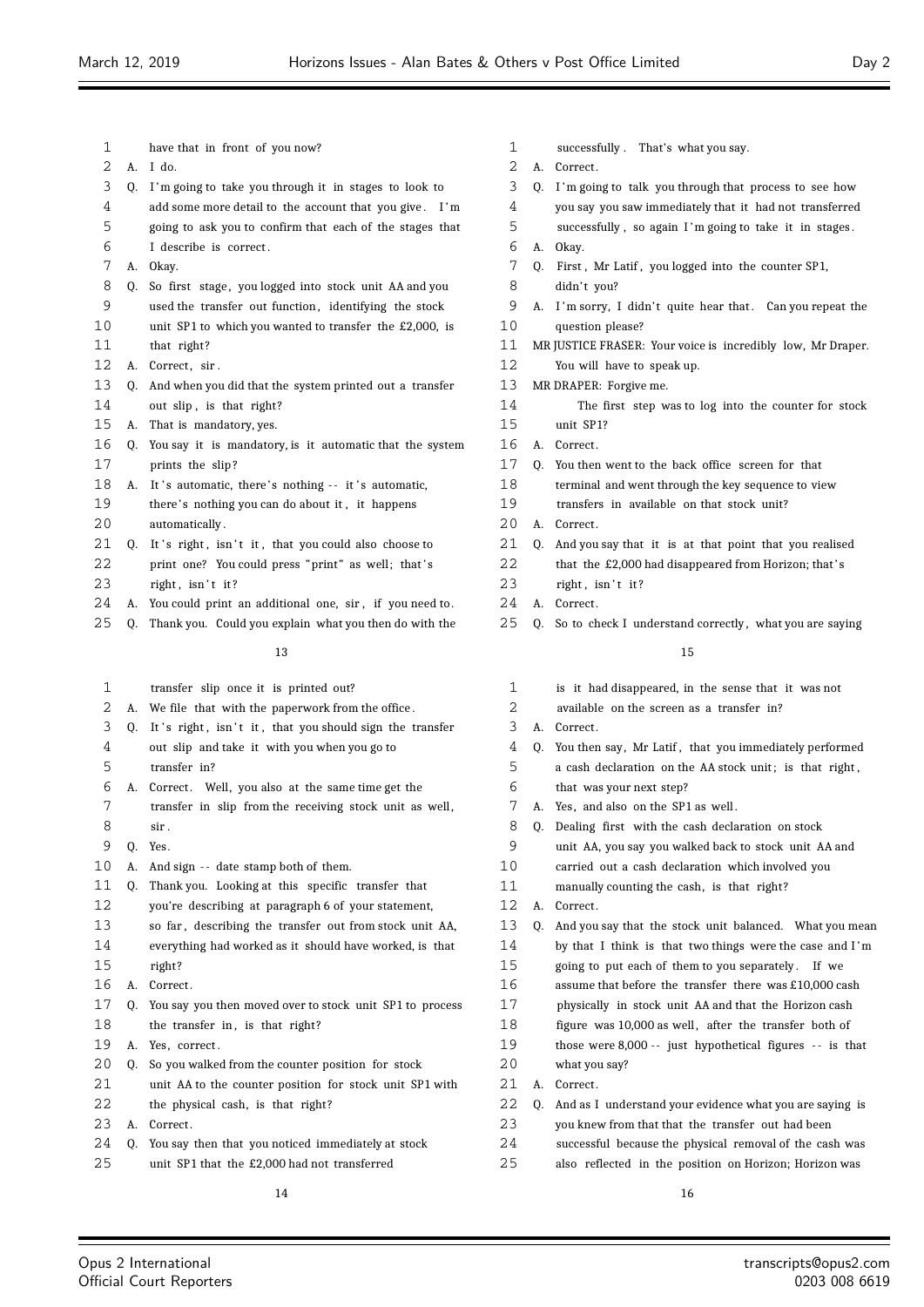- have that in front of you now? A. I do. Q. I 'm going to take you through it in stages to look to add some more detail to the account that you give . I 'm going to ask you to confirm that each of the stages that I describe is correct . A. Okay. 8 Q. So first stage, you logged into stock unit AA and you 9 used the transfer out function, identifying the stock unit SP1 to which you wanted to transfer the £2,000, is that right? 12 A. Correct, sir. Q. And when you did that the system printed out a transfer 14 out slip, is that right? A. That is mandatory, yes. Q. You say it is mandatory, is it automatic that the system prints the slip ? 18 A. It's automatic, there's nothing -- it's automatic, 19 there's nothing you can do about it, it happens 20 automatically. 21 Q. It's right, isn't it, that you could also choose to 22 print one? You could press "print" as well; that's right  $\sin' t$  it? 24 A. You could print an additional one, sir, if you need to. Q. Thank you. Could you explain what you then do with the transfer slip once it is printed out? A. We file that with the paperwork from the office . 3 Q. It's right, isn't it, that you should sign the transfer out slip and take it with you when you go to transfer in?
	- 6 A. Correct. Well, you also at the same time get the
	- 7 transfer in slip from the receiving stock unit as well, sir .
	- Q. Yes.
- 10 A. And sign -- date stamp both of them.
- Q. Thank you. Looking at this specific transfer that you're describing at paragraph 6 of your statement,
- so far , describing the transfer out from stock unit AA,
- everything had worked as it should have worked, is that
- right?
- 16 A. Correct.
- Q. You say you then moved over to stock unit SP1 to process 18 the transfer in, is that right?
- A. Yes, correct .
- Q. So you walked from the counter position for stock
- unit AA to the counter position for stock unit SP1 with
- the physical cash, is that right?
- 23 A. Correct.
- Q. You say then that you noticed immediately at stock
- unit SP1 that the £2,000 had not transferred
- successfully . That's what you say.
- A. Correct .
- Q. I 'm going to talk you through that process to see how
- you say you saw immediately that it had not transferred
- successfully , so again I 'm going to take it in stages .
- A. Okay.
- Q. First , Mr Latif , you logged into the counter SP1,
- 8 didn't you?
- 9 A. I'm sorry, I didn't quite hear that. Can you repeat the question please?
- MR JUSTICE FRASER: Your voice is incredibly low, Mr Draper.
- You will have to speak up.
- MR DRAPER: Forgive me.
- The first step was to log into the counter for stock unit SP1?
- A. Correct .
- Q. You then went to the back office screen for that
- terminal and went through the key sequence to view
- transfers in available on that stock unit?
- 2.0 A. Correct.
- Q. And you say that it is at that point that you realised
- 22 that the £2,000 had disappeared from Horizon; that 's
- right  $\sin' t$  it?
- 24 A. Correct.
- 25 Q. So to check I understand correctly, what you are saying

 is it had disappeared, in the sense that it was not available on the screen as a transfer in? A. Correct . Q. You then say, Mr Latif , that you immediately performed a cash declaration on the AA stock unit; is that right , that was your next step? A. Yes, and also on the SP1 as well . Q. Dealing first with the cash declaration on stock unit AA, you say you walked back to stock unit AA and carried out a cash declaration which involved you manually counting the cash, is that right? A. Correct . Q. And you say that the stock unit balanced. What you mean by that I think is that two things were the case and I 'm going to put each of them to you separately . If we assume that before the transfer there was £10,000 cash physically in stock unit AA and that the Horizon cash figure was 10,000 as well , after the transfer both of 19 those were 8,000 -- just hypothetical figures -- is that what you say? 21 A. Correct. Q. And as I understand your evidence what you are saying is you knew from that that the transfer out had been successful because the physical removal of the cash was also reflected in the position on Horizon; Horizon was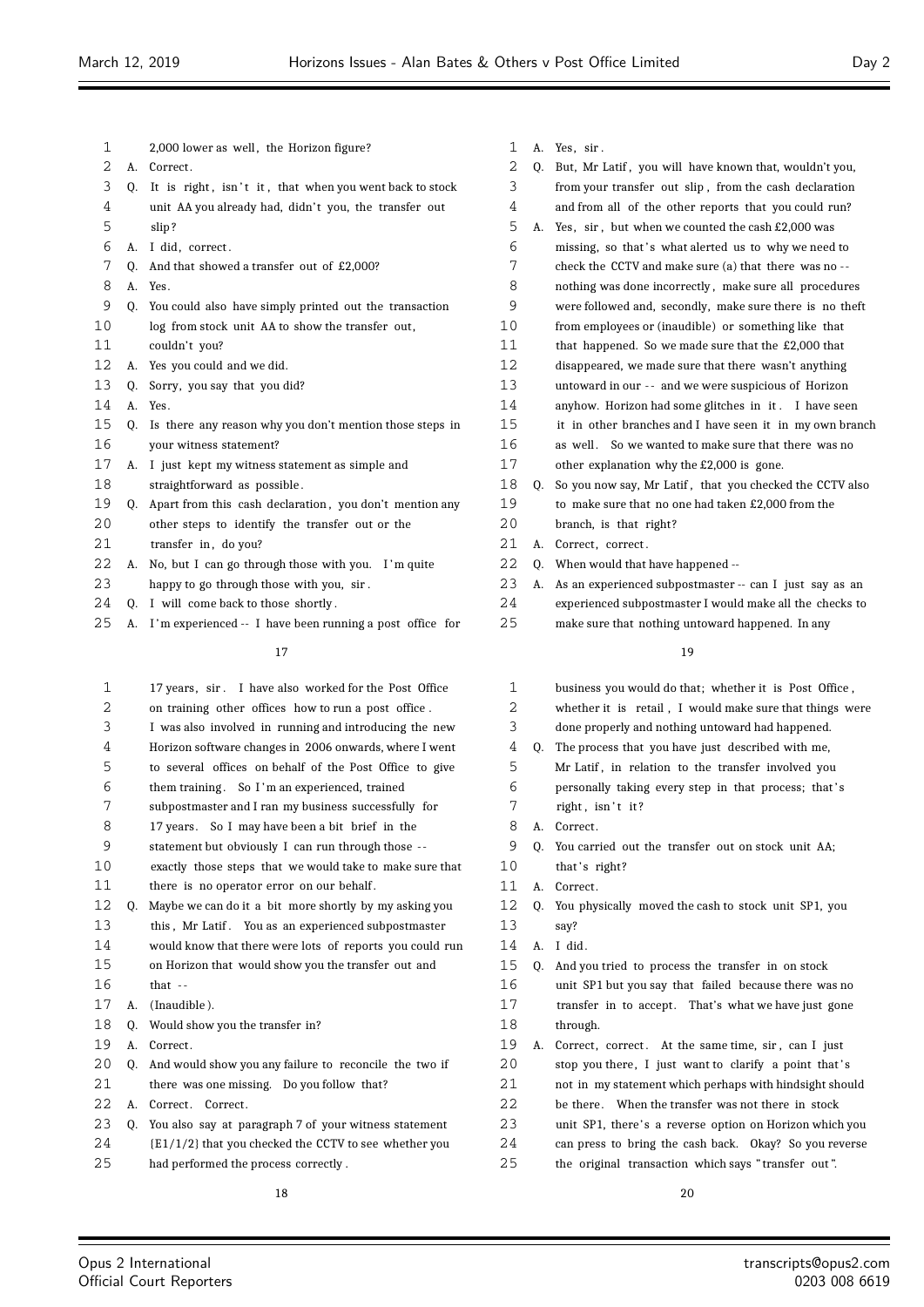| 1  |    | 2,000 lower as well, the Horizon figure?                 | 1            |
|----|----|----------------------------------------------------------|--------------|
| 2  | А. | Correct.                                                 | 2            |
| 3  | Q. | It is right, isn't it, that when you went back to stock  | 3            |
| 4  |    | unit AA you already had, didn't you, the transfer out    | 4            |
| 5  |    | slip?                                                    | 5            |
| 6  | А. | I did, correct.                                          | 6            |
| 7  | Q. | And that showed a transfer out of £2,000?                | 7            |
| 8  | А. | Yes.                                                     | 8            |
| 9  | 0. | You could also have simply printed out the transaction   | 9            |
| 10 |    | log from stock unit AA to show the transfer out,         | 10           |
| 11 |    | couldn't you?                                            | 11           |
| 12 | A. | Yes you could and we did.                                | 12           |
| 13 | O. | Sorry, you say that you did?                             | 13           |
| 14 | А. | Yes.                                                     | 14           |
| 15 | Q. | Is there any reason why you don't mention those steps in | 15           |
| 16 |    | your witness statement?                                  | 16           |
| 17 | А. | I just kept my witness statement as simple and           | 17           |
| 18 |    | straightforward as possible.                             | 18           |
| 19 | Q. | Apart from this cash declaration, you don't mention any  | 19           |
| 20 |    | other steps to identify the transfer out or the          | 20           |
| 21 |    | transfer in, do you?                                     | 21           |
| 22 | А. | No, but I can go through those with you. I'm quite       | 22           |
| 23 |    | happy to go through those with you, sir.                 | 23           |
| 24 | Q. | I will come back to those shortly.                       | 24           |
| 25 | А. | I'm experienced -- I have been running a post office for | 25           |
|    |    | 17                                                       |              |
| 1  |    | 17 years, sir. I have also worked for the Post Office    | $\mathbf{1}$ |
| 2  |    | on training other offices how to run a post office.      | 2            |
| 3  |    | I was also involved in running and introducing the new   | 3            |
| 4  |    | Horizon software changes in 2006 onwards, where I went   | 4            |
| 5  |    | to several offices on behalf of the Post Office to give  | 5            |
| 6  |    | them training. So I'm an experienced, trained            | 6            |
| 7  |    | subpostmaster and I ran my business successfully for     | 7            |
| 8  |    | 17 years. So I may have been a bit brief in the          | 8            |
| 9  |    | statement but obviously I can run through those --       | 9            |
| 10 |    | exactly those steps that we would take to make sure that | 10           |
| 11 |    | there is no operator error on our behalf.                | 11           |
| 12 | Q. | Maybe we can do it a bit more shortly by my asking you   | 12           |
| 13 |    | You as an experienced subpostmaster<br>this, Mr Latif.   | 13           |
| 14 |    | would know that there were lots of reports you could run | 14           |
| 15 |    | on Horizon that would show you the transfer out and      | 15           |
| 16 |    | that $-$                                                 | 16           |
|    |    |                                                          |              |

- A. (Inaudible ).
- Q. Would show you the transfer in?
- 19 A. Correct.
- Q. And would show you any failure to reconcile the two if there was one missing. Do you follow that?
- 22 A. Correct. Correct.
- Q. You also say at paragraph 7 of your witness statement
- {E1/1/2} that you checked the CCTV to see whether you
- had performed the process correctly .

| 1              | А. | Yes, sir.                                                |
|----------------|----|----------------------------------------------------------|
| 2              | 0. | But, Mr Latif, you will have known that, wouldn't you,   |
| 3              |    | from your transfer out slip, from the cash declaration   |
| 4              |    | and from all of the other reports that you could run?    |
| 5              | А. | Yes, sir, but when we counted the cash £2,000 was        |
| 6              |    | missing, so that's what alerted us to why we need to     |
| 7              |    | check the CCTV and make sure (a) that there was no --    |
| 8              |    | nothing was done incorrectly, make sure all procedures   |
| 9              |    | were followed and, secondly, make sure there is no theft |
| 10             |    | from employees or (inaudible) or something like that     |
| 11             |    | that happened. So we made sure that the £2,000 that      |
| 12             |    | disappeared, we made sure that there wasn't anything     |
| 13             |    | untoward in our -- and we were suspicious of Horizon     |
| 14             |    | anyhow. Horizon had some glitches in it. I have seen     |
| 15             |    | it in other branches and I have seen it in my own branch |
| 16             |    | as well. So we wanted to make sure that there was no     |
| 17             |    | other explanation why the £2,000 is gone.                |
| 18             | 0. | So you now say, Mr Latif, that you checked the CCTV also |
| 19             |    | to make sure that no one had taken £2,000 from the       |
| 20             |    | branch, is that right?                                   |
| 21             | А. | Correct, correct.                                        |
| 22             | 0. | When would that have happened --                         |
| 23             | А. | As an experienced subpostmaster -- can I just say as an  |
| 24             |    | experienced subpostmaster I would make all the checks to |
| 25             |    | make sure that nothing untoward happened. In any         |
|                |    | 19                                                       |
| $\overline{ }$ |    |                                                          |

| 1  |    | business you would do that; whether it is Post Office,   |
|----|----|----------------------------------------------------------|
| 2  |    | whether it is retail, I would make sure that things were |
| 3  |    | done properly and nothing untoward had happened.         |
| 4  | 0. | The process that you have just described with me,        |
| 5  |    | Mr Latif, in relation to the transfer involved you       |
| 6  |    | personally taking every step in that process; that's     |
| 7  |    | right, isn't it?                                         |
| 8  | A. | Correct.                                                 |
| 9  | 0. | You carried out the transfer out on stock unit AA;       |
| 10 |    | that's right?                                            |
| 11 | A. | Correct.                                                 |
| 12 | 0. | You physically moved the cash to stock unit SP1, you     |
| 13 |    | say?                                                     |
| 14 | A. | I did.                                                   |
| 15 | 0. | And you tried to process the transfer in on stock        |
| 16 |    | unit SP1 but you say that failed because there was no    |
| 17 |    | transfer in to accept. That's what we have just gone     |
| 18 |    | through.                                                 |
| 19 | А. | Correct, correct. At the same time, sir, can I just      |
| 20 |    | stop you there, I just want to clarify a point that's    |
| 21 |    | not in my statement which perhaps with hindsight should  |
| 22 |    | be there. When the transfer was not there in stock       |
| 23 |    | unit SP1, there's a reverse option on Horizon which you  |
| 24 |    | can press to bring the cash back. Okay? So you reverse   |
| 25 |    | the original transaction which says "transfer out".      |
|    |    |                                                          |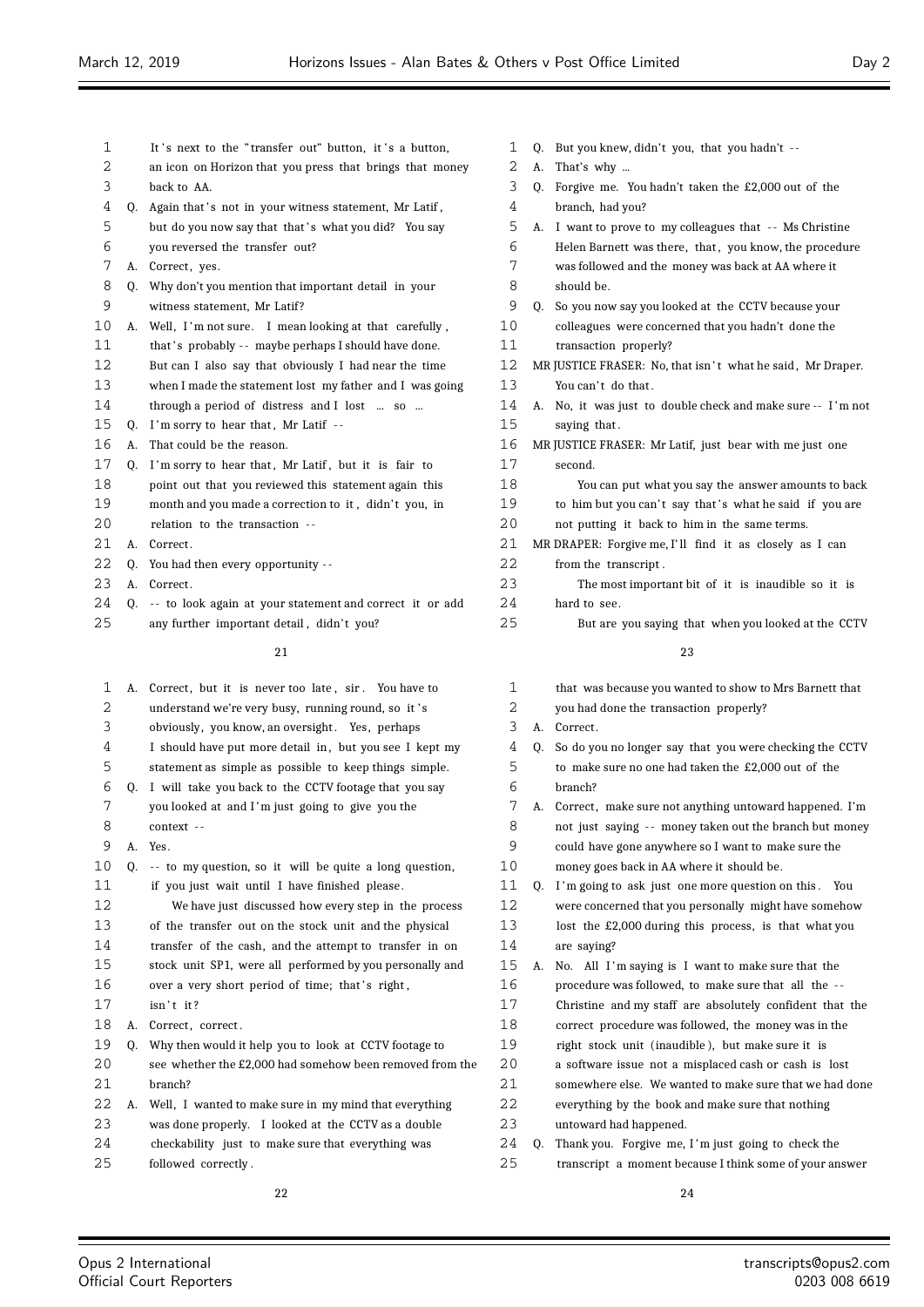| $\mathbf{1}$ |    | It's next to the "transfer out" button, it's a button,   | $\mathbf{1}$   |  |
|--------------|----|----------------------------------------------------------|----------------|--|
| 2            |    | an icon on Horizon that you press that brings that money | $\overline{2}$ |  |
| 3            |    | back to AA.                                              | 3              |  |
| 4            | 0. | Again that's not in your witness statement, Mr Latif,    | 4              |  |
| 5            |    | but do you now say that that's what you did? You say     | 5              |  |
| 6            |    | you reversed the transfer out?                           | 6              |  |
| 7            | А. | Correct, yes.                                            | 7              |  |
| 8            | 0. | Why don't you mention that important detail in your      | 8              |  |
| 9            |    | witness statement, Mr Latif?                             | 9              |  |
| 10           | А. | Well, I'm not sure. I mean looking at that carefully,    | 10             |  |
| 11           |    | that's probably -- maybe perhaps I should have done.     | 11             |  |
| 12           |    | But can I also say that obviously I had near the time    | 12             |  |
| 13           |    | when I made the statement lost my father and I was going | 13             |  |
| 14           |    | through a period of distress and I lost  so              | 14             |  |
| 15           | 0. | I'm sorry to hear that, Mr Latif --                      | 15             |  |
| 16           | A. | That could be the reason.                                | 16             |  |
| 17           | 0. | I'm sorry to hear that, Mr Latif, but it is fair to      | 17             |  |
| 18           |    | point out that you reviewed this statement again this    | 18             |  |
| 19           |    | month and you made a correction to it, didn't you, in    | 19             |  |
| 20           |    | relation to the transaction --                           | 20             |  |
| 21           | A. | Correct.                                                 | 21             |  |
| 22           | 0. | You had then every opportunity --                        | 22             |  |
| 23           | A. | Correct.                                                 | 23             |  |
| 24           | 0. | -- to look again at your statement and correct it or add | 24             |  |
| 25           |    | any further important detail, didn't you?                | 25             |  |
|              |    |                                                          |                |  |

| 1  | A. | Correct, but it is never too late, sir. You have to       |
|----|----|-----------------------------------------------------------|
| 2  |    | understand we're very busy, running round, so it's        |
| 3  |    | obviously, you know, an oversight. Yes, perhaps           |
| 4  |    | I should have put more detail in, but you see I kept my   |
| 5  |    | statement as simple as possible to keep things simple.    |
| 6  | 0. | I will take you back to the CCTV footage that you say     |
| 7  |    | you looked at and I'm just going to give you the          |
| 8  |    | context --                                                |
| 9  | A. | Yes.                                                      |
| 10 | 0. | -- to my question, so it will be quite a long question,   |
| 11 |    | if you just wait until I have finished please.            |
| 12 |    | We have just discussed how every step in the process      |
| 13 |    | of the transfer out on the stock unit and the physical    |
| 14 |    | transfer of the cash, and the attempt to transfer in on   |
| 15 |    | stock unit SP1, were all performed by you personally and  |
| 16 |    | over a very short period of time; that's right,           |
| 17 |    | $isn't$ it?                                               |
| 18 | А. | Correct, correct.                                         |
| 19 | 0. | Why then would it help you to look at CCTV footage to     |
| 20 |    | see whether the £2,000 had somehow been removed from the  |
| 21 |    | branch?                                                   |
| 22 |    | A. Well, I wanted to make sure in my mind that everything |
| 23 |    | was done properly. I looked at the CCTV as a double       |
| 24 |    | checkability just to make sure that everything was        |
| 25 |    | followed correctly.                                       |
|    |    |                                                           |

|  | 1 Q. But you knew, didn't you, that you hadn't -- |  |
|--|---------------------------------------------------|--|
|  |                                                   |  |

- A. That's why ...
- Q. Forgive me. You hadn't taken the £2,000 out of the branch, had you?
- A. I want to prove to my colleagues that - Ms Christine Helen Barnett was there, that, you know, the procedure was followed and the money was back at AA where it should be. Q. So you now say you looked at the CCTV because your colleagues were concerned that you hadn't done the transaction properly? MR JUSTICE FRASER: No, that isn't what he said, Mr Draper. You can't do that. A. No, it was just to double check and make sure -- I 'm not saying that. MR JUSTICE FRASER: Mr Latif, just bear with me just one
- second. You can put what you say the answer amounts to back to him but you can't say that's what he said if you are not putting it back to him in the same terms. MR DRAPER: Forgive me, I'll find it as closely as I can from the transcript. The most important bit of it is inaudible so it is hard to see.
	- But are you saying that when you looked at the CCTV

| $\mathbf{1}$ |    | that was because you wanted to show to Mrs Barnett that   |
|--------------|----|-----------------------------------------------------------|
| 2            |    | you had done the transaction properly?                    |
| 3            | А. | Correct.                                                  |
| 4            | 0. | So do you no longer say that you were checking the CCTV   |
| 5            |    | to make sure no one had taken the £2,000 out of the       |
| 6            |    | hranch?                                                   |
| 7            |    | A. Correct, make sure not anything untoward happened. I'm |
| 8            |    | not just saying -- money taken out the branch but money   |
| 9            |    | could have gone anywhere so I want to make sure the       |
| 10           |    | money goes back in AA where it should be.                 |
| 11           | Q. | I'm going to ask just one more question on this.<br>You   |
| 12           |    | were concerned that you personally might have somehow     |
| 13           |    | lost the £2,000 during this process, is that what you     |
| 14           |    | are saying?                                               |
| 15           | А. | No. All I'm saying is I want to make sure that the        |
| 16           |    | procedure was followed, to make sure that all the --      |
| 17           |    | Christine and my staff are absolutely confident that the  |
| 18           |    | correct procedure was followed, the money was in the      |
| 19           |    | right stock unit (inaudible), but make sure it is         |
| 20           |    | a software issue not a misplaced cash or cash is lost     |
| 21           |    | somewhere else. We wanted to make sure that we had done   |
| 22           |    | everything by the book and make sure that nothing         |
| 23           |    | untoward had happened.                                    |
| 24           | 0. | Thank you. Forgive me, I'm just going to check the        |
| 25           |    | transcript a moment because I think some of your answer   |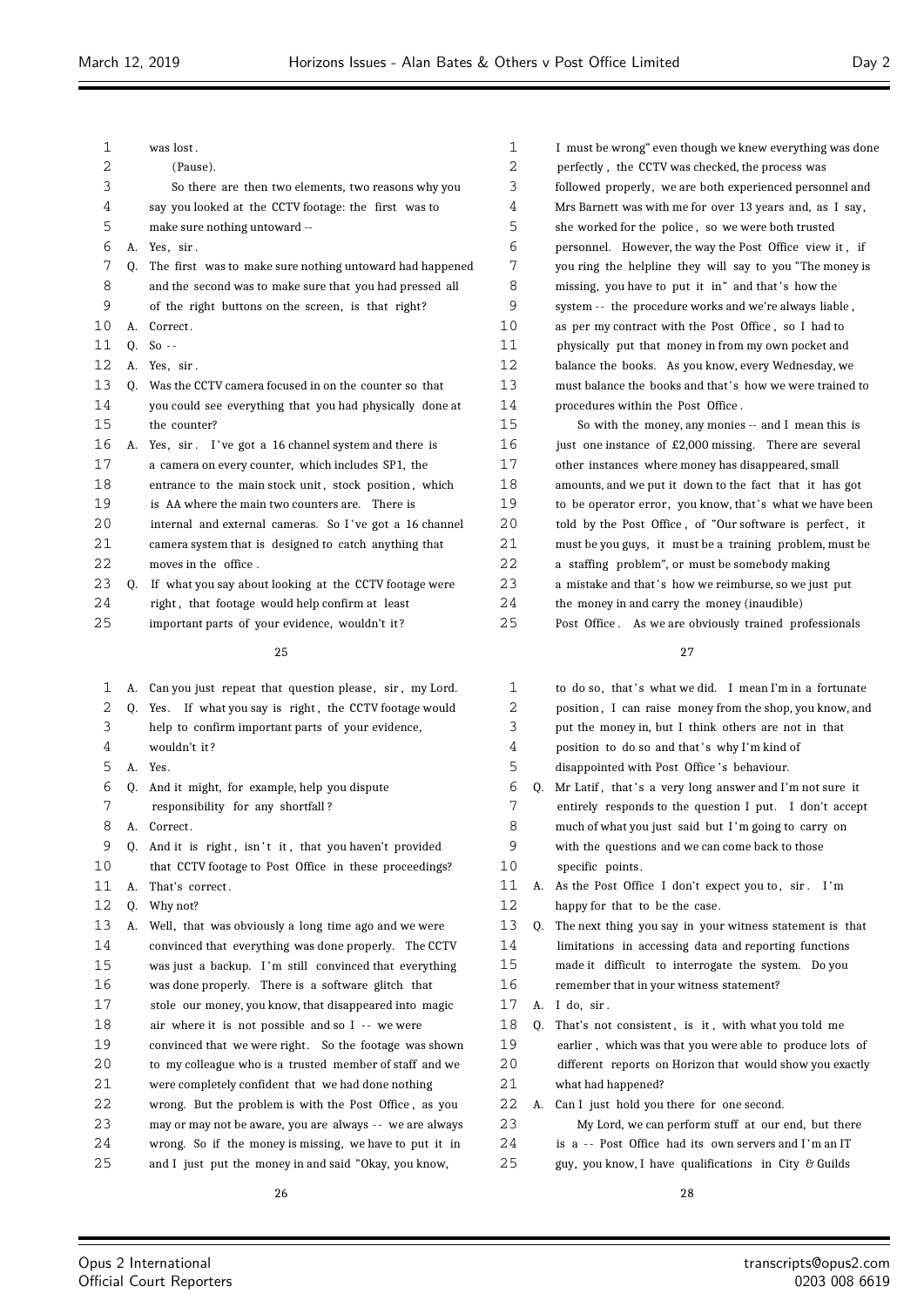| 1  |    | was lost.                                                |
|----|----|----------------------------------------------------------|
| 2  |    | (Pause).                                                 |
| 3  |    | So there are then two elements, two reasons why you      |
| 4  |    | say you looked at the CCTV footage: the first was to     |
| 5  |    | make sure nothing untoward --                            |
| 6  | А. | Yes, sir.                                                |
| 7  | 0. | The first was to make sure nothing untoward had happened |
| 8  |    | and the second was to make sure that you had pressed all |
| 9  |    | of the right buttons on the screen, is that right?       |
| 10 | А. | Correct.                                                 |
| 11 | 0. | $So -$                                                   |
| 12 | А. | Yes, sir.                                                |
| 13 | Q. | Was the CCTV camera focused in on the counter so that    |
| 14 |    | you could see everything that you had physically done at |
| 15 |    | the counter?                                             |
| 16 | А. | Yes, sir. I've got a 16 channel system and there is      |
| 17 |    | a camera on every counter, which includes SP1, the       |
| 18 |    | entrance to the main stock unit, stock position, which   |
| 19 |    | is AA where the main two counters are. There is          |
| 20 |    | internal and external cameras. So I've got a 16 channel  |
| 21 |    | camera system that is designed to catch anything that    |
| 22 |    | moves in the office.                                     |
| 23 | Q. | If what you say about looking at the CCTV footage were   |
| 24 |    | right, that footage would help confirm at least          |
| 25 |    | important parts of your evidence, wouldn't it?           |
|    |    | 25                                                       |
|    |    |                                                          |
| 1  | А. | Can you just repeat that question please, sir, my Lord.  |
| 2  | Q. | If what you say is right, the CCTV footage would<br>Yes. |
| 3  |    | help to confirm important parts of your evidence,        |
| 4  |    | wouldn't it?                                             |
| 5  | А. | Yes.                                                     |
| 6  | Q. | And it might, for example, help you dispute              |
| 7  |    | responsibility for any shortfall?                        |
| 8  | А. | Correct.                                                 |
| 9  | 0. | And it is right, isn't it, that you haven't provided     |
| 10 |    | that CCTV footage to Post Office in these proceedings?   |

A. That's correct .

- Q. Why not?
- A. Well, that was obviously a long time ago and we were convinced that everything was done properly. The CCTV was just a backup. I 'm still convinced that everything was done properly. There is a software glitch that stole our money, you know, that disappeared into magic air where it is not possible and so I - - we were convinced that we were right. So the footage was shown to my colleague who is a trusted member of staff and we were completely confident that we had done nothing wrong. But the problem is with the Post Office , as you may or may not be aware, you are always - - we are always wrong. So if the money is missing, we have to put it in and I just put the money in and said "Okay, you know,

 I must be wrong" even though we knew everything was done perfectly , the CCTV was checked, the process was followed properly, we are both experienced personnel and Mrs Barnett was with me for over 13 years and, as I say, she worked for the police , so we were both trusted personnel. However, the way the Post Office view it , if you ring the helpline they will say to you "The money is 8 missing, you have to put it in" and that's how the system - - the procedure works and we're always liable , as per my contract with the Post Office , so I had to physically put that money in from my own pocket and balance the books. As you know, every Wednesday, we must balance the books and that' s how we were trained to procedures within the Post Office . So with the money, any monies -- and I mean this is 16 just one instance of £2,000 missing. There are several

 other instances where money has disappeared, small amounts, and we put it down to the fact that it has got 19 to be operator error, you know, that's what we have been 20 told by the Post Office, of "Our software is perfect, it must be you guys, it must be a training problem, must be a staffing problem", or must be somebody making 23 a mistake and that's how we reimburse, so we just put the money in and carry the money (inaudible) Post Office . As we are obviously trained professionals

| 1  |    | to do so, that's what we did. I mean I'm in a fortunate  |
|----|----|----------------------------------------------------------|
| 2  |    | position, I can raise money from the shop, you know, and |
| 3  |    | put the money in, but I think others are not in that     |
| 4  |    | position to do so and that's why I'm kind of             |
| 5  |    | disappointed with Post Office's behaviour.               |
| 6  | 0. | Mr Latif, that's a very long answer and I'm not sure it  |
| 7  |    | entirely responds to the question I put. I don't accept  |
| 8  |    | much of what you just said but I'm going to carry on     |
| 9  |    | with the questions and we can come back to those         |
| 10 |    | specific points.                                         |
| 11 | А. | As the Post Office I don't expect you to, sir. I'm       |
| 12 |    | happy for that to be the case.                           |
| 13 | 0. | The next thing you say in your witness statement is that |
| 14 |    | limitations in accessing data and reporting functions    |
| 15 |    | made it difficult to interrogate the system. Do you      |
| 16 |    | remember that in your witness statement?                 |
| 17 | A. | I do. sir.                                               |
| 18 | 0. | That's not consistent, is it, with what you told me      |
| 19 |    | earlier, which was that you were able to produce lots of |
| 20 |    | different reports on Horizon that would show you exactly |
| 21 |    | what had happened?                                       |
| 22 | А. | Can I just hold you there for one second.                |
| 23 |    | My Lord, we can perform stuff at our end, but there      |
| 24 |    | is a -- Post Office had its own servers and I'm an IT    |
| 25 |    | guy, you know, I have qualifications in City & Guilds    |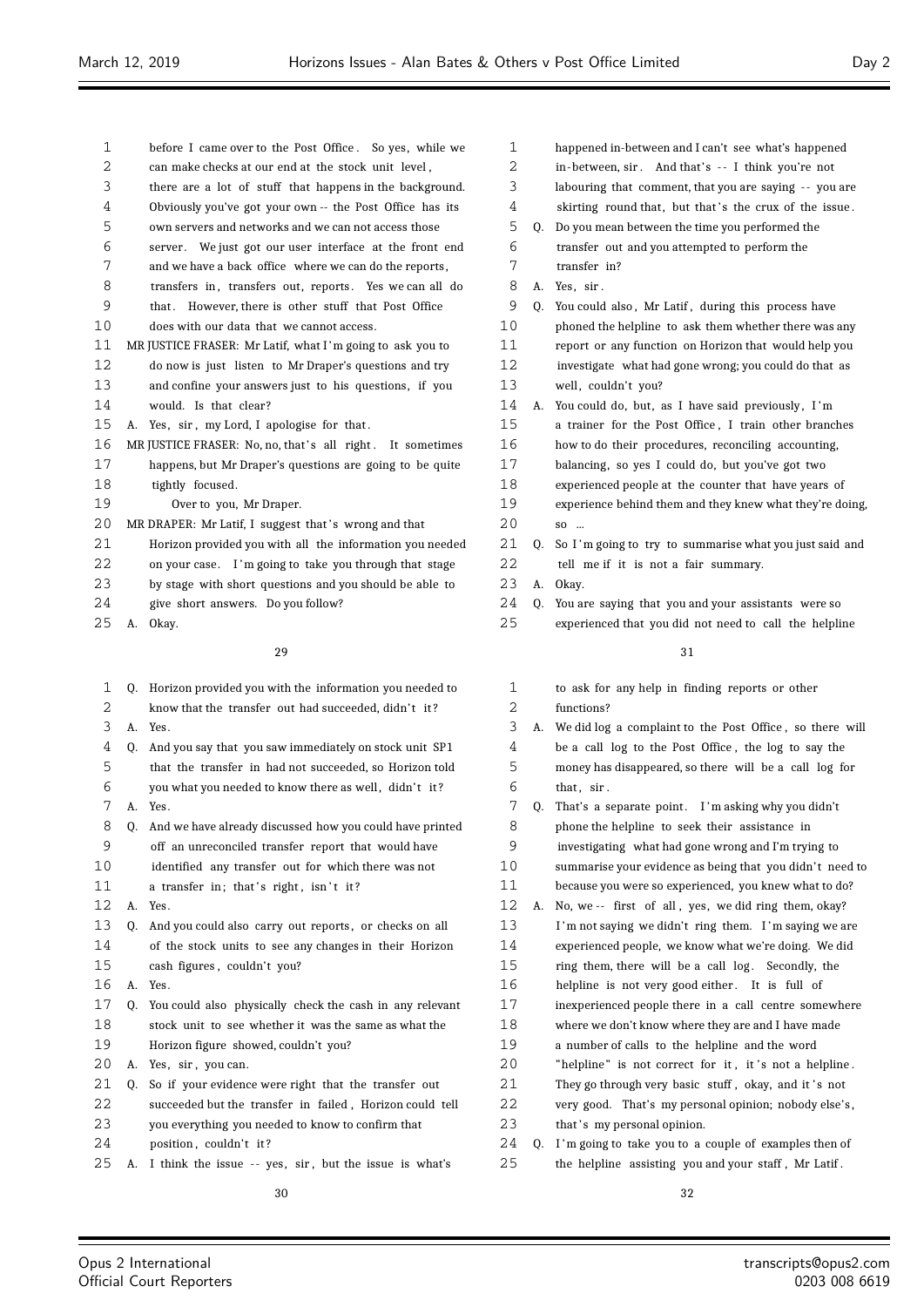- before I came over to the Post Office . So yes, while we can make checks at our end at the stock unit level , there are a lot of stuff that happens in the background. Obviously you've got your own -- the Post Office has its own servers and networks and we can not access those 6 server. We just got our user interface at the front end and we have a back office where we can do the reports , 8 transfers in, transfers out, reports. Yes we can all do that . However, there is other stuff that Post Office does with our data that we cannot access. 11 MR JUSTICE FRASER: Mr Latif, what I'm going to ask you to do now is just listen to Mr Draper's questions and try and confine your answers just to his questions, if you would. Is that clear? 15 A. Yes, sir, my Lord, I apologise for that. 16 MR JUSTICE FRASER: No, no, that's all right. It sometimes happens, but Mr Draper's questions are going to be quite tightly focused. Over to you, Mr Draper. 20 MR DRAPER: Mr Latif, I suggest that's wrong and that Horizon provided you with all the information you needed on your case. I 'm going to take you through that stage by stage with short questions and you should be able to give short answers. Do you follow? A. Okay. Q. Horizon provided you with the information you needed to 2 know that the transfer out had succeeded, didn't it? A. Yes. Q. And you say that you saw immediately on stock unit SP1 that the transfer in had not succeeded, so Horizon told 6 you what you needed to know there as well, didn't it? A. Yes. Q. And we have already discussed how you could have printed off an unreconciled transfer report that would have identified any transfer out for which there was not 11 a transfer in; that's right, isn't it? A. Yes. 13 Q. And you could also carry out reports, or checks on all of the stock units to see any changes in their Horizon cash figures , couldn't you? A. Yes. Q. You could also physically check the cash in any relevant stock unit to see whether it was the same as what the Horizon figure showed, couldn't you? 20 A. Yes, sir, you can. Q. So if your evidence were right that the transfer out succeeded but the transfer in failed , Horizon could tell
- you everything you needed to know to confirm that
- 24 position, couldn't it?
- 25 A. I think the issue -- yes, sir, but the issue is what's

| 1  |    | happened in-between and I can't see what's happened      |
|----|----|----------------------------------------------------------|
| 2  |    | in-between, sir. And that's -- I think you're not        |
| 3  |    | labouring that comment, that you are saying -- you are   |
| 4  |    | skirting round that, but that's the crux of the issue.   |
| 5  | Q. | Do you mean between the time you performed the           |
| 6  |    | transfer out and you attempted to perform the            |
| 7  |    | transfer in?                                             |
| 8  | А. | Yes, sir.                                                |
| 9  | 0. | You could also, Mr Latif, during this process have       |
| 10 |    | phoned the helpline to ask them whether there was any    |
| 11 |    | report or any function on Horizon that would help you    |
| 12 |    | investigate what had gone wrong; you could do that as    |
| 13 |    | well, couldn't you?                                      |
| 14 | А. | You could do, but, as I have said previously, I'm        |
| 15 |    | a trainer for the Post Office, I train other branches    |
| 16 |    | how to do their procedures, reconciling accounting,      |
| 17 |    | balancing, so yes I could do, but you've got two         |
| 18 |    | experienced people at the counter that have years of     |
| 19 |    | experience behind them and they knew what they're doing  |
| 20 |    | SO                                                       |
| 21 | 0. | So I'm going to try to summarise what you just said and  |
| 22 |    | tell me if it is not a fair summary.                     |
| 23 | А. | Okay.                                                    |
| 24 | 0. | You are saying that you and your assistants were so      |
| 25 |    | experienced that you did not need to call the helpline   |
|    |    | 31                                                       |
|    |    |                                                          |
| 1  |    | to ask for any help in finding reports or other          |
| 2  |    | functions?                                               |
| 3  | А. | We did log a complaint to the Post Office, so there will |
| 4  |    | be a call log to the Post Office, the log to say the     |
|    |    |                                                          |

- money has disappeared, so there will be a call log for that  $\sin$ .
- 7 Q. That's a separate point. I'm asking why you didn't phone the helpline to seek their assistance in investigating what had gone wrong and I'm trying to 10 summarise your evidence as being that you didn't need to because you were so experienced, you knew what to do? A. No, we -- first of all , yes, we did ring them, okay? I 'm not saying we didn't ring them. I 'm saying we are experienced people, we know what we're doing. We did 15 ring them, there will be a call log. Secondly, the 16 helpline is not very good either. It is full of inexperienced people there in a call centre somewhere where we don't know where they are and I have made a number of calls to the helpline and the word 20 "helpline" is not correct for it, it's not a helpline. 21 They go through very basic stuff, okay, and it's not very good. That's my personal opinion; nobody else's , 23 that's my personal opinion. 24 Q. I'm going to take you to a couple of examples then of the helpline assisting you and your staff , Mr Latif .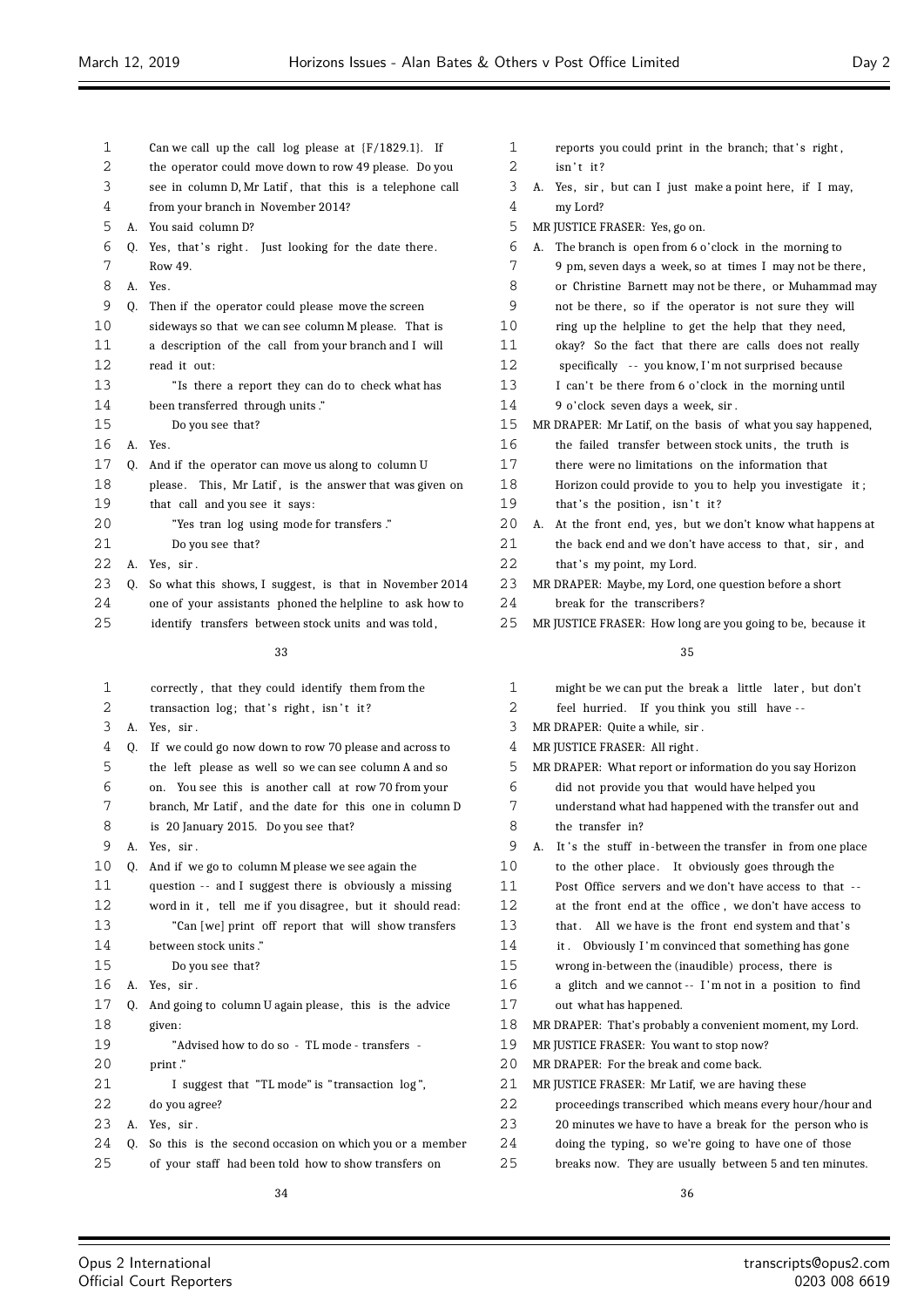| 1      |    | Can we call up the call log please at $(F/1829.1)$ . If                                        | 1       | reports you could print in the branch; that's right,                 |
|--------|----|------------------------------------------------------------------------------------------------|---------|----------------------------------------------------------------------|
| 2      |    | the operator could move down to row 49 please. Do you                                          | 2       | isn't it?                                                            |
| 3<br>4 |    | see in column D, Mr Latif, that this is a telephone call<br>from your branch in November 2014? | 3<br>4  | A. Yes, sir, but can I just make a point here, if I may,<br>my Lord? |
| 5      |    | A. You said column D?                                                                          | 5       | MR JUSTICE FRASER: Yes, go on.                                       |
| 6      |    | Q. Yes, that's right. Just looking for the date there.                                         | 6       | A. The branch is open from 6 o'clock in the morning to               |
| 7      |    | Row 49.                                                                                        | 7       | 9 pm, seven days a week, so at times I may not be there,             |
| 8      |    | A. Yes.                                                                                        | 8       | or Christine Barnett may not be there, or Muhammad may               |
| 9      | 0. | Then if the operator could please move the screen                                              | 9       | not be there, so if the operator is not sure they will               |
| 10     |    | sideways so that we can see column M please. That is                                           | 10      | ring up the helpline to get the help that they need,                 |
| 11     |    | a description of the call from your branch and I will                                          | 11      | okay? So the fact that there are calls does not really               |
| 12     |    | read it out:                                                                                   | 12      | specifically -- you know, I'm not surprised because                  |
| 13     |    | "Is there a report they can do to check what has                                               | 13      | I can't be there from 6 o'clock in the morning until                 |
| 14     |    | been transferred through units."                                                               | 14      | 9 o'clock seven days a week, sir.                                    |
| 15     |    | Do you see that?                                                                               | 15      | MR DRAPER: Mr Latif, on the basis of what you say happened,          |
| 16     |    | A. Yes.                                                                                        | 16      | the failed transfer between stock units, the truth is                |
| 17     | 0. | And if the operator can move us along to column U                                              | 17      | there were no limitations on the information that                    |
| 18     |    | please. This, Mr Latif, is the answer that was given on                                        | 18      | Horizon could provide to you to help you investigate it;             |
| 19     |    | that call and you see it says:                                                                 | 19      | that's the position, isn't it?                                       |
| 20     |    | "Yes tran log using mode for transfers."                                                       | 20      | A. At the front end, yes, but we don't know what happens at          |
| 21     |    | Do you see that?                                                                               | 21      | the back end and we don't have access to that, sir, and              |
| 22     |    | A. Yes, sir.                                                                                   | 22      | that's my point, my Lord.                                            |
| 23     | 0. | So what this shows, I suggest, is that in November 2014                                        | 23      | MR DRAPER: Maybe, my Lord, one question before a short               |
| 24     |    | one of your assistants phoned the helpline to ask how to                                       | 24      | break for the transcribers?                                          |
| 25     |    | identify transfers between stock units and was told,                                           | 25      | MR JUSTICE FRASER: How long are you going to be, because it          |
|        |    |                                                                                                |         |                                                                      |
|        |    | 33                                                                                             |         | 35                                                                   |
| 1      |    | correctly, that they could identify them from the                                              | 1       | might be we can put the break a little later, but don't              |
| 2      |    | transaction log; that's right, isn't it?                                                       | 2       | feel hurried. If you think you still have --                         |
| 3      |    | A. Yes, sir.                                                                                   | 3       | MR DRAPER: Quite a while, sir.                                       |
| 4      | Q. | If we could go now down to row 70 please and across to                                         | 4       | MR JUSTICE FRASER: All right.                                        |
| 5      |    | the left please as well so we can see column A and so                                          | 5       | MR DRAPER: What report or information do you say Horizon             |
| 6      |    | on. You see this is another call at row 70 from your                                           | 6       | did not provide you that would have helped you                       |
| 7      |    | branch, Mr Latif, and the date for this one in column D                                        | 7       | understand what had happened with the transfer out and               |
| 8      |    | is 20 January 2015. Do you see that?                                                           | $\,8\,$ | the transfer in?                                                     |
| 9      |    | A. Yes, sir.                                                                                   | 9       | A. It's the stuff in-between the transfer in from one place          |
| 10     | Q. | And if we go to column M please we see again the                                               | 10      | to the other place. It obviously goes through the                    |
| 11     |    | question -- and I suggest there is obviously a missing                                         | 11      | Post Office servers and we don't have access to that --              |
| 12     |    | word in it, tell me if you disagree, but it should read:                                       | 12      | at the front end at the office, we don't have access to              |
| 13     |    | "Can [we] print off report that will show transfers                                            | 13      | that. All we have is the front end system and that's                 |
| 14     |    | between stock units."                                                                          | 14      | it. Obviously I'm convinced that something has gone                  |
| 15     |    | Do you see that?                                                                               | 15      | wrong in-between the (inaudible) process, there is                   |
| 16     |    | A. Yes, sir.                                                                                   | 16      | a glitch and we cannot -- I'm not in a position to find              |
| 17     | Q. | And going to column U again please, this is the advice                                         | 17      | out what has happened.                                               |
| 18     |    | given:                                                                                         | 18      | MR DRAPER: That's probably a convenient moment, my Lord.             |
| 19     |    | "Advised how to do so - TL mode - transfers -                                                  | 19      | MR JUSTICE FRASER: You want to stop now?                             |
| 20     |    | print."                                                                                        | 20      | MR DRAPER: For the break and come back.                              |
| 21     |    | I suggest that "TL mode" is "transaction log",                                                 | 21      | MR JUSTICE FRASER: Mr Latif, we are having these                     |
| 22     |    | do you agree?                                                                                  | 22      | proceedings transcribed which means every hour/hour and              |
| 23     |    | A. Yes, sir.                                                                                   | 23      | 20 minutes we have to have a break for the person who is             |
| 24     | Q. | So this is the second occasion on which you or a member                                        | 24      | doing the typing, so we're going to have one of those                |
| 25     |    | of your staff had been told how to show transfers on                                           | 25      | breaks now. They are usually between 5 and ten minutes.              |

| 3  | MR DRAPER: Quite a while, sir.                              |
|----|-------------------------------------------------------------|
| 4  | MR JUSTICE FRASER: All right.                               |
| 5  | MR DRAPER: What report or information do you say Horizon    |
| 6  | did not provide you that would have helped you              |
| 7  | understand what had happened with the transfer out and      |
| 8  | the transfer in?                                            |
| 9  | A. It's the stuff in-between the transfer in from one place |
| 10 | to the other place. It obviously goes through the           |
| 11 | Post Office servers and we don't have access to that --     |
| 12 | at the front end at the office, we don't have access to     |
| 13 | that. All we have is the front end system and that's        |
| 14 | it. Obviously I'm convinced that something has gone         |
| 15 | wrong in-between the (inaudible) process, there is          |
| 16 | a glitch and we cannot -- I'm not in a position to find     |
| 17 | out what has happened.                                      |
| 18 | MR DRAPER: That's probably a convenient moment, my Lord.    |
| 19 | MR JUSTICE FRASER: You want to stop now?                    |
| 20 | MR DRAPER: For the break and come back.                     |
| 21 | MR JUSTICE FRASER: Mr Latif, we are having these            |
| 22 | proceedings transcribed which means every hour/hour and     |
| 23 | 20 minutes we have to have a break for the person who is    |
| 24 | doing the typing, so we're going to have one of those       |
| 25 | breaks now. They are usually between 5 and ten minutes.     |
|    |                                                             |

#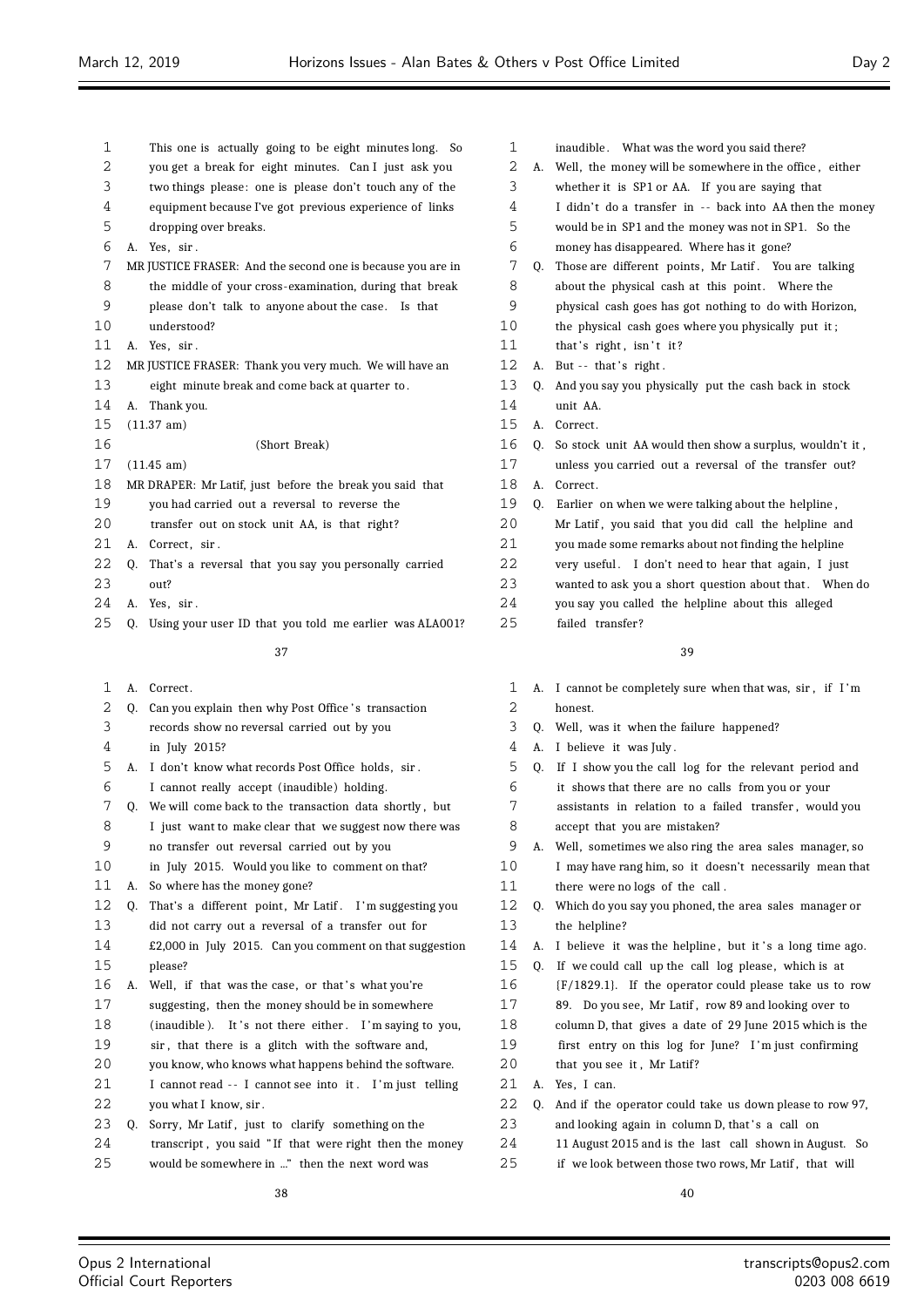| 1  | This one is actually going to be eight minutes long. So       |  |
|----|---------------------------------------------------------------|--|
| 2  | you get a break for eight minutes. Can I just ask you         |  |
| 3  | two things please: one is please don't touch any of the       |  |
| 4  | equipment because I've got previous experience of links       |  |
| 5  | dropping over breaks.                                         |  |
| 6  | Yes, sir.<br>A.                                               |  |
| 7  | MR JUSTICE FRASER: And the second one is because you are in   |  |
| 8  | the middle of your cross-examination, during that break       |  |
| 9  | please don't talk to anyone about the case. Is that           |  |
| 10 | understood?                                                   |  |
| 11 | Yes, sir.<br>А.                                               |  |
| 12 | MR JUSTICE FRASER: Thank you very much. We will have an       |  |
| 13 | eight minute break and come back at quarter to.               |  |
| 14 | Thank you.<br>А.                                              |  |
| 15 | $(11.37 \text{ am})$                                          |  |
| 16 | (Short Break)                                                 |  |
| 17 | $(11.45 \text{ am})$                                          |  |
| 18 | MR DRAPER: Mr Latif, just before the break you said that      |  |
| 19 | you had carried out a reversal to reverse the                 |  |
| 20 | transfer out on stock unit AA, is that right?                 |  |
| 21 | Correct, sir.<br>А.                                           |  |
| 22 | That's a reversal that you say you personally carried<br>0.   |  |
| 23 | out?                                                          |  |
| 24 | Yes, sir.<br>А.                                               |  |
| 25 | Using your user ID that you told me earlier was ALA001?<br>0. |  |

1 A. Correct.

| 2  |    | Q. Can you explain then why Post Office's transaction     |
|----|----|-----------------------------------------------------------|
| 3  |    | records show no reversal carried out by you               |
| 4  |    | in July 2015?                                             |
| 5  | А. | I don't know what records Post Office holds, sir.         |
| 6  |    | I cannot really accept (inaudible) holding.               |
| 7  |    | Q. We will come back to the transaction data shortly, but |
| 8  |    | I just want to make clear that we suggest now there was   |
| 9  |    | no transfer out reversal carried out by you               |
| 10 |    | in July 2015. Would you like to comment on that?          |
| 11 | А. | So where has the money gone?                              |
| 12 | Q. | That's a different point, Mr Latif. I'm suggesting you    |
| 13 |    | did not carry out a reversal of a transfer out for        |
| 14 |    | £2,000 in July 2015. Can you comment on that suggestion   |
| 15 |    | please?                                                   |
| 16 | А. | Well, if that was the case, or that's what you're         |
| 17 |    | suggesting, then the money should be in somewhere         |
| 18 |    | (inaudible). It's not there either. I'm saying to you,    |
| 19 |    | sir, that there is a glitch with the software and,        |
| 20 |    | you know, who knows what happens behind the software.     |
| 21 |    | I cannot read -- I cannot see into it. I'm just telling   |
| 22 |    | you what I know, sir.                                     |
| 23 | 0. | Sorry, Mr Latif, just to clarify something on the         |
| 24 |    | transcript, you said "If that were right then the money   |
| 25 |    | would be somewhere in " then the next word was            |
|    |    |                                                           |

| $\mathbf{1}$    |    | inaudible. What was the word you said there?             |
|-----------------|----|----------------------------------------------------------|
| 2               | А. | Well, the money will be somewhere in the office, either  |
| 3               |    | whether it is SP1 or AA. If you are saying that          |
| 4               |    | I didn't do a transfer in -- back into AA then the money |
| 5               |    | would be in SP1 and the money was not in SP1. So the     |
| 6               |    | money has disappeared. Where has it gone?                |
| 7               | Q. | Those are different points, Mr Latif. You are talking    |
| 8               |    | about the physical cash at this point. Where the         |
| 9               |    | physical cash goes has got nothing to do with Horizon,   |
| 10              |    | the physical cash goes where you physically put it;      |
| 11              |    | that's right, isn't it?                                  |
| 12 <sup>°</sup> | А. | But $-$ that's right.                                    |
| 13              | 0. | And you say you physically put the cash back in stock    |
| 14              |    | unit AA.                                                 |
| 15              | А. | Correct.                                                 |
| 16              | 0. | So stock unit AA would then show a surplus, wouldn't it, |
| 17              |    | unless you carried out a reversal of the transfer out?   |
| 18              | А. | Correct.                                                 |
| 19              | Q. | Earlier on when we were talking about the helpline,      |
| 20              |    | Mr Latif, you said that you did call the helpline and    |
| 21              |    | you made some remarks about not finding the helpline     |
| 22              |    | very useful. I don't need to hear that again, I just     |
| 23              |    | wanted to ask you a short question about that. When do   |
| 24              |    | you say you called the helpline about this alleged       |
| 25              |    | failed transfer?                                         |

- A. I cannot be completely sure when that was, sir , if I 'm honest.
- Q. Well, was it when the failure happened?
- A. I believe it was July .
- Q. If I show you the call log for the relevant period and it shows that there are no calls from you or your
- assistants in relation to a failed transfer , would you accept that you are mistaken?
- A. Well, sometimes we also ring the area sales manager, so I may have rang him, so it doesn't necessarily mean that there were no logs of the call .
- Q. Which do you say you phoned, the area sales manager or the helpline?
- 14 A. I believe it was the helpline, but it's a long time ago.
- 15 Q. If we could call up the call log please, which is at
- {F/1829.1}. If the operator could please take us to row
- 89. Do you see, Mr Latif , row 89 and looking over to
- column D, that gives a date of 29 June 2015 which is the
- first entry on this log for June? I 'm just confirming
- 20 that you see it, Mr Latif?
- A. Yes, I can.
- Q. And if the operator could take us down please to row 97,
- 23 and looking again in column D, that's a call on
- 11 August 2015 and is the last call shown in August. So
- 25 if we look between those two rows, Mr Latif, that will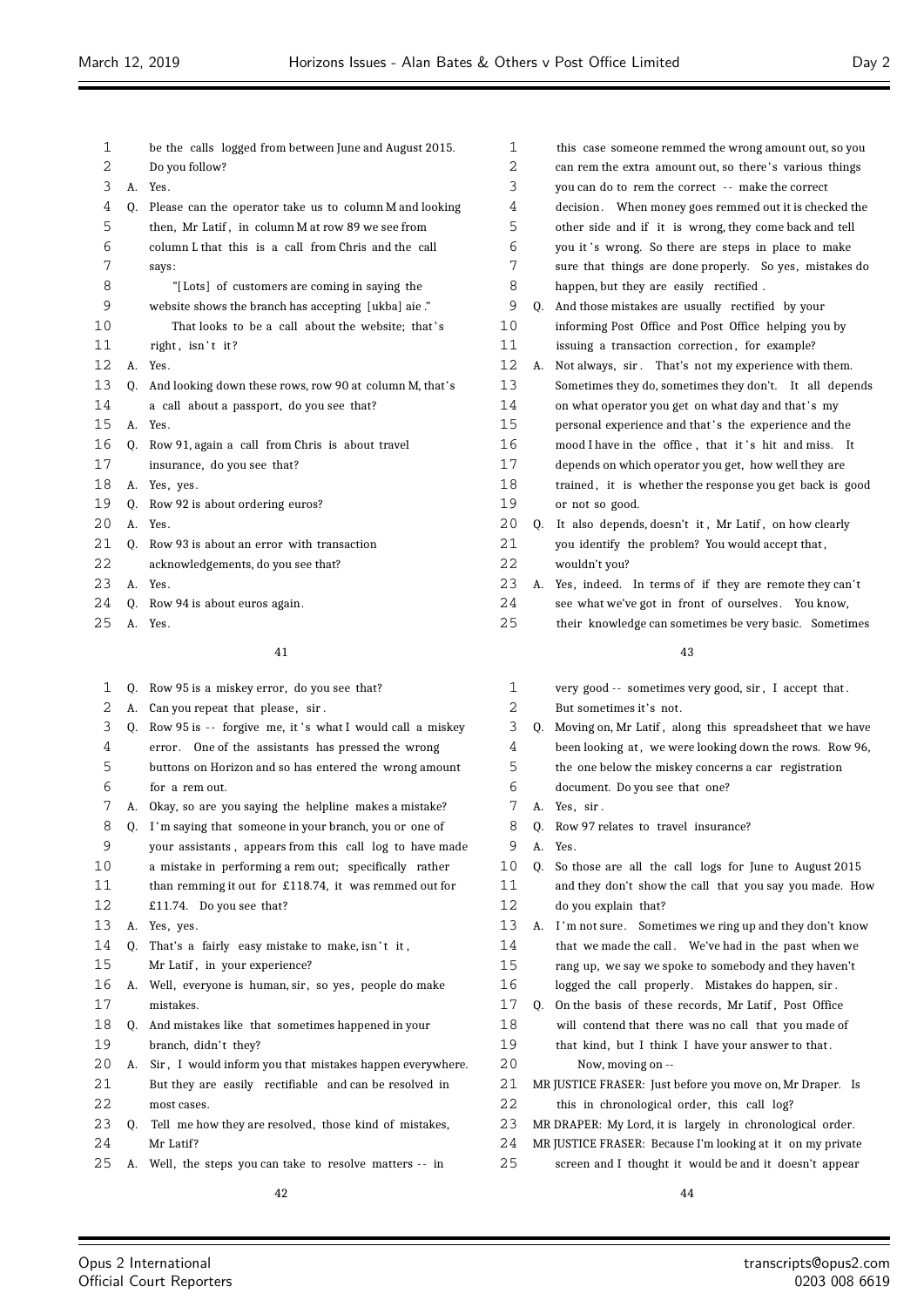| 1  |                | be the calls logged from between June and August 2015.  |
|----|----------------|---------------------------------------------------------|
| 2  |                | Do you follow?                                          |
| 3  | А.             | Yes.                                                    |
| 4  | 0.             | Please can the operator take us to column M and looking |
| 5  |                | then, Mr Latif, in column M at row 89 we see from       |
| 6  |                | column L that this is a call from Chris and the call    |
| 7  |                | says:                                                   |
| 8  |                | "[Lots] of customers are coming in saying the           |
| 9  |                | website shows the branch has accepting [ukba] aie."     |
| 10 |                | That looks to be a call about the website; that's       |
| 11 |                | right, isn't it?                                        |
| 12 | A.             | Yes.                                                    |
| 13 | 0.             | And looking down these rows, row 90 at column M, that's |
| 14 |                | a call about a passport, do you see that?               |
| 15 | A.             | Yes.                                                    |
| 16 | 0.             | Row 91, again a call from Chris is about travel         |
| 17 |                | insurance, do you see that?                             |
| 18 | А.             | Yes, yes.                                               |
| 19 | 0.             | Row 92 is about ordering euros?                         |
| 20 | A <sub>1</sub> | Yes.                                                    |
| 21 | 0.             | Row 93 is about an error with transaction               |
| 22 |                | acknowledgements, do you see that?                      |
| 23 | A.             | Yes.                                                    |
| 24 | 0.             | Row 94 is about euros again.                            |
| 25 | А.             | Yes.                                                    |

| $\mathbf{1}$ | 0. | Row 95 is a miskey error, do you see that?               |
|--------------|----|----------------------------------------------------------|
| 2            | А. | Can you repeat that please, sir.                         |
| 3            | 0. | Row 95 is -- forgive me, it's what I would call a miskey |
| 4            |    | error. One of the assistants has pressed the wrong       |
| 5            |    | buttons on Horizon and so has entered the wrong amount   |
| 6            |    | for a rem out.                                           |
| 7            |    | A. Okay, so are you saying the helpline makes a mistake? |
| 8            | Q. | I'm saying that someone in your branch, you or one of    |
| 9            |    | your assistants, appears from this call log to have made |
| 10           |    | a mistake in performing a rem out; specifically rather   |
| 11           |    | than remming it out for £118.74, it was remmed out for   |
| 12           |    | £11.74. Do you see that?                                 |
| 13           |    | A. Yes, yes.                                             |
| 14           | 0. | That's a fairly easy mistake to make, isn't it,          |
| 15           |    | Mr Latif, in your experience?                            |
| 16           | А. | Well, everyone is human, sir, so yes, people do make     |
| 17           |    | mistakes.                                                |
| 18           | 0. | And mistakes like that sometimes happened in your        |
| 19           |    | branch, didn't they?                                     |
| 20           | А. | Sir, I would inform you that mistakes happen everywhere. |
| 21           |    | But they are easily rectifiable and can be resolved in   |
| 22           |    | most cases.                                              |
| 23           | 0. | Tell me how they are resolved, those kind of mistakes,   |
| 24           |    | Mr Latif?                                                |
| 25           | А. | Well, the steps you can take to resolve matters -- in    |
|              |    | 42                                                       |
|              |    |                                                          |

| 1              |          | this case someone remmed the wrong amount out, so you    |
|----------------|----------|----------------------------------------------------------|
| $\overline{2}$ |          | can rem the extra amount out, so there's various things  |
| 3              |          | you can do to rem the correct -- make the correct        |
| 4              |          | decision. When money goes remmed out it is checked the   |
| 5              |          | other side and if it is wrong, they come back and tell   |
| 6              |          | you it's wrong. So there are steps in place to make      |
| 7              |          | sure that things are done properly. So yes, mistakes do  |
| 8              |          | happen, but they are easily rectified.                   |
| 9              | 0.       | And those mistakes are usually rectified by your         |
| 10             |          | informing Post Office and Post Office helping you by     |
| 11             |          | issuing a transaction correction, for example?           |
| 12             | А.       | Not always, sir. That's not my experience with them.     |
| 13             |          | Sometimes they do, sometimes they don't. It all depends  |
| 14             |          | on what operator you get on what day and that's my       |
| 15             |          | personal experience and that's the experience and the    |
| 16             |          | mood I have in the office, that it's hit and miss.<br>It |
| 17             |          | depends on which operator you get, how well they are     |
| 18             |          | trained, it is whether the response you get back is good |
| 19             |          | or not so good.                                          |
| 20             | Q.       | It also depends, doesn't it, Mr Latif, on how clearly    |
| 21             |          | you identify the problem? You would accept that,         |
| 22             |          | wouldn't you?                                            |
| 23             | А.       | Yes, indeed. In terms of if they are remote they can't   |
| 24             |          | see what we've got in front of ourselves. You know,      |
| 25             |          | their knowledge can sometimes be very basic. Sometimes   |
|                |          |                                                          |
|                |          | 43                                                       |
| 1              |          | very good -- sometimes very good, sir, I accept that.    |
| 2              |          | But sometimes it's not.                                  |
| 3              | Q.       | Moving on, Mr Latif, along this spreadsheet that we have |
| 4              |          | been looking at, we were looking down the rows. Row 96,  |
| 5              |          | the one below the miskey concerns a car registration     |
| 6              |          | document. Do you see that one?                           |
| 7              | А.       | Yes, sir.                                                |
| 8              |          | Row 97 relates to travel insurance?                      |
| 9              | Q.<br>А. | Yes.                                                     |
| 10             |          | So those are all the call logs for June to August 2015   |
| 11             | Q.       | and they don't show the call that you say you made. How  |
| 12             |          |                                                          |
| 13             |          | do you explain that?                                     |
|                | А.       | I'm not sure. Sometimes we ring up and they don't know   |
| 14             |          | that we made the call. We've had in the past when we     |
| 15             |          | rang up, we say we spoke to somebody and they haven't    |

- logged the call properly. Mistakes do happen, sir .
- Q. On the basis of these records, Mr Latif , Post Office will contend that there was no call that you made of that kind, but I think I have your answer to that . Now, moving on --
- MR JUSTICE FRASER: Just before you move on, Mr Draper. Is
- this in chronological order, this call log?
- MR DRAPER: My Lord, it is largely in chronological order.
- MR JUSTICE FRASER: Because I'm looking at it on my private
- screen and I thought it would be and it doesn't appear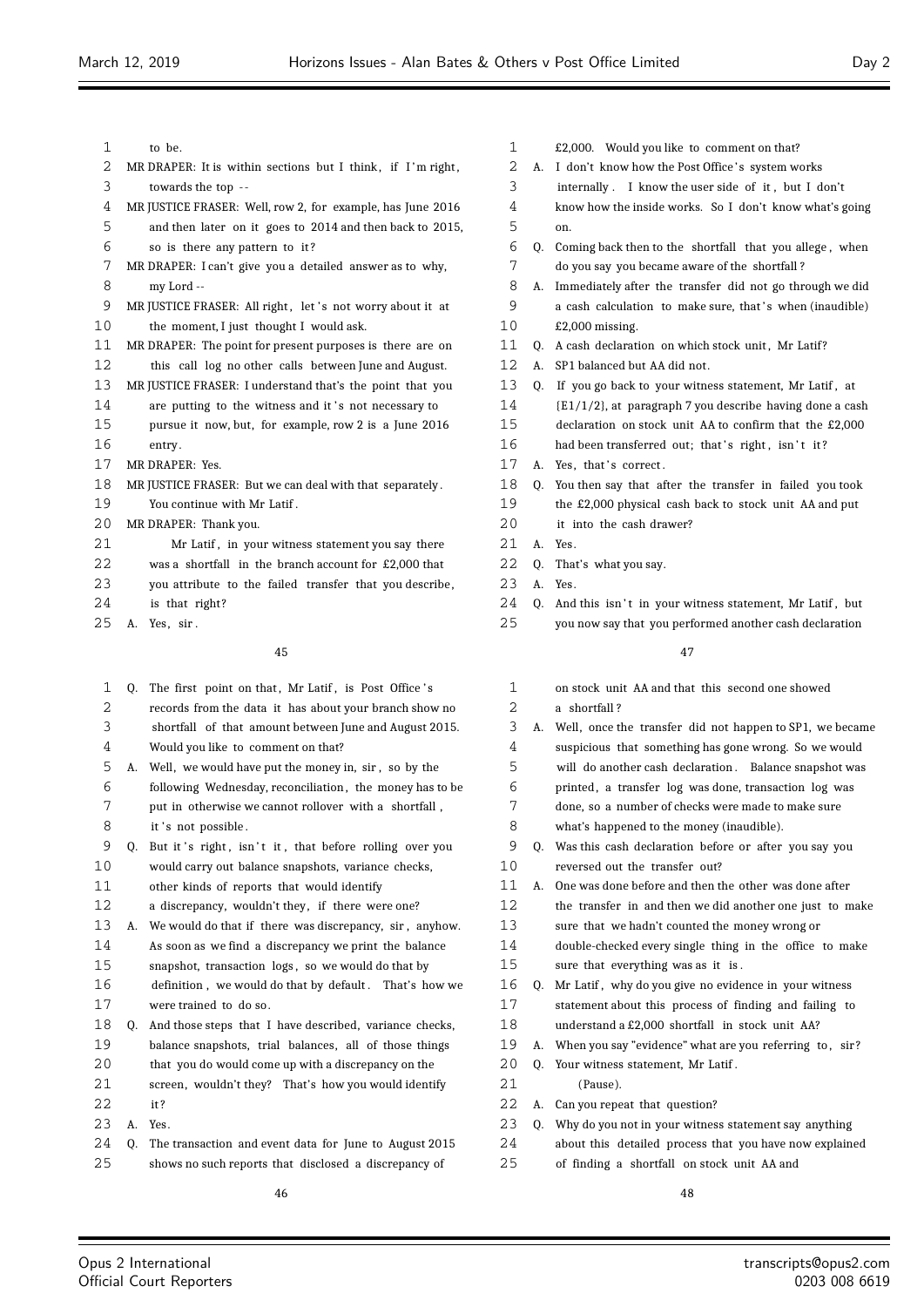| 1  | to be.                                                        | 1  |    | £2,000. Would you like to comment on that?                  |
|----|---------------------------------------------------------------|----|----|-------------------------------------------------------------|
| 2  | MR DRAPER: It is within sections but I think, if I'm right,   | 2  |    | A. I don't know how the Post Office's system works          |
| 3  | towards the top --                                            | 3  |    | internally. I know the user side of it, but I don't         |
| 4  | MR JUSTICE FRASER: Well, row 2, for example, has June 2016    | 4  |    | know how the inside works. So I don't know what's going     |
| 5  | and then later on it goes to 2014 and then back to 2015,      | 5  |    | on.                                                         |
| 6  | so is there any pattern to it?                                | 6  |    | Q. Coming back then to the shortfall that you allege, when  |
| 7  | MR DRAPER: I can't give you a detailed answer as to why,      | 7  |    | do you say you became aware of the shortfall?               |
| 8  | my Lord --                                                    | 8  |    | A. Immediately after the transfer did not go through we did |
| 9  | MR JUSTICE FRASER: All right, let's not worry about it at     | 9  |    | a cash calculation to make sure, that's when (inaudible)    |
| 10 | the moment, I just thought I would ask.                       | 10 |    | $£2,000$ missing.                                           |
| 11 | MR DRAPER: The point for present purposes is there are on     | 11 |    | Q. A cash declaration on which stock unit, Mr Latif?        |
| 12 | this call log no other calls between June and August.         | 12 |    | A. SP1 balanced but AA did not.                             |
| 13 | MR JUSTICE FRASER: I understand that's the point that you     | 13 |    | Q. If you go back to your witness statement, Mr Latif, at   |
| 14 | are putting to the witness and it's not necessary to          | 14 |    | {E1/1/2}, at paragraph 7 you describe having done a cash    |
| 15 | pursue it now, but, for example, row 2 is a June 2016         | 15 |    | declaration on stock unit AA to confirm that the £2,000     |
| 16 | entry.                                                        | 16 |    | had been transferred out; that's right, isn't it?           |
| 17 | MR DRAPER: Yes.                                               | 17 |    | A. Yes, that's correct.                                     |
| 18 | MR JUSTICE FRASER: But we can deal with that separately.      | 18 |    | Q. You then say that after the transfer in failed you took  |
| 19 | You continue with Mr Latif.                                   | 19 |    | the £2,000 physical cash back to stock unit AA and put      |
| 20 | MR DRAPER: Thank you.                                         | 20 |    | it into the cash drawer?                                    |
| 21 | Mr Latif, in your witness statement you say there             | 21 | A. | Yes.                                                        |
| 22 | was a shortfall in the branch account for £2,000 that         | 22 | Q. | That's what you say.                                        |
| 23 | you attribute to the failed transfer that you describe,       | 23 |    | A. Yes.                                                     |
| 24 | is that right?                                                | 24 | 0. | And this isn't in your witness statement, Mr Latif, but     |
| 25 | Yes, sir.<br>А.                                               | 25 |    | you now say that you performed another cash declaration     |
|    | 45                                                            |    |    | 47                                                          |
| 1  | The first point on that, Mr Latif, is Post Office's<br>Q.     | 1  |    | on stock unit AA and that this second one showed            |
| 2  | records from the data it has about your branch show no        | 2  |    | a shortfall?                                                |
| 3  | shortfall of that amount between June and August 2015.        | 3  |    | A. Well, once the transfer did not happen to SP1, we became |
| 4  | Would you like to comment on that?                            | 4  |    | suspicious that something has gone wrong. So we would       |
| 5  | Well, we would have put the money in, sir, so by the<br>А.    | 5  |    | will do another cash declaration. Balance snapshot was      |
| 6  | following Wednesday, reconciliation, the money has to be      | 6  |    | printed, a transfer log was done, transaction log was       |
| 7  | put in otherwise we cannot rollover with a shortfall,         | 7  |    | done, so a number of checks were made to make sure          |
| 8  | it's not possible.                                            | 8  |    | what's happened to the money (inaudible).                   |
| 9  | But it's right, isn't it, that before rolling over you<br>Q.  | 9  |    | Q. Was this cash declaration before or after you say you    |
| 10 | would carry out balance snapshots, variance checks,           | 10 |    | reversed out the transfer out?                              |
| 11 | other kinds of reports that would identify                    | 11 |    | A. One was done before and then the other was done after    |
| 12 | a discrepancy, wouldn't they, if there were one?              | 12 |    | the transfer in and then we did another one just to make    |
| 13 | We would do that if there was discrepancy, sir, anyhow.<br>А. | 13 |    | sure that we hadn't counted the money wrong or              |
| 14 | As soon as we find a discrepancy we print the balance         | 14 |    | double-checked every single thing in the office to make     |
| 15 | snapshot, transaction logs, so we would do that by            | 15 |    | sure that everything was as it is.                          |
| 16 | definition , we would do that by default .   That's  how we   | 16 |    | Q. Mr Latif, why do you give no evidence in your witness    |
| 17 | were trained to do so.                                        | 17 |    | statement about this process of finding and failing to      |
| 18 | And those steps that I have described, variance checks,<br>Q. | 18 |    | understand a £2,000 shortfall in stock unit AA?             |
| 19 | balance snapshots, trial balances, all of those things        | 19 | А. | When you say "evidence" what are you referring to, sir?     |
| 20 | that you do would come up with a discrepancy on the           | 20 |    | Q. Your witness statement, Mr Latif.                        |

- 21 (Pause).
- 22 A. Can you repeat that question?
- 23 Q. Why do you not in your witness statement say anything
- 24 about this detailed process that you have now explained
- 25 of finding a shortfall on stock unit AA and

21 screen, wouldn't they? That's how you would identify

24 Q. The transaction and event data for June to August 2015 25 shows no such reports that disclosed a discrepancy of

22 it ? 23 A. Yes.

- s second one showed
- ot happen to SP1, we became
- s gone wrong. So we would
- ion . Balance snapshot was
- lone, transaction log was
- were made to make sure
- $\gamma$  (inaudible).
- fore or after you say you
- the other was done after
- lid another one just to make
- the money wrong or
- hing in the office to make
- evidence in your witness of finding and failing to in stock unit AA?
- are you referring to, sir?
- 20 Q. Your witness statement, Mr Latif .
	-
- 
- 
- 
-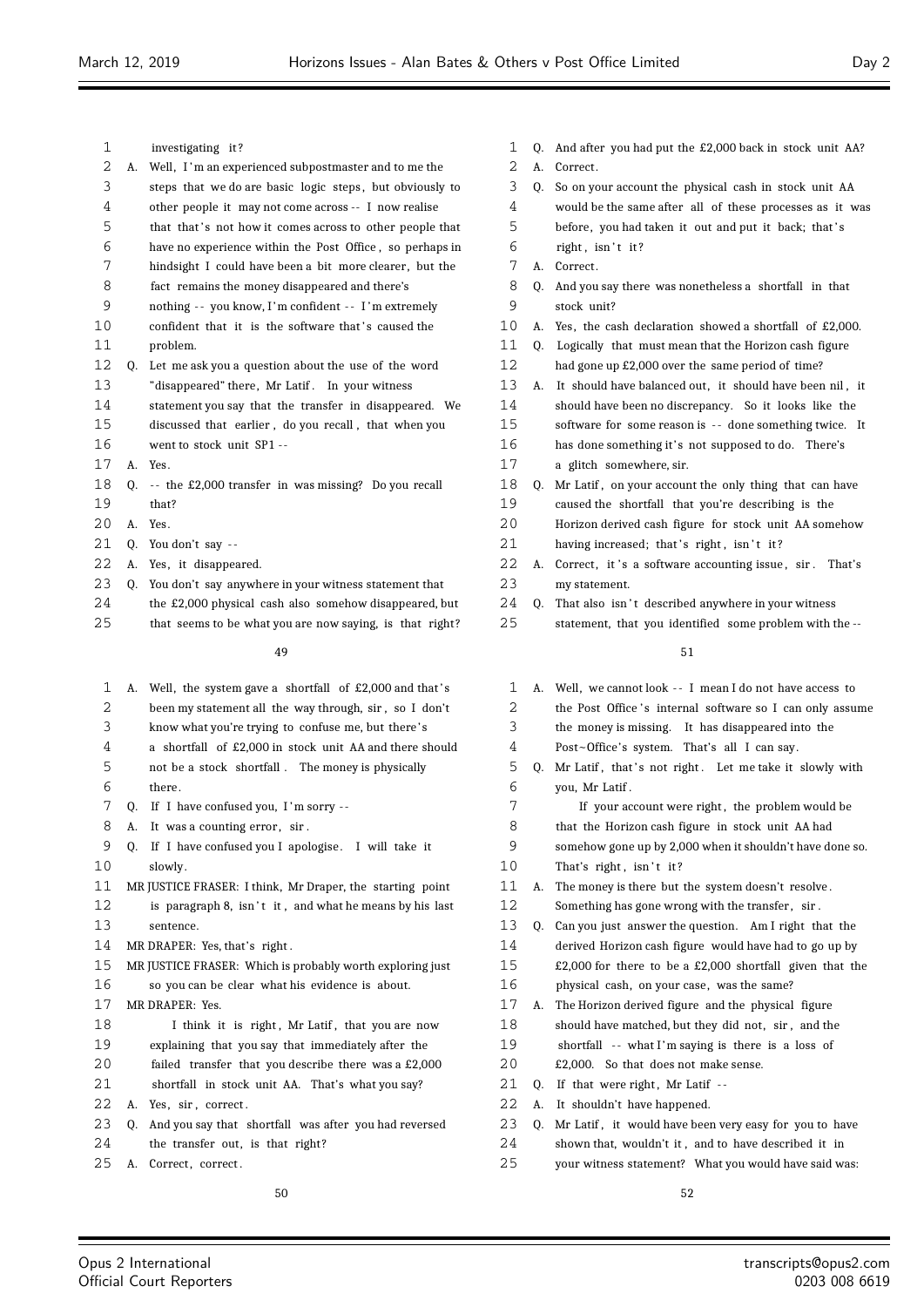$\equiv$ 

| 1  |    | investigating it?                                         | 1  | O. | And after you had put the £2,000 back in stock unit AA?    |
|----|----|-----------------------------------------------------------|----|----|------------------------------------------------------------|
| 2  | А. | Well, I'm an experienced subpostmaster and to me the      | 2  | А. | Correct.                                                   |
| 3  |    | steps that we do are basic logic steps, but obviously to  | 3  | Q. | So on your account the physical cash in stock unit AA      |
| 4  |    | other people it may not come across -- I now realise      | 4  |    | would be the same after all of these processes as it was   |
| 5  |    | that that's not how it comes across to other people that  | 5  |    | before, you had taken it out and put it back; that's       |
| 6  |    | have no experience within the Post Office, so perhaps in  | 6  |    | right, isn't it?                                           |
| 7  |    | hindsight I could have been a bit more clearer, but the   | 7  |    | A. Correct.                                                |
| 8  |    | fact remains the money disappeared and there's            | 8  | O. | And you say there was nonetheless a shortfall in that      |
| 9  |    | nothing -- you know, I'm confident -- I'm extremely       | 9  |    | stock unit?                                                |
| 10 |    | confident that it is the software that's caused the       | 10 |    | A. Yes, the cash declaration showed a shortfall of £2,000. |
| 11 |    | problem.                                                  | 11 | 0. | Logically that must mean that the Horizon cash figure      |
| 12 | Q. | Let me ask you a question about the use of the word       | 12 |    | had gone up £2,000 over the same period of time?           |
| 13 |    | "disappeared" there, Mr Latif. In your witness            | 13 | А. | It should have balanced out, it should have been nil, it   |
| 14 |    | statement you say that the transfer in disappeared. We    | 14 |    | should have been no discrepancy. So it looks like the      |
| 15 |    | discussed that earlier, do you recall, that when you      | 15 |    | software for some reason is -- done something twice. It    |
| 16 |    | went to stock unit SP1 --                                 | 16 |    | has done something it's not supposed to do. There's        |
| 17 |    | A. Yes.                                                   | 17 |    | a glitch somewhere, sir.                                   |
| 18 |    | Q. -- the £2,000 transfer in was missing? Do you recall   | 18 | Q. | Mr Latif, on your account the only thing that can have     |
| 19 |    | that?                                                     | 19 |    | caused the shortfall that you're describing is the         |
| 20 |    | A. Yes.                                                   | 20 |    | Horizon derived cash figure for stock unit AA somehow      |
| 21 | Q. | You don't say --                                          | 21 |    | having increased; that's right, isn't it?                  |
| 22 |    | A. Yes, it disappeared.                                   | 22 |    | A. Correct, it's a software accounting issue, sir. That's  |
| 23 |    | Q. You don't say anywhere in your witness statement that  | 23 |    | my statement.                                              |
| 24 |    | the £2,000 physical cash also somehow disappeared, but    | 24 | 0. | That also isn't described anywhere in your witness         |
| 25 |    | that seems to be what you are now saying, is that right?  | 25 |    | statement, that you identified some problem with the --    |
|    |    | 49                                                        |    |    | 51                                                         |
| 1  |    | A. Well, the system gave a shortfall of £2,000 and that's | 1  |    | A. Well, we cannot look -- I mean I do not have access to  |
| 2  |    | been my statement all the way through, sir, so I don't    | 2  |    | the Post Office's internal software so I can only assume   |
| 3  |    | know what you're trying to confuse me, but there's        | 3  |    | the money is missing. It has disappeared into the          |
| 4  |    | a shortfall of £2,000 in stock unit AA and there should   | 4  |    | Post~Office's system. That's all I can say.                |
| 5  |    | not be a stock shortfall. The money is physically         | 5  | Q. | Mr Latif, that's not right. Let me take it slowly with     |
| 6  |    | there.                                                    | 6  |    | you, Mr Latif.                                             |
| 7  |    | Q. If I have confused you, I'm sorry --                   | 7  |    | If your account were right, the problem would be           |
| 8  | А. | It was a counting error, sir.                             | 8  |    | that the Horizon cash figure in stock unit AA had          |
| 9  | Q. | If I have confused you I apologise. I will take it        | 9  |    | somehow gone up by 2,000 when it shouldn't have done so.   |
| 10 |    | slowly.                                                   | 10 |    | That's right, isn't it?                                    |
| 11 |    | MR JUSTICE FRASER: I think, Mr Draper, the starting point | 11 | A. | The money is there but the system doesn't resolve.         |
| 12 |    | is paragraph 8, isn't it, and what he means by his last   | 12 |    | Something has gone wrong with the transfer, sir.           |
| 13 |    | sentence.                                                 | 13 |    | Q. Can you just answer the question. Am I right that the   |
| 14 |    | MR DRAPER: Yes, that's right.                             | 14 |    | derived Horizon cash figure would have had to go up by     |
| 15 |    | MR JUSTICE FRASER: Which is probably worth exploring just | 15 |    | £2,000 for there to be a £2,000 shortfall given that the   |
| 16 |    | so you can be clear what his evidence is about.           | 16 |    | physical cash, on your case, was the same?                 |
| 17 |    | MR DRAPER: Yes.                                           | 17 | А. | The Horizon derived figure and the physical figure         |
| 18 |    | I think it is right, Mr Latif, that you are now           | 18 |    | should have matched, but they did not, sir, and the        |
| 19 |    | explaining that you say that immediately after the        | 19 |    | shortfall -- what I'm saying is there is a loss of         |
| 20 |    | failed transfer that you describe there was a £2,000      | 20 |    | £2,000. So that does not make sense.                       |
| 21 |    | shortfall in stock unit AA. That's what you say?          | 21 | Q. | If that were right, Mr Latif --                            |
| 22 |    | A. Yes, sir, correct.                                     | 22 |    | A. It shouldn't have happened.                             |
| 23 | Q. | And you say that shortfall was after you had reversed     | 23 | Q. | Mr Latif, it would have been very easy for you to have     |
| 24 |    | the transfer out, is that right?                          | 24 |    | shown that, wouldn't it, and to have described it in       |
| 25 | А. | Correct, correct.                                         | 25 |    | your witness statement? What you would have said was:      |
|    |    |                                                           |    |    |                                                            |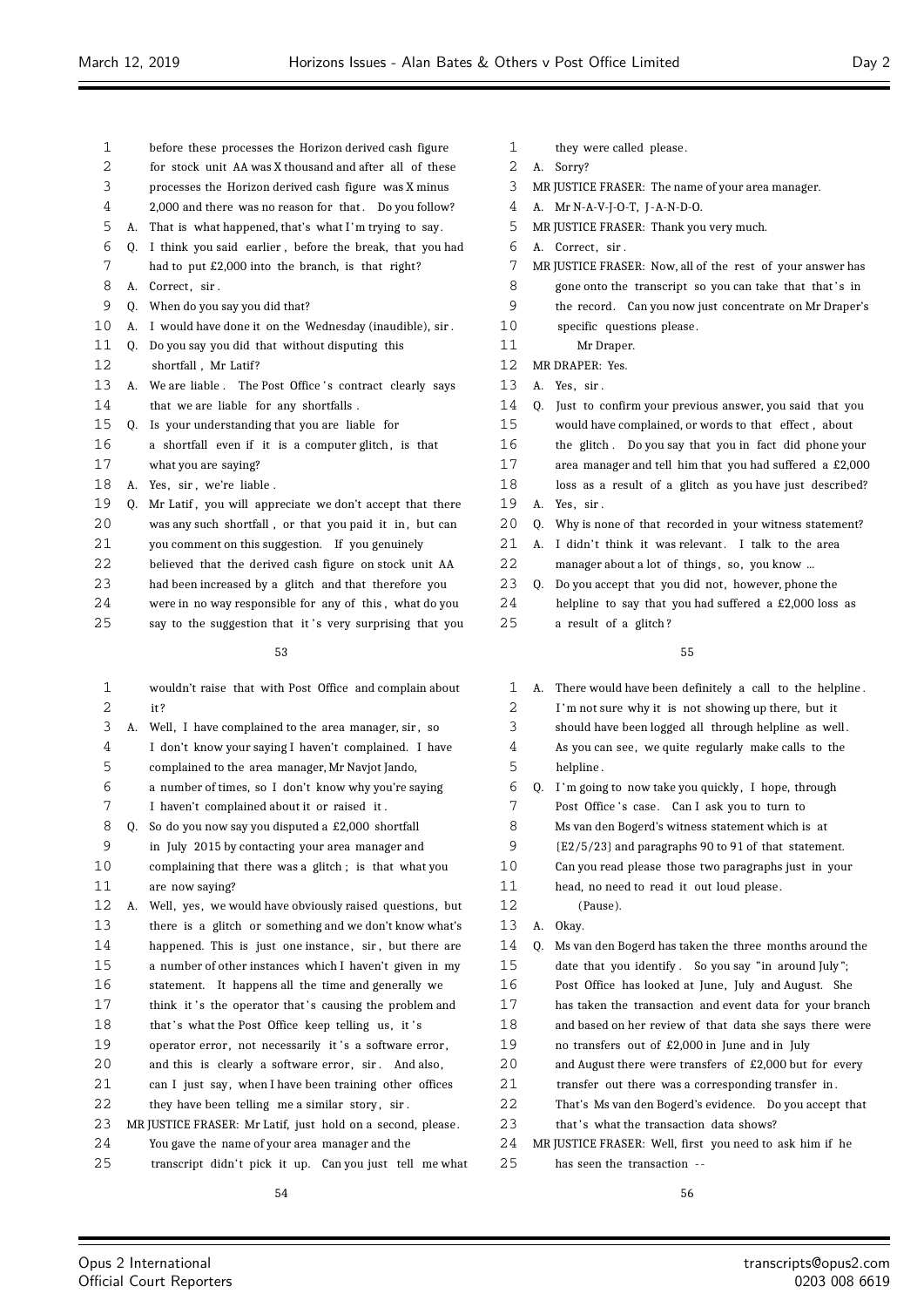- before these processes the Horizon derived cash figure
- for stock unit AA was X thousand and after all of these
- processes the Horizon derived cash figure was X minus
- 4 2,000 and there was no reason for that. Do you follow?
- A. That is what happened, that's what I 'm trying to say.
- Q. I think you said earlier , before the break, that you had had to put £2,000 into the branch, is that right?
- 8 A. Correct, sir.
- Q. When do you say you did that?
- A. I would have done it on the Wednesday (inaudible), sir .
- Q. Do you say you did that without disputing this
- 12 shortfall, Mr Latif?
- 13 A. We are liable . The Post Office's contract clearly says 14 that we are liable for any shortfalls.
- Q. Is your understanding that you are liable for
- a shortfall even if it is a computer glitch , is that what you are saying?
- 18 A. Yes, sir, we're liable.
- 19 Q. Mr Latif, you will appreciate we don't accept that there
- 20 was any such shortfall, or that you paid it in, but can
- you comment on this suggestion. If you genuinely
- believed that the derived cash figure on stock unit AA
- had been increased by a glitch and that therefore you
- were in no way responsible for any of this , what do you
- 25 say to the suggestion that it's very surprising that you

- wouldn't raise that with Post Office and complain about it ?
- A. Well, I have complained to the area manager, sir , so
- I don't know your saying I haven't complained. I have complained to the area manager, Mr Navjot Jando,
- a number of times, so I don't know why you're saying
- I haven't complained about it or raised it .
- Q. So do you now say you disputed a £2,000 shortfall
- in July 2015 by contacting your area manager and
- complaining that there was a glitch ; is that what you are now saying?
- A. Well, yes, we would have obviously raised questions, but there is a glitch or something and we don't know what's 14 happened. This is just one instance, sir, but there are a number of other instances which I haven't given in my statement. It happens all the time and generally we 17 think it's the operator that's causing the problem and
- 18 that 's what the Post Office keep telling us, it 's
- 19 operator error, not necessarily it's a software error,
- 20 and this is clearly a software error, sir. And also,
- can I just say, when I have been training other offices
- 22 they have been telling me a similar story, sir.
- 23 MR JUSTICE FRASER: Mr Latif, just hold on a second, please.
- You gave the name of your area manager and the
- 25 transcript didn't pick it up. Can you just tell me what
- 1 they were called please.
- A. Sorry?
- MR JUSTICE FRASER: The name of your area manager.
- A. Mr N-A-V-J-O-T, J -A-N-D-O.
- MR JUSTICE FRASER: Thank you very much.
- 6 A. Correct, sir.
- MR JUSTICE FRASER: Now, all of the rest of your answer has
- 8 gone onto the transcript so you can take that that's in
- the record. Can you now just concentrate on Mr Draper's
- specific questions please .
- Mr Draper.
- MR DRAPER: Yes.
- A. Yes, sir .
- Q. Just to confirm your previous answer, you said that you
- would have complained, or words to that effect , about
- the glitch . Do you say that you in fact did phone your
- area manager and tell him that you had suffered a £2,000
- loss as a result of a glitch as you have just described?
- A. Yes, sir .
- 20 0. Why is none of that recorded in your witness statement?
- 21 A. I didn't think it was relevant. I talk to the area 22 manager about a lot of things, so, you know ...
- Q. Do you accept that you did not, however, phone the helpline to say that you had suffered a £2,000 loss as a result of a glitch ?

## 

 A. There would have been definitely a call to the helpline . I 'm not sure why it is not showing up there, but it should have been logged all through helpline as well . As you can see, we quite regularly make calls to the helpline . Q. I 'm going to now take you quickly , I hope, through 7 Post Office's case. Can I ask you to turn to Ms van den Bogerd's witness statement which is at {E2/5/23} and paragraphs 90 to 91 of that statement. Can you read please those two paragraphs just in your head, no need to read it out loud please . (Pause). A. Okay. Q. Ms van den Bogerd has taken the three months around the date that you identify . So you say "in around July "; Post Office has looked at June, July and August. She has taken the transaction and event data for your branch and based on her review of that data she says there were no transfers out of £2,000 in June and in July and August there were transfers of £2,000 but for every 21 transfer out there was a corresponding transfer in. That's Ms van den Bogerd's evidence. Do you accept that 23 that's what the transaction data shows? MR JUSTICE FRASER: Well, first you need to ask him if he has seen the transaction - -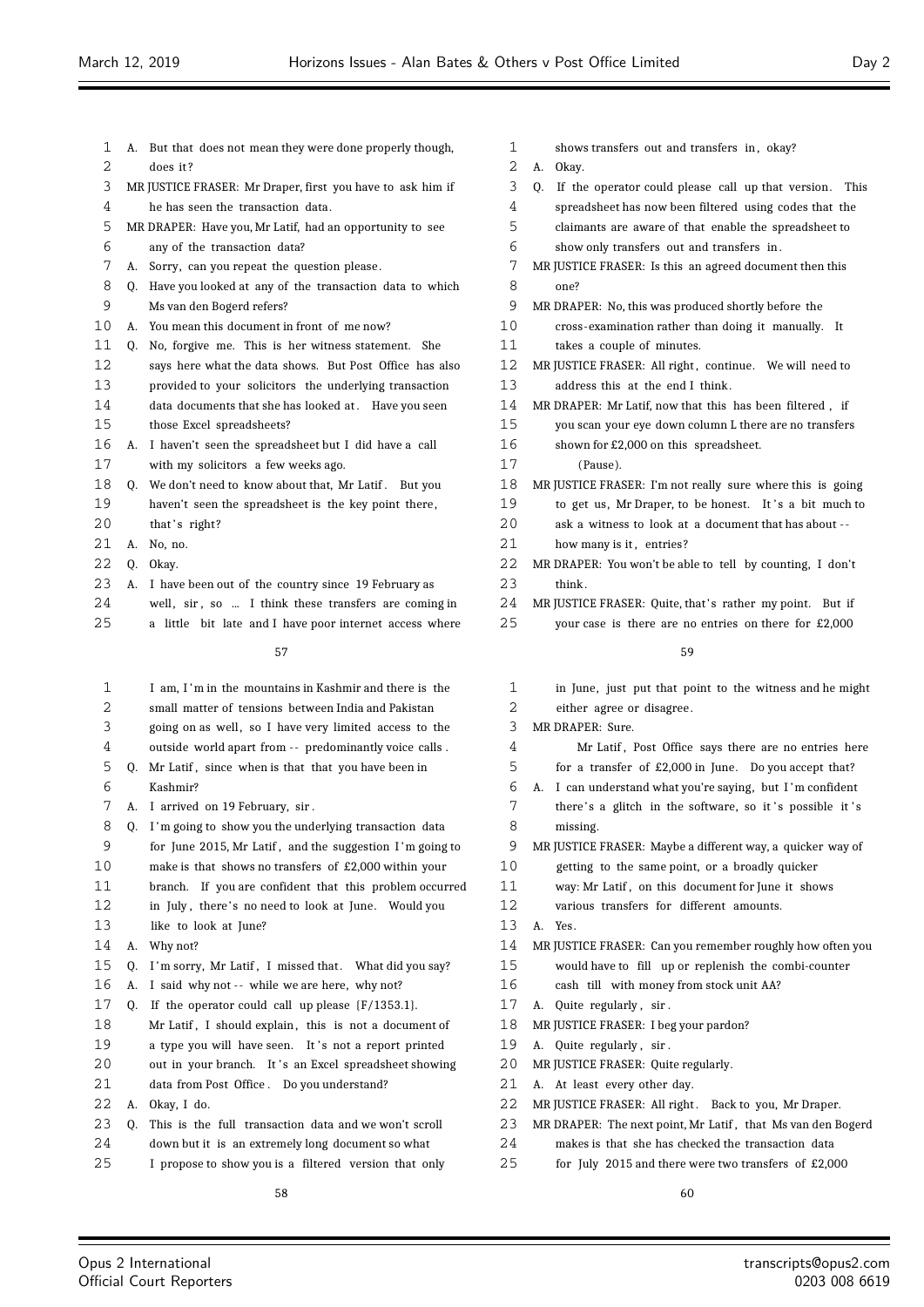| 1  | А. | But that does not mean they were done properly though,     |  |  |  |  |
|----|----|------------------------------------------------------------|--|--|--|--|
| 2  |    | does it?                                                   |  |  |  |  |
| 3  |    | MR JUSTICE FRASER: Mr Draper, first you have to ask him if |  |  |  |  |
| 4  |    | he has seen the transaction data.                          |  |  |  |  |
| 5  |    | MR DRAPER: Have you, Mr Latif, had an opportunity to see   |  |  |  |  |
| 6  |    | any of the transaction data?                               |  |  |  |  |
| 7  | А. | Sorry, can you repeat the question please.                 |  |  |  |  |
| 8  | 0. | Have you looked at any of the transaction data to which    |  |  |  |  |
| 9  |    | Ms van den Bogerd refers?                                  |  |  |  |  |
| 10 | А. | You mean this document in front of me now?                 |  |  |  |  |
| 11 | 0. | No, forgive me. This is her witness statement. She         |  |  |  |  |
| 12 |    | says here what the data shows. But Post Office has also    |  |  |  |  |
| 13 |    | provided to your solicitors the underlying transaction     |  |  |  |  |
| 14 |    | data documents that she has looked at. Have you seen       |  |  |  |  |
| 15 |    | those Excel spreadsheets?                                  |  |  |  |  |
| 16 | А. | I haven't seen the spreadsheet but I did have a call       |  |  |  |  |
| 17 |    | with my solicitors a few weeks ago.                        |  |  |  |  |
| 18 | 0. | We don't need to know about that, Mr Latif. But you        |  |  |  |  |
| 19 |    | haven't seen the spreadsheet is the key point there,       |  |  |  |  |
| 20 |    | that's right?                                              |  |  |  |  |
| 21 | А. | No, no.                                                    |  |  |  |  |
| 22 | 0. | Okay.                                                      |  |  |  |  |
| 23 | А. | I have been out of the country since 19 February as        |  |  |  |  |
| 24 |    | well, sir, so  I think these transfers are coming in       |  |  |  |  |
| 25 |    | a little bit late and I have poor internet access where    |  |  |  |  |
|    |    | 57                                                         |  |  |  |  |
|    |    |                                                            |  |  |  |  |
| 1  |    | I am, I'm in the mountains in Kashmir and there is the     |  |  |  |  |
| 2  |    | small matter of tensions between India and Pakistan        |  |  |  |  |
| 3  |    | going on as well, so I have very limited access to the     |  |  |  |  |
| 4  |    | outside world apart from -- predominantly voice calls.     |  |  |  |  |
| 5  | Q. | Mr Latif, since when is that that you have been in         |  |  |  |  |
| 6  |    | Kashmir?                                                   |  |  |  |  |

7 A. I arrived on 19 February, sir

|    | л. | r arriveu on referentuary, sir .                         |
|----|----|----------------------------------------------------------|
| 8  | 0. | I'm going to show you the underlying transaction data    |
| 9  |    | for June 2015, Mr Latif, and the suggestion I'm going to |
| 10 |    | make is that shows no transfers of $£2,000$ within your  |
| 11 |    | branch. If you are confident that this problem occurred  |
| 12 |    | in July, there's no need to look at June. Would you      |
| 13 |    | like to look at June?                                    |
| 14 | А. | Why not?                                                 |
| 15 | 0. | I'm sorry, Mr Latif, I missed that. What did you say?    |
| 16 | А. | I said why not -- while we are here, why not?            |
| 17 | 0. | If the operator could call up please $(F/1353.1)$ .      |
| 18 |    | Mr Latif, I should explain, this is not a document of    |
| 19 |    | a type you will have seen. It's not a report printed     |
| 20 |    | out in your branch. It's an Excel spreadsheet showing    |
| 21 |    | data from Post Office. Do you understand?                |
| 22 | А. | Okay, I do.                                              |
| 23 | Q. | This is the full transaction data and we won't scroll    |
| 24 |    | down but it is an extremely long document so what        |
| 25 |    | I propose to show you is a filtered version that only    |
|    |    |                                                          |

| $\mathbf{1}$   | shows transfers out and transfers in, okay?                      |
|----------------|------------------------------------------------------------------|
| 2              | Okay.<br>А.                                                      |
| 3              | If the operator could please call up that version.<br>This<br>0. |
| 4              | spreadsheet has now been filtered using codes that the           |
| 5              | claimants are aware of that enable the spreadsheet to            |
| 6              | show only transfers out and transfers in.                        |
| 7              | MR JUSTICE FRASER: Is this an agreed document then this          |
| 8              | one?                                                             |
| 9              | MR DRAPER: No, this was produced shortly before the              |
| 10             | cross-examination rather than doing it manually.<br>It           |
| 11             | takes a couple of minutes.                                       |
| 12             | MR JUSTICE FRASER: All right, continue. We will need to          |
| 13             | address this at the end I think.                                 |
| 14             | MR DRAPER: Mr Latif, now that this has been filtered, if         |
| 15             | you scan your eye down column L there are no transfers           |
| 16             | shown for £2,000 on this spreadsheet.                            |
| 17             | (Pause).                                                         |
| 18             | MR JUSTICE FRASER: I'm not really sure where this is going       |
| 19             | to get us, Mr Draper, to be honest. It's a bit much to           |
| 20             | ask a witness to look at a document that has about --            |
| 21             | how many is it, entries?                                         |
| 22             | MR DRAPER: You won't be able to tell by counting, I don't        |
| 23             | think.                                                           |
| 24             | MR JUSTICE FRASER: Quite, that's rather my point. But if         |
| 25             | your case is there are no entries on there for £2,000            |
|                | 59                                                               |
| $\overline{ }$ |                                                                  |

| in June, just put that point to the witness and he might    |
|-------------------------------------------------------------|
| either agree or disagree.                                   |
| MR DRAPER: Sure.                                            |
| Mr Latif, Post Office says there are no entries here        |
| for a transfer of £2,000 in June. Do you accept that?       |
| A. I can understand what you're saying, but I'm confident   |
| there's a glitch in the software, so it's possible it's     |
| missing.                                                    |
| MR JUSTICE FRASER: Maybe a different way, a quicker way of  |
| getting to the same point, or a broadly quicker             |
| way: Mr Latif, on this document for June it shows           |
| various transfers for different amounts.                    |
| A. Yes.                                                     |
| MR JUSTICE FRASER: Can you remember roughly how often you   |
| would have to fill up or replenish the combi-counter        |
| cash till with money from stock unit AA?                    |
| Quite regularly, sir.<br>A.                                 |
| MR JUSTICE FRASER: I beg your pardon?                       |
| A. Quite regularly, sir.                                    |
| MR JUSTICE FRASER: Quite regularly.                         |
| A. At least every other day.                                |
| MR JUSTICE FRASER: All right. Back to you, Mr Draper.       |
| MR DRAPER: The next point, Mr Latif, that Ms van den Bogerd |
|                                                             |

- makes is that she has checked the transaction data
- for July 2015 and there were two transfers of £2,000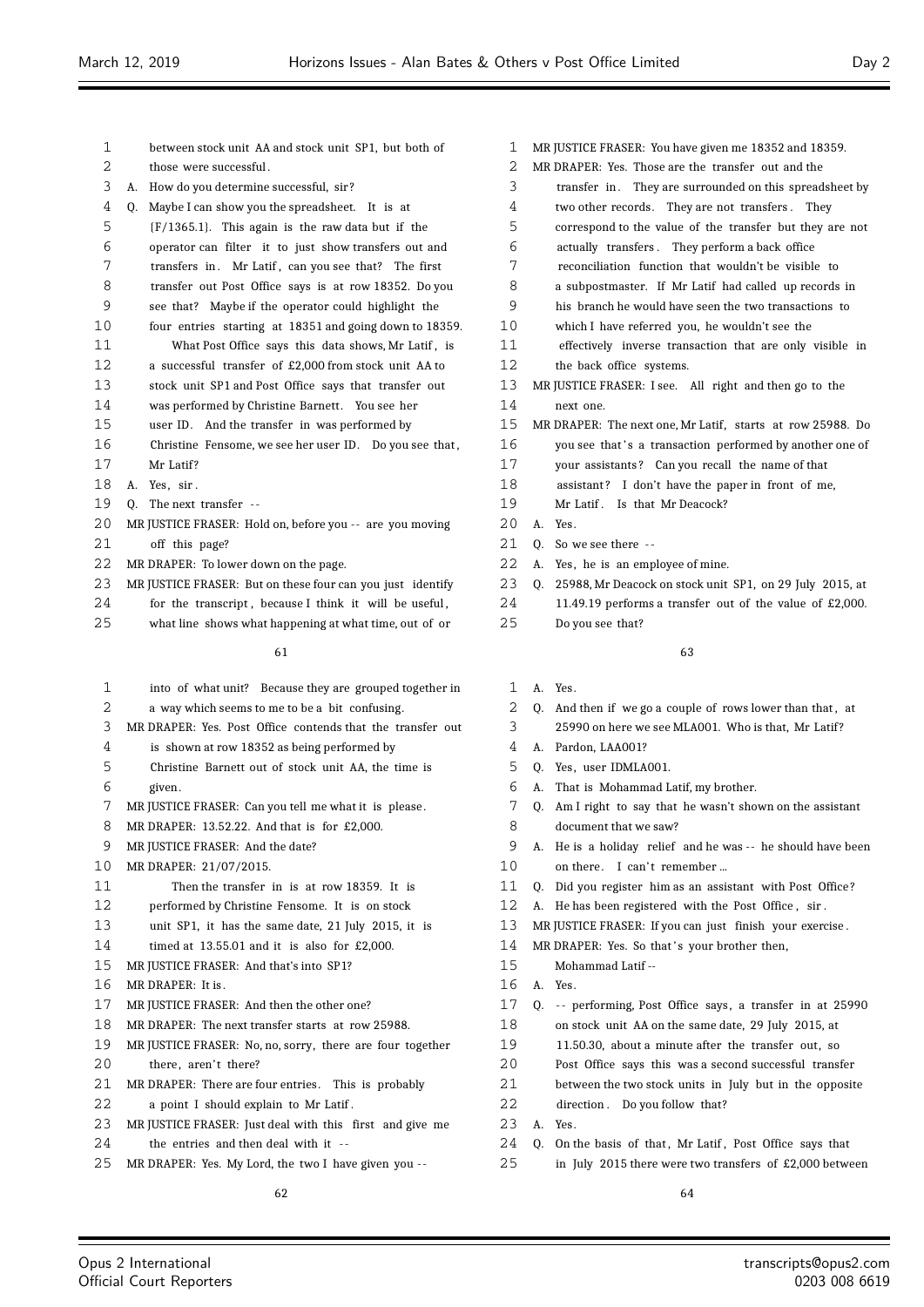| 1  |    | between stock unit AA and stock unit SP1, but both of      |
|----|----|------------------------------------------------------------|
| 2  |    | those were successful.                                     |
| 3  | А. | How do you determine successful, sir?                      |
| 4  | 0. | Maybe I can show you the spreadsheet. It is at             |
| 5  |    | $(F/1365.1)$ . This again is the raw data but if the       |
| 6  |    | operator can filter it to just show transfers out and      |
| 7  |    | transfers in. Mr Latif, can you see that? The first        |
| 8  |    | transfer out Post Office says is at row 18352. Do you      |
| 9  |    | see that? Maybe if the operator could highlight the        |
| 10 |    | four entries starting at 18351 and going down to 18359.    |
| 11 |    | What Post Office says this data shows, Mr Latif, is        |
| 12 |    | a successful transfer of £2,000 from stock unit AA to      |
| 13 |    | stock unit SP1 and Post Office says that transfer out      |
| 14 |    | was performed by Christine Barnett. You see her            |
| 15 |    | user ID. And the transfer in was performed by              |
| 16 |    | Christine Fensome, we see her user ID. Do you see that,    |
| 17 |    | Mr Latif?                                                  |
| 18 | А. | Yes, sir.                                                  |
| 19 | 0. | The next transfer --                                       |
| 20 |    | MR JUSTICE FRASER: Hold on, before you -- are you moving   |
| 21 |    | off this page?                                             |
| 22 |    | MR DRAPER: To lower down on the page.                      |
| 23 |    | MR JUSTICE FRASER: But on these four can you just identify |
| 24 |    | for the transcript, because I think it will be useful,     |

what line shows what happening at what time, out of or

## 

| $\mathbf{1}$ | into of what unit? Because they are grouped together in    |
|--------------|------------------------------------------------------------|
| 2            | a way which seems to me to be a bit confusing.             |
| 3            | MR DRAPER: Yes. Post Office contends that the transfer out |
| 4            | is shown at row 18352 as being performed by                |
| 5            | Christine Barnett out of stock unit AA, the time is        |
| 6            | given.                                                     |
| 7            | MR JUSTICE FRASER: Can you tell me what it is please.      |
| 8            | MR DRAPER: 13.52.22. And that is for £2,000.               |
| 9            | MR JUSTICE FRASER: And the date?                           |
| 10           | MR DRAPER: 21/07/2015.                                     |
| 11           | Then the transfer in is at row 18359. It is                |
| 12           | performed by Christine Fensome. It is on stock             |
| 13           | unit SP1, it has the same date, 21 July 2015, it is        |
| 14           | timed at $13.55.01$ and it is also for £2.000.             |
| 15           | MR JUSTICE FRASER: And that's into SP1?                    |
| 16           | MR DRAPER: It is.                                          |
| 17           | MR JUSTICE FRASER: And then the other one?                 |
| 18           | MR DRAPER: The next transfer starts at row 25988.          |
| 19           | MR JUSTICE FRASER: No, no, sorry, there are four together  |
| 20           | there, aren't there?                                       |
| 21           | MR DRAPER: There are four entries. This is probably        |
| 22           | a point I should explain to Mr Latif.                      |
| 23           | MR JUSTICE FRASER: Just deal with this first and give me   |
| 24           | the entries and then deal with it --                       |
| 25           | MR DRAPER: Yes. My Lord, the two I have given you --       |
|              |                                                            |

- MR JUSTICE FRASER: You have given me 18352 and 18359.
- MR DRAPER: Yes. Those are the transfer out and the
- transfer in . They are surrounded on this spreadsheet by
- two other records. They are not transfers . They
- correspond to the value of the transfer but they are not
- actually transfers . They perform a back office
- reconciliation function that wouldn't be visible to
- a subpostmaster. If Mr Latif had called up records in
- his branch he would have seen the two transactions to
- which I have referred you, he wouldn't see the
- effectively inverse transaction that are only visible in
- the back office systems.
- MR JUSTICE FRASER: I see. All right and then go to the next one.
- MR DRAPER: The next one, Mr Latif, starts at row 25988. Do
- 16 you see that's a transaction performed by another one of
- your assistants ? Can you recall the name of that
- 18 assistant? I don't have the paper in front of me,
- 19 Mr Latif . Is that Mr Deacock?
- A. Yes.
- 21 O. So we see there --
- A. Yes, he is an employee of mine.
- Q. 25988, Mr Deacock on stock unit SP1, on 29 July 2015, at
- 11.49.19 performs a transfer out of the value of £2,000.
- Do you see that?

- A. Yes.
- 2 Q. And then if we go a couple of rows lower than that, at 25990 on here we see MLA001. Who is that, Mr Latif ?
- A. Pardon, LAA001?
- Q. Yes, user IDMLA001.
- A. That is Mohammad Latif, my brother.
- Q. Am I right to say that he wasn't shown on the assistant document that we saw?
- A. He is a holiday relief and he was -- he should have been 10 on there. I can't remember ...
- Q. Did you register him as an assistant with Post Office ?
- A. He has been registered with the Post Office , sir .
- MR JUSTICE FRASER: If you can just finish your exercise .
- 14 MR DRAPER: Yes. So that's your brother then,
- Mohammad Latif --
- A. Yes.
- 17 Q. -- performing, Post Office says, a transfer in at 25990 on stock unit AA on the same date, 29 July 2015, at
- 11.50.30, about a minute after the transfer out, so
- Post Office says this was a second successful transfer
- between the two stock units in July but in the opposite
- direction . Do you follow that?
- A. Yes.
- 24 Q. On the basis of that, Mr Latif, Post Office says that
- in July 2015 there were two transfers of £2,000 between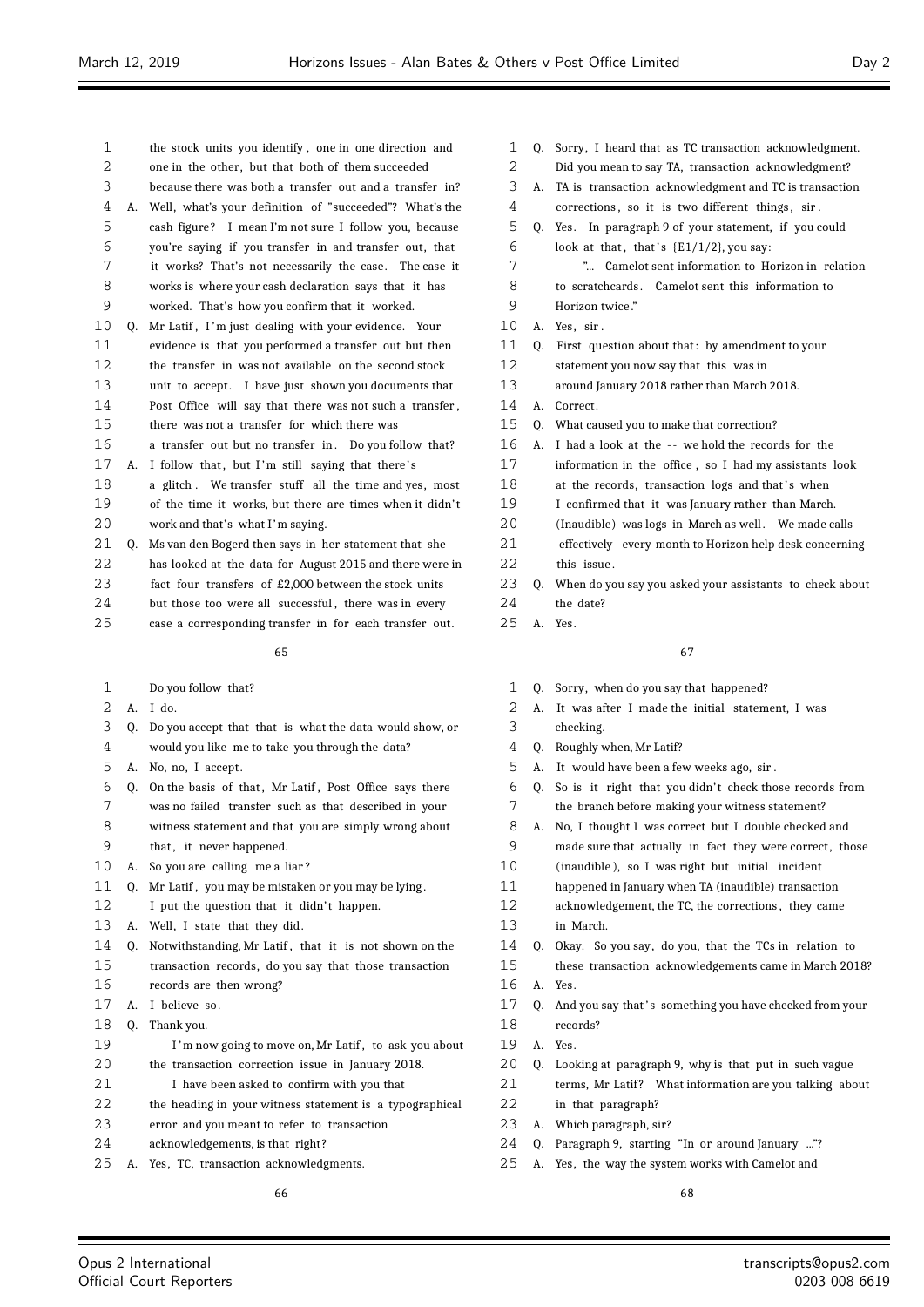- the stock units you identify , one in one direction and one in the other, but that both of them succeeded because there was both a transfer out and a transfer in? A. Well, what's your definition of "succeeded"? What's the cash figure ? I mean I'm not sure I follow you, because you're saying if you transfer in and transfer out, that it works? That's not necessarily the case. The case it works is where your cash declaration says that it has worked. That's how you confirm that it worked. 10 Q. Mr Latif, I'm just dealing with your evidence. Your evidence is that you performed a transfer out but then the transfer in was not available on the second stock unit to accept. I have just shown you documents that Post Office will say that there was not such a transfer , there was not a transfer for which there was 16 a transfer out but no transfer in. Do you follow that? 17 A. I follow that, but I'm still saying that there's a glitch . We transfer stuff all the time and yes, most of the time it works, but there are times when it didn' t work and that's what I 'm saying. Q. Ms van den Bogerd then says in her statement that she has looked at the data for August 2015 and there were in fact four transfers of £2,000 between the stock units 24 but those too were all successful, there was in every
- case a corresponding transfer in for each transfer out.

- Do you follow that?
- A. I do.
- Q. Do you accept that that is what the data would show, or
- would you like me to take you through the data?
- A. No, no, I accept.
- 6 Q. On the basis of that, Mr Latif, Post Office says there was no failed transfer such as that described in your witness statement and that you are simply wrong about
- 9 that, it never happened.
- A. So you are calling me a liar ?
- Q. Mr Latif , you may be mistaken or you may be lying .
- 12 I put the question that it didn't happen.
- 13 A. Well, I state that they did.
- 14 O. Notwithstanding, Mr Latif, that it is not shown on the transaction records, do you say that those transaction
- records are then wrong?
- A. I believe so.
- Q. Thank you.
- 19 I'm now going to move on, Mr Latif, to ask you about
- the transaction correction issue in January 2018.
- I have been asked to confirm with you that
- the heading in your witness statement is a typographical
- error and you meant to refer to transaction
- acknowledgements, is that right?
- A. Yes, TC, transaction acknowledgments.

- Q. Sorry, I heard that as TC transaction acknowledgment.
- Did you mean to say TA, transaction acknowledgment?
- A. TA is transaction acknowledgment and TC is transaction
- 4 corrections, so it is two different things, sir.
- Q. Yes. In paragraph 9 of your statement, if you could
- 6 look at that, that's  $\{E1/1/2\}$ , you say:
- "... Camelot sent information to Horizon in relation
- to scratchcards . Camelot sent this information to Horizon twice ."
- A. Yes, sir .
- 11 Q. First question about that: by amendment to your
- statement you now say that this was in
- around January 2018 rather than March 2018.
- A. Correct .
- Q. What caused you to make that correction?
- 16 A. I had a look at the -- we hold the records for the
- information in the office , so I had my assistants look
- 18 at the records, transaction logs and that's when
- I confirmed that it was January rather than March.
- 20 (Inaudible) was logs in March as well. We made calls
- effectively every month to Horizon help desk concerning 22 this issue.
- Q. When do you say you asked your assistants to check about
- the date?
- A. Yes.

- Q. Sorry, when do you say that happened?
- A. It was after I made the initial statement, I was checking.
- Q. Roughly when, Mr Latif?
- A. It would have been a few weeks ago, sir .
- Q. So is it right that you didn' t check those records from the branch before making your witness statement?
- A. No, I thought I was correct but I double checked and 9 made sure that actually in fact they were correct, those
- (inaudible ), so I was right but initial incident
- happened in January when TA (inaudible) transaction
- acknowledgement, the TC, the corrections , they came
- in March.
- Q. Okay. So you say, do you, that the TCs in relation to
- these transaction acknowledgements came in March 2018? A. Yes.
- 17 Q. And you say that's something you have checked from your records?
- A. Yes.
- Q. Looking at paragraph 9, why is that put in such vague
- 21 terms, Mr Latif? What information are you talking about
- in that paragraph?
- A. Which paragraph, sir?
- Q. Paragraph 9, starting "In or around January ..."?
- A. Yes, the way the system works with Camelot and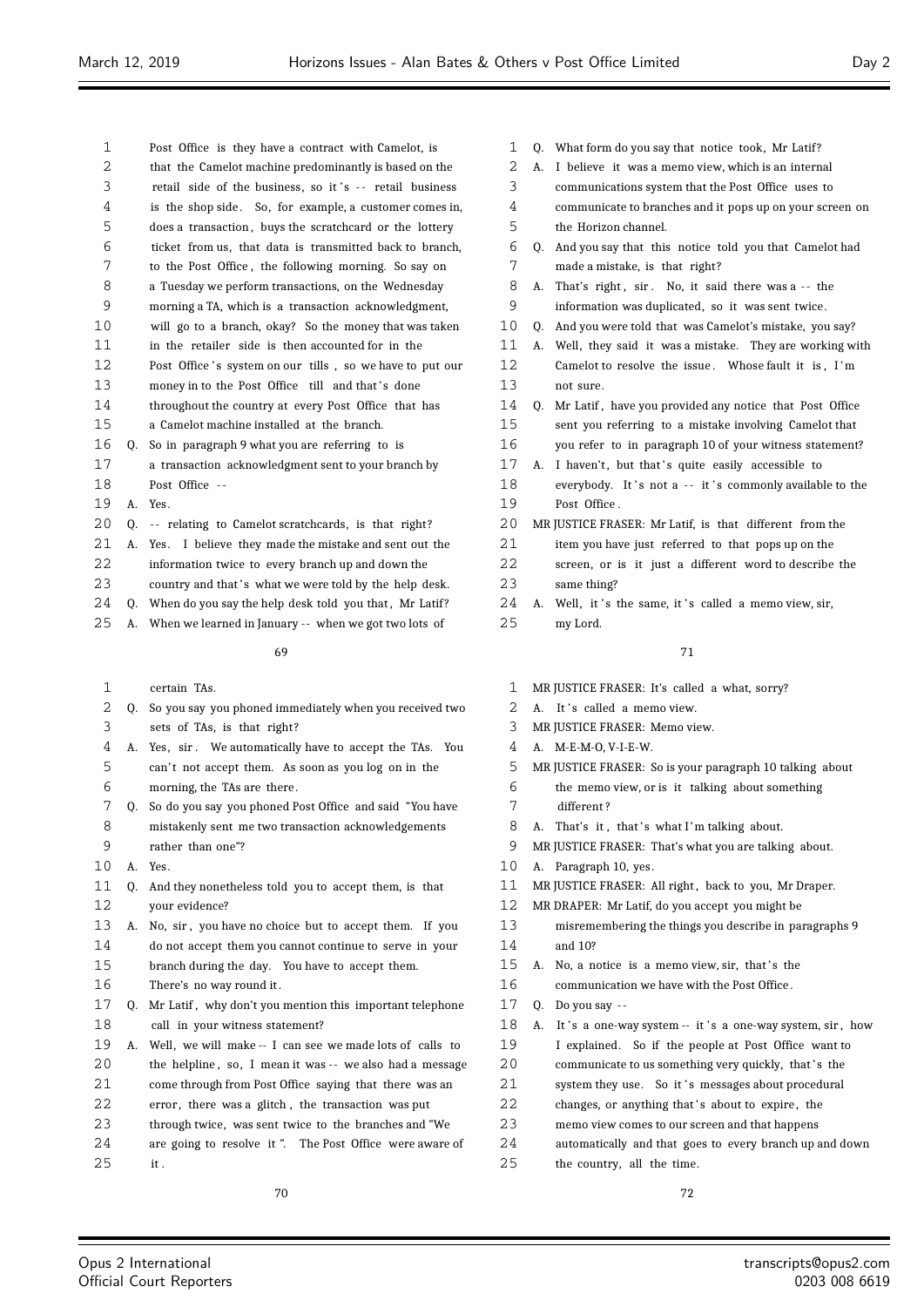| ∠                 |    | that the camelot machine predominantly is based on the   |
|-------------------|----|----------------------------------------------------------|
| 3                 |    | retail side of the business, so it's -- retail business  |
| 4                 |    | is the shop side. So, for example, a customer comes in,  |
| 5                 |    | does a transaction, buys the scratchcard or the lottery  |
| 6                 |    | ticket from us, that data is transmitted back to branch, |
| 7                 |    | to the Post Office, the following morning. So say on     |
| 8                 |    | a Tuesday we perform transactions, on the Wednesday      |
| 9                 |    | morning a TA, which is a transaction acknowledgment,     |
| 10                |    | will go to a branch, okay? So the money that was taken   |
| 11                |    | in the retailer side is then accounted for in the        |
| $12 \overline{ }$ |    | Post Office's system on our tills, so we have to put our |
| 13                |    | money in to the Post Office till and that's done         |
| 14                |    | throughout the country at every Post Office that has     |
| 15                |    | a Camelot machine installed at the branch.               |
| 16                | 0. | So in paragraph 9 what you are referring to is           |
| 17                |    | a transaction acknowledgment sent to your branch by      |
| 18                |    | Post Office --                                           |
| 19                | A. | Yes.                                                     |
| 20                | 0. | -- relating to Camelot scratchcards, is that right?      |
| 21                | A. | Yes. I believe they made the mistake and sent out the    |
| 22                |    | information twice to every branch up and down the        |
| 23                |    | country and that's what we were told by the help desk.   |
| 24                | 0. | When do you say the help desk told you that, Mr Latif?   |
| 25                | А. | When we learned in January -- when we got two lots of    |
|                   |    |                                                          |

Post Office is they have a contract with Camelot, is

that the Camelot machine predominantly is based on the

#### 

cortain T<sub>As</sub>

|             | ccriam ins.                                                |
|-------------|------------------------------------------------------------|
|             | Q. So you say you phoned immediately when you received two |
|             | sets of TAs, is that right?                                |
| A.          | Yes, sir. We automatically have to accept the TAs. You     |
|             | can't not accept them. As soon as you log on in the        |
|             | morning, the TAs are there.                                |
| 0.          | So do you say you phoned Post Office and said "You have    |
|             | mistakenly sent me two transaction acknowledgements        |
|             | rather than one"?                                          |
| $A_{\cdot}$ | Yes.                                                       |
| 0.          | And they nonetheless told you to accept them, is that      |
|             | your evidence?                                             |
| А.          | No, sir, you have no choice but to accept them. If you     |
|             | do not accept them you cannot continue to serve in your    |
|             | branch during the day. You have to accept them.            |
|             | There's no way round it.                                   |
| 0.          | Mr Latif, why don't you mention this important telephone   |
|             | call in your witness statement?                            |
| А.          | Well, we will make -- I can see we made lots of calls to   |
|             | the helpline, so, I mean it was -- we also had a message   |
|             | come through from Post Office saying that there was an     |
|             | error, there was a glitch, the transaction was put         |
|             | through twice, was sent twice to the branches and "We      |
|             | are going to resolve it ". The Post Office were aware of   |
|             | it.                                                        |
|             | 70                                                         |
|             |                                                            |

1 Q. What form do you say that notice took, Mr Latif?

- A. I believe it was a memo view, which is an internal
- communications system that the Post Office uses to
- communicate to branches and it pops up on your screen on the Horizon channel.
- Q. And you say that this notice told you that Camelot had made a mistake, is that right?
- 8 A. That's right, sir. No, it said there was a -- the information was duplicated, so it was sent twice.
- 
- Q. And you were told that was Camelot's mistake, you say?
- A. Well, they said it was a mistake. They are working with 12 Camelot to resolve the issue. Whose fault it is, I'm not sure.
- Q. Mr Latif , have you provided any notice that Post Office
- sent you referring to a mistake involving Camelot that
- you refer to in paragraph 10 of your witness statement?
- 17 A. I haven't, but that's quite easily accessible to 18 everybody. It's not a -- it's commonly available to the Post Office .
- MR JUSTICE FRASER: Mr Latif, is that different from the
- item you have just referred to that pops up on the
- screen, or is it just a different word to describe the same thing?
- 24 A. Well, it's the same, it's called a memo view, sir,
- my Lord.

# 

- MR JUSTICE FRASER: It's called a what, sorry?
- 2 A. It's called a memo view.
- MR JUSTICE FRASER: Memo view.
- A. M-E-M-O, V-I-E-W.
- MR JUSTICE FRASER: So is your paragraph 10 talking about
- the memo view, or is it talking about something
- different ?
- 8 A. That's it, that's what I'm talking about.
- MR JUSTICE FRASER: That's what you are talking about.
- A. Paragraph 10, yes.
- MR JUSTICE FRASER: All right , back to you, Mr Draper.
- MR DRAPER: Mr Latif, do you accept you might be
- misremembering the things you describe in paragraphs 9 and 10?
- 15 A. No, a notice is a memo view, sir, that's the
- communication we have with the Post Office .
- Q. Do you say -
- 18 A. It's a one-way system -- it's a one-way system, sir, how
- I explained. So if the people at Post Office want to
- 20 communicate to us something very quickly, that's the
- 21 system they use. So it 's messages about procedural
- 22 changes, or anything that's about to expire, the
- memo view comes to our screen and that happens
- automatically and that goes to every branch up and down

the country, all the time.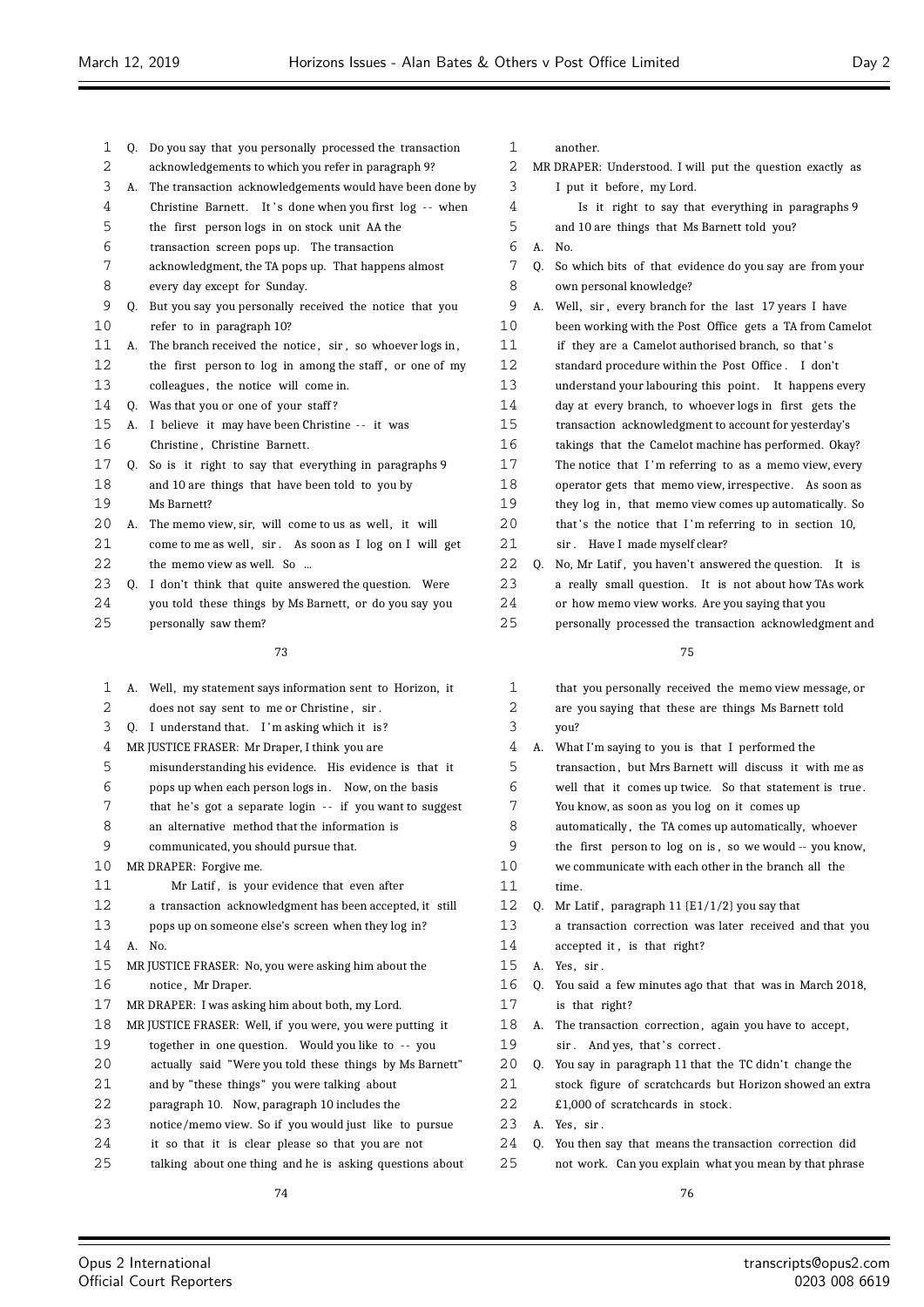| 1  |    | Q. Do you say that you personally processed the transaction | 1  |    | another.                              |
|----|----|-------------------------------------------------------------|----|----|---------------------------------------|
| 2  |    | acknowledgements to which you refer in paragraph 9?         | 2  |    | MR DRAPER: Understood. I will put t   |
| 3  | А. | The transaction acknowledgements would have been done by    | 3  |    | I put it before, my Lord.             |
| 4  |    | Christine Barnett. It's done when you first log -- when     | 4  |    | Is it right to say that every         |
| 5  |    | the first person logs in on stock unit AA the               | 5  |    | and 10 are things that Ms Barnet      |
| 6  |    | transaction screen pops up. The transaction                 | 6  |    | A. No.                                |
| 7  |    | acknowledgment, the TA pops up. That happens almost         | 7  |    | Q. So which bits of that evidence do  |
| 8  |    | every day except for Sunday.                                | 8  |    | own personal knowledge?               |
| 9  |    | Q. But you say you personally received the notice that you  | 9  |    | A. Well, sir, every branch for the 1  |
| 10 |    | refer to in paragraph 10?                                   | 10 |    | been working with the Post Office     |
| 11 | А. | The branch received the notice, sir, so whoever logs in,    | 11 |    | if they are a Camelot authorised      |
| 12 |    | the first person to log in among the staff, or one of my    | 12 |    | standard procedure within the Pos     |
| 13 |    | colleagues, the notice will come in.                        | 13 |    | understand your labouring this po     |
| 14 |    | Q. Was that you or one of your staff?                       | 14 |    | day at every branch, to whoever       |
| 15 |    | A. I believe it may have been Christine -- it was           | 15 |    | transaction acknowledgment to a       |
| 16 |    | Christine, Christine Barnett.                               | 16 |    | takings that the Camelot machine      |
| 17 | Q. | So is it right to say that everything in paragraphs 9       | 17 |    | The notice that I'm referring to      |
| 18 |    | and 10 are things that have been told to you by             | 18 |    | operator gets that memo view, ir:     |
| 19 |    | Ms Barnett?                                                 | 19 |    | they log in, that memo view con       |
| 20 | А. | The memo view, sir, will come to us as well, it will        | 20 |    | that's the notice that I'm referr     |
| 21 |    | come to me as well, sir. As soon as I log on I will get     | 21 |    | sir. Have I made myself clear?        |
| 22 |    | the memo view as well. So                                   | 22 | Q. | No, Mr Latif, you haven't answer      |
| 23 | Q. | I don't think that quite answered the question. Were        | 23 |    | a really small question. It is r      |
| 24 |    | you told these things by Ms Barnett, or do you say you      | 24 |    | or how memo view works. Are yo        |
| 25 |    | personally saw them?                                        | 25 |    | personally processed the transact     |
|    |    | 73                                                          |    |    | 75                                    |
|    |    |                                                             |    |    |                                       |
| 1  |    | A. Well, my statement says information sent to Horizon, it  | 1  |    | that you personally received the      |
| 2  |    | does not say sent to me or Christine, sir.                  | 2  |    | are you saying that these are thi     |
| 3  |    | Q. I understand that. I'm asking which it is?               | 3  |    | you?                                  |
| 4  |    | MR JUSTICE FRASER: Mr Draper, I think you are               | 4  |    | A. What I'm saying to you is that I   |
| 5  |    | misunderstanding his evidence. His evidence is that it      | 5  |    | transaction, but Mrs Barnett will     |
| 6  |    | pops up when each person logs in. Now, on the basis         | 6  |    | well that it comes up twice. So       |
| 7  |    | that he's got a separate login -- if you want to suggest    | 7  |    | You know, as soon as you log on i     |
| 8  |    | an alternative method that the information is               | 8  |    | automatically, the TA comes up a      |
| 9  |    | communicated, you should pursue that.                       | 9  |    | the first person to log on is, so     |
| 10 |    | MR DRAPER: Forgive me.                                      | 10 |    | we communicate with each other is     |
| 11 |    | Mr Latif, is your evidence that even after                  | 11 |    | time.                                 |
| 12 |    | a transaction acknowledgment has been accepted, it still    | 12 |    | Q. Mr Latif, paragraph $11$ {E1/1/2}; |
| 13 |    | pops up on someone else's screen when they log in?          | 13 |    | a transaction correction was late     |
| 14 |    | A. No.                                                      | 14 |    | accepted it, is that right?           |
| 15 |    | MR JUSTICE FRASER: No, you were asking him about the        | 15 |    | A. Yes, sir.                          |
| 16 |    | notice, Mr Draper.                                          | 16 | 0. | You said a few minutes ago that t     |
| 17 |    | MR DRAPER: I was asking him about both, my Lord.            | 17 |    | is that right?                        |
| 18 |    | MR JUSTICE FRASER: Well, if you were, you were putting it   | 18 | А. | The transaction correction, again     |
| 19 |    | together in one question. Would you like to -- you          | 19 |    | sir. And yes, that's correct.         |
| 20 |    | actually said "Were you told these things by Ms Barnett"    | 20 | 0. | You say in paragraph 11 that the      |
| 21 |    | and by "these things" you were talking about                | 21 |    | stock figure of scratchcards but      |
| 22 |    | paragraph 10. Now, paragraph 10 includes the                | 22 |    | £1,000 of scratchcards in stock.      |
| 23 |    | notice/memo view. So if you would just like to pursue       | 23 |    | A. Yes, sir.                          |
| 24 |    | it so that it is clear please so that you are not           | 24 |    | Q. You then say that means the trans  |

talking about one thing and he is asking questions about

| 2 MR DRAPER: Understood. I will put the question exactly as |  |
|-------------------------------------------------------------|--|
| I put it hefore my Lord                                     |  |

- 
- thing in paragraphs 9 tt told you?
- o you say are from your
- last 17 years I have gets a TA from Camelot branch, so that's st Office. I don't oint. It happens every logs in first gets the ccount for yesterday's e has performed. Okay? as a memo view, every respective. As soon as nes up automatically. So ing to in section 10, <sup>2</sup> ed the question. It is 23 a real ow TAs work
- u saying that you
- tion acknowledgment and

| 1  |    | that you personally received the memo view message, or   |
|----|----|----------------------------------------------------------|
| 2  |    | are you saying that these are things Ms Barnett told     |
| 3  |    | you?                                                     |
| 4  | А. | What I'm saying to you is that I performed the           |
| 5  |    | transaction, but Mrs Barnett will discuss it with me as  |
| 6  |    | well that it comes up twice. So that statement is true.  |
| 7  |    | You know, as soon as you log on it comes up              |
| 8  |    | automatically, the TA comes up automatically, whoever    |
| 9  |    | the first person to log on is, so we would -- you know,  |
| 10 |    | we communicate with each other in the branch all the     |
| 11 |    | time.                                                    |
| 12 | 0. | Mr Latif, paragraph 11 $\{E1/1/2\}$ you say that         |
| 13 |    | a transaction correction was later received and that you |
| 14 |    | accepted it, is that right?                              |
| 15 | A. | Yes, sir.                                                |
| 16 | 0. | You said a few minutes ago that that was in March 2018,  |
| 17 |    | is that right?                                           |
| 18 | А. | The transaction correction, again you have to accept,    |
| 19 |    | sir. And yes, that's correct.                            |
| 20 | 0. | You say in paragraph 11 that the TC didn't change the    |
| 21 |    | stock figure of scratchcards but Horizon showed an extra |
| 22 |    | £1,000 of scratchcards in stock.                         |
| 23 | А. | Yes, sir.                                                |
| 24 | 0. | You then say that means the transaction correction did   |
| 25 |    | not work. Can you explain what you mean by that phrase   |
|    |    |                                                          |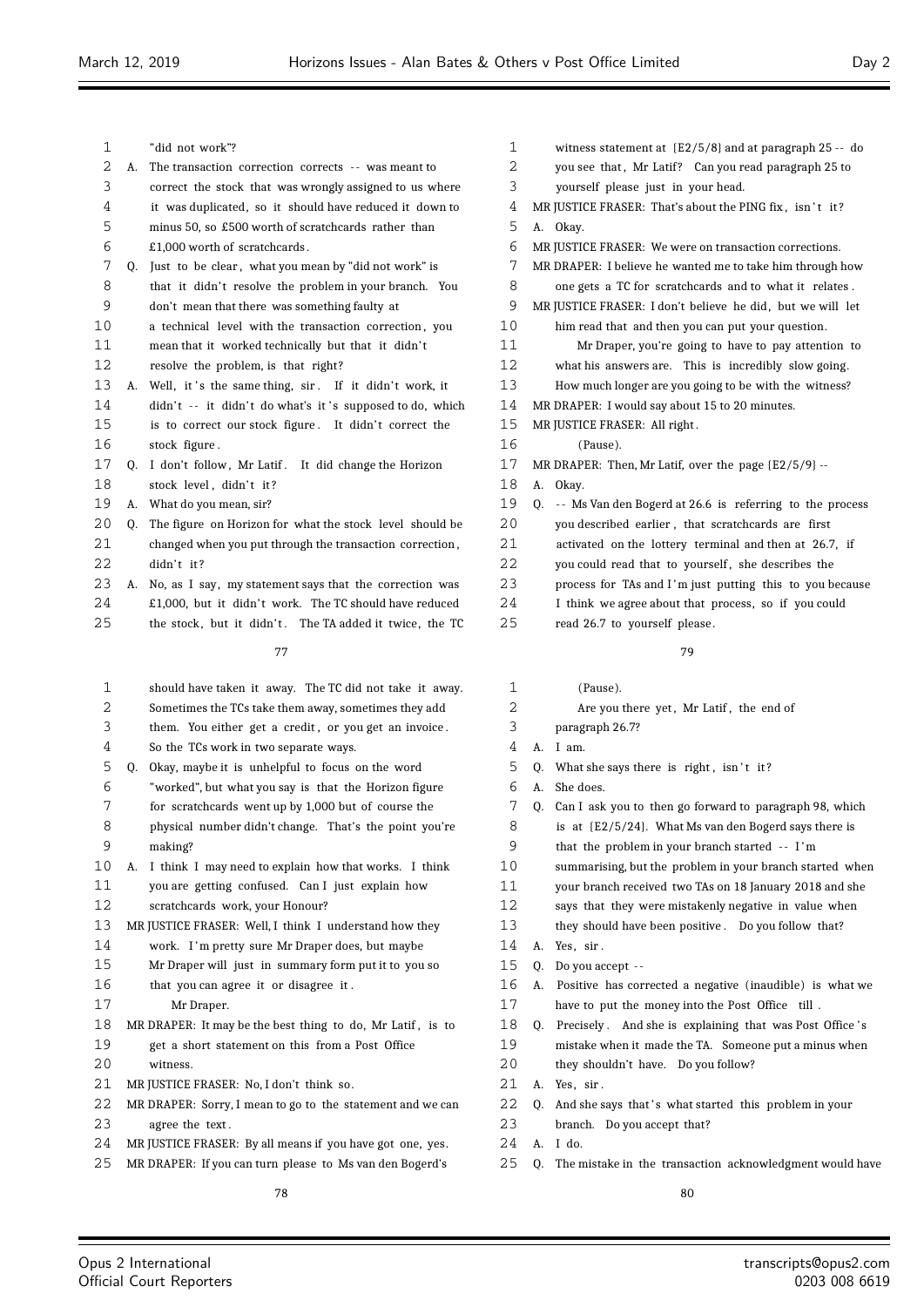- "did not work"?
- 2 A. The transaction correction corrects -- was meant to
- correct the stock that was wrongly assigned to us where it was duplicated, so it should have reduced it down to minus 50, so £500 worth of scratchcards rather than
- £1,000 worth of scratchcards .
- Q. Just to be clear , what you mean by "did not work" is
- 8 that it didn't resolve the problem in your branch. You don't mean that there was something faulty at
- a technical level with the transaction correction , you
- 11 mean that it worked technically but that it didn't
- resolve the problem, is that right?
- 13 A. Well, it's the same thing, sir. If it didn't work, it 14 didn't -- it didn't do what's it 's supposed to do, which 15 is to correct our stock figure. It didn't correct the stock figure .
- 17 Q. I don't follow, Mr Latif. It did change the Horizon 18 stock level, didn't it?
- A. What do you mean, sir?
- 20 O. The figure on Horizon for what the stock level should be changed when you put through the transaction correction , didn't it?
- A. No, as I say, my statement says that the correction was
- 24 £1,000, but it didn't work. The TC should have reduced
- 25 the stock, but it didn't. The TA added it twice, the TC

- should have taken it away. The TC did not take it away.
- Sometimes the TCs take them away, sometimes they add
- them. You either get a credit , or you get an invoice .
- So the TCs work in two separate ways.
- Q. Okay, maybe it is unhelpful to focus on the word
- "worked", but what you say is that the Horizon figure
- for scratchcards went up by 1,000 but of course the
- physical number didn't change. That's the point you're making?
- A. I think I may need to explain how that works. I think
- you are getting confused. Can I just explain how
- scratchcards work, your Honour?
- MR JUSTICE FRASER: Well, I think I understand how they
- work. I 'm pretty sure Mr Draper does, but maybe
- Mr Draper will just in summary form put it to you so
- that you can agree it or disagree it .
- Mr Draper.
- MR DRAPER: It may be the best thing to do, Mr Latif , is to get a short statement on this from a Post Office witness.
- 21 MR JUSTICE FRASER: No. I don't think so.
- MR DRAPER: Sorry, I mean to go to the statement and we can agree the text .
- MR JUSTICE FRASER: By all means if you have got one, yes.
- MR DRAPER: If you can turn please to Ms van den Bogerd's
- witness statement at {E2/5/8} and at paragraph 25 -- do 2 vou see that, Mr Latif? Can you read paragraph 25 to yourself please just in your head. 4 MR JUSTICE FRASER: That's about the PING fix, isn't it? A. Okay. MR JUSTICE FRASER: We were on transaction corrections. MR DRAPER: I believe he wanted me to take him through how one gets a TC for scratchcards and to what it relates . 9 MR JUSTICE FRASER: I don't believe he did, but we will let him read that and then you can put your question. Mr Draper, you're going to have to pay attention to what his answers are. This is incredibly slow going. How much longer are you going to be with the witness? MR DRAPER: I would say about 15 to 20 minutes. MR JUSTICE FRASER: All right . (Pause). MR DRAPER: Then, Mr Latif, over the page {E2/5/9} -- A. Okay. Q. - - Ms Van den Bogerd at 26.6 is referring to the process you described earlier , that scratchcards are first activated on the lottery terminal and then at 26.7, if 22 you could read that to yourself, she describes the process for TAs and I 'm just putting this to you because
- I think we agree about that process, so if you could
- read 26.7 to yourself please .

- (Pause).
- 2 Are you there yet, Mr Latif, the end of
- paragraph 26.7?
- A. I am.
- O. What she says there is right, isn't it?
- A. She does.
- Q. Can I ask you to then go forward to paragraph 98, which
- is at {E2/5/24}. What Ms van den Bogerd says there is
- that the problem in your branch started - I 'm
- summarising, but the problem in your branch started when
- your branch received two TAs on 18 January 2018 and she
- says that they were mistakenly negative in value when
- they should have been positive . Do you follow that?
- A. Yes, sir .
- Q. Do you accept -
- A. Positive has corrected a negative (inaudible) is what we have to put the money into the Post Office till .
- 18 Q. Precisely. And she is explaining that was Post Office's mistake when it made the TA. Someone put a minus when
- they shouldn't have. Do you follow?
- A. Yes, sir .
- 22 Q. And she says that's what started this problem in your
- branch. Do you accept that?
- A. I do.
- Q. The mistake in the transaction acknowledgment would have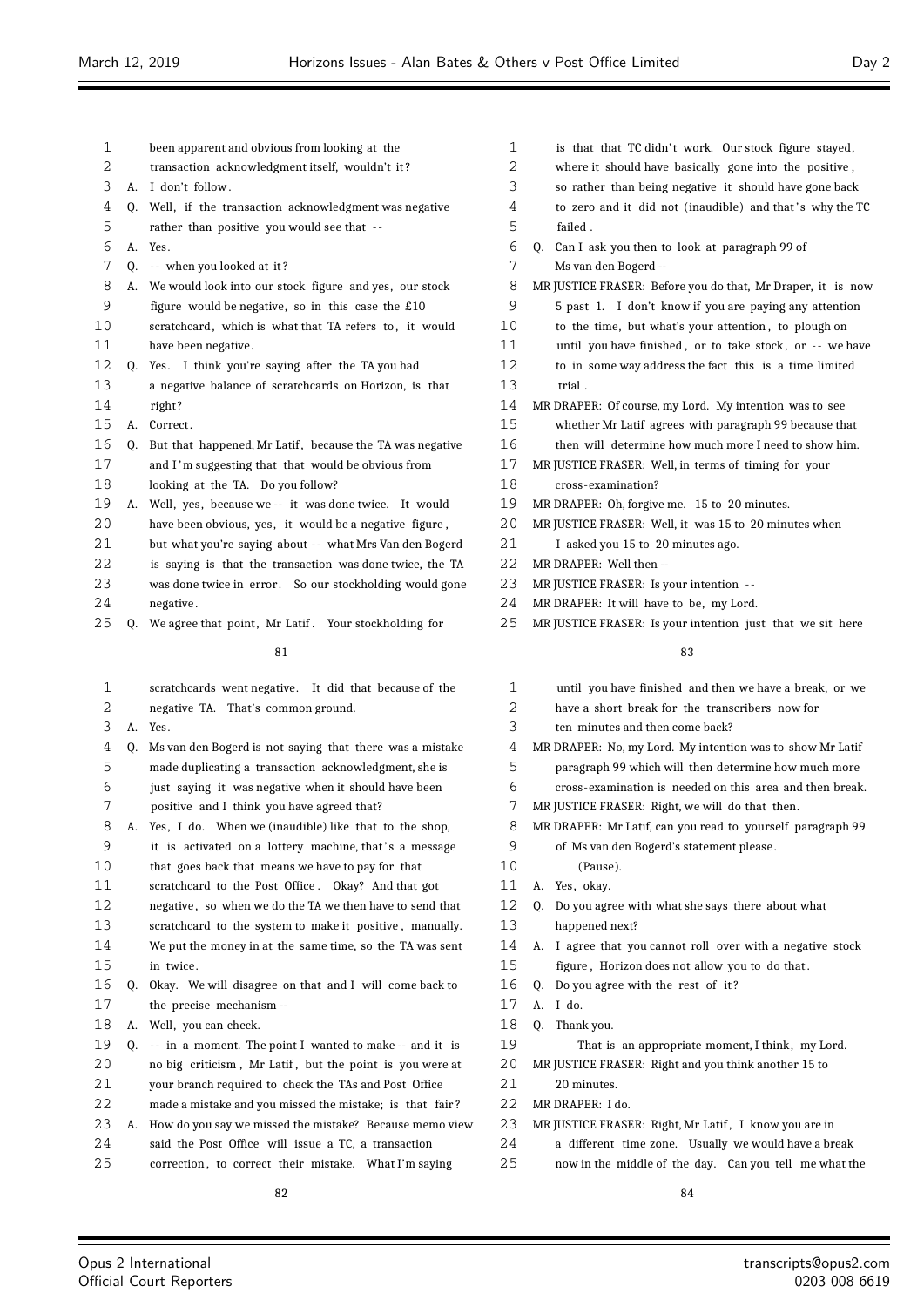- been apparent and obvious from looking at the
- transaction acknowledgment itself, wouldn't it ?
- A. I don't follow .
- Q. Well, if the transaction acknowledgment was negative
- rather than positive you would see that -
- A. Yes.
- 7 Q. -- when you looked at it?
- A. We would look into our stock figure and yes, our stock
- figure would be negative, so in this case the £10
- 10 scratchcard, which is what that TA refers to, it would have been negative.
- Q. Yes. I think you're saying after the TA you had
- a negative balance of scratchcards on Horizon, is that right?
- 15 A. Correct.
- 16 Q. But that happened, Mr Latif, because the TA was negative and I 'm suggesting that that would be obvious from looking at the TA. Do you follow?
- A. Well, yes, because we -- it was done twice. It would
- have been obvious, yes, it would be a negative figure ,
- 21 but what you're saying about -- what Mrs Van den Bogerd
- is saying is that the transaction was done twice, the TA
- 23 was done twice in error. So our stockholding would gone negative .
- 25 O. We agree that point, Mr Latif, Your stockholding for

 scratchcards went negative. It did that because of the negative TA. That's common ground. A. Yes. Q. Ms van den Bogerd is not saying that there was a mistake made duplicating a transaction acknowledgment, she is just saying it was negative when it should have been positive and I think you have agreed that? A. Yes, I do. When we (inaudible) like that to the shop, 9 it is activated on a lottery machine, that's a message that goes back that means we have to pay for that scratchcard to the Post Office . Okay? And that got 12 negative, so when we do the TA we then have to send that scratchcard to the system to make it positive , manually. We put the money in at the same time, so the TA was sent in twice. Q. Okay. We will disagree on that and I will come back to the precise mechanism -- A. Well, you can check. Q. - - in a moment. The point I wanted to make -- and it is no big criticism , Mr Latif , but the point is you were at your branch required to check the TAs and Post Office made a mistake and you missed the mistake; is that fair ? A. How do you say we missed the mistake? Because memo view said the Post Office will issue a TC, a transaction 25 correction, to correct their mistake. What I'm saying 

| 1       | is that that TC didn't work. Our stock figure stayed,       |
|---------|-------------------------------------------------------------|
| 2       | where it should have basically gone into the positive,      |
| 3       | so rather than being negative it should have gone back      |
| 4       | to zero and it did not (inaudible) and that's why the TC    |
| 5       | failed.                                                     |
| 6       | Q. Can I ask you then to look at paragraph 99 of            |
| 7       | Ms van den Bogerd --                                        |
| 8       | MR JUSTICE FRASER: Before you do that, Mr Draper, it is now |
| 9       | 5 past 1. I don't know if you are paying any attention      |
| 10      | to the time, but what's your attention, to plough on        |
| 11      | until you have finished, or to take stock, or -- we have    |
| 12      | to in some way address the fact this is a time limited      |
| 13      | trial.                                                      |
| 14      | MR DRAPER: Of course, my Lord. My intention was to see      |
| 15      | whether Mr Latif agrees with paragraph 99 because that      |
| 16      | then will determine how much more I need to show him.       |
| 17      | MR JUSTICE FRASER: Well, in terms of timing for your        |
| 18      | cross-examination?                                          |
| 19      | MR DRAPER: Oh, forgive me. 15 to 20 minutes.                |
| $20 \,$ | MR JUSTICE FRASER: Well, it was 15 to 20 minutes when       |
| 21      | I asked you 15 to 20 minutes ago.                           |
| 22      | MR DRAPER: Well then --                                     |
| 23      | MR JUSTICE FRASER: Is your intention --                     |

- MR DRAPER: It will have to be, my Lord.
- 25 MR JUSTICE FRASER: Is your intention just that we sit here

- until you have finished and then we have a break, or we have a short break for the transcribers now for
- 
- ten minutes and then come back?
- MR DRAPER: No, my Lord. My intention was to show Mr Latif
- paragraph 99 which will then determine how much more
- cross-examination is needed on this area and then break.
- MR JUSTICE FRASER: Right, we will do that then.
- MR DRAPER: Mr Latif, can you read to yourself paragraph 99 of Ms van den Bogerd's statement please .
- (Pause).
- A. Yes, okay.
- Q. Do you agree with what she says there about what happened next?
- A. I agree that you cannot roll over with a negative stock figure , Horizon does not allow you to do that .
- Q. Do you agree with the rest of it ?
- A. I do.
- Q. Thank you.
- That is an appropriate moment, I think, my Lord.

MR JUSTICE FRASER: Right and you think another 15 to

- 20 minutes.
- MR DRAPER: I do.
- 23 MR JUSTICE FRASER: Right, Mr Latif, I know you are in
- a different time zone. Usually we would have a break
- now in the middle of the day. Can you tell me what the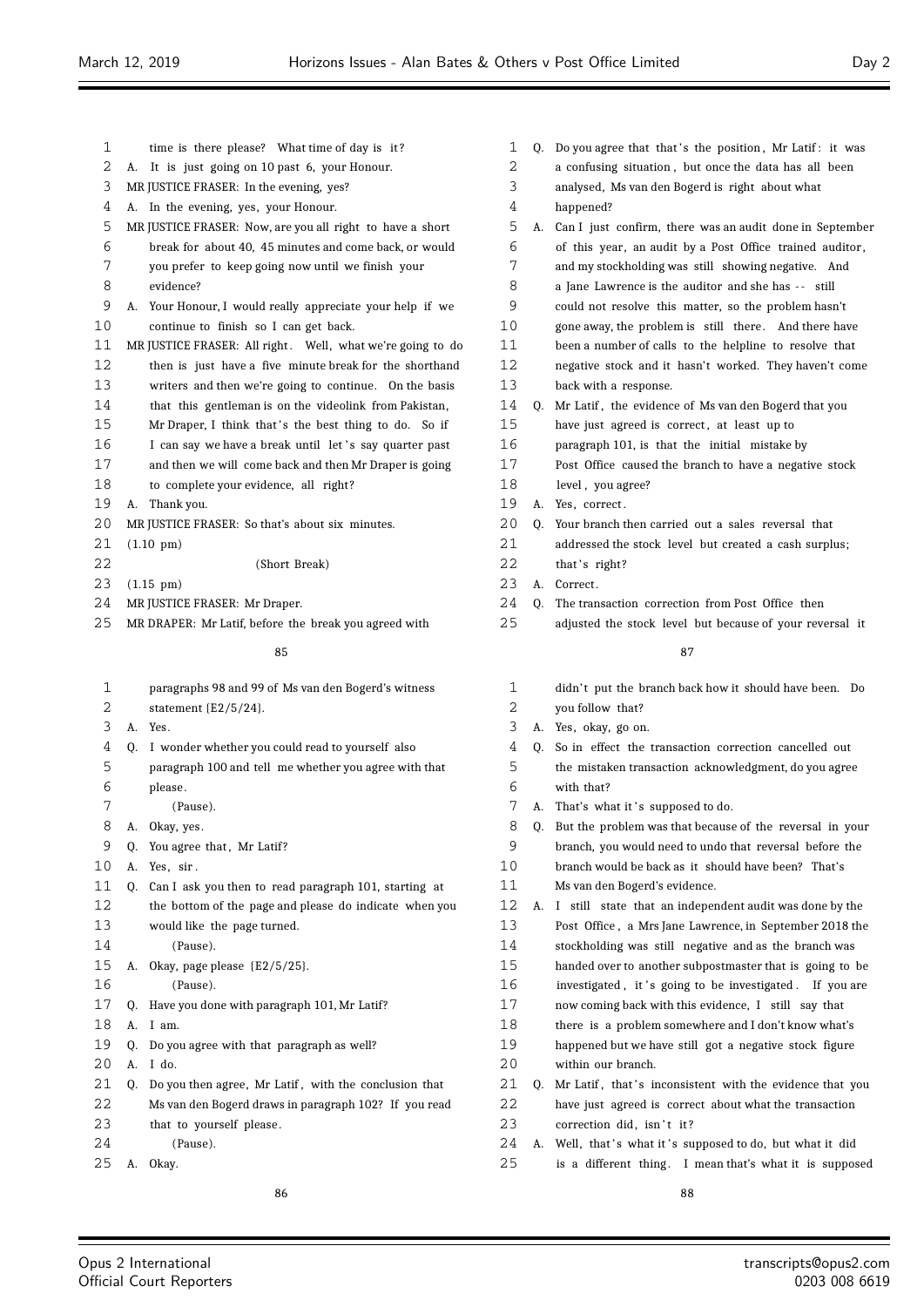1 time is there please? What time of day is it? A. It is just going on 10 past 6, your Honour. MR JUSTICE FRASER: In the evening, yes? A. In the evening, yes, your Honour. MR JUSTICE FRASER: Now, are you all right to have a short break for about 40, 45 minutes and come back, or would you prefer to keep going now until we finish your evidence? A. Your Honour, I would really appreciate your help if we continue to finish so I can get back. 11 MR JUSTICE FRASER: All right. Well, what we're going to do then is just have a five minute break for the shorthand writers and then we're going to continue. On the basis that this gentleman is on the videolink from Pakistan, 15 Mr Draper, I think that's the best thing to do. So if 16 I can say we have a break until let's say quarter past and then we will come back and then Mr Draper is going to complete your evidence, all right? A. Thank you. 20 MR JUSTICE FRASER: So that's about six minutes. (1.10 pm) (Short Break) (1.15 pm) MR JUSTICE FRASER: Mr Draper. MR DRAPER: Mr Latif, before the break you agreed with paragraphs 98 and 99 of Ms van den Bogerd's witness statement {E2/5/24}. A. Yes. Q. I wonder whether you could read to yourself also paragraph 100 and tell me whether you agree with that please . (Pause). A. Okay, yes. 9 Q. You agree that, Mr Latif? A. Yes, sir . Q. Can I ask you then to read paragraph 101, starting at the bottom of the page and please do indicate when you would like the page turned. (Pause).

- A. Okay, page please {E2/5/25}. (Pause).
- Q. Have you done with paragraph 101, Mr Latif?
- A. I am.
- Q. Do you agree with that paragraph as well?
- A. I do.
- 21 Q. Do you then agree, Mr Latif, with the conclusion that
- Ms van den Bogerd draws in paragraph 102? If you read
- 23 that to yourself please.
- (Pause).

A. Okay.

- 1 Q. Do you agree that that's the position, Mr Latif: it was
- a confusing situation , but once the data has all been
- analysed, Ms van den Bogerd is right about what
- happened?
- A. Can I just confirm, there was an audit done in September of this year, an audit by a Post Office trained auditor ,
- and my stockholding was still showing negative. And
- 8 a Jane Lawrence is the auditor and she has -- still
- could not resolve this matter, so the problem hasn't
- gone away, the problem is still there . And there have
- been a number of calls to the helpline to resolve that
- negative stock and it hasn't worked. They haven't come back with a response.
- Q. Mr Latif , the evidence of Ms van den Bogerd that you 15 have just agreed is correct, at least up to
- paragraph 101, is that the initial mistake by
- Post Office caused the branch to have a negative stock
- 18 level, you agree?
- A. Yes, correct .
- 20 Q. Your branch then carried out a sales reversal that
- 21 addressed the stock level but created a cash surplus:
- 22 that's right? 23 A. Correct.
- 
- Q. The transaction correction from Post Office then
- adjusted the stock level but because of your reversal it

# 

1 didn't put the branch back how it should have been. Do you follow that? A. Yes, okay, go on. Q. So in effect the transaction correction cancelled out the mistaken transaction acknowledgment, do you agree with that? 7 A. That's what it 's supposed to do. Q. But the problem was that because of the reversal in your branch, you would need to undo that reversal before the branch would be back as it should have been? That's Ms van den Bogerd's evidence. A. I still state that an independent audit was done by the Post Office , a Mrs Jane Lawrence, in September 2018 the stockholding was still negative and as the branch was handed over to another subpostmaster that is going to be 16 investigated, it 's going to be investigated. If you are now coming back with this evidence, I still say that there is a problem somewhere and I don't know what's happened but we have still got a negative stock figure within our branch. 21 Q. Mr Latif, that's inconsistent with the evidence that you have just agreed is correct about what the transaction 23 correction did, isn't it? 24 A. Well, that's what it's supposed to do, but what it did 25 is a different thing. I mean that's what it is supposed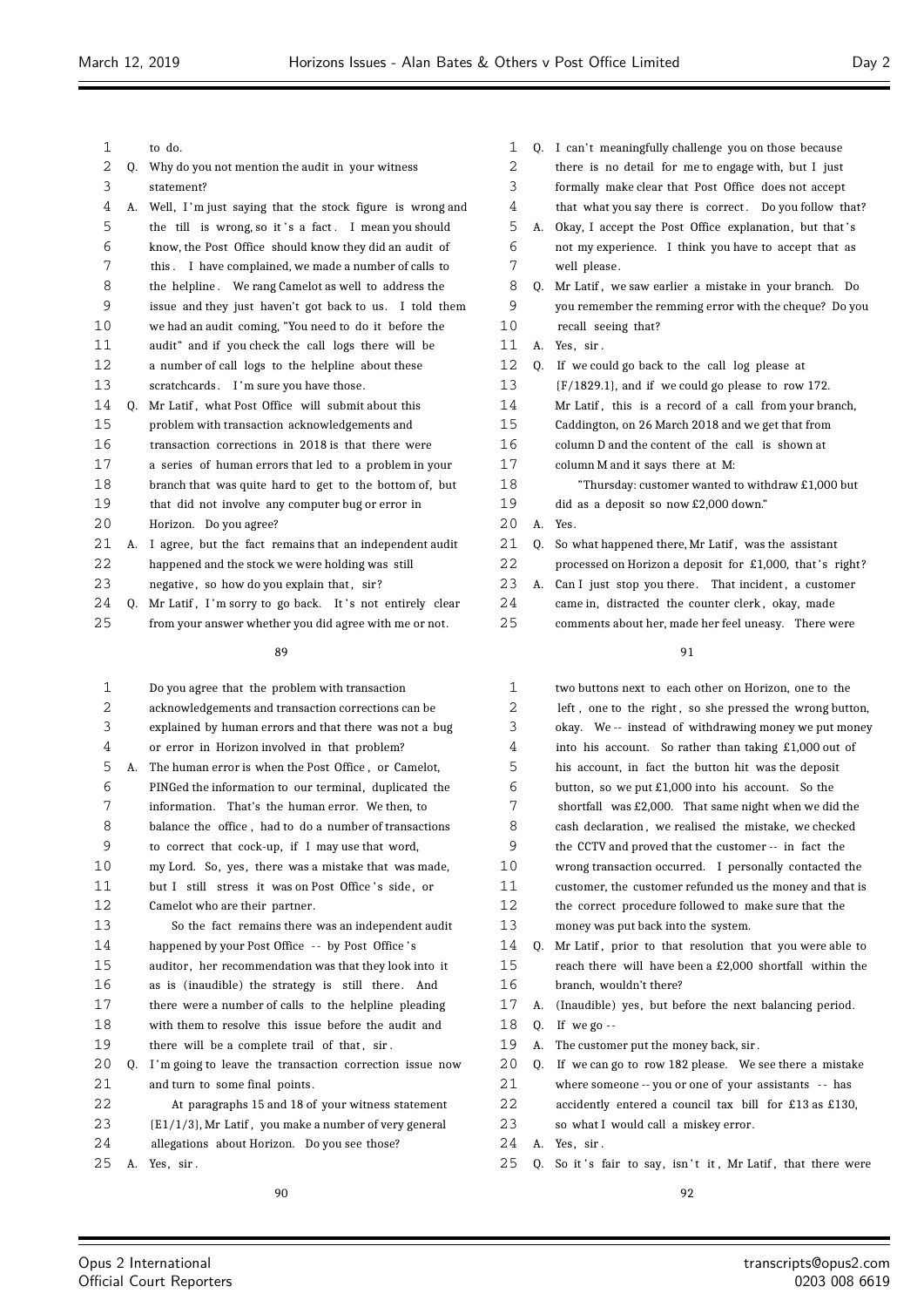| 1              |    | to do.                                                     | 1  | Q. | I ca            |
|----------------|----|------------------------------------------------------------|----|----|-----------------|
| 2              | 0. | Why do you not mention the audit in your witness           | 2  |    | ther            |
| 3              |    | statement?                                                 | 3  |    | forn            |
| 4              | А. | Well, I'm just saying that the stock figure is wrong and   | 4  |    | that            |
| 5              |    | the till is wrong, so it's a fact. I mean you should       | 5  | A. | Oka             |
| 6              |    | know, the Post Office should know they did an audit of     | 6  |    | not             |
| 7              |    | I have complained, we made a number of calls to<br>this .  | 7  |    | well            |
| 8              |    | the helpline. We rang Camelot as well to address the       | 8  | 0. | Mr              |
| 9              |    | issue and they just haven't got back to us. I told them    | 9  |    | you             |
| 10             |    | we had an audit coming, "You need to do it before the      | 10 |    | reca            |
| 11             |    | audit" and if you check the call logs there will be        | 11 | А. | Yes,            |
| 12             |    | a number of call logs to the helpline about these          | 12 | 0. | If $\mathbf{v}$ |
| 13             |    | scratchcards. I'm sure you have those.                     | 13 |    | $\{F/$          |
| 14             | 0. | Mr Latif, what Post Office will submit about this          | 14 |    | Mr              |
| 15             |    | problem with transaction acknowledgements and              | 15 |    | Cad             |
| 16             |    | transaction corrections in 2018 is that there were         | 16 |    | colu            |
| 17             |    | a series of human errors that led to a problem in your     | 17 |    | colu            |
| 18             |    | branch that was quite hard to get to the bottom of, but    | 18 |    |                 |
| 19             |    | that did not involve any computer bug or error in          | 19 |    | did             |
| 20             |    | Horizon. Do you agree?                                     | 20 | A. | Yes.            |
| 21             | А. | I agree, but the fact remains that an independent audit    | 21 | 0. | So v            |
| 22             |    | happened and the stock we were holding was still           | 22 |    | pro             |
| 23             |    | negative, so how do you explain that, sir?                 | 23 | А. | Can             |
| 24             |    | Q. Mr Latif, I'm sorry to go back. It's not entirely clear | 24 |    | cam             |
| 25             |    | from your answer whether you did agree with me or not.     | 25 |    | com             |
|                |    | 89                                                         |    |    |                 |
| 1              |    | Do you agree that the problem with transaction             | 1  |    | two             |
| $\overline{2}$ |    | acknowledgements and transaction corrections can be        | 2  |    | left            |
| 3              |    | explained by human errors and that there was not a bug     | 3  |    | oka             |
| 4              |    | or error in Horizon involved in that problem?              | 4  |    | into            |
| 5              | А. | The human error is when the Post Office, or Camelot,       | 5  |    | his             |
| 6              |    | PINGed the information to our terminal, duplicated the     | 6  |    | but             |
| 7              |    | information. That's the human error. We then, to           | 7  |    | sho             |
| 8              |    | balance the office, had to do a number of transactions     | 8  |    | casl            |
| 9              |    | to correct that cock-up, if I may use that word,           | 9  |    | the             |

my Lord. So, yes, there was a mistake that was made,

11 but I still stress it was on Post Office's side, or

- Camelot who are their partner. So the fact remains there was an independent audit
- 14 happened by your Post Office -- by Post Office's

auditor , her recommendation was that they look into it

- as is (inaudible) the strategy is still there . And
- there were a number of calls to the helpline pleading
- with them to resolve this issue before the audit and
- 19 there will be a complete trail of that, sir.
- 20 Q. I'm going to leave the transaction correction issue now 21 and turn to some final points.
- At paragraphs 15 and 18 of your witness statement
- {E1/1/3}, Mr Latif , you make a number of very general
- allegations about Horizon. Do you see those?
- A. Yes, sir .

- an't meaningfully challenge you on those because re is no detail for me to engage with, but I just mally make clear that Post Office does not accept it what you say there is correct. Do you follow that? ay, I accept the Post Office explanation, but that's my experience. I think you have to accept that as ll please. Latif, we saw earlier a mistake in your branch. Do remember the remming error with the cheque? Do you call seeing that? . sir . we could go back to the call log please at  $(1829.1)$ , and if we could go please to row 172. Latif, this is a record of a call from your branch, ldington, on 26 March 2018 and we get that from umn D and the content of the call is shown at umn M and it says there at M: "Thursday: customer wanted to withdraw £1,000 but
	- as a deposit so now £2,000 down."

- what happened there, Mr Latif, was the assistant
- bessed on Horizon a deposit for  $£1,000$ , that's right?
- I just stop you there. That incident, a customer
- ne in, distracted the counter clerk, okay, made
- nments about her, made her feel uneasy. There were

# 

| $\mathbf{1}$ |    | two buttons next to each other on Horizon, one to the    |
|--------------|----|----------------------------------------------------------|
| 2            |    | left, one to the right, so she pressed the wrong button, |
| 3            |    | okay. We -- instead of withdrawing money we put money    |
| 4            |    | into his account. So rather than taking £1,000 out of    |
| 5            |    | his account, in fact the button hit was the deposit      |
| 6            |    | button, so we put $£1,000$ into his account. So the      |
| 7            |    | shortfall was £2,000. That same night when we did the    |
| 8            |    | cash declaration, we realised the mistake, we checked    |
| 9            |    | the CCTV and proved that the customer -- in fact the     |
| 10           |    | wrong transaction occurred. I personally contacted the   |
| 11           |    | customer, the customer refunded us the money and that is |
| 12           |    | the correct procedure followed to make sure that the     |
| 13           |    | money was put back into the system.                      |
| 14           | 0. | Mr Latif, prior to that resolution that you were able to |
| 15           |    | reach there will have been a £2,000 shortfall within the |
| 16           |    | branch, wouldn't there?                                  |
| 17           | А. | (Inaudible) yes, but before the next balancing period.   |
| 18           | 0. | If we go $-$                                             |
| 19           | А. | The customer put the money back, sir.                    |
| 20           | 0. | If we can go to row 182 please. We see there a mistake   |
| 21           |    | where someone -- you or one of your assistants -- has    |
| 22           |    | accidently entered a council tax bill for £13 as £130,   |
| 23           |    | so what I would call a miskey error.                     |
| 24           |    | A. Yes, sir.                                             |
| $\sim$ $-$   |    |                                                          |

25 Q. So it's fair to say, isn't it, Mr Latif, that there were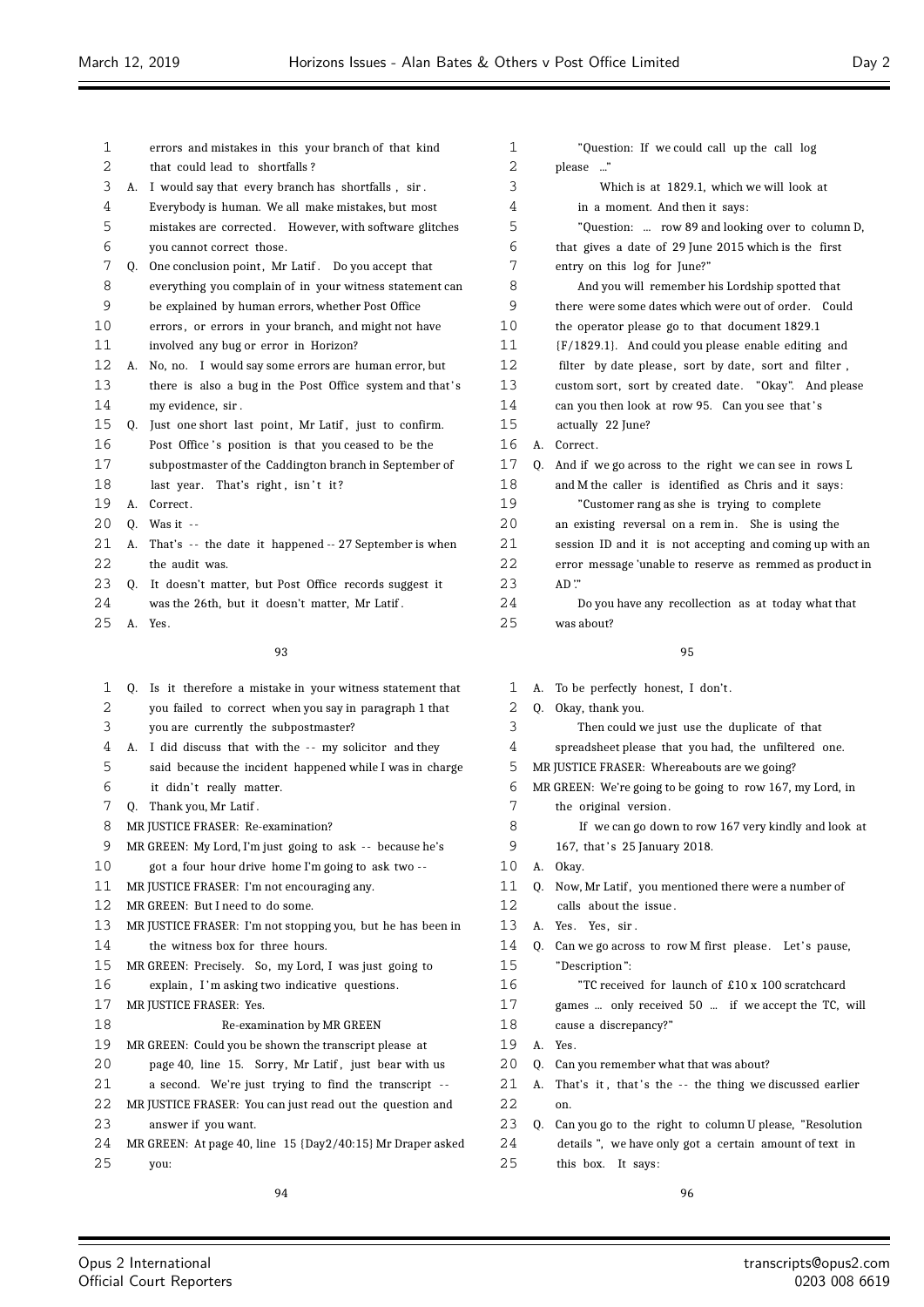$\equiv$ 

| 1  |    | errors and mistakes in this your branch of that kind        | 1  |    | "Qu                 |
|----|----|-------------------------------------------------------------|----|----|---------------------|
| 2  |    | that could lead to shortfalls?                              | 2  |    | please              |
| 3  | А. | I would say that every branch has shortfalls, sir.          | 3  |    |                     |
| 4  |    | Everybody is human. We all make mistakes, but most          | 4  |    | in a                |
| 5  |    | mistakes are corrected. However, with software glitches     | 5  |    | "Qu                 |
| 6  |    | you cannot correct those.                                   | 6  |    | that giv            |
| 7  |    | Q. One conclusion point, Mr Latif. Do you accept that       | 7  |    | entry or            |
| 8  |    | everything you complain of in your witness statement can    | 8  |    | And                 |
| 9  |    | be explained by human errors, whether Post Office           | 9  |    | there w             |
| 10 |    | errors, or errors in your branch, and might not have        | 10 |    | the oper            |
| 11 |    | involved any bug or error in Horizon?                       | 11 |    | (F/1829)            |
| 12 | А. | No, no. I would say some errors are human error, but        | 12 |    | filter b            |
| 13 |    | there is also a bug in the Post Office system and that's    | 13 |    | custom s            |
| 14 |    | my evidence, sir.                                           | 14 |    | can you             |
| 15 |    | Q. Just one short last point, Mr Latif, just to confirm.    | 15 |    | actually            |
| 16 |    | Post Office's position is that you ceased to be the         | 16 | А. | Correct.            |
| 17 |    | subpostmaster of the Caddington branch in September of      | 17 | Q. | And if v            |
| 18 |    | last year. That's right, isn't it?                          | 18 |    | and M <sub>th</sub> |
| 19 | А. | Correct.                                                    | 19 |    | "Cus                |
| 20 | 0. | Was it $-$                                                  | 20 |    | an exist            |
| 21 | А. | That's -- the date it happened -- 27 September is when      | 21 |    | session             |
| 22 |    | the audit was.                                              | 22 |    | error m             |
| 23 | 0. | It doesn't matter, but Post Office records suggest it       | 23 |    | $AD$ "              |
| 24 |    | was the 26th, but it doesn't matter, Mr Latif.              | 24 |    | Do y                |
| 25 |    | A. Yes.                                                     | 25 |    | was abo             |
|    |    | 93                                                          |    |    |                     |
| 1  |    | Q. Is it therefore a mistake in your witness statement that | 1  | А. | To be po            |
| 2  |    | you failed to correct when you say in paragraph 1 that      | 2  | Q. | Okay, th            |
| 3  |    | you are currently the subpostmaster?                        | 3  |    | Thei                |
| 4  | А. | I did discuss that with the -- my solicitor and they        | 4  |    | spreadsl            |
| 5  |    | said because the incident happened while I was in charge    | 5  |    | MR JUSTICE          |
| 6  |    | it didn't really matter.                                    | 6  |    | MR GREEN:           |
| 7  |    | Q. Thank you, Mr Latif.                                     | 7  |    | the orig            |
| 8  |    | MR JUSTICE FRASER: Re-examination?                          | 8  |    | If $v$              |
| 9  |    | MR GREEN: My Lord, I'm just going to ask -- because he's    | 9  |    | 167, tha            |
| 10 |    | got a four hour drive home I'm going to ask two --          | 10 | А. | Okay.               |
| 11 |    | MR JUSTICE FRASER: I'm not encouraging any.                 | 11 | Q. | Now, Mr             |
| 12 |    | MR GREEN: But I need to do some.                            | 12 |    | calls ab            |
| 13 |    | MR JUSTICE FRASER: I'm not stopping you, but he has been in | 13 | А. | Yes. Ye             |
| 14 |    | the witness box for three hours.                            | 14 | Q. | Can we g            |
| 15 |    | MR GREEN: Precisely. So, my Lord, I was just going to       | 15 |    | "Descrip            |
| 16 |    | explain, I'm asking two indicative questions.               | 16 |    | "TC                 |
| 17 |    | MR JUSTICE FRASER: Yes.                                     | 17 |    | games               |
| 18 |    | Re-examination by MR GREEN                                  | 18 |    | cause a             |
| 19 |    | MR GREEN: Could you be shown the transcript please at       | 19 | A. | Yes.                |
| 20 |    | page 40, line 15. Sorry, Mr Latif, just bear with us        | 20 | Q. | Can you             |
| 21 |    | a second. We're just trying to find the transcript --       | 21 | А. | That's i            |
| 22 |    | MR JUSTICE FRASER: You can just read out the question and   | 22 |    | on.                 |
| 23 |    | answer if you want.                                         | 23 | Q. | Can you             |
| 24 |    | MR GREEN: At page 40, line 15 {Day2/40:15} Mr Draper asked  | 24 |    | details'            |
| 25 |    | you:                                                        | 25 |    | this boy            |
|    |    |                                                             |    |    |                     |
|    |    | 94                                                          |    |    |                     |

| 1        |    | "Question: If we could call up the call log                      |
|----------|----|------------------------------------------------------------------|
| 2        |    | $\cdot$ ."<br>please                                             |
| 3        |    | Which is at 1829.1, which we will look at                        |
| 4        |    | in a moment. And then it says:                                   |
| 5        |    | "Question:  row 89 and looking over to column D,                 |
| 6        |    | that gives a date of 29 June 2015 which is the first             |
| 7        |    | entry on this log for June?"                                     |
| 8        |    | And you will remember his Lordship spotted that                  |
| 9        |    | there were some dates which were out of order. Could             |
| 10       |    | the operator please go to that document 1829.1                   |
| 11       |    | {F/1829.1}. And could you please enable editing and              |
| 12       |    | filter by date please, sort by date, sort and filter,            |
| 13       |    | custom sort, sort by created date. "Okay". And please            |
| 14       |    | can you then look at row 95. Can you see that's                  |
| 15       |    | actually 22 June?                                                |
| 16       | А. | Correct.                                                         |
| 17       | Q. | And if we go across to the right we can see in rows L            |
| 18       |    | and M the caller is identified as Chris and it says:             |
| 19       |    | "Customer rang as she is trying to complete                      |
| 20       |    | an existing reversal on a rem in. She is using the               |
| 21       |    | session ID and it is not accepting and coming up with an         |
| 22       |    | error message 'unable to reserve as remmed as product in         |
| 23<br>24 |    | AD"                                                              |
| 25       |    | Do you have any recollection as at today what that<br>was about? |
|          |    |                                                                  |
|          |    | 95                                                               |
| 1        | А. | To be perfectly honest, I don't.                                 |
| 2        | Q. | Okay, thank you.                                                 |
| 3        |    | Then could we just use the duplicate of that                     |
| 4        |    | spreadsheet please that you had, the unfiltered one.             |
| 5        |    | MR JUSTICE FRASER: Whereabouts are we going?                     |
| 6        |    | MR GREEN: We're going to be going to row 167, my Lord, in        |
| 7        |    | the original version.                                            |
| 8        |    | If we can go down to row 167 very kindly and look at             |
| 9        |    | 167, that's 25 January 2018.                                     |
| 10       | А. | Okay.                                                            |
| 11       | Q. | Now, Mr Latif, you mentioned there were a number of              |
| 12       |    | calls about the issue.                                           |
| 13       | A. | Yes. Yes, sir.                                                   |
| 14       | Q. | Can we go across to row M first please. Let's pause,             |
| 15       |    | "Description":                                                   |
| 16       |    | "TC received for launch of £10 x 100 scratchcard                 |
| 17       |    | games  only received 50  if we accept the TC, will               |
| 18       |    | cause a discrepancy?"                                            |
| 19       | А. | Yes.                                                             |
| 20       | Q. | Can you remember what that was about?                            |
| 21       | A. | That's it, that's the -- the thing we discussed earlier          |
| 22       |    | on.                                                              |
| 23       | Q. | Can you go to the right to column U please, "Resolution          |
| 24       |    | details", we have only got a certain amount of text in           |
| 25       |    |                                                                  |

Ξ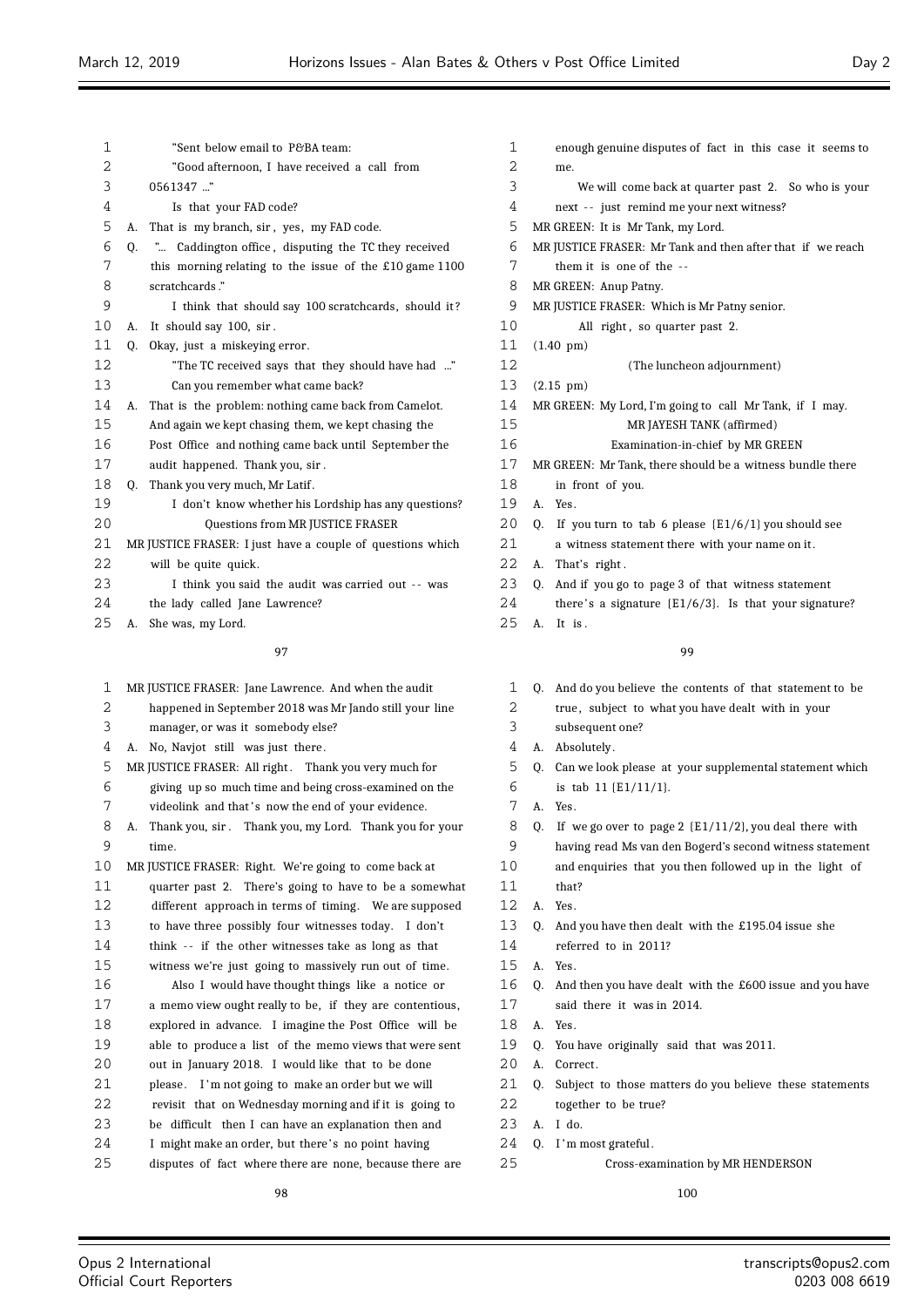| 1  | "Sent below email to P&BA team:                              | 1  |    | enou                |
|----|--------------------------------------------------------------|----|----|---------------------|
| 2  | "Good afternoon, I have received a call from                 | 2  |    | me.                 |
| 3  | 0561347 "                                                    | 3  |    | V                   |
| 4  | Is that your FAD code?                                       | 4  |    | next                |
| 5  | That is my branch, sir, yes, my FAD code.<br>А.              | 5  |    | MR GREE             |
| 6  | " Caddington office, disputing the TC they received<br>0.    | 6  |    | <b>MR JUSTI</b>     |
| 7  | this morning relating to the issue of the $£10$ game $1100$  | 7  |    | them                |
| 8  | scratchcards."                                               | 8  |    | MR GREE             |
| 9  | I think that should say 100 scratchcards, should it?         | 9  |    | <b>MR JUSTI</b>     |
| 10 | It should say 100, sir.<br>А.                                | 10 |    | I                   |
| 11 |                                                              | 11 |    |                     |
|    | Okay, just a miskeying error.<br>Q.                          | 12 |    | $(1.40~\text{pm})$  |
| 12 | "The TC received says that they should have had "            |    |    |                     |
| 13 | Can you remember what came back?                             | 13 |    | $(2.15 \text{ pm})$ |
| 14 | That is the problem: nothing came back from Camelot.<br>А.   | 14 |    | MR GREE             |
| 15 | And again we kept chasing them, we kept chasing the          | 15 |    |                     |
| 16 | Post Office and nothing came back until September the        | 16 |    |                     |
| 17 | audit happened. Thank you, sir.                              | 17 |    | MR GREE             |
| 18 | Thank you very much, Mr Latif.<br>Q.                         | 18 |    | in fr               |
| 19 | I don't know whether his Lordship has any questions?         | 19 | А. | Yes.                |
| 20 | Questions from MR JUSTICE FRASER                             | 20 | Q. | If yo               |
| 21 | MR JUSTICE FRASER: I just have a couple of questions which   | 21 |    | a wit               |
| 22 | will be quite quick.                                         | 22 | А. | That'               |
| 23 | I think you said the audit was carried out -- was            | 23 | Q. | And i               |
| 24 | the lady called Jane Lawrence?                               | 24 |    | there               |
| 25 | She was, my Lord.<br>А.                                      | 25 | А. | It is               |
|    | 97                                                           |    |    |                     |
| 1  | MR JUSTICE FRASER: Jane Lawrence. And when the audit         | 1  | Q. | And o               |
| 2  | happened in September 2018 was Mr Jando still your line      | 2  |    | true,               |
| 3  | manager, or was it somebody else?                            | 3  |    | subse               |
| 4  | A. No, Navjot still was just there.                          | 4  | А. | Abso.               |
| 5  | MR JUSTICE FRASER: All right. Thank you very much for        | 5  | Q. | Can v               |
| 6  | giving up so much time and being cross-examined on the       | 6  |    | is ta               |
| 7  | videolink and that's now the end of your evidence.           | 7  | А. | Yes.                |
| 8  | Thank you, sir. Thank you, my Lord. Thank you for your<br>А. | 8  | Q. | If w                |
| 9  | time.                                                        | 9  |    | havin               |
| 10 | MR JUSTICE FRASER: Right. We're going to come back at        | 10 |    | and e               |
| 11 | quarter past 2. There's going to have to be a somewhat       | 11 |    | that?               |
| 12 | different approach in terms of timing. We are supposed       | 12 | А. | Yes.                |
| 13 | to have three possibly four witnesses today. I don't         | 13 | Q. | And y               |
| 14 | think -- if the other witnesses take as long as that         | 14 |    | refer               |
| 15 | witness we're just going to massively run out of time.       | 15 | A. | Yes.                |
| 16 | Also I would have thought things like a notice or            | 16 | Q. | And t               |
| 17 | a memo view ought really to be, if they are contentious,     | 17 |    | said                |
| 18 | explored in advance. I imagine the Post Office will be       | 18 | A. | Yes.                |
| 19 | able to produce a list of the memo views that were sent      | 19 | Q. | You h               |
| 20 | out in January 2018. I would like that to be done            | 20 | A. | Corre               |
| 21 | please. I'm not going to make an order but we will           | 21 | Q. | Subje               |
| 22 | revisit that on Wednesday morning and if it is going to      | 22 |    |                     |
|    |                                                              |    |    | toget               |

- be difficult then I can have an explanation then and
- 24 I might make an order, but there's no point having
- disputes of fact where there are none, because there are

| 1  |                     | enough genuine disputes of fact in this case it seems to   |  |  |  |
|----|---------------------|------------------------------------------------------------|--|--|--|
| 2  |                     | me.                                                        |  |  |  |
| 3  |                     | We will come back at quarter past 2. So who is your        |  |  |  |
| 4  |                     | next -- just remind me your next witness?                  |  |  |  |
| 5  |                     | MR GREEN: It is Mr Tank, my Lord.                          |  |  |  |
| 6  |                     | MR JUSTICE FRASER: Mr Tank and then after that if we reach |  |  |  |
| 7  |                     | them it is one of the --                                   |  |  |  |
| 8  |                     | MR GREEN: Anup Patny.                                      |  |  |  |
| 9  |                     | MR JUSTICE FRASER: Which is Mr Patny senior.               |  |  |  |
| 10 |                     | All right, so quarter past 2.                              |  |  |  |
| 11 |                     | $(1.40 \text{ pm})$                                        |  |  |  |
| 12 |                     | (The luncheon adjournment)                                 |  |  |  |
| 13 | $(2.15 \text{ pm})$ |                                                            |  |  |  |
| 14 |                     | MR GREEN: My Lord, I'm going to call Mr Tank, if I may.    |  |  |  |
| 15 |                     | MR JAYESH TANK (affirmed)                                  |  |  |  |
| 16 |                     | Examination-in-chief by MR GREEN                           |  |  |  |
| 17 |                     | MR GREEN: Mr Tank, there should be a witness bundle there  |  |  |  |
| 18 |                     | in front of you.                                           |  |  |  |
| 19 | A.                  | Yes.                                                       |  |  |  |
| 20 |                     | Q. If you turn to tab 6 please $\{E1/6/1\}$ you should see |  |  |  |
| 21 |                     | a witness statement there with your name on it.            |  |  |  |
| 22 | А.                  | That's right.                                              |  |  |  |
| 23 | 0.                  | And if you go to page 3 of that witness statement          |  |  |  |
| 24 |                     | there's a signature $\{E1/6/3\}$ . Is that your signature? |  |  |  |
| 25 | А.                  | It is.                                                     |  |  |  |
|    |                     |                                                            |  |  |  |

- d do you believe the contents of that statement to be
- ue, subject to what you have dealt with in your
- bsequent one?
- $s$ olutely.
- an we look please at your supplemental statement which tab {E1/11/1}.
- $2s.$
- we go over to page 2  $\{E1/11/2\}$ , you deal there with
- aving read Ms van den Bogerd's second witness statement
- and enquiries that you then followed up in the light of
- 
- d you have then dealt $\,$  with the £195.04 issue she
- ferred to in 2011?
- 
- and then you have dealt with the £600 issue and you have
- id there it was in 2014.
- ou have originally said that was 2011.
- prrect.
- abject to those matters do you believe these statements
- gether to be true? A. I do.
- 
- 24 Q. I'm most grateful.
- Cross-examination by MR HENDERSON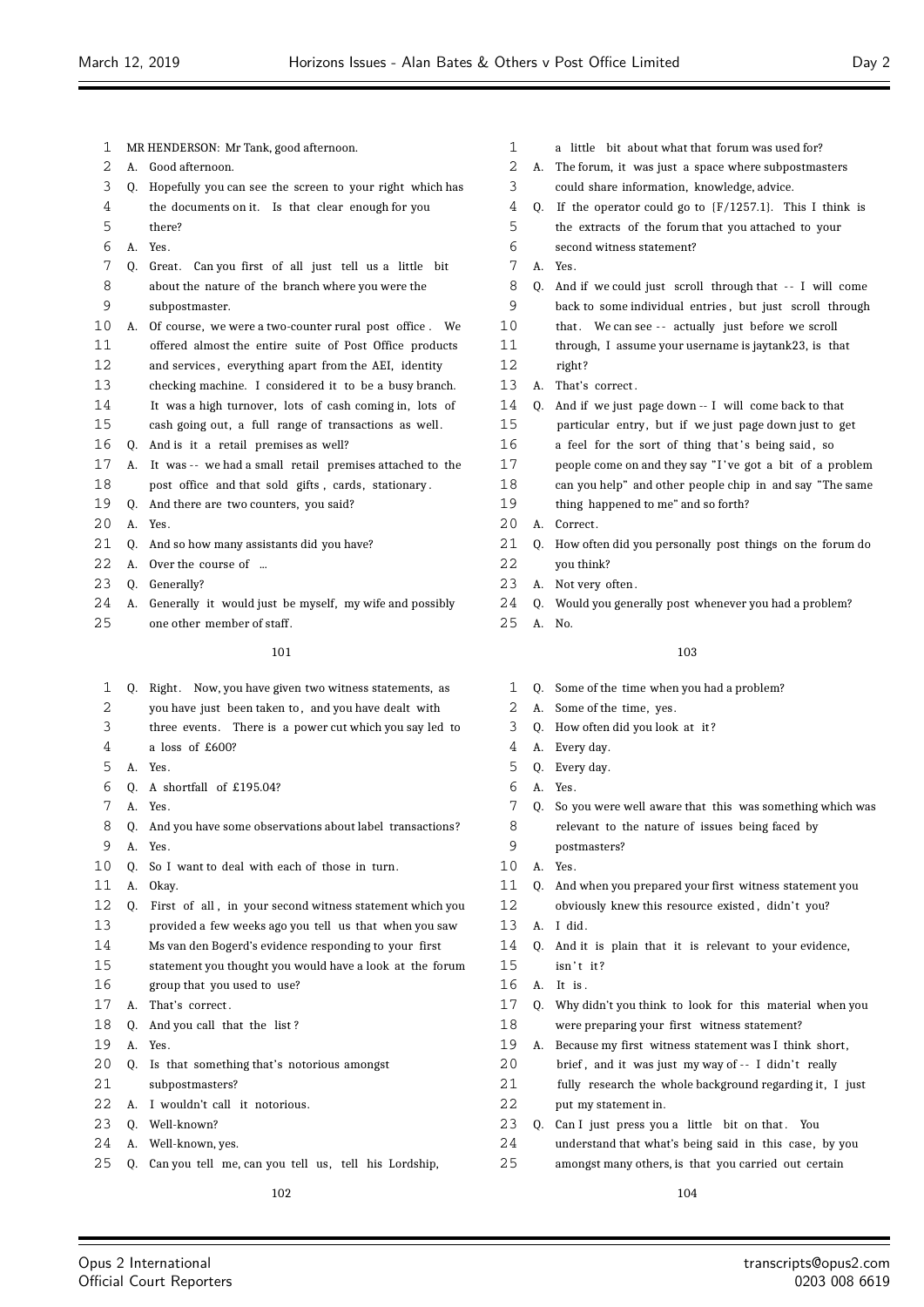$2.0$ 

subpostmasters?

| ı  |    | MR HENDERSON: Mr Tank, good afternoon.                      | 1  |    | a little bit about what that forum was used for?            |
|----|----|-------------------------------------------------------------|----|----|-------------------------------------------------------------|
| 2  | А. | Good afternoon.                                             | 2  |    | A. The forum, it was just a space where subpostmasters      |
| 3  |    | Q. Hopefully you can see the screen to your right which has | 3  |    | could share information, knowledge, advice.                 |
| 4  |    | the documents on it. Is that clear enough for you           | 4  | O. | If the operator could go to $(F/1257.1)$ . This I think is  |
| 5  |    | there?                                                      | 5  |    | the extracts of the forum that you attached to your         |
| 6  | А. | Yes.                                                        | 6  |    | second witness statement?                                   |
| 7  | 0. | Great. Can you first of all just tell us a little bit       | 7  |    | A. Yes.                                                     |
| 8  |    | about the nature of the branch where you were the           | 8  | Q. | And if we could just scroll through that -- I will come     |
| 9  |    | subpostmaster.                                              | 9  |    | back to some individual entries, but just scroll through    |
| 10 | А. | Of course, we were a two-counter rural post office. We      | 10 |    | that. We can see -- actually just before we scroll          |
| 11 |    | offered almost the entire suite of Post Office products     | 11 |    | through, I assume your username is jaytank23, is that       |
| 12 |    | and services, everything apart from the AEI, identity       | 12 |    | right?                                                      |
| 13 |    | checking machine. I considered it to be a busy branch.      | 13 | А. | That's correct.                                             |
| 14 |    | It was a high turnover, lots of cash coming in, lots of     | 14 | 0. | And if we just page down -- I will come back to that        |
| 15 |    | cash going out, a full range of transactions as well.       | 15 |    | particular entry, but if we just page down just to get      |
| 16 |    | Q. And is it a retail premises as well?                     | 16 |    | a feel for the sort of thing that's being said, so          |
| 17 |    | A. It was -- we had a small retail premises attached to the | 17 |    | people come on and they say "I've got a bit of a problem    |
| 18 |    | post office and that sold gifts, cards, stationary.         | 18 |    | can you help" and other people chip in and say "The same    |
| 19 | Q. | And there are two counters, you said?                       | 19 |    | thing happened to me" and so forth?                         |
| 20 | А. | Yes.                                                        | 20 |    | A. Correct.                                                 |
| 21 | Q. | And so how many assistants did you have?                    | 21 |    | Q. How often did you personally post things on the forum do |
| 22 | A. | Over the course of                                          | 22 |    | you think?                                                  |
| 23 | 0. | Generally?                                                  | 23 |    | A. Not very often.                                          |
| 24 | А. | Generally it would just be myself, my wife and possibly     | 24 | 0. | Would you generally post whenever you had a problem?        |
| 25 |    | one other member of staff.                                  | 25 |    | A. No.                                                      |
|    |    | 101                                                         |    |    | 103                                                         |
| 1  |    | Q. Right. Now, you have given two witness statements, as    | 1  |    | Q. Some of the time when you had a problem?                 |
| 2  |    | you have just been taken to, and you have dealt with        | 2  |    | A. Some of the time, yes.                                   |
| 3  |    | three events. There is a power cut which you say led to     | 3  | Q. | How often did you look at it?                               |
| 4  |    | a loss of £600?                                             | 4  | A. | Every day.                                                  |
| 5  |    | A. Yes.                                                     | 5  |    | Q. Every day.                                               |
| 6  | 0. | A shortfall of £195.04?                                     | 6  |    | A. Yes.                                                     |
| 7  |    | A. Yes.                                                     | 7  |    | Q. So you were well aware that this was something which was |
| ୪  | Q. | And you have some observations about label transactions?    | 8  |    | relevant to the nature of issues being faced by             |
| 9  |    | A. Yes.                                                     | 9  |    | postmasters?                                                |
| 10 | O. | So I want to deal with each of those in turn.               | 10 |    | A. Yes.                                                     |
| 11 | А. | Okay.                                                       | 11 | Q. | And when you prepared your first witness statement you      |
| 12 | Q. | First of all, in your second witness statement which you    | 12 |    | obviously knew this resource existed, didn't you?           |
| 13 |    | provided a few weeks ago you tell us that when you saw      | 13 |    | A. I did.                                                   |
| 14 |    | Ms van den Bogerd's evidence responding to your first       | 14 | 0. | And it is plain that it is relevant to your evidence,       |
| 15 |    | statement you thought you would have a look at the forum    | 15 |    | isn't it?                                                   |
| 16 |    | group that you used to use?                                 | 16 |    | A. It is.                                                   |
| 17 | А. | That's correct.                                             | 17 |    | Q. Why didn't you think to look for this material when you  |
| 18 | Q. | And you call that the list?                                 | 18 |    | were preparing your first witness statement?                |
| 19 | А. | Yes.                                                        | 19 |    | A. Because my first witness statement was I think short,    |
| 20 | Q. | Is that something that's notorious amongst                  | 20 |    | brief, and it was just my way of -- I didn't really         |
| 21 |    | subpostmasters?                                             | 21 |    | fully research the whole background regarding it, I just    |
| 22 | А. | I wouldn't call it notorious.                               | 22 |    | put my statement in.                                        |
|    |    |                                                             |    |    |                                                             |

- Q. Well-known?
- A. Well-known, yes.
- Q. Can you tell me, can you tell us, tell his Lordship,

23 Q. Can I just press you a little bit on that. You understand that what's being said in this case, by you amongst many others, is that you carried out certain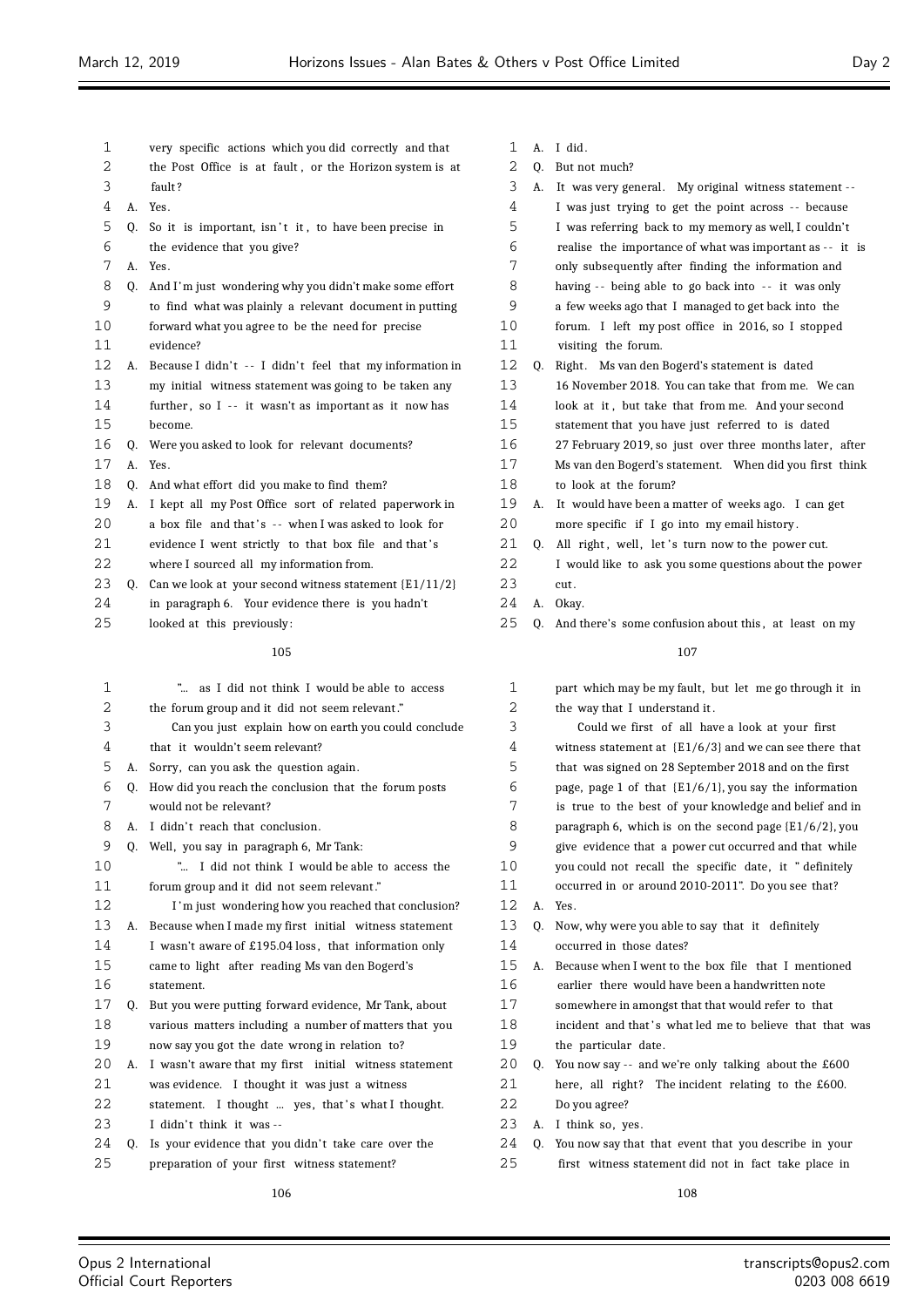| 1        |    | very specific actions which you did correctly and that                                                   | 1        | А. | I dio |
|----------|----|----------------------------------------------------------------------------------------------------------|----------|----|-------|
| 2        |    | the Post Office is at fault, or the Horizon system is at                                                 | 2        | Q. | But 1 |
| 3        |    | fault?                                                                                                   | 3        | А. | It w  |
| 4        | А. | Yes.                                                                                                     | 4        |    | I wε  |
| 5        | 0. | So it is important, isn't it, to have been precise in                                                    | 5        |    | I wε  |
| 6        |    | the evidence that you give?                                                                              | 6        |    | reali |
| 7        | А. | Yes.                                                                                                     | 7        |    | only  |
| 8        | 0. | And I'm just wondering why you didn't make some effort                                                   | 8        |    | haviı |
| 9        |    | to find what was plainly a relevant document in putting                                                  | 9        |    | a fev |
| 10       |    | forward what you agree to be the need for precise                                                        | 10       |    | foru  |
| 11       |    | evidence?                                                                                                | 11       |    | visit |
| 12       | А. | Because I didn't -- I didn't feel that my information in                                                 | 12       | Q. | Righ  |
| 13       |    | my initial witness statement was going to be taken any                                                   | 13       |    | 16 N  |
| 14       |    | further, so I -- it wasn't as important as it now has                                                    | 14       |    | look  |
| 15       |    | become.                                                                                                  | 15       |    | state |
| 16       | O. | Were you asked to look for relevant documents?                                                           | 16       |    | 27 F  |
| 17       | А. | Yes.                                                                                                     | 17       |    | Ms v  |
| 18       | Q. | And what effort did you make to find them?                                                               | 18       |    | to lo |
| 19       | А. | I kept all my Post Office sort of related paperwork in                                                   | 19       | А. | It w  |
| 20       |    | a box file and that's -- when I was asked to look for                                                    | 20       |    | more  |
| 21       |    | evidence I went strictly to that box file and that's                                                     | 21       | 0. | All   |
| 22       |    | where I sourced all my information from.                                                                 | 22       |    | I wo  |
| 23       | O. | Can we look at your second witness statement $\{E1/11/2\}$                                               | 23       |    | cut.  |
| 24       |    | in paragraph 6. Your evidence there is you hadn't                                                        | 24       | А. | Okay  |
| 25       |    | looked at this previously:                                                                               | 25       | Q. | And   |
|          |    | 105                                                                                                      |          |    |       |
|          |    |                                                                                                          |          |    |       |
| 1<br>2   |    | as I did not think I would be able to access<br>"                                                        | 1<br>2   |    | part  |
|          |    | the forum group and it did not seem relevant."                                                           |          |    | the ' |
| 3        |    | Can you just explain how on earth you could conclude                                                     | 3<br>4   |    |       |
| 4<br>5   |    | that it wouldn't seem relevant?                                                                          |          |    | witn  |
|          | А. | Sorry, can you ask the question again.                                                                   | 5        |    | that  |
| 6<br>7   | Q. | How did you reach the conclusion that the forum posts                                                    | 6<br>7   |    | page  |
| 8        |    | would not be relevant?<br>I didn't reach that conclusion.                                                |          |    | is tr |
| 9        | А. |                                                                                                          | 8<br>9   |    | para  |
| 10       | Q. | Well, you say in paragraph 6, Mr Tank:                                                                   |          |    | give  |
| 11       |    | " I did not think I would be able to access the                                                          | 10<br>11 |    | you   |
| 12       |    | forum group and it did not seem relevant."                                                               | 12       |    | occu  |
| 13       |    | I'm just wondering how you reached that conclusion?                                                      | 13       | А. | Yes.  |
| 14       | А. | Because when I made my first initial witness statement                                                   |          | Q. | Now   |
| 15       |    | I wasn't aware of £195.04 loss, that information only                                                    | 14       |    | occu  |
| 16       |    | came to light after reading Ms van den Bogerd's                                                          | 15<br>16 | А. | Beca  |
|          |    | statement.                                                                                               |          |    | earli |
| 17<br>18 | Q. | But you were putting forward evidence, Mr Tank, about                                                    | 17<br>18 |    | som   |
| 19       |    | various matters including a number of matters that you<br>now say you got the date wrong in relation to? | 19       |    | incid |
| 20       |    |                                                                                                          | 20       |    | the   |
| 21       | А. | I wasn't aware that my first initial witness statement                                                   | 21       | Q. | You i |
|          |    | was evidence. I thought it was just a witness                                                            |          |    | here  |

- 22 statement. I thought ... yes, that's what I thought.
- 23 I didn't think it was --
- 24 Q. Is your evidence that you didn't take care over the
- preparation of your first witness statement?
- $\mathbf d$  .
- Q. But not much?

| 2              | Q. | But not much?                                               |
|----------------|----|-------------------------------------------------------------|
| 3              | A. | It was very general. My original witness statement --       |
| 4              |    | I was just trying to get the point across -- because        |
| 5              |    | I was referring back to my memory as well, I couldn't       |
| 6              |    | realise the importance of what was important as -- it is    |
| 7              |    | only subsequently after finding the information and         |
| 8              |    | having -- being able to go back into -- it was only         |
| 9              |    | a few weeks ago that I managed to get back into the         |
| 10             |    | forum. I left my post office in 2016, so I stopped          |
| 11             |    | visiting the forum.                                         |
| 12             | Q. | Right. Ms van den Bogerd's statement is dated               |
| 13             |    | 16 November 2018. You can take that from me. We can         |
| 14             |    | look at it, but take that from me. And your second          |
| 15             |    | statement that you have just referred to is dated           |
| 16             |    | 27 February 2019, so just over three months later, after    |
| 17             |    | Ms van den Bogerd's statement. When did you first think     |
| 18             |    | to look at the forum?                                       |
| 19             | А. | It would have been a matter of weeks ago. I can get         |
| 20             |    | more specific if I go into my email history.                |
| 21             | Q. | All right, well, let's turn now to the power cut.           |
| 22             |    | I would like to ask you some questions about the power      |
| 23             |    | cut.                                                        |
| 24             | A. | Okay.                                                       |
| 25             | Q. | And there's some confusion about this, at least on my       |
|                |    | 107                                                         |
|                |    |                                                             |
| 1              |    | part which may be my fault, but let me go through it in     |
| 2              |    | the way that I understand it.                               |
| 3              |    | Could we first of all have a look at your first             |
| 4              |    | witness statement at ${E1/6/3}$ and we can see there that   |
| 5              |    | that was signed on 28 September 2018 and on the first       |
| 6              |    | page, page 1 of that $\{E1/6/1\}$ , you say the information |
| 7              |    | is true to the best of your knowledge and belief and in     |
| 8              |    | paragraph 6, which is on the second page $(E1/6/2)$ , you   |
| 9              |    | give evidence that a power cut occurred and that while      |
| 10             |    | you could not recall the specific date, it "definitely      |
| 11             |    | occurred in or around 2010-2011". Do you see that?          |
| 1 <sub>0</sub> |    | TT.                                                         |

| ⊥  |    | part which may be my fault, but let me go through it in     |
|----|----|-------------------------------------------------------------|
| 2  |    | the way that I understand it.                               |
| 3  |    | Could we first of all have a look at your first             |
| 4  |    | witness statement at ${E1/6/3}$ and we can see there that   |
| 5  |    | that was signed on 28 September 2018 and on the first       |
| 6  |    | page, page 1 of that $\{E1/6/1\}$ , you say the information |
| 7  |    | is true to the best of your knowledge and belief and in     |
| 8  |    | paragraph 6, which is on the second page $\{E1/6/2\}$ , you |
| 9  |    | give evidence that a power cut occurred and that while      |
| 10 |    | you could not recall the specific date, it "definitely      |
| 11 |    | occurred in or around 2010-2011". Do you see that?          |
| 12 | А. | Yes.                                                        |
| 13 | 0. | Now, why were you able to say that it definitely            |
| 14 |    | occurred in those dates?                                    |
| 15 | A. | Because when I went to the box file that I mentioned        |
| 16 |    | earlier there would have been a handwritten note            |
| 17 |    | somewhere in amongst that that would refer to that          |
| 18 |    | incident and that's what led me to believe that that was    |
| 19 |    | the particular date.                                        |
| 20 | Q. | You now say -- and we're only talking about the £600        |
| 21 |    | here, all right? The incident relating to the £600.         |
| 22 |    | Do you agree?                                               |
| 23 | А. | I think so, yes.                                            |
| 24 | 0. | You now say that that event that you describe in your       |
| 25 |    | first witness statement did not in fact take place in       |
|    |    |                                                             |

Ξ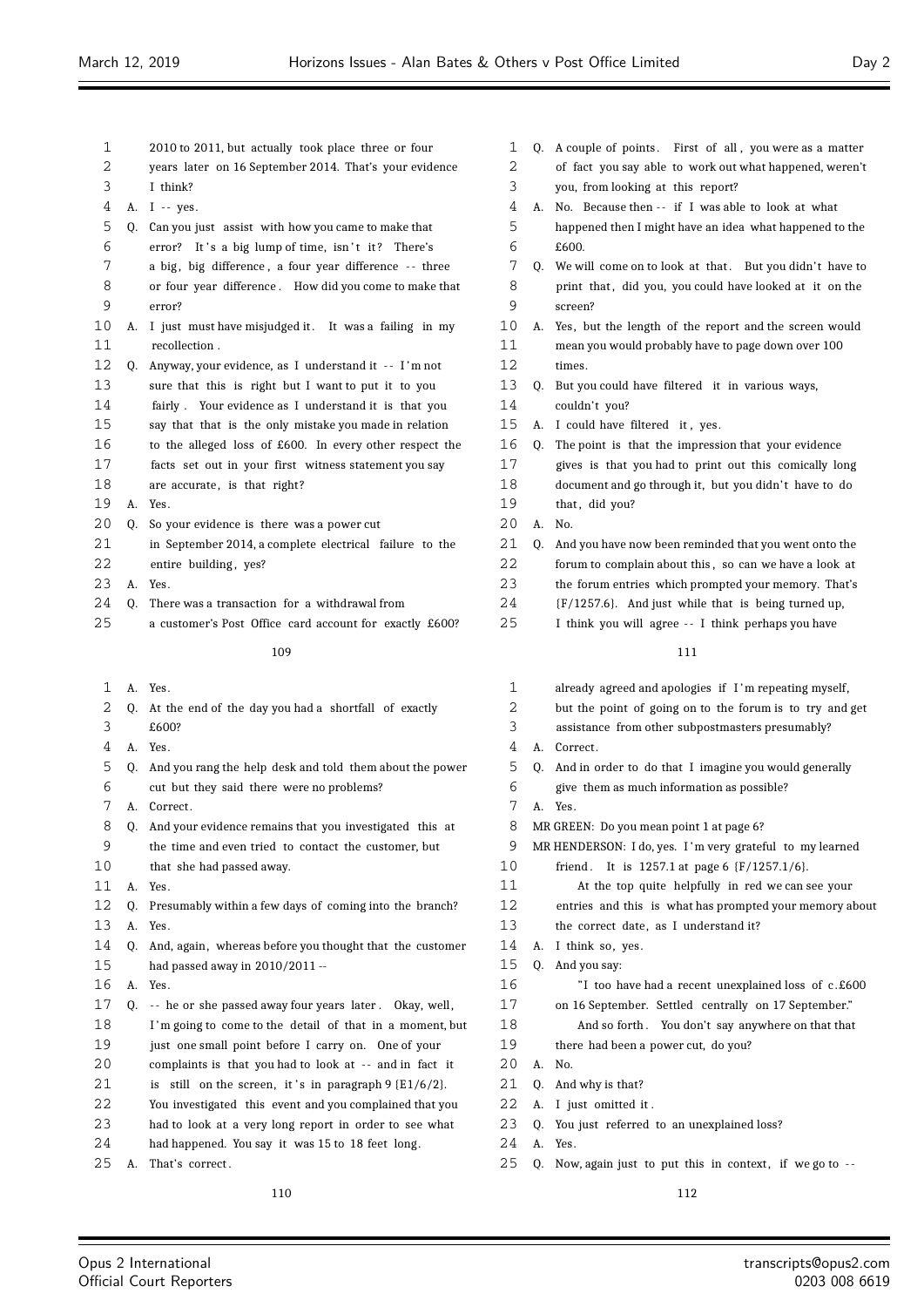| 1        |    | 2010 to 2011, but actually took place three or four                                                                | 1        |    | Q. A couple of points. First of all, you were as a matter  |
|----------|----|--------------------------------------------------------------------------------------------------------------------|----------|----|------------------------------------------------------------|
| 2        |    | years later on 16 September 2014. That's your evidence                                                             | 2        |    | of fact you say able to work out what happened, weren't    |
| 3        |    | I think?                                                                                                           | 3        |    | you, from looking at this report?                          |
| 4        |    | A. I -- yes.                                                                                                       | 4        |    | A. No. Because then -- if I was able to look at what       |
| 5        | Q. | Can you just assist with how you came to make that                                                                 | 5        |    | happened then I might have an idea what happened to the    |
| 6        |    | error? It's a big lump of time, isn't it? There's                                                                  | 6        |    | £600.                                                      |
| 7        |    | a big, big difference, a four year difference -- three                                                             | 7        |    | Q. We will come on to look at that. But you didn't have to |
| 8        |    | or four year difference. How did you come to make that                                                             | 8        |    | print that, did you, you could have looked at it on the    |
| 9        |    | error?                                                                                                             | 9        |    | screen?                                                    |
| 10       |    | A. I just must have misjudged it. It was a failing in my                                                           | 10       |    | A. Yes, but the length of the report and the screen would  |
| 11       |    | recollection.                                                                                                      | 11       |    | mean you would probably have to page down over 100         |
| 12       | Q. | Anyway, your evidence, as I understand it -- I'm not                                                               | 12       |    | times.                                                     |
| 13       |    | sure that this is right but I want to put it to you                                                                | 13       |    | Q. But you could have filtered it in various ways,         |
| 14       |    | fairly. Your evidence as I understand it is that you                                                               | 14       |    | couldn't you?                                              |
| 15       |    | say that that is the only mistake you made in relation                                                             | 15       |    | A. I could have filtered it, yes.                          |
| 16       |    | to the alleged loss of £600. In every other respect the                                                            | 16       |    | Q. The point is that the impression that your evidence     |
| 17       |    | facts set out in your first witness statement you say                                                              | 17       |    | gives is that you had to print out this comically long     |
| 18       |    | are accurate, is that right?                                                                                       | 18       |    | document and go through it, but you didn't have to do      |
| 19       |    | A. Yes.                                                                                                            | 19       |    | that, did you?                                             |
| 20       | O. | So your evidence is there was a power cut                                                                          | 20       |    | A. No.                                                     |
| 21       |    | in September 2014, a complete electrical failure to the                                                            | 21       | Q. | And you have now been reminded that you went onto the      |
| 22       |    | entire building, yes?                                                                                              | 22       |    | forum to complain about this, so can we have a look at     |
| 23       | А. | Yes.                                                                                                               | 23       |    | the forum entries which prompted your memory. That's       |
| 24       | 0. | There was a transaction for a withdrawal from                                                                      | 24       |    | {F/1257.6}. And just while that is being turned up,        |
| 25       |    | a customer's Post Office card account for exactly £600?                                                            | 25       |    | I think you will agree -- I think perhaps you have         |
|          |    | 109                                                                                                                |          |    | 111                                                        |
| 1        |    | A. Yes.                                                                                                            | 1        |    | already agreed and apologies if I'm repeating myself,      |
| 2        |    | Q. At the end of the day you had a shortfall of exactly                                                            | 2        |    | but the point of going on to the forum is to try and get   |
| 3        |    | £600?                                                                                                              | 3        |    | assistance from other subpostmasters presumably?           |
| 4        |    | A. Yes.                                                                                                            | 4        |    | A. Correct.                                                |
| 5        |    | Q. And you rang the help desk and told them about the power                                                        | 5        |    | Q. And in order to do that I imagine you would generally   |
| 6        |    | cut but they said there were no problems?                                                                          | 6        |    | give them as much information as possible?                 |
| 7        |    | A. Correct.                                                                                                        | 7        |    | A. Yes.                                                    |
| 8        | Q. | And your evidence remains that you investigated this at                                                            | 8        |    | MR GREEN: Do you mean point 1 at page 6?                   |
| 9        |    | the time and even tried to contact the customer, but                                                               | 9        |    | MR HENDERSON: I do, yes. I'm very grateful to my learned   |
| 10       |    | that she had passed away.                                                                                          | 10       |    | friend. It is 1257.1 at page 6 {F/1257.1/6}.               |
| 11       |    | A. Yes.                                                                                                            | 11       |    | At the top quite helpfully in red we can see your          |
| 12       | Q. | Presumably within a few days of coming into the branch?                                                            | 12       |    | entries and this is what has prompted your memory about    |
| 13       | A. | Yes.                                                                                                               | 13       |    | the correct date, as I understand it?                      |
| 14       |    | Q. And, again, whereas before you thought that the customer                                                        | 14       |    | A. I think so, yes.                                        |
| 15       |    | had passed away in 2010/2011 --                                                                                    | 15       |    | Q. And you say:                                            |
| 16       | Α. | Yes.                                                                                                               | 16<br>17 |    | "I too have had a recent unexplained loss of c.£600        |
| 17<br>18 | Q. | -- he or she passed away four years later. Okay, well,<br>I'm going to come to the detail of that in a moment, but | 18       |    | on 16 September. Settled centrally on 17 September."       |
| 19       |    | just one small point before I carry on. One of your                                                                | 19       |    | And so forth. You don't say anywhere on that that          |
| 20       |    | complaints is that you had to look at -- and in fact it                                                            | 20       |    | there had been a power cut, do you?<br>A. No.              |
| 21       |    | is still on the screen, it's in paragraph $9 \{E1/6/2\}$ .                                                         | 21       | Q. | And why is that?                                           |
| 22       |    | You investigated this event and you complained that you                                                            | 22       |    | A. I just omitted it.                                      |
| 23       |    | had to look at a very long report in order to see what                                                             | 23       | Q. | You just referred to an unexplained loss?                  |
| 24       |    | had happened. You say it was 15 to 18 feet long.                                                                   | 24       |    | A. Yes.                                                    |
|          |    |                                                                                                                    |          |    |                                                            |
| 25       | А. | That's correct.                                                                                                    | 25       |    | Q. Now, again just to put this in context, if we go to --  |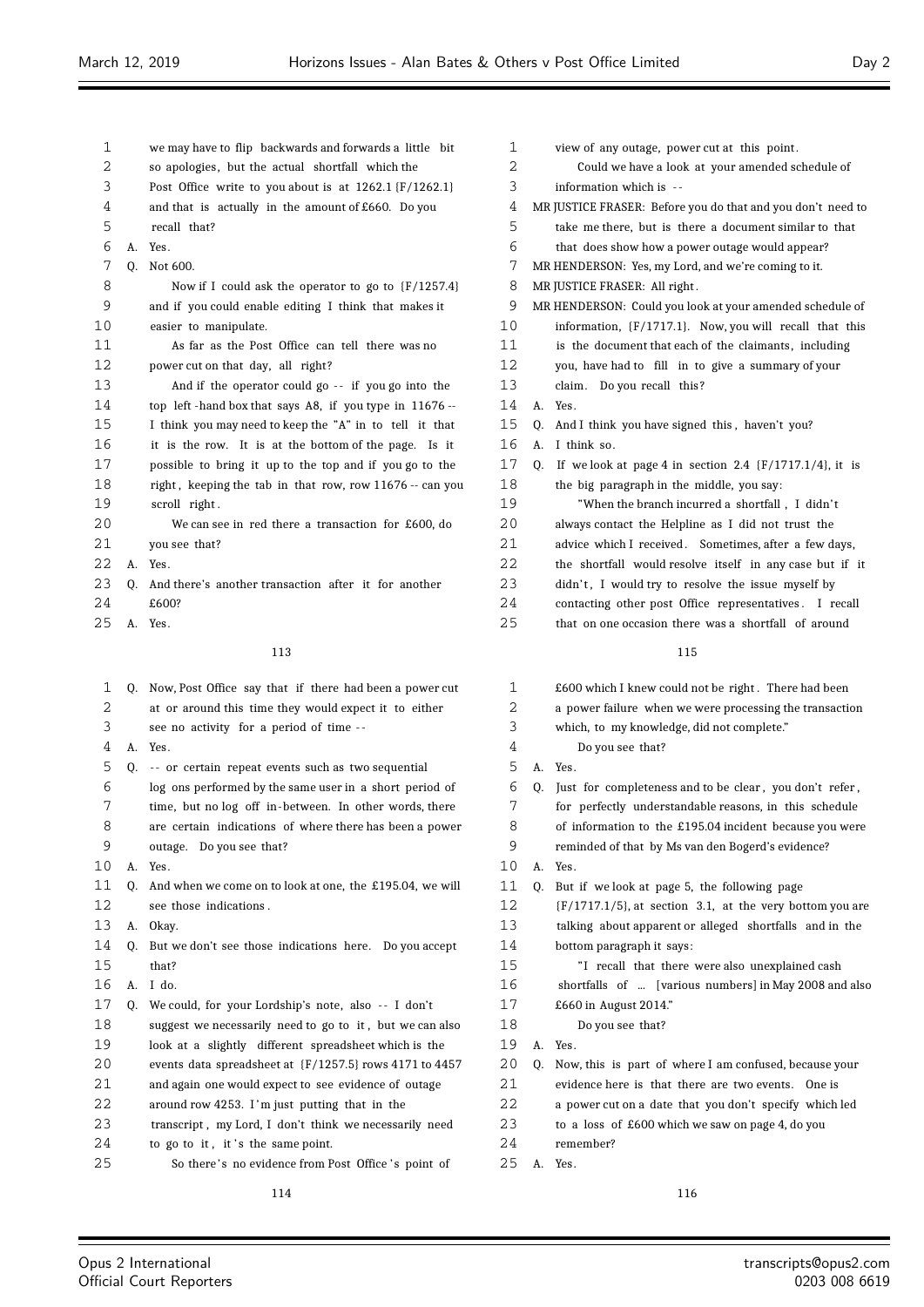$\equiv$ 

| 1  |    | we may have to flip backwards and forwards a little bit    | 1  |    | view             |
|----|----|------------------------------------------------------------|----|----|------------------|
| 2  |    | so apologies, but the actual shortfall which the           | 2  |    | C                |
| 3  |    | Post Office write to you about is at $1262.1$ {F/1262.1}   | 3  |    | infor            |
| 4  |    | and that is actually in the amount of $£660$ . Do you      | 4  |    | <b>MR JUSTI</b>  |
| 5  |    | recall that?                                               | 5  |    | take             |
| 6  | А. | Yes.                                                       | 6  |    | that             |
| 7  | Q. | Not 600.                                                   | 7  |    | MR HEND          |
| 8  |    | Now if I could ask the operator to go to ${F/1257.4}$      | 8  |    | MR JUSTI         |
| 9  |    | and if you could enable editing I think that makes it      | 9  |    | MR HEND          |
| 10 |    | easier to manipulate.                                      | 10 |    | infor            |
| 11 |    | As far as the Post Office can tell there was no            | 11 |    | is th            |
| 12 |    | power cut on that day, all right?                          | 12 |    | you,             |
| 13 |    | And if the operator could go -- if you go into the         | 13 |    | claim            |
| 14 |    | top left-hand box that says A8, if you type in 11676 --    | 14 | А. | Yes.             |
| 15 |    | I think you may need to keep the "A" in to tell it that    | 15 | Q. | And I            |
| 16 |    | it is the row. It is at the bottom of the page. Is it      | 16 | А. | I thii           |
| 17 |    | possible to bring it up to the top and if you go to the    | 17 | Q. | If $w$           |
| 18 |    | right, keeping the tab in that row, row 11676 -- can you   | 18 |    | the b            |
| 19 |    | scroll right.                                              | 19 |    |                  |
| 20 |    | We can see in red there a transaction for £600, do         | 20 |    | alway            |
| 21 |    | you see that?                                              | 21 |    | advic            |
| 22 | А. | Yes.                                                       | 22 |    | the s            |
| 23 | Q. | And there's another transaction after it for another       | 23 |    | didn'            |
| 24 |    | £600?                                                      | 24 |    | conta            |
| 25 | A. | Yes.                                                       | 25 |    | that             |
|    |    |                                                            |    |    |                  |
|    |    | 113                                                        |    |    |                  |
| 1  |    | Q. Now, Post Office say that if there had been a power cut | 1  |    | £600             |
| 2  |    | at or around this time they would expect it to either      | 2  |    | a poy            |
| 3  |    | see no activity for a period of time --                    | 3  |    | whicl            |
| 4  | А. | Yes.                                                       | 4  |    | L                |
| 5  | Q. | -- or certain repeat events such as two sequential         | 5  | А. | Yes.             |
| 6  |    | log ons performed by the same user in a short period of    | 6  | Q. | Just             |
| 7  |    | time, but no log off in-between. In other words, there     | 7  |    | for <sub>I</sub> |
| 8  |    | are certain indications of where there has been a power    | 8  |    | of in            |
| 9  |    | outage. Do you see that?                                   | 9  |    | remir            |
| 10 | А. | Yes.                                                       | 10 | А. | Yes.             |
| 11 | 0. | And when we come on to look at one, the £195.04, we will   | 11 | Q. | But i            |
| 12 |    | see those indications.                                     | 12 |    | (F/1)            |
| 13 | A. | Okay.                                                      | 13 |    | talkir           |
| 14 | Q. | But we don't see those indications here. Do you accept     | 14 |    | botto            |
| 15 |    | that?                                                      | 15 |    |                  |
| 16 | А. | I do.                                                      | 16 |    | shor             |
| 17 | Q. | We could, for your Lordship's note, also -- I don't        | 17 |    | £660             |
| 18 |    | suggest we necessarily need to go to it, but we can also   | 18 |    | L                |
| 19 |    | look at a slightly different spreadsheet which is the      | 19 | А. | Yes.             |
| 20 |    | events data spreadsheet at ${F/1257.5}$ rows 4171 to 4457  | 20 | Q. | Now,             |
| 21 |    | and again one would expect to see evidence of outage       | 21 |    | evide            |
| 22 |    | around row 4253. I'm just putting that in the              | 22 |    | a poy            |
| 23 |    | transcript, my Lord, I don't think we necessarily need     | 23 |    | to a             |
| 24 |    | to go to it, it's the same point.                          | 24 |    | reme             |
| 25 |    | So there's no evidence from Post Office's point of         | 25 | А. | Yes.             |
|    |    |                                                            |    |    |                  |

| 1  |                                                             | view of any outage, power cut at this point.                |  |  |  |  |  |  |
|----|-------------------------------------------------------------|-------------------------------------------------------------|--|--|--|--|--|--|
| 2  |                                                             | Could we have a look at your amended schedule of            |  |  |  |  |  |  |
| 3  |                                                             | information which is --                                     |  |  |  |  |  |  |
| 4  | MR JUSTICE FRASER: Before you do that and you don't need to |                                                             |  |  |  |  |  |  |
| 5  |                                                             | take me there, but is there a document similar to that      |  |  |  |  |  |  |
| 6  |                                                             | that does show how a power outage would appear?             |  |  |  |  |  |  |
| 7  |                                                             | MR HENDERSON: Yes, my Lord, and we're coming to it.         |  |  |  |  |  |  |
| 8  |                                                             | MR JUSTICE FRASER: All right.                               |  |  |  |  |  |  |
| 9  |                                                             | MR HENDERSON: Could you look at your amended schedule of    |  |  |  |  |  |  |
| 10 |                                                             | information, {F/1717.1}. Now, you will recall that this     |  |  |  |  |  |  |
| 11 |                                                             | is the document that each of the claimants, including       |  |  |  |  |  |  |
| 12 |                                                             | you, have had to fill in to give a summary of your          |  |  |  |  |  |  |
| 13 |                                                             | claim.<br>Do you recall this?                               |  |  |  |  |  |  |
| 14 | А.                                                          | Yes.                                                        |  |  |  |  |  |  |
| 15 | Q.                                                          | And I think you have signed this, haven't you?              |  |  |  |  |  |  |
| 16 | А.                                                          | I think so.                                                 |  |  |  |  |  |  |
| 17 | Q.                                                          | If we look at page 4 in section 2.4 $(F/1717.1/4)$ , it is  |  |  |  |  |  |  |
| 18 |                                                             | the big paragraph in the middle, you say:                   |  |  |  |  |  |  |
| 19 |                                                             | "When the branch incurred a shortfall , I didn't            |  |  |  |  |  |  |
| 20 |                                                             | always contact the Helpline as I did not trust the          |  |  |  |  |  |  |
| 21 |                                                             | advice which I received. Sometimes, after a few days,       |  |  |  |  |  |  |
| 22 |                                                             | the shortfall would resolve itself in any case but if it    |  |  |  |  |  |  |
| 23 |                                                             | didn't, I would try to resolve the issue myself by          |  |  |  |  |  |  |
| 24 |                                                             | contacting other post Office representatives.<br>I recall   |  |  |  |  |  |  |
| 25 |                                                             | that on one occasion there was a shortfall of around        |  |  |  |  |  |  |
|    |                                                             | 115                                                         |  |  |  |  |  |  |
| 1  |                                                             | £600 which I knew could not be right. There had been        |  |  |  |  |  |  |
| 2  |                                                             | a power failure when we were processing the transaction     |  |  |  |  |  |  |
| 3  |                                                             | which, to my knowledge, did not complete."                  |  |  |  |  |  |  |
| 4  |                                                             | Do you see that?                                            |  |  |  |  |  |  |
| 5  | А.                                                          | Yes.                                                        |  |  |  |  |  |  |
| 6  | Q.                                                          | Just for completeness and to be clear, you don't refer,     |  |  |  |  |  |  |
| 7  |                                                             | for perfectly understandable reasons, in this schedule      |  |  |  |  |  |  |
| 8  |                                                             | of information to the £195.04 incident because you were     |  |  |  |  |  |  |
| 9  |                                                             | reminded of that by Ms van den Bogerd's evidence?           |  |  |  |  |  |  |
| 10 | А.                                                          | Yes.                                                        |  |  |  |  |  |  |
| 11 | Q.                                                          | But if we look at page 5, the following page                |  |  |  |  |  |  |
| 12 |                                                             | ${F/1717.1/5}$ , at section 3.1, at the very bottom you are |  |  |  |  |  |  |
| 13 |                                                             | talking about apparent or alleged shortfalls and in the     |  |  |  |  |  |  |
| 14 |                                                             | bottom paragraph it says:                                   |  |  |  |  |  |  |
| 15 |                                                             | "I recall that there were also unexplained cash             |  |  |  |  |  |  |
| 16 |                                                             | shortfalls of  [various numbers] in May 2008 and also       |  |  |  |  |  |  |
| 17 |                                                             | £660 in August 2014."                                       |  |  |  |  |  |  |
| 18 |                                                             | Do you see that?                                            |  |  |  |  |  |  |
| 19 | А.                                                          | Yes.                                                        |  |  |  |  |  |  |
| 20 | Q.                                                          | Now, this is part of where I am confused, because your      |  |  |  |  |  |  |

- ence here is that there are two events. One is
- wer cut on a date that you don't specify which led
- loss of £600 which we saw on page 4, do you
- ember?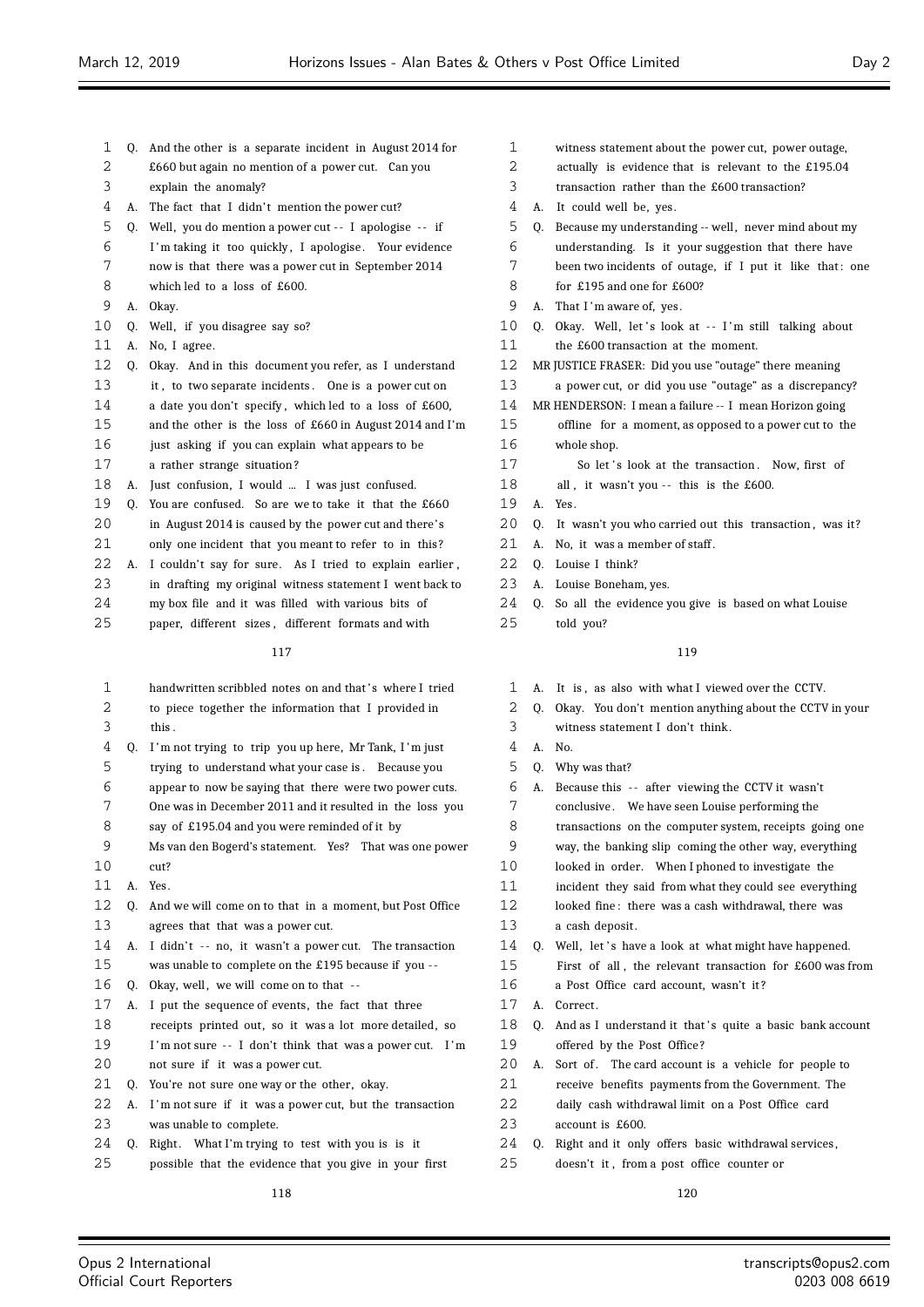- Q. And the other is a separate incident in August 2014 for £660 but again no mention of a power cut. Can you explain the anomaly? 4 A. The fact that I didn't mention the power cut? 5 Q. Well, you do mention a power cut -- I apologise -- if
- I 'm taking it too quickly , I apologise . Your evidence now is that there was a power cut in September 2014
- which led to a loss of £600.
- A. Okay.
- Q. Well, if you disagree say so?
- A. No, I agree.
- Q. Okay. And in this document you refer, as I understand
- it , to two separate incidents . One is a power cut on
- a date you don't specify , which led to a loss of £600,
- and the other is the loss of £660 in August 2014 and I'm just asking if you can explain what appears to be
- a rather strange situation ?
- A. Just confusion, I would ... I was just confused.
- Q. You are confused. So are we to take it that the £660 in August 2014 is caused by the power cut and there's
- 21 only one incident that you meant to refer to in this?
- A. I couldn't say for sure. As I tried to explain earlier , in drafting my original witness statement I went back to my box file and it was filled with various bits of
- paper, different sizes , different formats and with

| 1  |    | handwritten scribbled notes on and that's where I tried  |
|----|----|----------------------------------------------------------|
| 2  |    | to piece together the information that I provided in     |
| 3  |    | this.                                                    |
| 4  | 0. | I'm not trying to trip you up here, Mr Tank, I'm just    |
| 5  |    | trying to understand what your case is. Because you      |
| 6  |    | appear to now be saying that there were two power cuts.  |
| 7  |    | One was in December 2011 and it resulted in the loss you |
| 8  |    | say of £195.04 and you were reminded of it by            |
| 9  |    | Ms van den Bogerd's statement. Yes? That was one power   |
| 10 |    | cut?                                                     |
| 11 | A. | Yes.                                                     |
| 12 | 0. | And we will come on to that in a moment, but Post Office |
| 13 |    | agrees that that was a power cut.                        |
| 14 | А. | I didn't -- no, it wasn't a power cut. The transaction   |
| 15 |    | was unable to complete on the £195 because if you --     |
| 16 | 0. | Okay, well, we will come on to that --                   |
| 17 | А. | I put the sequence of events, the fact that three        |
| 18 |    | receipts printed out, so it was a lot more detailed, so  |
| 19 |    | I'm not sure -- I don't think that was a power cut. I'm  |
| 20 |    | not sure if it was a power cut.                          |
| 21 | 0. | You're not sure one way or the other, okay.              |
| 22 | А. | I'm not sure if it was a power cut, but the transaction  |
| 23 |    | was unable to complete.                                  |
| 24 | 0. | Right. What I'm trying to test with you is is it         |
| 25 |    | possible that the evidence that you give in your first   |

- witness statement about the power cut, power outage, actually is evidence that is relevant to the £195.04 transaction rather than the £600 transaction? A. It could well be, yes. 5 Q. Because my understanding -- well, never mind about my understanding. Is it your suggestion that there have 7 been two incidents of outage, if I put it like that: one for £195 and one for £600? 9 A. That I'm aware of, yes. 10 Q. Okay. Well, let's look at -- I'm still talking about the £600 transaction at the moment. MR JUSTICE FRASER: Did you use "outage" there meaning a power cut, or did you use "outage" as a discrepancy? MR HENDERSON: I mean a failure -- I mean Horizon going offline for a moment, as opposed to a power cut to the whole shop. 17 So let's look at the transaction. Now, first of 18 all, it wasn't you -- this is the £600. A. Yes. 20 Q. It wasn't you who carried out this transaction, was it? 21 A. No. it was a member of staff. 22 Q. Louise I think? A. Louise Boneham, yes.
	- Q. So all the evidence you give is based on what Louise told you?

# 

- A. It is , as also with what I viewed over the CCTV. Q. Okay. You don't mention anything about the CCTV in your witness statement I don't think .
- A. No.
- Q. Why was that?

| 6  | А.           | Because this -- after viewing the CCTV it wasn't         |
|----|--------------|----------------------------------------------------------|
| 7  |              | conclusive. We have seen Louise performing the           |
| 8  |              | transactions on the computer system, receipts going one  |
| 9  |              | way, the banking slip coming the other way, everything   |
| 10 |              | looked in order. When I phoned to investigate the        |
| 11 |              | incident they said from what they could see everything   |
| 12 |              | looked fine: there was a cash withdrawal, there was      |
| 13 |              | a cash deposit.                                          |
| 14 |              | Q. Well, let's have a look at what might have happened.  |
| 15 |              | First of all, the relevant transaction for £600 was from |
| 16 |              | a Post Office card account, wasn't it?                   |
| 17 | $\mathbf{A}$ | Correct.                                                 |
| 18 | 0.           | And as I understand it that's quite a basic bank account |
| 19 |              | offered by the Post Office?                              |
| 20 | А.           | Sort of. The card account is a vehicle for people to     |
| 21 |              | receive benefits payments from the Government. The       |
| 22 |              | daily cash withdrawal limit on a Post Office card        |
| 23 |              | account is £600.                                         |
| 24 | Q.           | Right and it only offers basic withdrawal services,      |
| 25 |              | doesn't it, from a post office counter or                |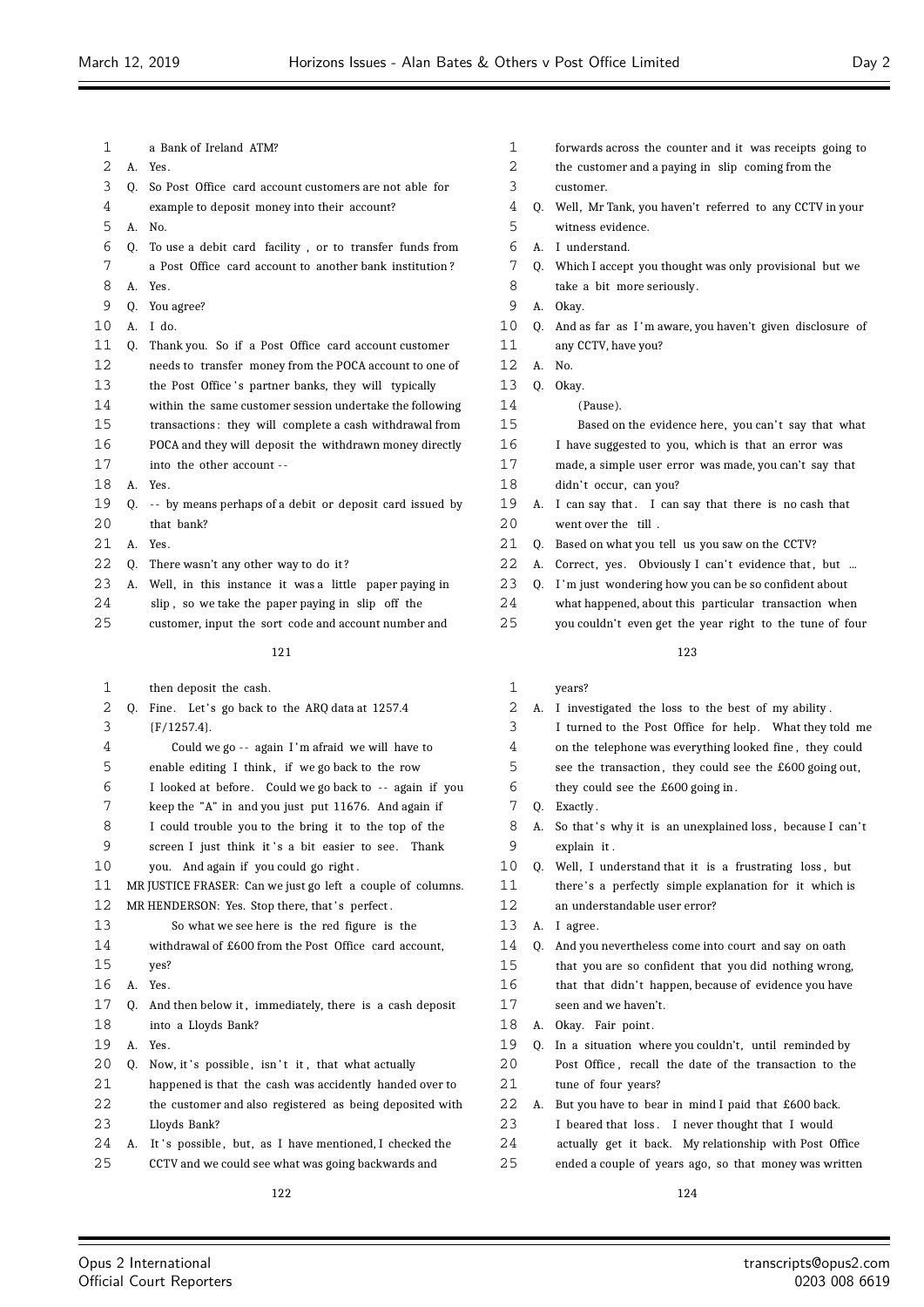| 1  |             | a Bank of Ireland ATM?                                   |
|----|-------------|----------------------------------------------------------|
| 2  |             | A. Yes.                                                  |
| 3  | 0.          | So Post Office card account customers are not able for   |
| 4  |             | example to deposit money into their account?             |
| 5  | $A_{\cdot}$ | No.                                                      |
| 6  | 0.          | To use a debit card facility, or to transfer funds from  |
| 7  |             | a Post Office card account to another bank institution?  |
| 8  | A.          | Yes.                                                     |
| 9  | 0.          | You agree?                                               |
| 10 | A.          | I do.                                                    |
| 11 | Q.          | Thank you. So if a Post Office card account customer     |
| 12 |             | needs to transfer money from the POCA account to one of  |
| 13 |             | the Post Office's partner banks, they will typically     |
| 14 |             | within the same customer session undertake the following |
| 15 |             | transactions: they will complete a cash withdrawal from  |
| 16 |             | POCA and they will deposit the withdrawn money directly  |
| 17 |             | into the other account --                                |
| 18 |             | A. Yes.                                                  |
| 19 | 0.          | -- by means perhaps of a debit or deposit card issued by |
| 20 |             | that bank?                                               |
| 21 |             | $A$ $Yes$                                                |
| 22 | 0.          | There wasn't any other way to do it?                     |
| 23 | A.          | Well, in this instance it was a little paper paying in   |
| 24 |             | slip, so we take the paper paying in slip off the        |
|    |             |                                                          |

customer, input the sort code and account number and

## 

| 1  | then deposit the cash.                                      | 1  |    | years?                   |
|----|-------------------------------------------------------------|----|----|--------------------------|
| 2  | Q. Fine. Let's go back to the ARQ data at 1257.4            | 2  | А. | I investigated the lo    |
| 3  | ${F/1257.4}.$                                               | 3  |    | I turned to the Post     |
| 4  | Could we go -- again I'm afraid we will have to             | 4  |    | on the telephone was     |
| 5  | enable editing I think, if we go back to the row            | 5  |    | see the transaction,     |
| 6  | I looked at before. Could we go back to -- again if you     | 6  |    | they could see the £     |
| 7  | keep the "A" in and you just put 11676. And again if        | 7  | 0. | Exactly.                 |
| 8  | I could trouble you to the bring it to the top of the       | 8  |    | A. So that's why it is a |
| 9  | screen I just think it's a bit easier to see. Thank         | 9  |    | explain it.              |
| 10 | you. And again if you could go right.                       | 10 |    | Q. Well, I understand tl |
| 11 | MR JUSTICE FRASER: Can we just go left a couple of columns. | 11 |    | there's a perfectly s    |
| 12 | MR HENDERSON: Yes. Stop there, that's perfect.              | 12 |    | an understandable us     |
| 13 | So what we see here is the red figure is the                | 13 | А. | I agree.                 |
| 14 | withdrawal of £600 from the Post Office card account,       | 14 | 0. | And you nevertheless     |
| 15 | yes?                                                        | 15 |    | that you are so confi    |
| 16 | A. Yes.                                                     | 16 |    | that that didn't hap     |
| 17 | Q. And then below it, immediately, there is a cash deposit  | 17 |    | seen and we haven't.     |
| 18 | into a Lloyds Bank?                                         | 18 |    | A. Okay. Fair point.     |
| 19 | A. Yes.                                                     | 19 | 0. | In a situation where     |
| 20 | Q. Now, it's possible, isn't it, that what actually         | 20 |    | Post Office, recall t    |
| 21 | happened is that the cash was accidently handed over to     | 21 |    | tune of four years?      |
| 22 | the customer and also registered as being deposited with    | 22 |    | A. But you have to bear  |
| 23 | Lloyds Bank?                                                | 23 |    | I beared that loss.      |
| 24 | A. It's possible, but, as I have mentioned, I checked the   | 24 |    | actually get it back     |
| 25 | CCTV and we could see what was going backwards and          | 25 |    | ended a couple of yea    |
|    |                                                             |    |    |                          |

- forwards across the counter and it was receipts going to
- the customer and a paying in slip coming from the
- customer.
- Q. Well, Mr Tank, you haven't referred to any CCTV in your witness evidence.
- A. I understand.
- Q. Which I accept you thought was only provisional but we
- take a bit more seriously.
- A. Okay.
- Q. And as far as I 'm aware, you haven't given disclosure of any CCTV, have you?
- A. No.
- Q. Okay.
- (Pause).
- 15 Based on the evidence here, you can't say that what
- I have suggested to you, which is that an error was
- made, a simple user error was made, you can't say that
- 18 didn't occur, can you?
- 19 A. I can say that. I can say that there is no cash that 2.0 went over the till
- Q. Based on what you tell us you saw on the CCTV?
- 22 A. Correct, yes. Obviously I can't evidence that, but ...
- 23 Q. I'm just wondering how you can be so confident about
- what happened, about this particular transaction when
- you couldn't even get the year right to the tune of four

- $\text{loss}$  to the best of my ability . Office for help. What they told me everything looked fine, they could they could see the  $£600$  going out, going in . an unexplained loss, because I can't
- 
- hat it is a frustrating loss, but
- simple explanation for it which is er error?
- come into court and say on oath
- ident that you did nothing wrong,
- pen, because of evidence you have
- you couldn't, until reminded by
- the date of the transaction to the
- in mind I paid that £600 back.
- I never thought that I would
- My relationship with Post Office
- ars ago, so that money was written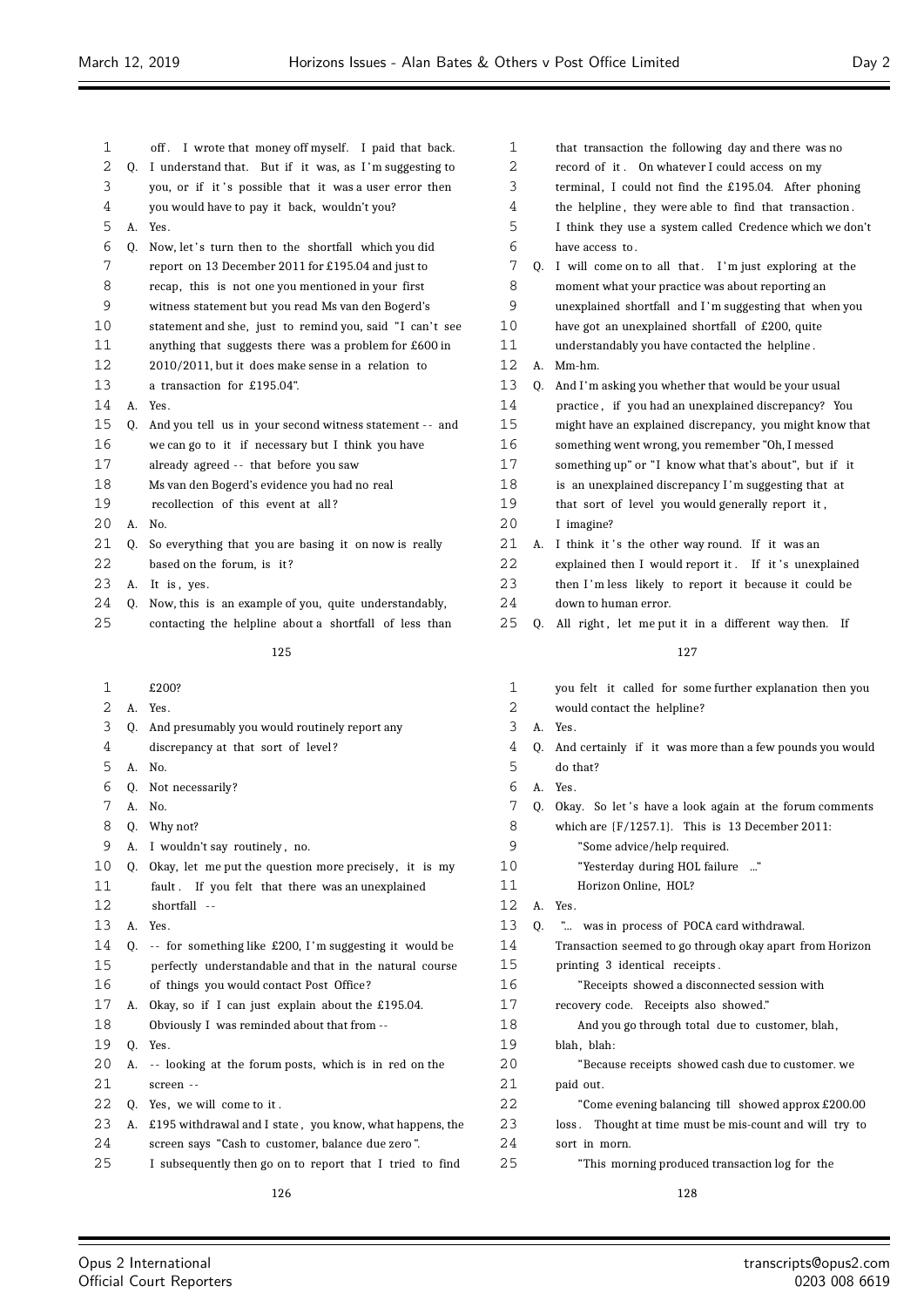$\equiv$ 

| 1  |    | off. I wrote that money off myself. I paid that back.       | 1  |    | that transaction the following day and there was no         |
|----|----|-------------------------------------------------------------|----|----|-------------------------------------------------------------|
| 2  | Q. | I understand that. But if it was, as I'm suggesting to      | 2  |    | record of it. On whatever I could access on my              |
| 3  |    | you, or if it's possible that it was a user error then      | 3  |    | terminal, I could not find the £195.04. After phoning       |
| 4  |    | you would have to pay it back, wouldn't you?                | 4  |    | the helpline, they were able to find that transaction.      |
| 5  | А. | Yes.                                                        | 5  |    | I think they use a system called Credence which we don't    |
| 6  | Q. | Now, let's turn then to the shortfall which you did         | 6  |    | have access to.                                             |
| 7  |    | report on 13 December 2011 for £195.04 and just to          | 7  | Q. | I will come on to all that. I'm just exploring at the       |
| 8  |    | recap, this is not one you mentioned in your first          | 8  |    | moment what your practice was about reporting an            |
| 9  |    | witness statement but you read Ms van den Bogerd's          | 9  |    | unexplained shortfall and I'm suggesting that when you      |
| 10 |    | statement and she, just to remind you, said "I can't see    | 10 |    | have got an unexplained shortfall of £200, quite            |
| 11 |    | anything that suggests there was a problem for £600 in      | 11 |    | understandably you have contacted the helpline.             |
| 12 |    | 2010/2011, but it does make sense in a relation to          | 12 | А. | Mm-hm.                                                      |
| 13 |    | a transaction for £195.04".                                 | 13 | 0. | And I'm asking you whether that would be your usual         |
| 14 |    | A. Yes.                                                     | 14 |    | practice, if you had an unexplained discrepancy? You        |
| 15 | Q. | And you tell us in your second witness statement -- and     | 15 |    | might have an explained discrepancy, you might know that    |
| 16 |    | we can go to it if necessary but I think you have           | 16 |    | something went wrong, you remember "Oh, I messed            |
| 17 |    | already agreed -- that before you saw                       | 17 |    | something up" or "I know what that's about", but if it      |
| 18 |    | Ms van den Bogerd's evidence you had no real                | 18 |    | is an unexplained discrepancy I'm suggesting that at        |
| 19 |    | recollection of this event at all?                          | 19 |    | that sort of level you would generally report it,           |
| 20 |    | A. No.                                                      | 20 |    | I imagine?                                                  |
| 21 | Q. | So everything that you are basing it on now is really       | 21 |    | A. I think it's the other way round. If it was an           |
| 22 |    | based on the forum, is it?                                  | 22 |    | explained then I would report it. If it's unexplained       |
| 23 |    | A. It is, yes.                                              | 23 |    | then I'm less likely to report it because it could be       |
| 24 | Q. | Now, this is an example of you, quite understandably,       | 24 |    | down to human error.                                        |
| 25 |    | contacting the helpline about a shortfall of less than      | 25 | Q. | All right, let me put it in a different way then. If        |
|    |    |                                                             |    |    |                                                             |
|    |    | 125                                                         |    |    | 127                                                         |
| 1  |    | £200?                                                       | 1  |    | you felt it called for some further explanation then you    |
| 2  |    | A. Yes.                                                     | 2  |    | would contact the helpline?                                 |
| 3  | Q. | And presumably you would routinely report any               | 3  |    | A. Yes.                                                     |
| 4  |    | discrepancy at that sort of level?                          | 4  |    | Q. And certainly if it was more than a few pounds you would |
| 5  |    | A. No.                                                      | 5  |    | do that?                                                    |
| 6  | Q. | Not necessarily?                                            | 6  |    | A. Yes.                                                     |
| 7  |    | A. No.                                                      | 7  |    | Q. Okay. So let's have a look again at the forum comments   |
| 8  |    | Q. Why not?                                                 | 8  |    | which are $\{F/1257.1\}$ . This is 13 December 2011:        |
| 9  |    | A. I wouldn't say routinely, no.                            | 9  |    | "Some advice/help required.                                 |
| 10 | Q. | Okay, let me put the question more precisely, it is my      | 10 |    | "Yesterday during HOL failure "                             |
| 11 |    | fault. If you felt that there was an unexplained            | 11 |    | Horizon Online, HOL?                                        |
| 12 |    | shortfall --                                                | 12 |    | A. Yes.                                                     |
| 13 | А. | Yes.                                                        | 13 | Q. | " was in process of POCA card withdrawal.                   |
| 14 | Q. | -- for something like £200, I'm suggesting it would be      | 14 |    | Transaction seemed to go through okay apart from Horizon    |
| 15 |    | perfectly understandable and that in the natural course     | 15 |    | printing 3 identical receipts.                              |
| 16 |    | of things you would contact Post Office?                    | 16 |    | "Receipts showed a disconnected session with                |
| 17 |    | A. Okay, so if I can just explain about the £195.04.        | 17 |    | recovery code. Receipts also showed."                       |
| 18 |    | Obviously I was reminded about that from --                 | 18 |    | And you go through total due to customer, blah,             |
| 19 | Q. | Yes.                                                        | 19 |    | blah, blah:                                                 |
| 20 | А. | -- looking at the forum posts, which is in red on the       | 20 |    | "Because receipts showed cash due to customer. we           |
| 21 |    | screen --                                                   | 21 |    | paid out.                                                   |
| 22 |    | Q. Yes, we will come to it.                                 | 22 |    | "Come evening balancing till showed approx £200.00"         |
| 23 |    | A. £195 withdrawal and I state, you know, what happens, the | 23 |    | loss. Thought at time must be mis-count and will try to     |
| 24 |    | screen says "Cash to customer, balance due zero".           | 24 |    | sort in morn.                                               |
| 25 |    | I subsequently then go on to report that I tried to find    | 25 |    | "This morning produced transaction log for the              |
|    |    |                                                             |    |    |                                                             |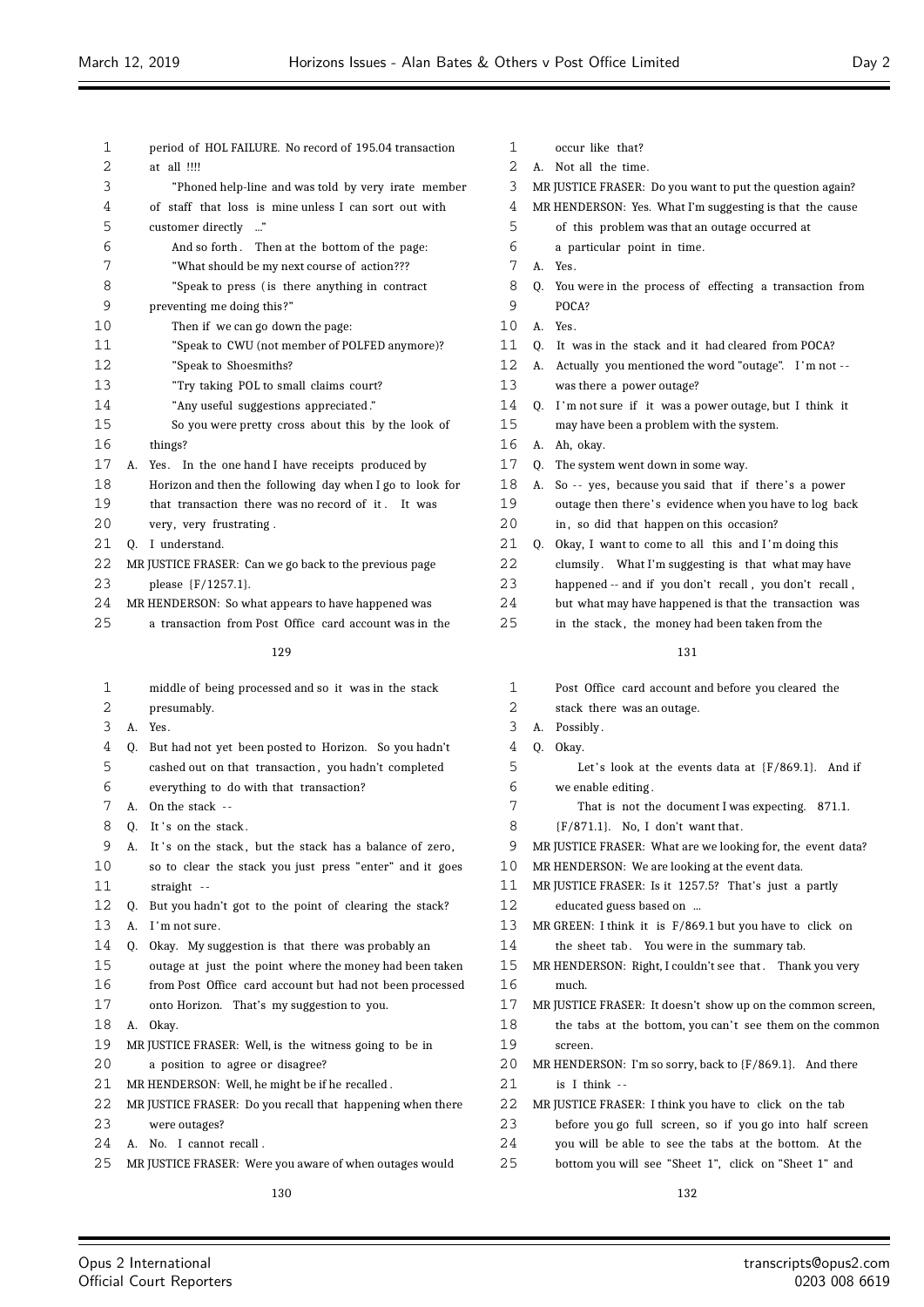$\equiv$ 

| 1  | period of HOL FAILURE. No record of 195.04 transaction                                     | 1  | occur like that?                                                          |
|----|--------------------------------------------------------------------------------------------|----|---------------------------------------------------------------------------|
| 2  | at all !!!!                                                                                | 2  | A. Not all the time.                                                      |
| 3  | "Phoned help-line and was told by very irate member                                        | 3  | MR JUSTICE FRASER: Do you want to put the question again?                 |
| 4  | of staff that loss is mine unless I can sort out with                                      | 4  | MR HENDERSON: Yes. What I'm suggesting is that the cause                  |
| 5  | customer directly "                                                                        | 5  | of this problem was that an outage occurred at                            |
| 6  | And so forth. Then at the bottom of the page:                                              | 6  | a particular point in time.                                               |
| 7  | "What should be my next course of action???                                                | 7  | A. Yes.                                                                   |
| 8  | "Speak to press (is there anything in contract                                             | 8  | Q. You were in the process of effecting a transaction from                |
| 9  | preventing me doing this?"                                                                 | 9  | POCA?                                                                     |
| 10 | Then if we can go down the page:                                                           | 10 | A. Yes.                                                                   |
| 11 | "Speak to CWU (not member of POLFED anymore)?                                              | 11 | Q. It was in the stack and it had cleared from POCA?                      |
| 12 | "Speak to Shoesmiths?                                                                      | 12 | A. Actually you mentioned the word "outage". I'm not --                   |
| 13 | "Try taking POL to small claims court?                                                     | 13 | was there a power outage?                                                 |
| 14 | "Any useful suggestions appreciated."                                                      | 14 | Q. I'm not sure if it was a power outage, but I think it                  |
| 15 | So you were pretty cross about this by the look of                                         | 15 | may have been a problem with the system.                                  |
| 16 | things?                                                                                    | 16 | A. Ah, okay.                                                              |
| 17 | A. Yes. In the one hand I have receipts produced by                                        | 17 | The system went down in some way.<br>Q.                                   |
| 18 | Horizon and then the following day when I go to look for                                   | 18 | A. So -- yes, because you said that if there's a power                    |
| 19 | that transaction there was no record of it. It was                                         | 19 | outage then there's evidence when you have to log back                    |
| 20 | very, very frustrating.                                                                    | 20 | in, so did that happen on this occasion?                                  |
| 21 | Q. I understand.                                                                           | 21 | Okay, I want to come to all this and I'm doing this<br>Q.                 |
| 22 | MR JUSTICE FRASER: Can we go back to the previous page                                     | 22 | clumsily. What I'm suggesting is that what may have                       |
| 23 | please {F/1257.1}.                                                                         | 23 | happened -- and if you don't recall, you don't recall,                    |
| 24 | MR HENDERSON: So what appears to have happened was                                         | 24 | but what may have happened is that the transaction was                    |
| 25 | a transaction from Post Office card account was in the                                     | 25 | in the stack, the money had been taken from the                           |
|    |                                                                                            |    |                                                                           |
|    | 129                                                                                        |    | 131                                                                       |
| 1  | middle of being processed and so it was in the stack                                       | 1  | Post Office card account and before you cleared the                       |
| 2  | presumably.                                                                                | 2  | stack there was an outage.                                                |
| 3  | A. Yes.                                                                                    | 3  | A. Possibly.                                                              |
| 4  | But had not yet been posted to Horizon. So you hadn't<br>Q.                                | 4  | Q. Okay.                                                                  |
| 5  | cashed out on that transaction, you hadn't completed                                       | 5  | Let's look at the events data at $(F/869.1)$ . And if                     |
| 6  | everything to do with that transaction?                                                    | 6  | we enable editing.                                                        |
| 7  | A. On the stack --                                                                         | 7  | That is not the document I was expecting. 871.1.                          |
| 8  | Q. It's on the stack.                                                                      | 8  | $(F/871.1)$ . No, I don't want that.                                      |
| 9  | It's on the stack, but the stack has a balance of zero,<br>А.                              | 9  | MR JUSTICE FRASER: What are we looking for, the event data?               |
| 10 | so to clear the stack you just press "enter" and it goes                                   | 10 | MR HENDERSON: We are looking at the event data.                           |
| 11 | straight $-$                                                                               | 11 | MR JUSTICE FRASER: Is it 1257.5? That's just a partly                     |
| 12 | Q. But you hadn't got to the point of clearing the stack?                                  | 12 | educated guess based on                                                   |
| 13 | A. I'm not sure.                                                                           | 13 | MR GREEN: I think it is F/869.1 but you have to click on                  |
| 14 | Q.<br>Okay. My suggestion is that there was probably an                                    | 14 | the sheet tab. You were in the summary tab.                               |
| 15 | outage at just the point where the money had been taken                                    | 15 | MR HENDERSON: Right, I couldn't see that. Thank you very                  |
| 16 | from Post Office card account but had not been processed                                   | 16 | much.                                                                     |
| 17 | onto Horizon. That's my suggestion to you.                                                 | 17 | MR JUSTICE FRASER: It doesn't show up on the common screen,               |
| 18 | A. Okay.                                                                                   | 18 | the tabs at the bottom, you can't see them on the common                  |
| 19 |                                                                                            | 19 |                                                                           |
| 20 | MR JUSTICE FRASER: Well, is the witness going to be in<br>a position to agree or disagree? | 20 | screen.<br>MR HENDERSON: I'm so sorry, back to {F/869.1}. And there       |
| 21 |                                                                                            | 21 |                                                                           |
| 22 | MR HENDERSON: Well, he might be if he recalled.                                            | 22 | is I think $-$<br>MR JUSTICE FRASER: I think you have to click on the tab |
| 23 | MR JUSTICE FRASER: Do you recall that happening when there                                 | 23 |                                                                           |
|    | were outages?                                                                              | 24 | before you go full screen, so if you go into half screen                  |
| 24 | A. No. I cannot recall.                                                                    | 25 | you will be able to see the tabs at the bottom. At the                    |
| 25 | MR JUSTICE FRASER: Were you aware of when outages would                                    |    | bottom you will see "Sheet 1", click on "Sheet 1" and                     |
|    | 130                                                                                        |    | 132                                                                       |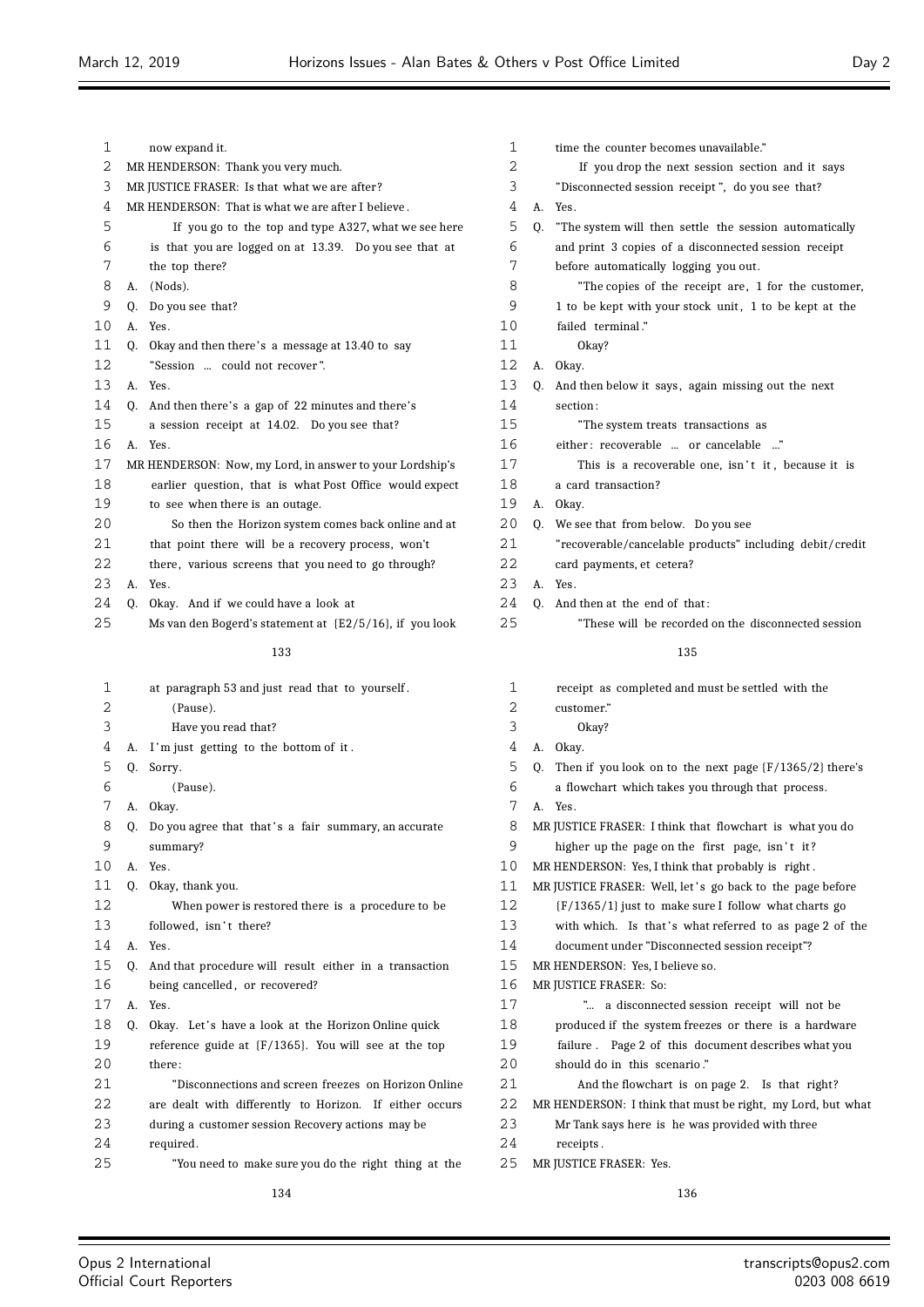A. Yes.

 failed terminal ." Okay?

| 1    |                                                    | now expand it.                                           |  |  |  |  |  |  |
|------|----------------------------------------------------|----------------------------------------------------------|--|--|--|--|--|--|
| 2    | MR HENDERSON: Thank you very much.                 |                                                          |  |  |  |  |  |  |
| 3    | MR JUSTICE FRASER: Is that what we are after?      |                                                          |  |  |  |  |  |  |
| 4    | MR HENDERSON: That is what we are after I believe. |                                                          |  |  |  |  |  |  |
| 5    |                                                    | If you go to the top and type A327, what we see here     |  |  |  |  |  |  |
| 6    |                                                    | is that you are logged on at 13.39. Do you see that at   |  |  |  |  |  |  |
| 7    |                                                    | the top there?                                           |  |  |  |  |  |  |
| 8    | А.                                                 | (Nods).                                                  |  |  |  |  |  |  |
| 9    | 0.                                                 | Do you see that?                                         |  |  |  |  |  |  |
| 10   | A.                                                 | Yes.                                                     |  |  |  |  |  |  |
| 11   | 0.                                                 | Okay and then there's a message at 13.40 to say          |  |  |  |  |  |  |
| 12   |                                                    | "Session  could not recover".                            |  |  |  |  |  |  |
| 13   | А.                                                 | Yes.                                                     |  |  |  |  |  |  |
| 14   | Q.                                                 | And then there's a gap of 22 minutes and there's         |  |  |  |  |  |  |
| 15   |                                                    | a session receipt at 14.02. Do you see that?             |  |  |  |  |  |  |
| 16   | А.                                                 | Yes.                                                     |  |  |  |  |  |  |
| 17   |                                                    | MR HENDERSON: Now, my Lord, in answer to your Lordship's |  |  |  |  |  |  |
| 18   |                                                    | earlier question, that is what Post Office would expect  |  |  |  |  |  |  |
| 19   |                                                    | to see when there is an outage.                          |  |  |  |  |  |  |
| 20   |                                                    | So then the Horizon system comes back online and at      |  |  |  |  |  |  |
| 2.1  |                                                    | that point there will be a recovery process, won't       |  |  |  |  |  |  |
| 2.2. |                                                    | there, various screens that you need to go through?      |  |  |  |  |  |  |
| 23   | А.                                                 | Yes.                                                     |  |  |  |  |  |  |
| 24   | 0.                                                 | Okay. And if we could have a look at                     |  |  |  |  |  |  |
| 25   |                                                    | Ms van den Bogerd's statement at {E2/5/16}, if you look  |  |  |  |  |  |  |
|      |                                                    | 133                                                      |  |  |  |  |  |  |
| 1    |                                                    | at paragraph 53 and just read that to yourself.          |  |  |  |  |  |  |
| 2    |                                                    | (Pause).                                                 |  |  |  |  |  |  |
| 3    |                                                    | Have you read that?                                      |  |  |  |  |  |  |
| 4    | А.                                                 | I'm just getting to the bottom of it.                    |  |  |  |  |  |  |
| 5    | 0.                                                 | Sorry.                                                   |  |  |  |  |  |  |
| 6    |                                                    | (Pause).                                                 |  |  |  |  |  |  |
| 7    | А.                                                 | Okay.                                                    |  |  |  |  |  |  |
| ୪    | Q.                                                 | Do you agree that that's a fair summary, an accurate     |  |  |  |  |  |  |
| 9    |                                                    | summary?                                                 |  |  |  |  |  |  |
| 10   | А.                                                 | Yes.                                                     |  |  |  |  |  |  |
| 11   | 0.                                                 | Okay, thank you.                                         |  |  |  |  |  |  |
| 12   |                                                    | When power is restored there is a procedure to be        |  |  |  |  |  |  |
| 13   |                                                    | followed, isn't there?                                   |  |  |  |  |  |  |
| 14   | A.                                                 | Yes.                                                     |  |  |  |  |  |  |
| 15   | 0.                                                 | And that procedure will result either in a transaction   |  |  |  |  |  |  |
| 16   |                                                    | being cancelled, or recovered?                           |  |  |  |  |  |  |
| 17   | А.                                                 | Yes.                                                     |  |  |  |  |  |  |
| 18   |                                                    | O. Okay. Let's have a look at the Horizon Online quick   |  |  |  |  |  |  |

reference guide at {F/1365}. You will see at the top

 "Disconnections and screen freezes on Horizon Online are dealt with differently to Horizon. If either occurs during a customer session Recovery actions may be

 "You need to make sure you do the right thing at the 

 A. Okay. 13 Q. And then below it says, again missing out the next section : "The system treats transactions as 16 either: recoverable ... or cancelable ...' 17 This is a recoverable one, isn't it, because it is a card transaction? A. Okay. Q. We see that from below. Do you see "recoverable/cancelable products" including debit/credit card payments, et cetera? A. Yes. 24 Q. And then at the end of that: "These will be recorded on the disconnected session receipt as completed and must be settled with the customer." Okay? A. Okay. Q. Then if you look on to the next page {F/1365/2} there's a flowchart which takes you through that process. A. Yes. MR JUSTICE FRASER: I think that flowchart is what you do 9 higher up the page on the first page, isn't it? MR HENDERSON: Yes, I think that probably is right . 11 MR JUSTICE FRASER: Well, let's go back to the page before {F/1365/1} just to make sure I follow what charts go 13 with which. Is that's what referred to as page 2 of the

time the counter becomes unavailable."

before automatically logging you out.

 If you drop the next session section and it says "Disconnected session receipt ", do you see that?

 Q. "The system will then settle the session automatically and print 3 copies of a disconnected session receipt

8 The copies of the receipt are, 1 for the customer, 9 1 to be kept with your stock unit, 1 to be kept at the

- document under "Disconnected session receipt"?
- MR HENDERSON: Yes, I believe so.
- MR JUSTICE FRASER: So:
- "... a disconnected session receipt will not be
- 18 produced if the system freezes or there is a hardware
- failure . Page 2 of this document describes what you
- should do in this scenario ."
- And the flowchart is on page 2. Is that right?
- MR HENDERSON: I think that must be right, my Lord, but what
- Mr Tank says here is he was provided with three
- receipts .
- MR JUSTICE FRASER: Yes.
- 

there:

required.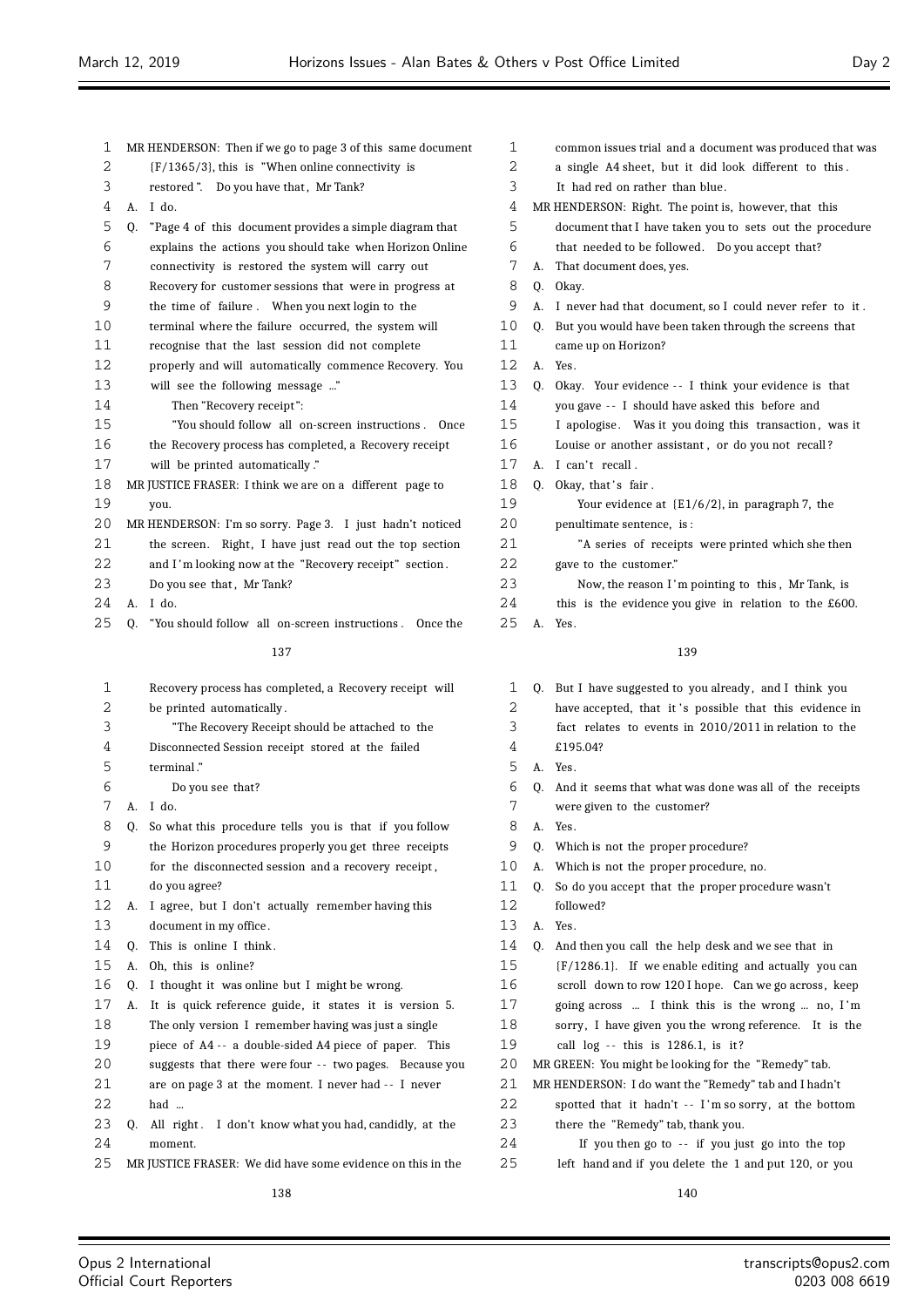$\equiv$ 

|        |    |                                                                                                                    | 1       |    |                                                                                                                   |
|--------|----|--------------------------------------------------------------------------------------------------------------------|---------|----|-------------------------------------------------------------------------------------------------------------------|
| 1<br>2 |    | MR HENDERSON: Then if we go to page 3 of this same document<br>$(F/1365/3)$ , this is "When online connectivity is | 2       |    | common issues trial and a document was produced that was<br>a single A4 sheet, but it did look different to this. |
| 3      |    | restored". Do you have that, Mr Tank?                                                                              | 3       |    | It had red on rather than blue.                                                                                   |
| 4      |    | A. I do.                                                                                                           | 4       |    | MR HENDERSON: Right. The point is, however, that this                                                             |
| 5      | Q. | "Page 4 of this document provides a simple diagram that                                                            | 5       |    | document that I have taken you to sets out the procedure                                                          |
| 6      |    | explains the actions you should take when Horizon Online                                                           | 6       |    | that needed to be followed. Do you accept that?                                                                   |
| 7      |    | connectivity is restored the system will carry out                                                                 | 7       |    | A. That document does, yes.                                                                                       |
| 8      |    | Recovery for customer sessions that were in progress at                                                            | 8       | Q. | Okay.                                                                                                             |
| 9      |    | the time of failure. When you next login to the                                                                    | 9       |    | A. I never had that document, so I could never refer to it.                                                       |
| 10     |    |                                                                                                                    | 10      |    |                                                                                                                   |
| 11     |    | terminal where the failure occurred, the system will<br>recognise that the last session did not complete           | 11      |    | Q. But you would have been taken through the screens that                                                         |
|        |    |                                                                                                                    | 12      |    | came up on Horizon?                                                                                               |
| 12     |    | properly and will automatically commence Recovery. You                                                             | 13      |    | A. Yes.                                                                                                           |
| 13     |    | will see the following message "                                                                                   | 14      | 0. | Okay. Your evidence -- I think your evidence is that                                                              |
| 14     |    | Then "Recovery receipt":                                                                                           |         |    | you gave -- I should have asked this before and                                                                   |
| 15     |    | "You should follow all on-screen instructions. Once                                                                | 15      |    | I apologise. Was it you doing this transaction, was it                                                            |
| 16     |    | the Recovery process has completed, a Recovery receipt                                                             | 16      |    | Louise or another assistant, or do you not recall?                                                                |
| 17     |    | will be printed automatically."                                                                                    | 17      |    | A. I can't recall.                                                                                                |
| 18     |    | MR JUSTICE FRASER: I think we are on a different page to                                                           | 18      |    | Q. Okay, that's fair.                                                                                             |
| 19     |    | you.                                                                                                               | 19      |    | Your evidence at $(E1/6/2)$ , in paragraph 7, the                                                                 |
| 20     |    | MR HENDERSON: I'm so sorry. Page 3. I just hadn't noticed                                                          | 20      |    | penultimate sentence, is:                                                                                         |
| 21     |    | the screen. Right, I have just read out the top section                                                            | 21      |    | "A series of receipts were printed which she then                                                                 |
| 22     |    | and I'm looking now at the "Recovery receipt" section.                                                             | 22      |    | gave to the customer."                                                                                            |
| 23     |    | Do you see that, Mr Tank?                                                                                          | 23      |    | Now, the reason I'm pointing to this, Mr Tank, is                                                                 |
| 24     |    | A. I do.                                                                                                           | 24      |    | this is the evidence you give in relation to the $£600$ .                                                         |
| 25     | 0. | "You should follow all on-screen instructions. Once the                                                            | 25      |    | A. Yes.                                                                                                           |
|        |    | 137                                                                                                                |         |    | 139                                                                                                               |
| 1      |    | Recovery process has completed, a Recovery receipt will                                                            | 1       | 0. | But I have suggested to you already, and I think you                                                              |
| 2      |    | be printed automatically.                                                                                          | 2       |    | have accepted, that it's possible that this evidence in                                                           |
| 3      |    | "The Recovery Receipt should be attached to the                                                                    | 3       |    | fact relates to events in 2010/2011 in relation to the                                                            |
| 4      |    | Disconnected Session receipt stored at the failed                                                                  | 4       |    | £195.04?                                                                                                          |
| 5      |    | terminal."                                                                                                         | 5       |    | A. Yes.                                                                                                           |
| 6      |    | Do you see that?                                                                                                   | 6       |    | Q. And it seems that what was done was all of the receipts                                                        |
| 7      |    | A. I do.                                                                                                           | 7       |    | were given to the customer?                                                                                       |
| 8      |    | Q. So what this procedure tells you is that if you follow                                                          | $\,8\,$ | А. | Yes.                                                                                                              |
| 9      |    | the Horizon procedures properly you get three receipts                                                             | 9       | Q. | Which is not the proper procedure?                                                                                |
| 10     |    | for the disconnected session and a recovery receipt,                                                               | 10      |    | A. Which is not the proper procedure, no.                                                                         |
| 11     |    | do you agree?                                                                                                      | 11      |    | Q. So do you accept that the proper procedure wasn't                                                              |
| 12     |    | A. I agree, but I don't actually remember having this                                                              | 12      |    | followed?                                                                                                         |
| 13     |    | document in my office.                                                                                             | 13      | A. | Yes.                                                                                                              |
| 14     | Q. | This is online I think.                                                                                            | 14      | Q. | And then you call the help desk and we see that in                                                                |
| 15     | А. | Oh, this is online?                                                                                                | 15      |    | $(F/1286.1)$ . If we enable editing and actually you can                                                          |
| 16     | 0. | I thought it was online but I might be wrong.                                                                      | 16      |    | scroll down to row 120 I hope. Can we go across, keep                                                             |
| 17     | А. | It is quick reference guide, it states it is version 5.                                                            | 17      |    | going across  I think this is the wrong  no, I'm                                                                  |
| 18     |    | The only version I remember having was just a single                                                               | 18      |    | sorry, I have given you the wrong reference. It is the                                                            |
| 19     |    | piece of A4 -- a double-sided A4 piece of paper. This                                                              | 19      |    | call log -- this is 1286.1, is it?                                                                                |
| 20     |    | suggests that there were four -- two pages. Because you                                                            | 20      |    | MR GREEN: You might be looking for the "Remedy" tab.                                                              |
| 21     |    | are on page 3 at the moment. I never had -- I never                                                                | 21      |    | MR HENDERSON: I do want the "Remedy" tab and I hadn't                                                             |
| 22     |    | had                                                                                                                | 22      |    | spotted that it hadn't -- I'm so sorry, at the bottom                                                             |
| 23     | Q. |                                                                                                                    | 23      |    | there the "Remedy" tab, thank you.                                                                                |
| 24     |    | All right. I don't know what you had, candidly, at the                                                             | 24      |    |                                                                                                                   |
| 25     |    | moment.<br>MR JUSTICE FRASER: We did have some evidence on this in the                                             | 25      |    | If you then go to -- if you just go into the top                                                                  |
|        |    |                                                                                                                    |         |    | left hand and if you delete the 1 and put 120, or you                                                             |

Ξ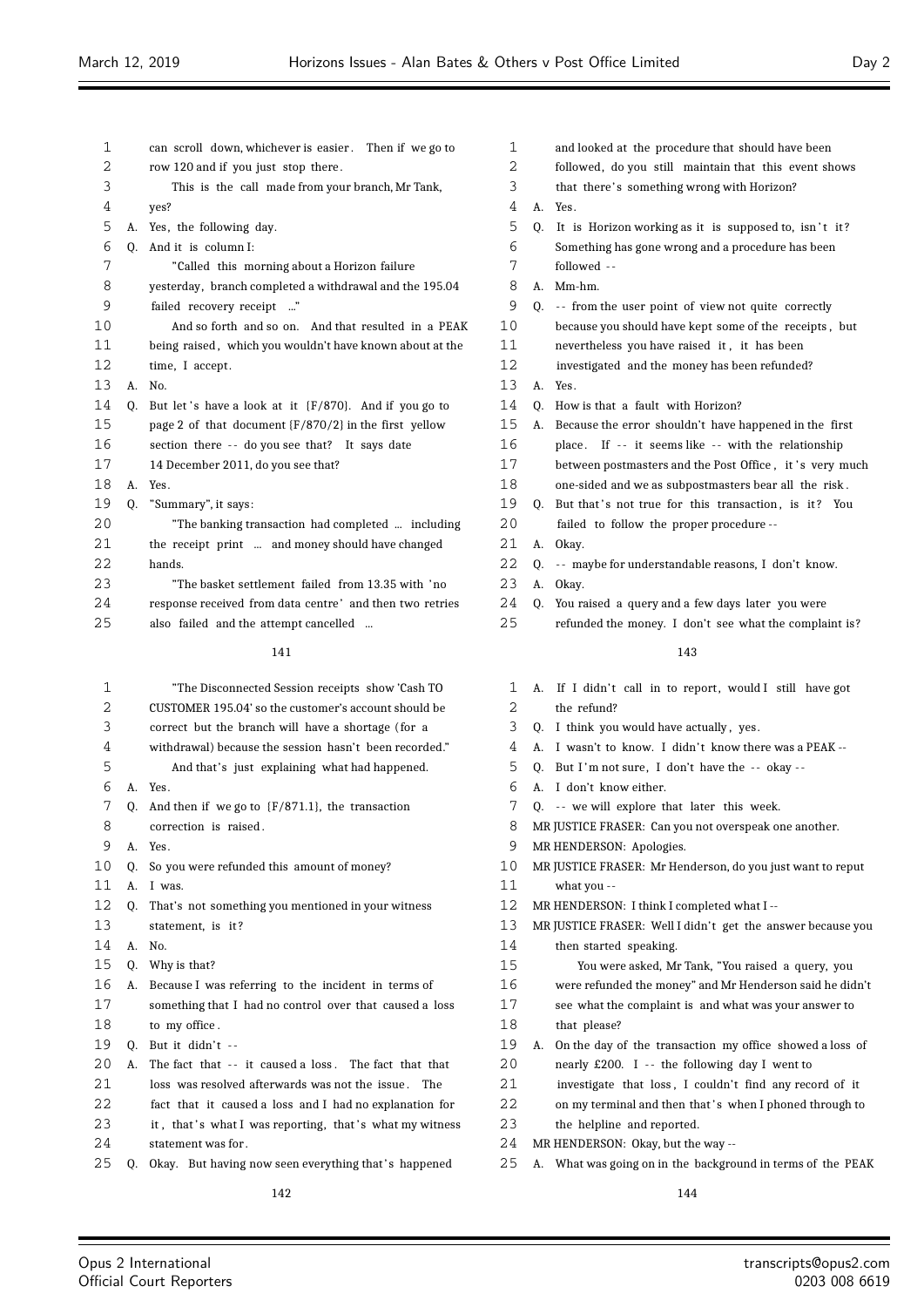| 1  |    | can scroll down, whichever is easier. Then if we go to    | 1  | and looked at the procedure that should have been         |
|----|----|-----------------------------------------------------------|----|-----------------------------------------------------------|
| 2  |    | row 120 and if you just stop there.                       | 2  | followed, do you still maintain that this event shows     |
| 3  |    | This is the call made from your branch, Mr Tank,          | 3  | that there's something wrong with Horizon?                |
| 4  |    | yes?                                                      | 4  | A. Yes.                                                   |
| 5  |    | A. Yes, the following day.                                | 5  | Q. It is Horizon working as it is supposed to, isn't it?  |
| 6  | 0. | And it is column I:                                       | 6  | Something has gone wrong and a procedure has been         |
| 7  |    | "Called this morning about a Horizon failure              | 7  | followed --                                               |
| 8  |    | yesterday, branch completed a withdrawal and the 195.04   | 8  | A. Mm-hm.                                                 |
| 9  |    | failed recovery receipt "                                 | 9  | Q. -- from the user point of view not quite correctly     |
| 10 |    | And so forth and so on. And that resulted in a PEAK       | 10 | because you should have kept some of the receipts, but    |
| 11 |    | being raised, which you wouldn't have known about at the  | 11 | nevertheless you have raised it, it has been              |
| 12 |    | time, I accept.                                           | 12 | investigated and the money has been refunded?             |
| 13 |    | A. No.                                                    | 13 | A. Yes.                                                   |
| 14 |    | Q. But let's have a look at it {F/870}. And if you go to  | 14 | Q. How is that a fault with Horizon?                      |
| 15 |    | page 2 of that document $\{F/870/2\}$ in the first yellow | 15 | A. Because the error shouldn't have happened in the first |
| 16 |    | section there -- do you see that? It says date            | 16 | place. If -- it seems like -- with the relationship       |
| 17 |    | 14 December 2011, do you see that?                        | 17 | between postmasters and the Post Office, it's very much   |
| 18 |    | A. Yes.                                                   | 18 | one-sided and we as subpostmasters bear all the risk.     |
| 19 | 0. | "Summary", it says:                                       | 19 | Q. But that's not true for this transaction, is it? You   |
| 20 |    | "The banking transaction had completed  including         | 20 | failed to follow the proper procedure --                  |
| 21 |    | the receipt print  and money should have changed          | 21 | A. Okay.                                                  |
| 22 |    | hands.                                                    | 22 | Q. -- maybe for understandable reasons, I don't know.     |
| 23 |    | "The basket settlement failed from 13.35 with 'no         | 23 | A. Okay.                                                  |
| 24 |    | response received from data centre' and then two retries  | 24 | Q. You raised a query and a few days later you were       |
| 25 |    | also failed and the attempt cancelled                     | 25 | refunded the money. I don't see what the complaint is?    |
|    |    | 141                                                       |    | 143                                                       |
| 1  |    | "The Disconnected Session receipts show 'Cash TO          | 1  | A. If I didn't call in to report, would I still have got  |
| 2  |    | CUSTOMER 195.04' so the customer's account should be      | 2  | the refund?                                               |
| 3  |    | correct but the branch will have a shortage (for a        | 3  | Q. I think you would have actually, yes.                  |
|    |    |                                                           |    |                                                           |

- withdrawal) because the session hasn't been recorded." And that's just explaining what had happened.
- A. Yes.
- Q. And then if we go to {F/871.1}, the transaction correction is raised . A. Yes. Q. So you were refunded this amount of money? A. I was. Q. That's not something you mentioned in your witness statement, is it ? A. No. Q. Why is that? A. Because I was referring to the incident in terms of something that I had no control over that caused a loss to my office . Q. But it didn't  $-$ 2.0 A. The fact that  $-$  it caused a loss. The fact that that 21 loss was resolved afterwards was not the issue. The fact that it caused a loss and I had no explanation for 23 it, that's what I was reporting, that's what my witness statement was for .
- 25 Q. Okay. But having now seen everything that's happened

- we as subpostmasters bear all the risk. true for this transaction, is it? You ow the proper procedure -- Q. - - maybe for understandable reasons, I don't know. uery and a few days later you were noney. I don't see what the complaint is? Il in to report, would I still have got ould have actually, yes. 4 A. I wasn't to know. I didn't know there was a PEAK --5 Q. But I'm not sure, I don't have the -- okay -- A. I don't know either. 7 0. -- we will explore that later this week. MR JUSTICE FRASER: Can you not overspeak one another. MR HENDERSON: Apologies. MR JUSTICE FRASER: Mr Henderson, do you just want to reput what you -- MR HENDERSON: I think I completed what I -- MR JUSTICE FRASER: Well I didn't get the answer because you then started speaking. You were asked, Mr Tank, "You raised a query, you were refunded the money" and Mr Henderson said he didn't see what the complaint is and what was your answer to that please?
	- A. On the day of the transaction my office showed a loss of
	- 20 nearly £200. I -- the following day I went to
	- investigate that loss , I couldn't find any record of it
	- 22 on my terminal and then that's when I phoned through to
	- the helpline and reported.
	- MR HENDERSON: Okay, but the way --
	- A. What was going on in the background in terms of the PEAK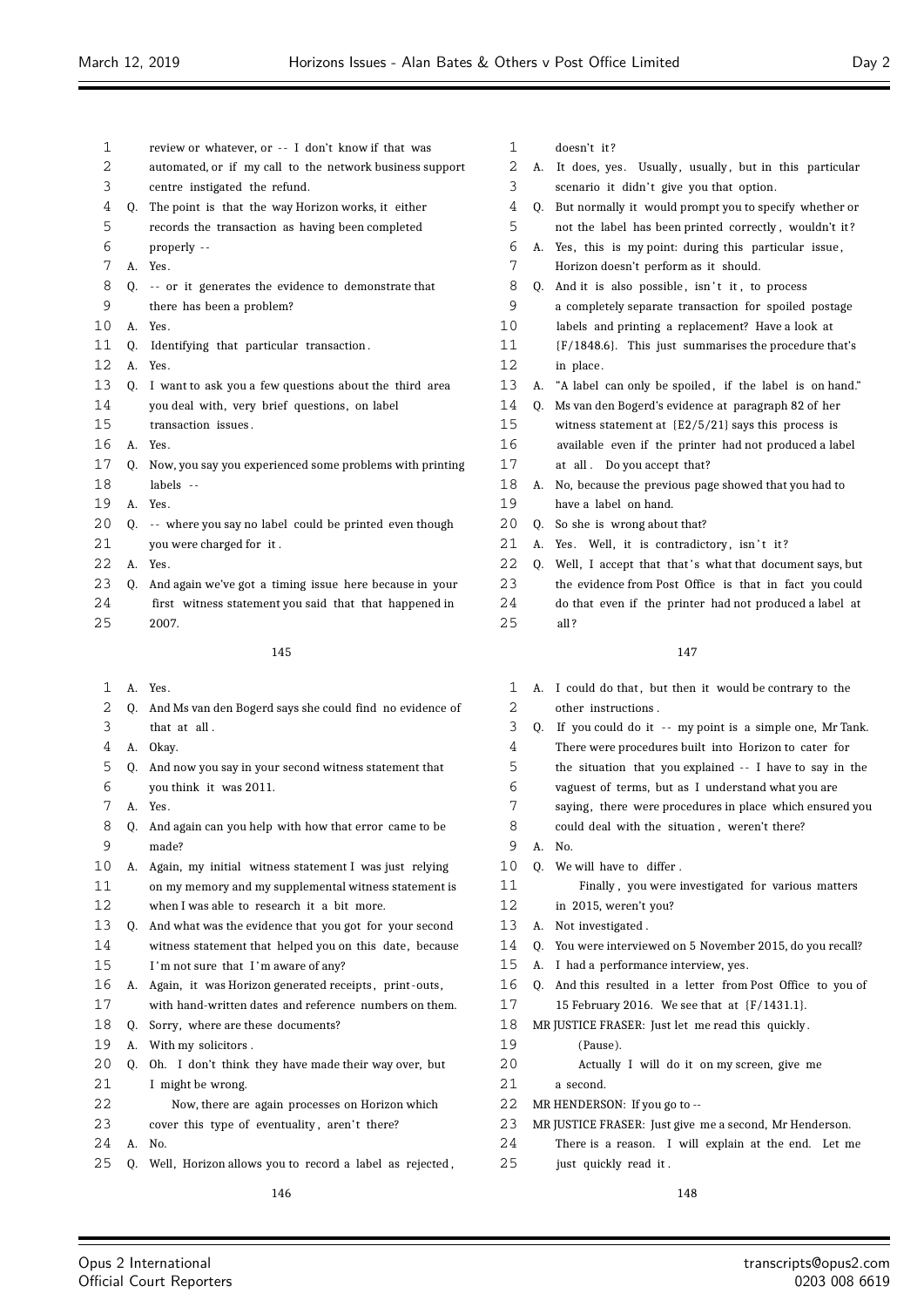| 1  |    | review or whatever, or -- I don't know if that was       |                |
|----|----|----------------------------------------------------------|----------------|
| 2  |    | automated, or if my call to the network business support |                |
| 3  |    | centre instigated the refund.                            |                |
| 4  | 0. | The point is that the way Horizon works, it either       |                |
| 5  |    | records the transaction as having been completed         |                |
| 6  |    | properly --                                              |                |
| 7  | А. | Yes.                                                     |                |
| 8  | Q. | -- or it generates the evidence to demonstrate that      |                |
| 9  |    | there has been a problem?                                |                |
| 10 | А. | Yes.                                                     | 1              |
| 11 | 0. | Identifying that particular transaction.                 | 1              |
| 12 | А. | Yes.                                                     | 1              |
| 13 | 0. | I want to ask you a few questions about the third area   | $\mathbf 1$    |
| 14 |    | you deal with, very brief questions, on label            | 1              |
| 15 |    | transaction issues.                                      | 1              |
| 16 | А. | Yes.                                                     | $\mathbf{1}$   |
| 17 | O. | Now, you say you experienced some problems with printing | $\mathbf{1}$   |
| 18 |    | labels --                                                | $\mathbf 1$    |
| 19 | А. | Yes.                                                     | 1              |
| 20 | 0. | -- where you say no label could be printed even though   | $\mathbf{2}$   |
| 21 |    | you were charged for it.                                 | $\overline{c}$ |
| 22 | А. | Yes.                                                     | $\mathbf{2}$   |
| 23 | 0. | And again we've got a timing issue here because in your  | 2              |
| 24 |    | first witness statement you said that that happened in   | 2              |
| 25 |    | 2007.                                                    | $\overline{c}$ |
|    |    | 145                                                      |                |
| 1  | А. | Yes.                                                     |                |
| 2  | 0. | And Ms van den Bogerd says she could find no evidence of |                |
|    |    |                                                          |                |

- that at all .
- A. Okay.
- Q. And now you say in your second witness statement that you think it was 2011.
- A. Yes.
- Q. And again can you help with how that error came to be made?
- A. Again, my initial witness statement I was just relying on my memory and my supplemental witness statement is when I was able to research it a bit more.
- Q. And what was the evidence that you got for your second witness statement that helped you on this date, because 15 I'm not sure that I'm aware of any?
- A. Again, it was Horizon generated receipts , print -outs,
- with hand-written dates and reference numbers on them.
- 18 O. Sorry, where are these documents?
- A. With my solicitors .
- Q. Oh. I don't think they have made their way over, but I might be wrong.
- Now, there are again processes on Horizon which
- 23 cover this type of eventuality, aren't there?
- A. No.

Q. Well, Horizon allows you to record a label as rejected ,

- doesn't it ?
- 2 A. It does, yes. Usually, usually, but in this particular 3 scenario it didn't give you that option.
- Q. But normally it would prompt you to specify whether or
- not the label has been printed correctly , wouldn't it ? A. Yes, this is my point: during this particular issue ,
- Horizon doesn't perform as it should.
- 8 Q. And it is also possible, isn't it, to process a completely separate transaction for spoiled postage
- labels and printing a replacement? Have a look at
- {F/1848.6}. This just summarises the procedure that's 2 in place.
- 13 A. "A label can only be spoiled, if the label is on hand."
- Q. Ms van den Bogerd's evidence at paragraph 82 of her witness statement at {E2/5/21} says this process is
- available even if the printer had not produced a label at all . Do you accept that?
- 
- A. No, because the previous page showed that you had to have a label on hand.
- Q. So she is wrong about that?
- 1 A. Yes. Well, it is contradictory, isn't it?
- 2 Q. Well, I accept that that's what that document says, but the evidence from Post Office is that in fact you could do that even if the printer had not produced a label at all ?

- 1 A. I could do that, but then it would be contrary to the other instructions .
- 3 Q. If you could do it -- my point is a simple one, Mr Tank.
- There were procedures built into Horizon to cater for
- the situation that you explained - I have to say in the
- vaguest of terms, but as I understand what you are
- 7 saying, there were procedures in place which ensured you
- could deal with the situation , weren't there?
- A. No.
- Q. We will have to differ .
- Finally , you were investigated for various matters
- in 2015, weren't you?
- A. Not investigated .
- Q. You were interviewed on 5 November 2015, do you recall?
- A. I had a performance interview, yes.
- Q. And this resulted in a letter from Post Office to you of 15 February 2016. We see that at {F/1431.1}.
- MR JUSTICE FRASER: Just let me read this quickly .
- (Pause).
- Actually I will do it on my screen, give me a second.
- 
- MR HENDERSON: If you go to --
- MR JUSTICE FRASER: Just give me a second, Mr Henderson.
- There is a reason. I will explain at the end. Let me
- just quickly read it .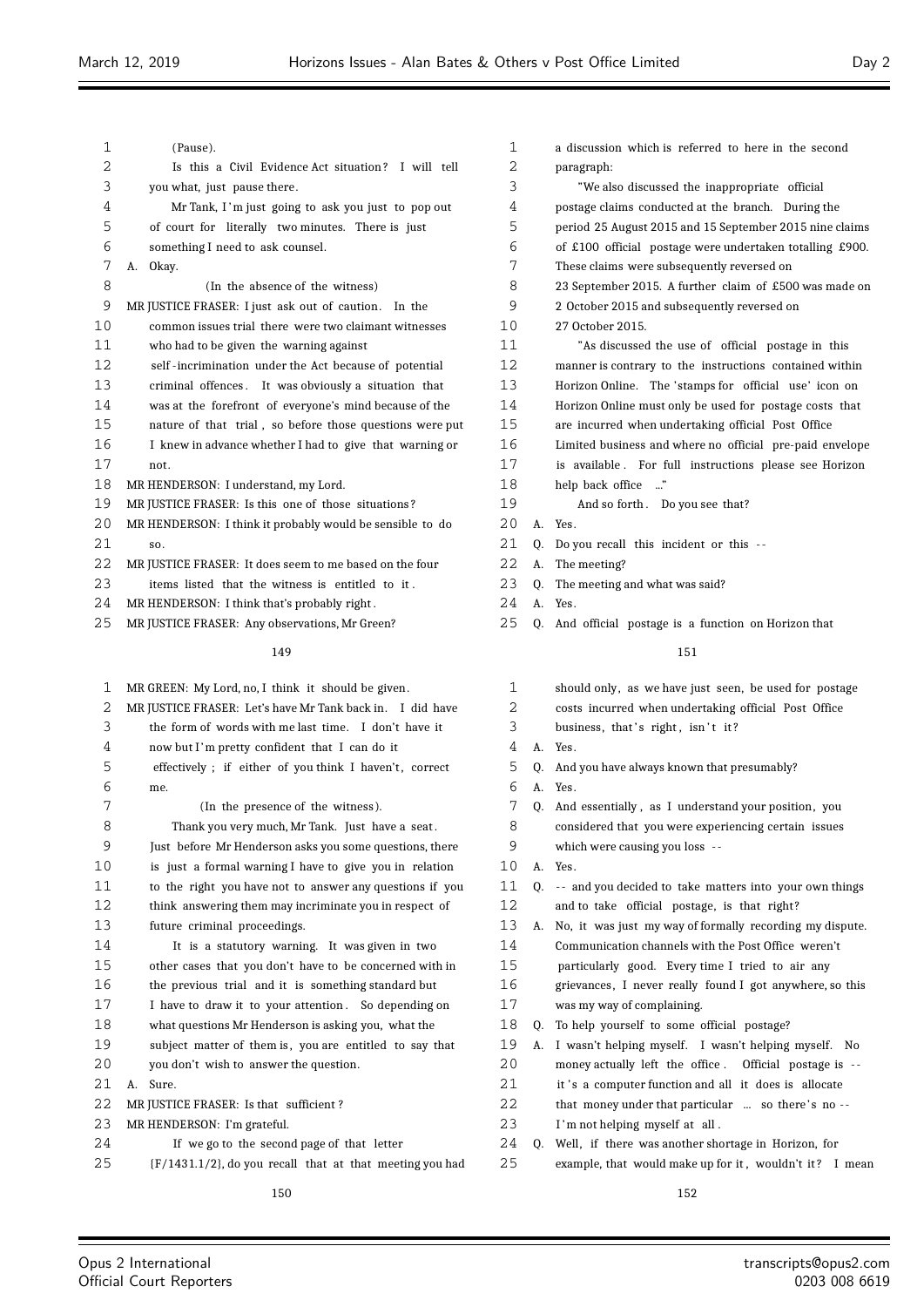| 1  | (Pause).                                                    | $\mathbf{1}$   |
|----|-------------------------------------------------------------|----------------|
| 2  | Is this a Civil Evidence Act situation? I will tell         | $\overline{a}$ |
| 3  | you what, just pause there.                                 | 3              |
| 4  | Mr Tank, I'm just going to ask you just to pop out          | 4              |
| 5  | of court for literally two minutes. There is just           | 5              |
| 6  | something I need to ask counsel.                            | 6              |
| 7  | Okay.<br>А.                                                 | 7              |
| 8  | (In the absence of the witness)                             | 8              |
| 9  | MR JUSTICE FRASER: I just ask out of caution.<br>In the     | 9              |
| 10 | common issues trial there were two claimant witnesses       | 10             |
| 11 | who had to be given the warning against                     | 11             |
| 12 | self-incrimination under the Act because of potential       | 12             |
| 13 | criminal offences. It was obviously a situation that        | 13             |
| 14 | was at the forefront of everyone's mind because of the      | 14             |
| 15 | nature of that trial, so before those questions were put    | 15             |
| 16 | I knew in advance whether I had to give that warning or     | 16             |
| 17 | not.                                                        | 17             |
| 18 | MR HENDERSON: I understand, my Lord.                        | 18             |
| 19 | MR JUSTICE FRASER: Is this one of those situations?         | 19             |
| 20 | MR HENDERSON: I think it probably would be sensible to do   | 20             |
| 21 | SO.                                                         | 21             |
| 22 | MR JUSTICE FRASER: It does seem to me based on the four     | 22             |
| 23 | items listed that the witness is entitled to it.            | 23             |
| 24 | MR HENDERSON: I think that's probably right.                | 24             |
| 25 | MR JUSTICE FRASER: Any observations, Mr Green?              | 25             |
|    | 149                                                         |                |
| 1  | MR GREEN: My Lord, no, I think it should be given.          | $\mathbf{1}$   |
| 2  | MR JUSTICE FRASER: Let's have Mr Tank back in. I did have   | 2              |
| 3  | the form of words with me last time. I don't have it        | 3              |
| 4  | now but I'm pretty confident that I can do it               | 4              |
| 5  | effectively ; if either of you think I haven't, correct     | 5              |
| 6  | me.                                                         | 6              |
| 7  | (In the presence of the witness).                           | 7              |
| 8  | Thank you very much, Mr Tank. Just have a seat.             | 8              |
| 9  | Just before Mr Henderson asks you some questions, there     | 9              |
| 10 | is just a formal warning I have to give you in relation     | 10             |
| 11 | to the right you have not to answer any questions if you    | 11             |
| 12 | think answering them may incriminate you in respect of      | 12             |
| 13 | future criminal proceedings.                                | 13             |
| 14 | It is a statutory warning. It was given in two              | 14             |
| 15 | other cases that you don't have to be concerned with in     | 15             |
| 16 | the previous trial and it is something standard but         | 16             |
| 17 | I have to draw it to your attention. So depending on        | 17             |
| 18 | what questions Mr Henderson is asking you, what the         | 18             |
| 19 | subject matter of them is, you are entitled to say that     | 19             |
| 20 | you don't wish to answer the question.                      | 20             |
| 21 | Sure.<br>А.                                                 | 21             |
| 22 | MR JUSTICE FRASER: Is that sufficient?                      | 22             |
| 23 | MR HENDERSON: I'm grateful.                                 | 23             |
| 24 | If we go to the second page of that letter                  | 24             |
| 25 | $(F/1431.1/2)$ , do you recall that at that meeting you had | 25             |
|    |                                                             |                |
|    | 150                                                         |                |

| 1  |    | a discussion which is referred to here in the second     |
|----|----|----------------------------------------------------------|
| 2  |    | paragraph:                                               |
| 3  |    | "We also discussed the inappropriate official            |
| 4  |    | postage claims conducted at the branch. During the       |
| 5  |    | period 25 August 2015 and 15 September 2015 nine claims  |
| 6  |    | of £100 official postage were undertaken totalling £900. |
| 7  |    | These claims were subsequently reversed on               |
| 8  |    | 23 September 2015. A further claim of £500 was made on   |
| 9  |    | 2 October 2015 and subsequently reversed on              |
| 10 |    | 27 October 2015.                                         |
| 11 |    | "As discussed the use of official postage in this        |
| 12 |    | manner is contrary to the instructions contained within  |
| 13 |    | Horizon Online. The 'stamps for official use' icon on    |
| 14 |    | Horizon Online must only be used for postage costs that  |
| 15 |    | are incurred when undertaking official Post Office       |
| 16 |    | Limited business and where no official pre-paid envelope |
| 17 |    | is available. For full instructions please see Horizon   |
| 18 |    | help back office                                         |
| 19 |    | And so forth. Do you see that?                           |
| 20 | A. | Yes.                                                     |
| 21 | 0. | Do you recall this incident or this --                   |
| 22 | А. | The meeting?                                             |
| 23 | 0. | The meeting and what was said?                           |
| 24 | А. | Yes.                                                     |
| 25 | 0. | And official postage is a function on Horizon that       |
|    |    | 151                                                      |
| 1  |    | should only, as we have just seen, be used for postage   |
| 2  |    | costs incurred when undertaking official Post Office     |
| 3  |    | business, that's right, isn't it?                        |
| 4  | A. | Yes.                                                     |
| 5  | 0. | And you have always known that presumably?               |
| 6  | А. | Yes.                                                     |

- Q. And essentially , as I understand your position, you
- considered that you were experiencing certain issues
- which were causing you loss --
- A. Yes.
	- Q. -- and you decided to take matters into your own things
		- and to take official postage, is that right?
	- A. No, it was just my way of formally recording my dispute. Communication channels with the Post Office weren't
		- particularly good. Every time I tried to air any
	- grievances, I never really found I got anywhere, so this
- was my way of complaining.
- Q. To help yourself to some official postage?
- A. I wasn't helping myself. I wasn't helping myself. No
- money actually left the office . Official postage is --
- it 's a computer function and all it does is allocate
- that money under that particular  $\;\;\ldots\;\;$  so there's no --
- I'm not helping myself at all .
- Q. Well, if there was another shortage in Horizon, for example, that would make up for it, wouldn't it? I mean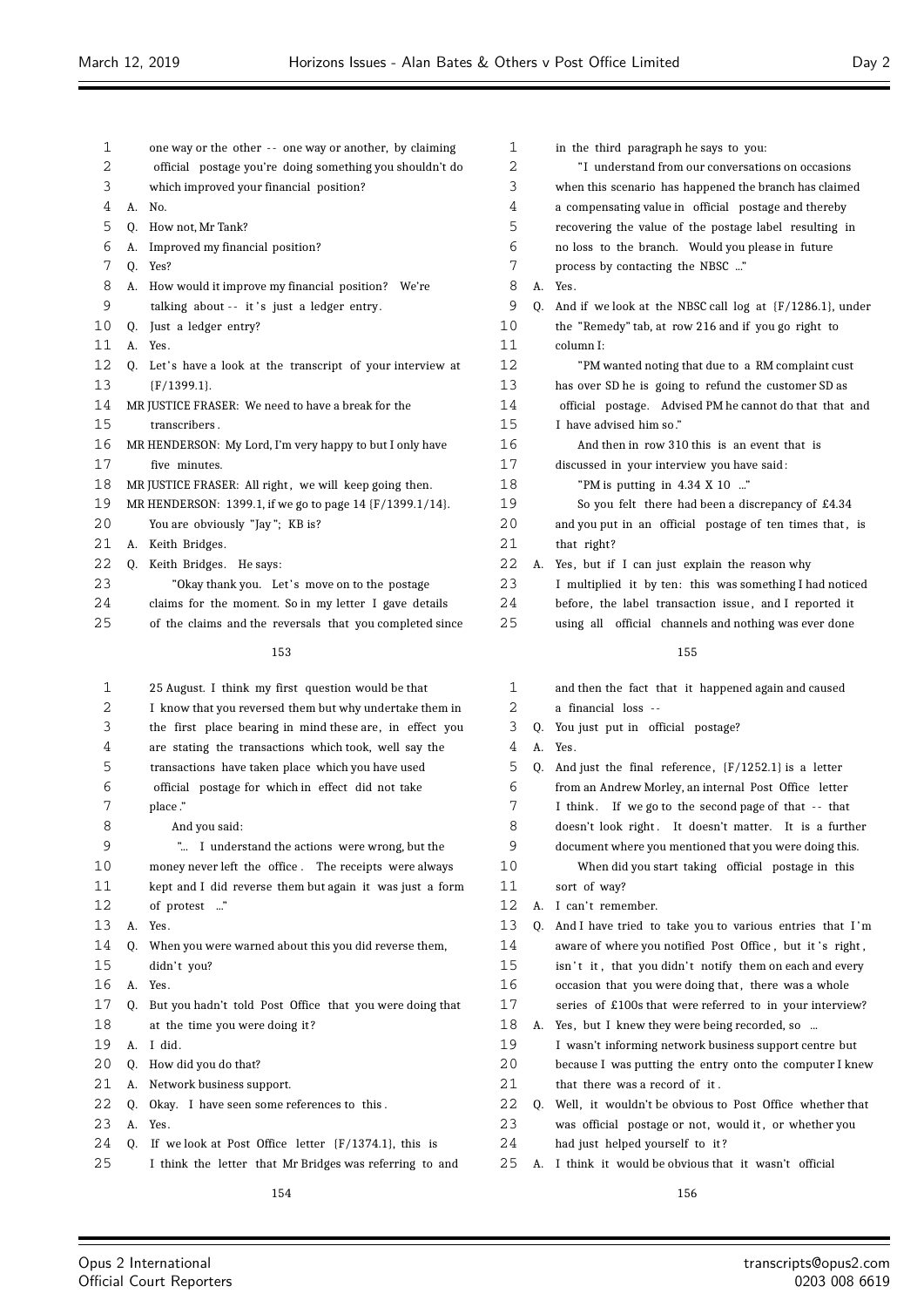| 1  |    | one way or the other -- one way or another, by claiming  | 1  |    | in t |
|----|----|----------------------------------------------------------|----|----|------|
| 2  |    | official postage you're doing something you shouldn't do | 2  |    |      |
| 3  |    | which improved your financial position?                  | 3  |    | whe  |
| 4  | А. | No.                                                      | 4  |    | a co |
| 5  | 0. | How not, Mr Tank?                                        | 5  |    | reco |
| 6  | А. | Improved my financial position?                          | 6  |    | no l |
| 7  | Q. | Yes?                                                     | 7  |    | pro  |
| 8  | А. | How would it improve my financial position? We're        | 8  | А. | Yes. |
| 9  |    | talking about -- it's just a ledger entry.               | 9  | 0. | And  |
| 10 | 0. | Just a ledger entry?                                     | 10 |    | the  |
| 11 | А. | Yes.                                                     | 11 |    | colu |
| 12 | 0. | Let's have a look at the transcript of your interview at | 12 |    |      |
| 13 |    | (F/1399.1).                                              | 13 |    | has  |
| 14 |    | MR JUSTICE FRASER: We need to have a break for the       | 14 |    | off  |
| 15 |    | transcribers.                                            | 15 |    | I h: |
| 16 |    | MR HENDERSON: My Lord, I'm very happy to but I only have | 16 |    |      |
| 17 |    | five minutes.                                            | 17 |    | disc |
| 18 |    | MR JUSTICE FRASER: All right, we will keep going then.   | 18 |    |      |
| 19 |    | MR HENDERSON: 1399.1, if we go to page 14 {F/1399.1/14}. | 19 |    |      |
| 20 |    | You are obviously "Jay"; KB is?                          | 20 |    | and  |
| 21 | А. | Keith Bridges.                                           | 21 |    | that |
| 22 | Q. | Keith Bridges. He says:                                  | 22 | А. | Yes. |
| 23 |    | "Okay thank you. Let's move on to the postage            | 23 |    | Ιm   |
| 24 |    | claims for the moment. So in my letter I gave details    | 24 |    | befo |
| 25 |    | of the claims and the reversals that you completed since | 25 |    | usir |
|    |    | 153                                                      |    |    |      |
| 1  |    | 25 August. I think my first question would be that       | 1  |    | and  |
| 2  |    | I know that you reversed them but why undertake them in  | 2  |    | a fi |
| 3  |    | the first place bearing in mind these are, in effect you | 3  | 0. | You  |
| 4  |    | are stating the transactions which took, well say the    | 4  | Α. | Yes. |

 transactions have taken place which you have used official postage for which in effect did not take place ."

- And you said: "... I understand the actions were wrong, but the money never left the office . The receipts were always kept and I did reverse them but again it was just a form 12 of protest ..." A. Yes.
- 14 O. When you were warned about this you did reverse them, 15 didn't you? A. Yes. Q. But you hadn't told Post Office that you were doing that at the time you were doing it ? A. I did . Q. How did you do that? A. Network business support.
- Q. Okay. I have seen some references to this .
- A. Yes.
- Q. If we look at Post Office letter {F/1374.1}, this is
- I think the letter that Mr Bridges was referring to and

| 1  |    | in the third paragraph he says to you:                        |
|----|----|---------------------------------------------------------------|
| 2  |    | "I understand from our conversations on occasions"            |
| 3  |    | when this scenario has happened the branch has claimed        |
| 4  |    | a compensating value in official postage and thereby          |
| 5  |    | recovering the value of the postage label resulting in        |
| 6  |    | no loss to the branch. Would you please in future             |
| 7  |    | process by contacting the NBSC "                              |
| 8  | А. | Yes.                                                          |
| 9  | 0. | And if we look at the NBSC call $log$ at $(F/1286.1)$ , under |
| 10 |    | the "Remedy" tab, at row 216 and if you go right to           |
| 11 |    | column I:                                                     |
| 12 |    | "PM wanted noting that due to a RM complaint cust             |
| 13 |    | has over SD he is going to refund the customer SD as          |
| 14 |    | official postage. Advised PM he cannot do that that and       |
| 15 |    | I have advised him so."                                       |
| 16 |    | And then in row 310 this is an event that is                  |
| 17 |    | discussed in your interview you have said:                    |
| 18 |    | "PM is putting in $4.34 \times 10$ "                          |
| 19 |    | So you felt there had been a discrepancy of £4.34             |
| 20 |    | and you put in an official postage of ten times that, is      |
| 21 |    | that right?                                                   |
| 22 | А. | Yes, but if I can just explain the reason why                 |
| 23 |    | I multiplied it by ten: this was something I had noticed      |
| 24 |    | before, the label transaction issue, and I reported it        |
| 25 |    | using all official channels and nothing was ever done         |
|    |    | 155                                                           |
|    |    |                                                               |
| 1  |    | and then the fact that it happened again and caused           |
| 2  |    | a financial loss --                                           |
| 3  | 0. | You just put in official postage?                             |
| 4  | А. | Yes.                                                          |
| 5  | 0. | And just the final reference, ${F/1252.1}$ is a letter        |
| 6  |    | from an Andrew Morley, an internal Post Office letter         |
| 7  |    | I think. If we go to the second page of that -- that          |
| 8  |    | doesn't look right. It doesn't matter. It is a further        |

- document where you mentioned that you were doing this. When did you start taking official postage in this
- sort of way?
- 12 A. I can't remember.
- Q. And I have tried to take you to various entries that I 'm 14 aware of where you notified Post Office, but it's right, 15 isn't it, that you didn't notify them on each and every 16 occasion that you were doing that, there was a whole
- series of £100s that were referred to in your interview?
- A. Yes, but I knew they were being recorded, so ... I wasn't informing network business support centre but
- because I was putting the entry onto the computer I knew 21 that there was a record of it.
- Q. Well, it wouldn't be obvious to Post Office whether that 23 was official postage or not, would it, or whether you
- had just helped yourself to it ?
- A. I think it would be obvious that it wasn't official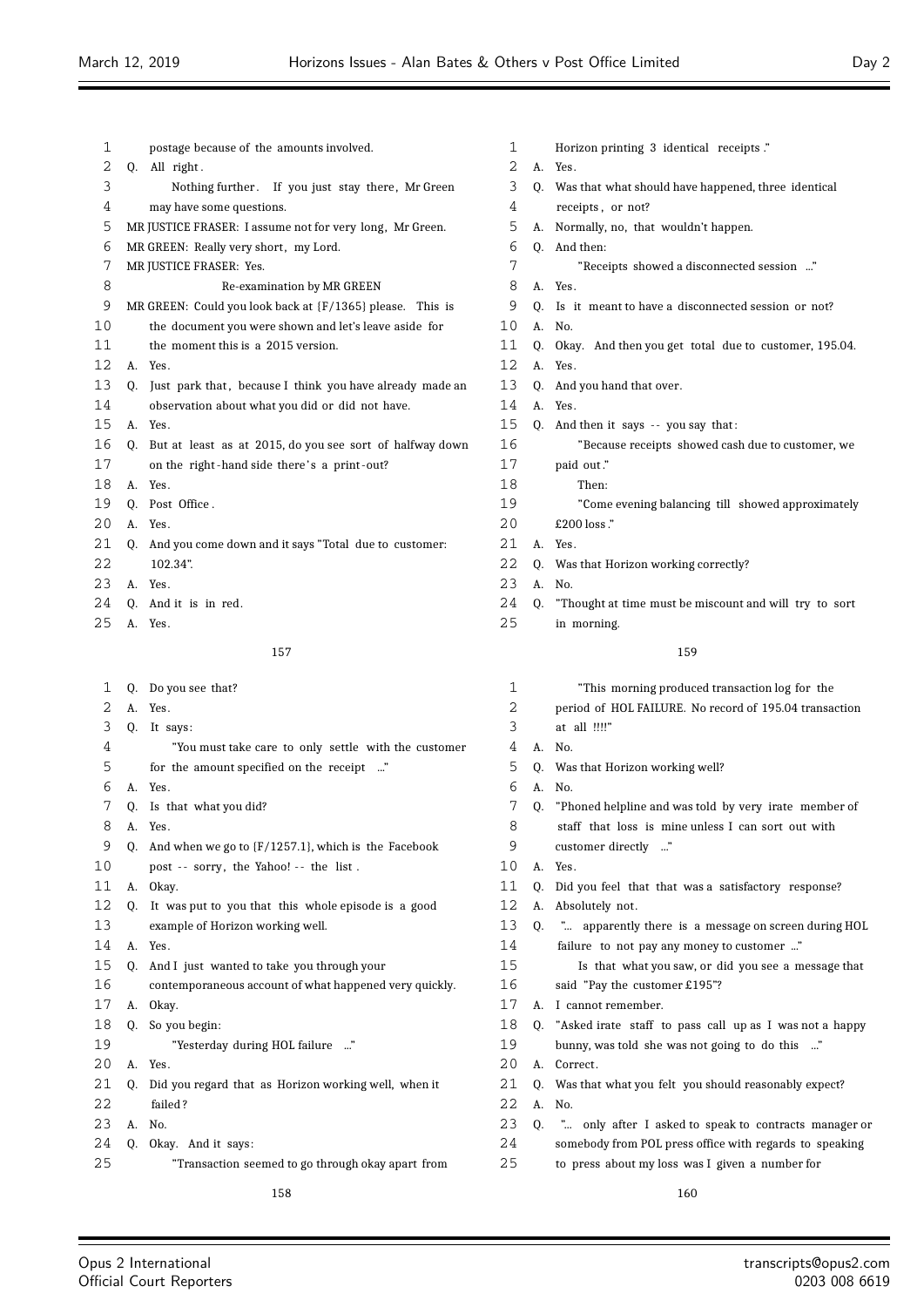|    | postage because of the amounts involved.                 | 1                                                                                                                                                                                                                                 |
|----|----------------------------------------------------------|-----------------------------------------------------------------------------------------------------------------------------------------------------------------------------------------------------------------------------------|
|    | All right.                                               | 2                                                                                                                                                                                                                                 |
|    | Nothing further. If you just stay there, Mr Green        | 3                                                                                                                                                                                                                                 |
|    | may have some questions.                                 | 4                                                                                                                                                                                                                                 |
|    |                                                          | 5                                                                                                                                                                                                                                 |
|    |                                                          | 6                                                                                                                                                                                                                                 |
|    |                                                          | 7                                                                                                                                                                                                                                 |
|    | Re-examination by MR GREEN                               | 8                                                                                                                                                                                                                                 |
|    |                                                          | 9                                                                                                                                                                                                                                 |
|    | the document you were shown and let's leave aside for    | 10                                                                                                                                                                                                                                |
|    | the moment this is a 2015 version.                       | 11                                                                                                                                                                                                                                |
|    | Yes.                                                     | 12                                                                                                                                                                                                                                |
| 0. | Just park that, because I think you have already made an | 13                                                                                                                                                                                                                                |
|    | observation about what you did or did not have.          | 14                                                                                                                                                                                                                                |
|    | Yes.                                                     | 15                                                                                                                                                                                                                                |
|    | But at least as at 2015, do you see sort of halfway down | 16                                                                                                                                                                                                                                |
|    | on the right-hand side there's a print-out?              | 17                                                                                                                                                                                                                                |
| A. | Yes.                                                     | 18                                                                                                                                                                                                                                |
| 0. | Post Office.                                             | 19                                                                                                                                                                                                                                |
|    | Yes.                                                     | 20                                                                                                                                                                                                                                |
| 0. | And you come down and it says "Total due to customer:    | 21                                                                                                                                                                                                                                |
|    | 102.34".                                                 | 22                                                                                                                                                                                                                                |
|    | Yes.                                                     | 23                                                                                                                                                                                                                                |
| Q. | And it is in red.                                        | 24                                                                                                                                                                                                                                |
|    |                                                          | 0.<br>MR JUSTICE FRASER: I assume not for very long, Mr Green.<br>MR GREEN: Really very short, my Lord.<br>MR JUSTICE FRASER: Yes.<br>MR GREEN: Could you look back at $\{F/1365\}$ please. This is<br>A.<br>A.<br>0.<br>A.<br>A. |

A. Yes.

# 

| 1  | 0. | Do you see that?                                         |
|----|----|----------------------------------------------------------|
| 2  | А. | Yes.                                                     |
| 3  | 0. | It says:                                                 |
| 4  |    | "You must take care to only settle with the customer     |
| 5  |    | for the amount specified on the receipt "                |
| 6  | A. | Yes.                                                     |
| 7  | 0. | Is that what you did?                                    |
| 8  | A. | Yes.                                                     |
| 9  | 0. | And when we go to $\{F/1257.1\}$ , which is the Facebook |
| 10 |    | post -- sorry, the Yahoo! -- the list.                   |
| 11 | А. | Okay.                                                    |
| 12 | 0. | It was put to you that this whole episode is a good      |
| 13 |    | example of Horizon working well.                         |
| 14 | A. | Yes.                                                     |
| 15 | 0. | And I just wanted to take you through your               |
| 16 |    | contemporaneous account of what happened very quickly.   |
| 17 | А. | Okay.                                                    |
| 18 | 0. | So you begin:                                            |
| 19 |    | "Yesterday during HOL failure "                          |
| 20 | А. | Yes.                                                     |
| 21 | 0. | Did you regard that as Horizon working well, when it     |
| 22 |    | failed?                                                  |
| 23 | А. | No.                                                      |
| 24 | Q. | Okay. And it says:                                       |

"Transaction seemed to go through okay apart from

 Horizon printing 3 identical receipts ." A. Yes. Q. Was that what should have happened, three identical receipts, or not? A. Normally, no, that wouldn't happen. Q. And then: "Receipts showed a disconnected session ..." A. Yes. Q. Is it meant to have a disconnected session or not? A. No. Q. Okay. And then you get total due to customer, 195.04. A. Yes. Q. And you hand that over. A. Yes. Q. And then it says -- you say that: "Because receipts showed cash due to customer, we paid out." Then: "Come evening balancing till showed approximately  $£200$  loss  $.$ " A. Yes. Q. Was that Horizon working correctly? A. No. Q. "Thought at time must be miscount and will try to sort in morning.

# 

| 1  |              | "This morning produced transaction log for the          |
|----|--------------|---------------------------------------------------------|
| 2  |              | period of HOL FAILURE. No record of 195.04 transaction  |
| 3  |              | at all !!!!"                                            |
| 4  | A.           | No.                                                     |
| 5  | 0.           | Was that Horizon working well?                          |
| 6  | A.           | No.                                                     |
| 7  | 0.           | "Phoned helpline and was told by very irate member of   |
| 8  |              | staff that loss is mine unless I can sort out with      |
| 9  |              | customer directly "                                     |
| 10 | $\mathbf{A}$ | Yes.                                                    |
| 11 | 0.           | Did you feel that that was a satisfactory response?     |
| 12 | А.           | Absolutely not.                                         |
| 13 | 0.           | " apparently there is a message on screen during HOL    |
| 14 |              | failure to not pay any money to customer "              |
| 15 |              | Is that what you saw, or did you see a message that     |
| 16 |              | said "Pay the customer £195"?                           |
| 17 | А.           | I cannot remember.                                      |
| 18 | 0.           | "Asked irate staff to pass call up as I was not a happy |
| 19 |              | bunny, was told she was not going to do this "          |
| 20 | A.           | Correct.                                                |
| 21 | 0.           | Was that what you felt you should reasonably expect?    |
| 22 | A.           | No.                                                     |
| 23 | 0.           | " only after I asked to speak to contracts manager or   |
| 24 |              | somebody from POL press office with regards to speaking |
| 25 |              | to press about my loss was I given a number for         |
|    |              |                                                         |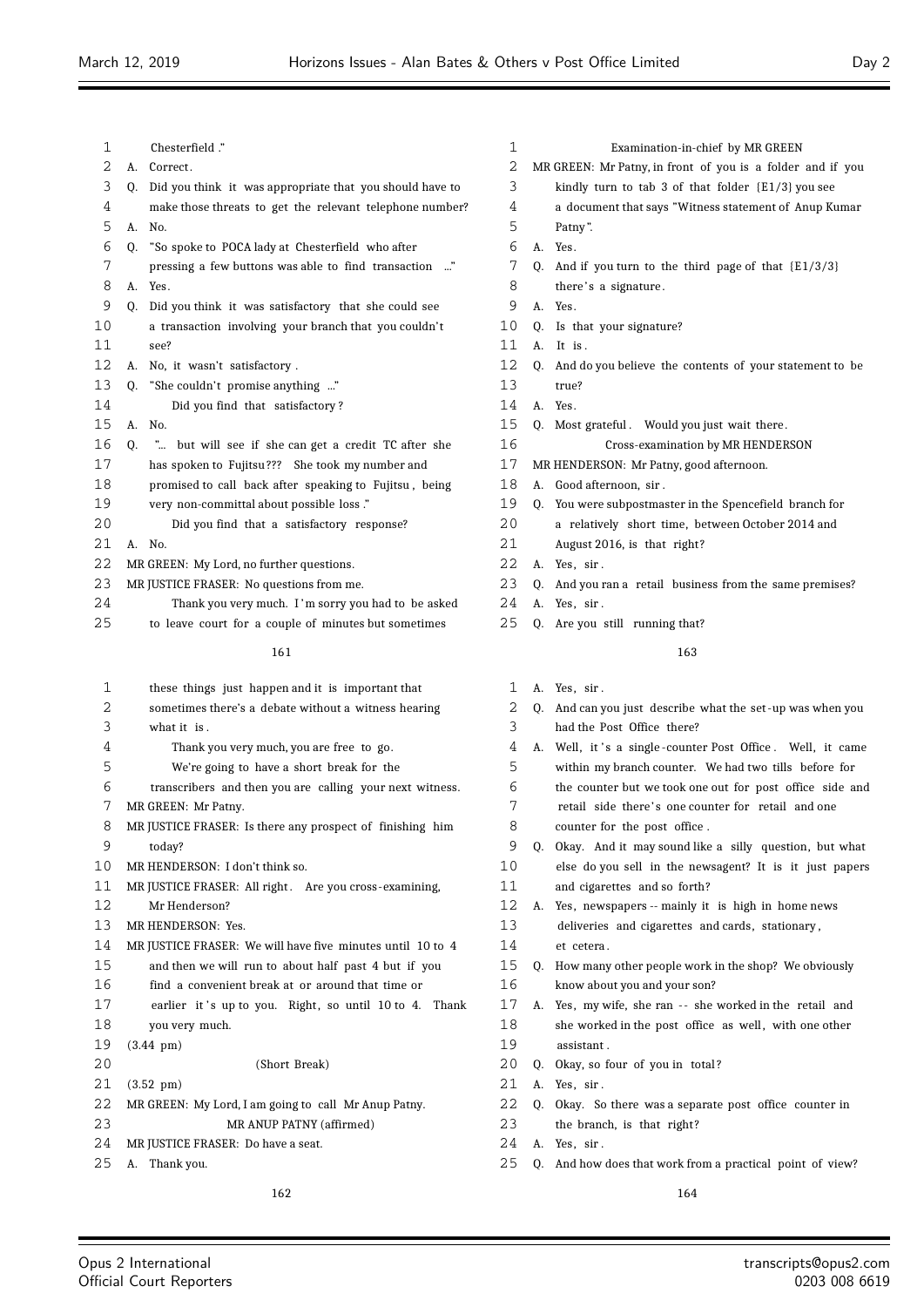| $\mathbf 1$ |    | Chesterfield ."                                                                                                | 1  |  |
|-------------|----|----------------------------------------------------------------------------------------------------------------|----|--|
| 2           | A. | Correct.                                                                                                       | 2  |  |
| 3           | 0. | Did you think it was appropriate that you should have to                                                       | 3  |  |
| 4           |    | make those threats to get the relevant telephone number?                                                       | 4  |  |
| 5           | А. | No.                                                                                                            | 5  |  |
| 6           | Q. | "So spoke to POCA lady at Chesterfield who after                                                               | 6  |  |
| 7           |    | pressing a few buttons was able to find transaction "                                                          | 7  |  |
| 8           | А. | Yes.                                                                                                           | 8  |  |
| 9           | 0. | Did you think it was satisfactory that she could see                                                           | 9  |  |
| 10          |    | a transaction involving your branch that you couldn't                                                          | 10 |  |
| 11          |    | see?                                                                                                           | 11 |  |
| 12          | А. | No, it wasn't satisfactory.                                                                                    | 12 |  |
| 13          | 0. | "She couldn't promise anything "                                                                               | 13 |  |
| 14          |    | Did you find that satisfactory?                                                                                | 14 |  |
| 15          | А. | No.                                                                                                            | 15 |  |
| 16          | 0. | " but will see if she can get a credit TC after she                                                            | 16 |  |
| 17          |    | has spoken to Fujitsu??? She took my number and                                                                | 17 |  |
| 18          |    | promised to call back after speaking to Fujitsu, being                                                         | 18 |  |
| 19          |    | very non-committal about possible loss."                                                                       | 19 |  |
| 20          |    | Did you find that a satisfactory response?                                                                     | 20 |  |
| 21          | A. | N <sub>0</sub>                                                                                                 | 21 |  |
| 22          |    | MR GREEN: My Lord, no further questions.                                                                       | 22 |  |
| 23          |    | MR JUSTICE FRASER: No questions from me.                                                                       | 23 |  |
| 24          |    | Thank you very much. I'm sorry you had to be asked                                                             | 24 |  |
| 25          |    | to leave court for a couple of minutes but sometimes                                                           | 25 |  |
|             |    | 161                                                                                                            |    |  |
| 1           |    | these things just happen and it is important that                                                              | 1  |  |
| ⌒           |    | الاست بن المركز المساري المركز المركز المركز المركز المركز المركز المركز المركز المركز المركز المركز المركز ال |    |  |

 sometimes there's a debate without a witness hearing what it is . Thank you very much, you are free to go. We're going to have a short break for the

- transcribers and then you are calling your next witness. MR GREEN: Mr Patny.
- MR JUSTICE FRASER: Is there any prospect of finishing him today?
- MR HENDERSON: I don't think so.
- 11 MR JUSTICE FRASER: All right. Are you cross-examining, Mr Henderson?
- MR HENDERSON: Yes.
- MR JUSTICE FRASER: We will have five minutes until 10 to 4
- and then we will run to about half past 4 but if you
- find a convenient break at or around that time or
- 17 earlier it 's up to you. Right, so until 10 to 4. Thank you very much.
- (3.44 pm)

(Short Break)

- (3.52 pm)
- MR GREEN: My Lord, I am going to call Mr Anup Patny.
- MR ANUP PATNY (affirmed)
- MR JUSTICE FRASER: Do have a seat.
- A. Thank you.

- Examination-in-chief by MR GREEN MR GREEN: Mr Patny, in front of you is a folder and if you kindly turn to tab 3 of that folder  ${E1/3}$  you see a document that says "Witness statement of Anup Kumar Patny". A. Yes. Q. And if you turn to the third page of that  ${E1/3/3}$ there's a signature. A. Yes. Q. Is that your signature? A. It is. Q. And do you believe the contents of your statement to be true?  $\mathbf{A}$   $\mathbf{Y}_{\mathbf{P}\mathbf{S}}$ Q. Most grateful . Would you just wait there . Cross-examination by MR HENDERSON MR HENDERSON: Mr Patny, good afternoon. A. Good afternoon, sir . Q. You were subpostmaster in the Spencefield branch for
- a relatively short time, between October 2014 and
- August 2016, is that right?
- A. Yes, sir.
- Q. And you ran a retail business from the same premises?
- A. Yes, sir .
- 0. Are you still running that?

- A. Yes, sir.
- Q. And can you just describe what the set -up was when you had the Post Office there? 4 A. Well, it 's a single-counter Post Office. Well, it came within my branch counter. We had two tills before for the counter but we took one out for post office side and retail side there' s one counter for retail and one counter for the post office . Q. Okay. And it may sound like a silly question, but what else do you sell in the newsagent? It is it just papers and cigarettes and so forth? A. Yes, newspapers -- mainly it is high in home news deliveries and cigarettes and cards, stationary , et cetera . Q. How many other people work in the shop? We obviously know about you and your son? 17 A. Yes, my wife, she ran -- she worked in the retail and 18 she worked in the post office as well, with one other
- assistant .
- Q. Okay, so four of you in total ?
- A. Yes, sir .
- Q. Okay. So there was a separate post office counter in
- the branch, is that right?
- A. Yes, sir .
- Q. And how does that work from a practical point of view?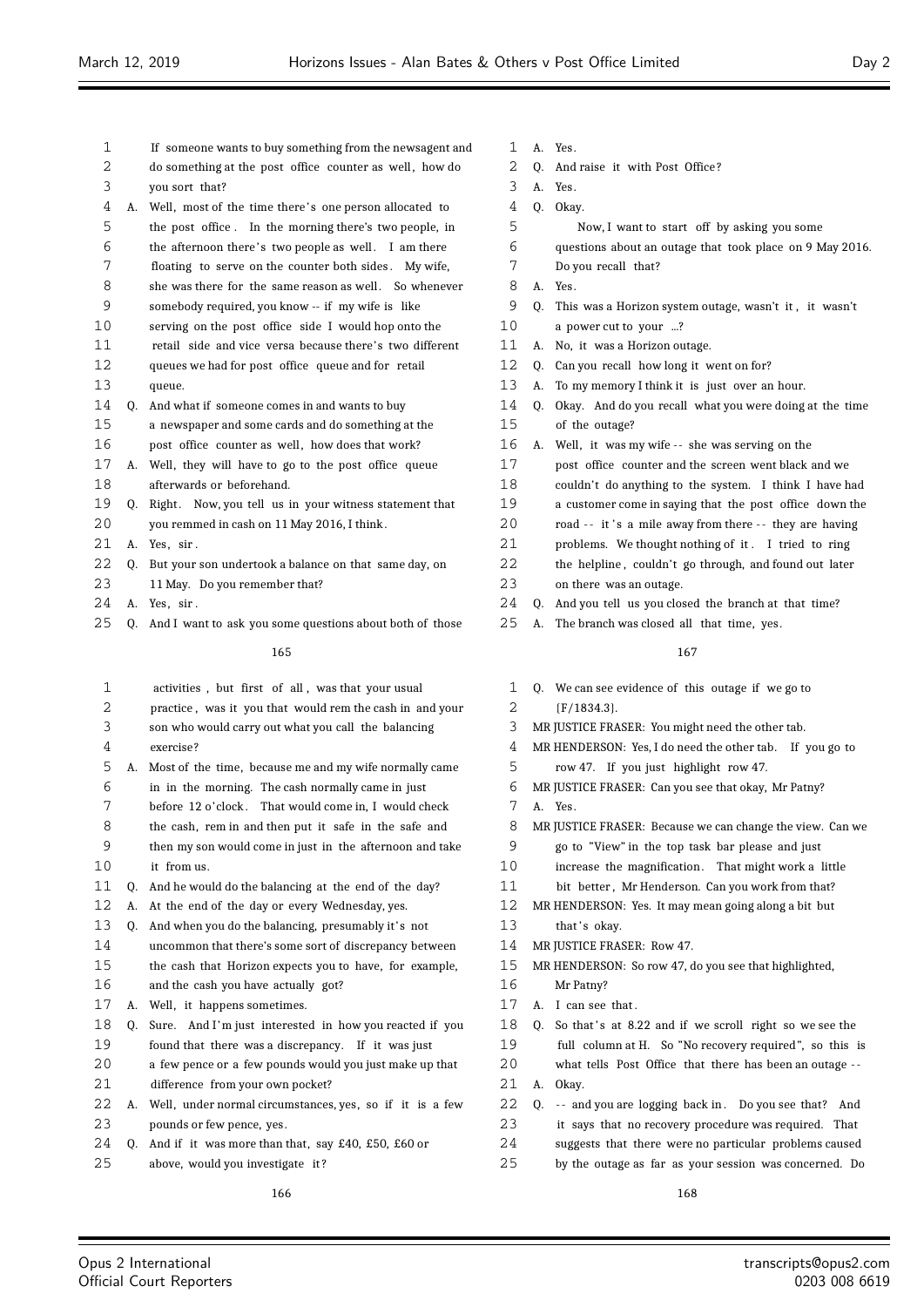| 1         |    | If someone wants to buy something from the newsagent and  | 1              |
|-----------|----|-----------------------------------------------------------|----------------|
| 2         |    | do something at the post office counter as well, how do   | $\overline{c}$ |
| 3         |    | you sort that?                                            | 3              |
| 4         |    | A. Well, most of the time there's one person allocated to | $\overline{4}$ |
| 5         |    | the post office. In the morning there's two people, in    | 5              |
| 6         |    | the afternoon there's two people as well. I am there      | 6              |
| 7         |    | floating to serve on the counter both sides. My wife,     | 7              |
| 8         |    | she was there for the same reason as well. So whenever    | 8              |
| 9         |    | somebody required, you know -- if my wife is like         | 9              |
| 10        |    | serving on the post office side I would hop onto the      | 10             |
| 11        |    | retail side and vice versa because there's two different  | 11             |
| 12        |    | queues we had for post office queue and for retail        | 12             |
| 13        |    | queue.                                                    | 13             |
| 14        | 0. | And what if someone comes in and wants to buy             | 14             |
| 15        |    | a newspaper and some cards and do something at the        | 15             |
| 16        |    | post office counter as well, how does that work?          | 16             |
| 17        | A. | Well, they will have to go to the post office queue       | 17             |
| 18        |    | afterwards or beforehand.                                 | 18             |
| 19        | Q. | Right. Now, you tell us in your witness statement that    | 19             |
| 20        |    | you remmed in cash on 11 May 2016, I think.               | 20             |
| 21        | А. | Yes, sir.                                                 | 21             |
| 22        | Q. | But your son undertook a balance on that same day, on     | 22             |
| 23        |    | 11 May. Do you remember that?                             | 23             |
| 24        | А. | Yes, sir.                                                 | 24             |
| 25        | 0. | And I want to ask you some questions about both of those  | 25             |
|           |    | 165                                                       |                |
| 1         |    | activities, but first of all, was that your usual         | 1              |
| 2         |    | practice, was it you that would rem the cash in and your  | $\mathbf{c}$   |
| 3         |    | son who would carry out what you call the balancing       | 3              |
| $\lambda$ |    |                                                           | $\lambda$      |

- exercise?
- A. Most of the time, because me and my wife normally came
- in in the morning. The cash normally came in just
- before 12 o'clock . That would come in, I would check
- the cash, rem in and then put it safe in the safe and then my son would come in just in the afternoon and take
- it from us.
- Q. And he would do the balancing at the end of the day?
- A. At the end of the day or every Wednesday, yes.
- 13 Q. And when you do the balancing, presumably it's not
- uncommon that there's some sort of discrepancy between the cash that Horizon expects you to have, for example, and the cash you have actually got?
- 
- A. Well, it happens sometimes.
- Q. Sure. And I'm just interested in how you reacted if you found that there was a discrepancy. If it was just
- a few pence or a few pounds would you just make up that difference from your own pocket?
- A. Well, under normal circumstances, yes, so if it is a few pounds or few pence, yes.
- Q. And if it was more than that, say £40, £50, £60 or
- above, would you investigate it ?
- A. Yes.
- Q. And raise it with Post Office ?
- A. Yes.
- 0. Okay.
- Now, I want to start off by asking you some
- questions about an outage that took place on 9 May 2016.
- Do you recall that?
- A. Yes.
- Q. This was a Horizon system outage, wasn't it , it wasn't
- a power cut to your ...?
- A. No, it was a Horizon outage.
- Q. Can you recall how long it went on for?
- A. To my memory I think it is just over an hour.
- 0. Okay. And do you recall what you were doing at the time of the outage?
- A. Well, it was my wife -- she was serving on the
- post office counter and the screen went black and we
- couldn't do anything to the system. I think I have had
- a customer come in saying that the post office down the
- road -- it's a mile away from there -- they are having
- problems. We thought nothing of it . I tried to ring
- the helpline, couldn't go through, and found out later
- on there was an outage.
- Q. And you tell us you closed the branch at that time?
- A. The branch was closed all that time, yes.

- Q. We can see evidence of this outage if we go to {F/1834.3}.
- MR JUSTICE FRASER: You might need the other tab.
- MR HENDERSON: Yes, I do need the other tab. If you go to
- row 47. If you just highlight row 47.
- MR JUSTICE FRASER: Can you see that okay, Mr Patny?
- A. Yes.
- MR JUSTICE FRASER: Because we can change the view. Can we
- go to "View" in the top task bar please and just
- 10 increase the magnification. That might work a little
- 11 bit better, Mr Henderson. Can you work from that?
- MR HENDERSON: Yes. It may mean going along a bit but
- 13 that's okay.
- 14 MR JUSTICE FRASER: Row 47.
- MR HENDERSON: So row 47, do you see that highlighted,
- Mr Patny?
- A. I can see that .
- 18 Q. So that's at 8.22 and if we scroll right so we see the
- full column at H. So "No recovery required ", so this is what tells Post Office that there has been an outage - -
- A. Okay.
- 22 Q. -- and you are logging back in. Do you see that? And
- it says that no recovery procedure was required. That
- suggests that there were no particular problems caused
- by the outage as far as your session was concerned. Do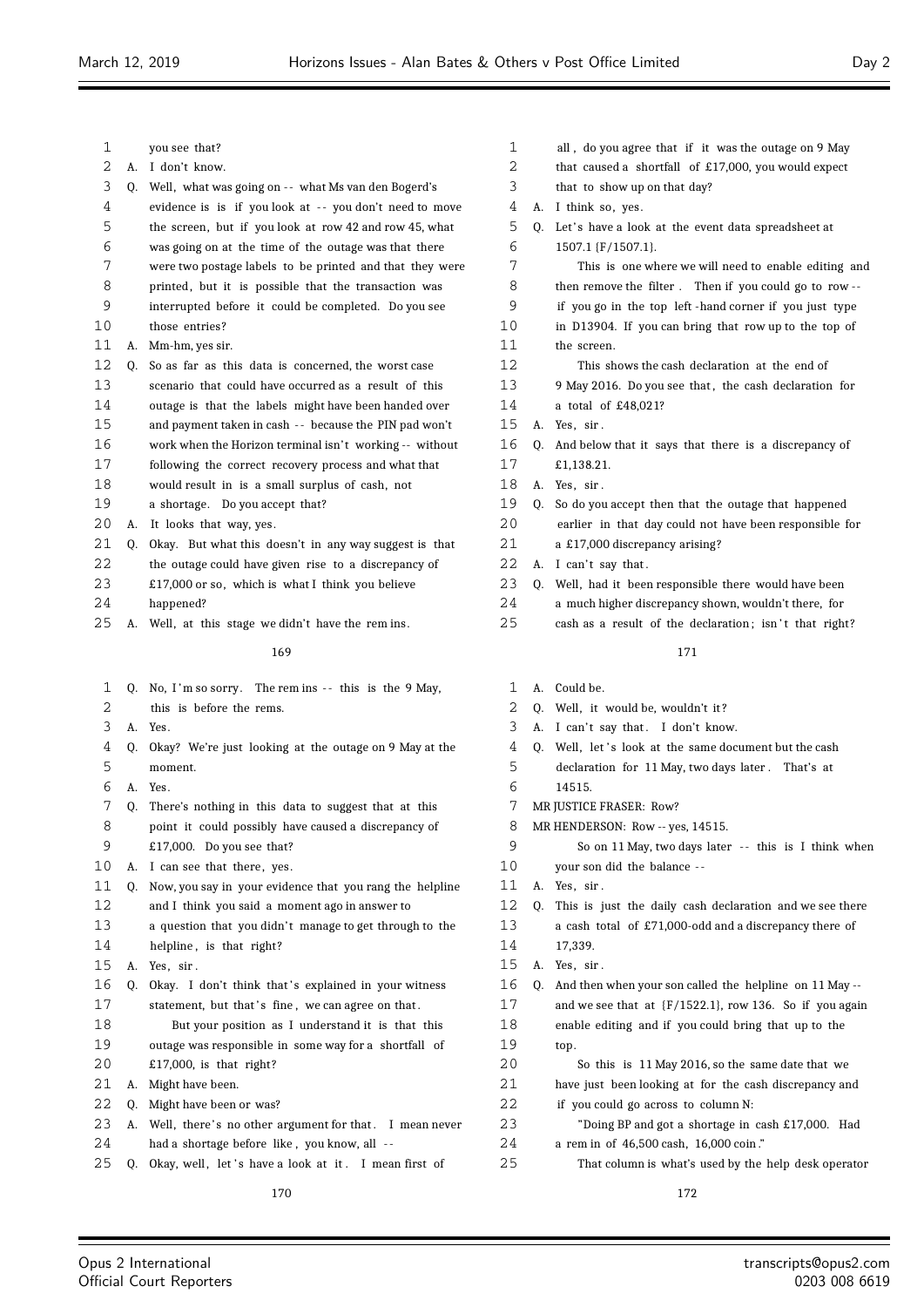$\equiv$ 

| 1        |    | you see that?                                                   | 1        |    | all, do you agree that if it was the outage on 9 May       |
|----------|----|-----------------------------------------------------------------|----------|----|------------------------------------------------------------|
| 2        |    | A. I don't know.                                                | 2        |    | that caused a shortfall of £17,000, you would expect       |
| 3        | Q. | Well, what was going on -- what Ms van den Bogerd's             | 3        |    | that to show up on that day?                               |
| 4        |    | evidence is is if you look at -- you don't need to move         | 4        |    | A. I think so, yes.                                        |
| 5        |    | the screen, but if you look at row 42 and row 45, what          | 5        |    | Q. Let's have a look at the event data spreadsheet at      |
| 6        |    | was going on at the time of the outage was that there           | 6        |    | 1507.1 {F/1507.1}.                                         |
| 7        |    | were two postage labels to be printed and that they were        | 7        |    | This is one where we will need to enable editing and       |
| 8        |    | printed, but it is possible that the transaction was            | 8        |    | then remove the filter. Then if you could go to row--      |
| 9        |    | interrupted before it could be completed. Do you see            | 9        |    | if you go in the top left -hand corner if you just type    |
| 10       |    | those entries?                                                  | 10       |    | in D13904. If you can bring that row up to the top of      |
| 11<br>12 | А. | Mm-hm, yes sir.                                                 | 11<br>12 |    | the screen.                                                |
| 13       | 0. | So as far as this data is concerned, the worst case             | 13       |    | This shows the cash declaration at the end of              |
|          |    | scenario that could have occurred as a result of this           |          |    | 9 May 2016. Do you see that, the cash declaration for      |
| 14       |    | outage is that the labels might have been handed over           | 14       |    | a total of £48,021?                                        |
| 15       |    | and payment taken in cash -- because the PIN pad won't          | 15       |    | A. Yes, sir.                                               |
| 16<br>17 |    | work when the Horizon terminal isn't working -- without         | 16<br>17 | Q. | And below that it says that there is a discrepancy of      |
|          |    | following the correct recovery process and what that            |          |    | £1,138.21.                                                 |
| 18<br>19 |    | would result in is a small surplus of cash, not                 | 18       |    | A. Yes, sir.                                               |
|          |    | a shortage. Do you accept that?                                 | 19       | 0. | So do you accept then that the outage that happened        |
| 20<br>21 | А. | It looks that way, yes.                                         | 20       |    | earlier in that day could not have been responsible for    |
| 22       | Q. | Okay. But what this doesn't in any way suggest is that          | 21<br>22 |    | a £17,000 discrepancy arising?                             |
|          |    | the outage could have given rise to a discrepancy of            |          |    | A. I can't say that.                                       |
| 23<br>24 |    | £17,000 or so, which is what I think you believe                | 23<br>24 | Q. | Well, had it been responsible there would have been        |
| 25       |    | happened?<br>A. Well, at this stage we didn't have the rem ins. | 25       |    | a much higher discrepancy shown, wouldn't there, for       |
|          |    |                                                                 |          |    | cash as a result of the declaration; isn't that right?     |
|          |    | 169                                                             |          |    | 171                                                        |
|          |    |                                                                 |          |    |                                                            |
| 1        | Q. | No, I'm so sorry. The rem ins -- this is the 9 May,             | 1        | А. | Could be.                                                  |
| 2        |    | this is before the rems.                                        | 2        |    | Q. Well, it would be, wouldn't it?                         |
| 3        |    | A. Yes.                                                         | 3        |    | A. I can't say that. I don't know.                         |
| 4        | Q. | Okay? We're just looking at the outage on 9 May at the          | 4        |    | Q. Well, let's look at the same document but the cash      |
| 5        |    | moment.                                                         | 5        |    | declaration for 11 May, two days later. That's at          |
| 6        |    | A. Yes.                                                         | 6        |    | 14515.                                                     |
| 7        | Q. | There's nothing in this data to suggest that at this            | 7        |    | MR JUSTICE FRASER: Row?                                    |
| 8        |    | point it could possibly have caused a discrepancy of            | 8        |    | MR HENDERSON: Row -- yes, 14515.                           |
| 9        |    | £17,000. Do you see that?                                       | 9        |    | So on 11 May, two days later -- this is I think when       |
| 10       |    | A. I can see that there, yes.                                   | 10       |    | your son did the balance --                                |
| 11       | Q. | Now, you say in your evidence that you rang the helpline        | 11       |    | A. Yes, sir.                                               |
| 12       |    | and I think you said a moment ago in answer to                  | 12       | Q. | This is just the daily cash declaration and we see there   |
| 13       |    | a question that you didn't manage to get through to the         | 13       |    | a cash total of £71,000-odd and a discrepancy there of     |
| 14       |    | helpline, is that right?                                        | 14       |    | 17,339.                                                    |
| 15       |    | A. Yes, sir.                                                    | 15       |    | A. Yes, sir.                                               |
| 16       | Q. | Okay. I don't think that's explained in your witness            | 16       | Q. | And then when your son called the helpline on 11 May --    |
| 17       |    | statement, but that's fine, we can agree on that.               | $17$     |    | and we see that at $(F/1522.1)$ , row 136. So if you again |
| 18       |    | But your position as I understand it is that this               | 18       |    | enable editing and if you could bring that up to the       |
| 19       |    | outage was responsible in some way for a shortfall of           | 19       |    | top.                                                       |
| 20       |    | £17,000, is that right?                                         | 20       |    | So this is 11 May 2016, so the same date that we           |
| 21       |    | A. Might have been.                                             | 21       |    | have just been looking at for the cash discrepancy and     |
| 22       | Q. | Might have been or was?                                         | 22       |    | if you could go across to column N:                        |
| 23       |    | A. Well, there's no other argument for that. I mean never       | 23       |    | "Doing BP and got a shortage in cash £17,000. Had          |
| 24       |    | had a shortage before like, you know, all --                    | 24<br>25 |    | a rem in of 46,500 cash, 16,000 coin."                     |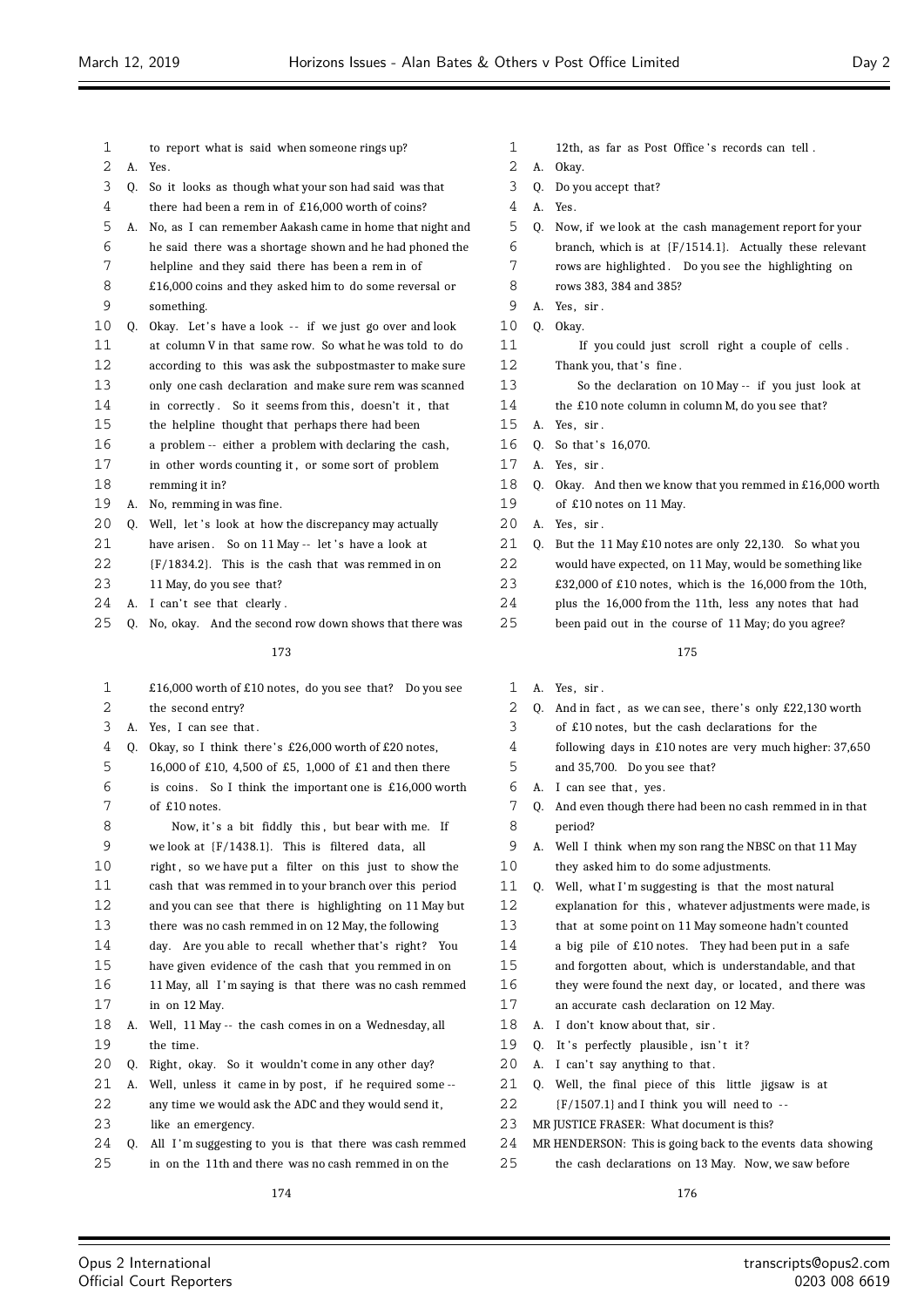| 1  |    | to report what is said when someone rings up?              |
|----|----|------------------------------------------------------------|
| 2  | A. | Yes.                                                       |
| 3  | Q. | So it looks as though what your son had said was that      |
| 4  |    | there had been a rem in of £16,000 worth of coins?         |
| 5  | А. | No, as I can remember Aakash came in home that night and   |
| 6  |    | he said there was a shortage shown and he had phoned the   |
| 7  |    | helpline and they said there has been a rem in of          |
| 8  |    | £16,000 coins and they asked him to do some reversal or    |
| 9  |    | something.                                                 |
| 10 | Q. | Okay. Let's have a look -- if we just go over and look     |
| 11 |    | at column V in that same row. So what he was told to do    |
| 12 |    | according to this was ask the subpostmaster to make sure   |
| 13 |    | only one cash declaration and make sure rem was scanned    |
| 14 |    | in correctly. So it seems from this, doesn't it, that      |
| 15 |    | the helpline thought that perhaps there had been           |
| 16 |    | a problem -- either a problem with declaring the cash,     |
| 17 |    | in other words counting it, or some sort of problem        |
| 18 |    | remming it in?                                             |
| 19 | А. | No, remming in was fine.                                   |
| 20 | 0. | Well, let's look at how the discrepancy may actually       |
| 21 |    | have arisen.<br>So on 11 May -- let's have a look at       |
| 22 |    | ${F/1834.2}$ . This is the cash that was remmed in on      |
| 23 |    | 11 May, do you see that?                                   |
| 24 | А. | I can't see that clearly.                                  |
| 25 | Q. | No, okay. And the second row down shows that there was     |
|    |    |                                                            |
|    |    | 173                                                        |
| 1  |    | £16,000 worth of £10 notes, do you see that? Do you see    |
| 2  |    | the second entry?                                          |
| 3  | А. | Yes, I can see that.                                       |
| 4  | Q. | Okay, so I think there's £26,000 worth of £20 notes,       |
| 5  |    | 16,000 of £10, 4,500 of £5, 1,000 of £1 and then there     |
| 6  |    | is coins.<br>So I think the important one is £16,000 worth |
| 7  |    | of £10 notes.                                              |
|    |    |                                                            |

8 Now, it's a bit fiddly this, but bear with me. If we look at {F/1438.1}. This is filtered data, all 10 right, so we have put a filter on this just to show the cash that was remmed in to your branch over this period and you can see that there is highlighting on 11 May but there was no cash remmed in on 12 May, the following day. Are you able to recall whether that's right? You have given evidence of the cash that you remmed in on 11 May, all I 'm saying is that there was no cash remmed in on 12 May.

 A. Well, 11 May -- the cash comes in on a Wednesday, all the time.

20 Q. Right, okay. So it wouldn't come in any other day?

A. Well, unless it came in by post, if he required some --

- 22 any time we would ask the ADC and they would send it,
- like an emergency.

24 Q. All I'm suggesting to you is that there was cash remmed in on the 11th and there was no cash remmed in on the

- 1 12th, as far as Post Office's records can tell.
- A. Okay.
- Q. Do you accept that?
- A. Yes.
- Q. Now, if we look at the cash management report for your
- branch, which is at {F/1514.1}. Actually these relevant
- rows are highlighted . Do you see the highlighting on
- rows 383, 384 and 385?
- A. Yes, sir .
- Q. Okay.

11 If you could just scroll right a couple of cells. 12 Thank you, that's fine.

- So the declaration on 10 May -- if you just look at
- the £10 note column in column M, do you see that?
- A. Yes, sir .
- 16 0. So that's 16,070.
- A. Yes, sir .
- Q. Okay. And then we know that you remmed in £16,000 worth of £10 notes on 11 May.
- A. Yes, sir .
- Q. But the 11 May £10 notes are only 22,130. So what you
- would have expected, on 11 May, would be something like
- £32,000 of £10 notes, which is the 16,000 from the 10th,
- plus the 16,000 from the 11th, less any notes that had
- been paid out in the course of 11 May; do you agree?

- A. Yes, sir .
- 2 Q. And in fact, as we can see, there's only £22,130 worth
- of £10 notes, but the cash declarations for the
- following days in £10 notes are very much higher: 37,650
- and 35,700. Do you see that?
- 6 A. I can see that, yes.
- Q. And even though there had been no cash remmed in in that period?
- A. Well I think when my son rang the NBSC on that 11 May they asked him to do some adjustments.
- 11 Q. Well, what I'm suggesting is that the most natural
- explanation for this , whatever adjustments were made, is
- that at some point on 11 May someone hadn't counted
- a big pile of £10 notes. They had been put in a safe
- and forgotten about, which is understandable, and that
- 16 they were found the next day, or located, and there was
- an accurate cash declaration on 12 May.
- 18 A. I don't know about that, sir.
- 19 Q. It's perfectly plausible, isn't it?
- 20 A. I can't say anything to that.
- Q. Well, the final piece of this little jigsaw is at
- {F/1507.1} and I think you will need to -
- MR JUSTICE FRASER: What document is this?
- MR HENDERSON: This is going back to the events data showing
- the cash declarations on 13 May. Now, we saw before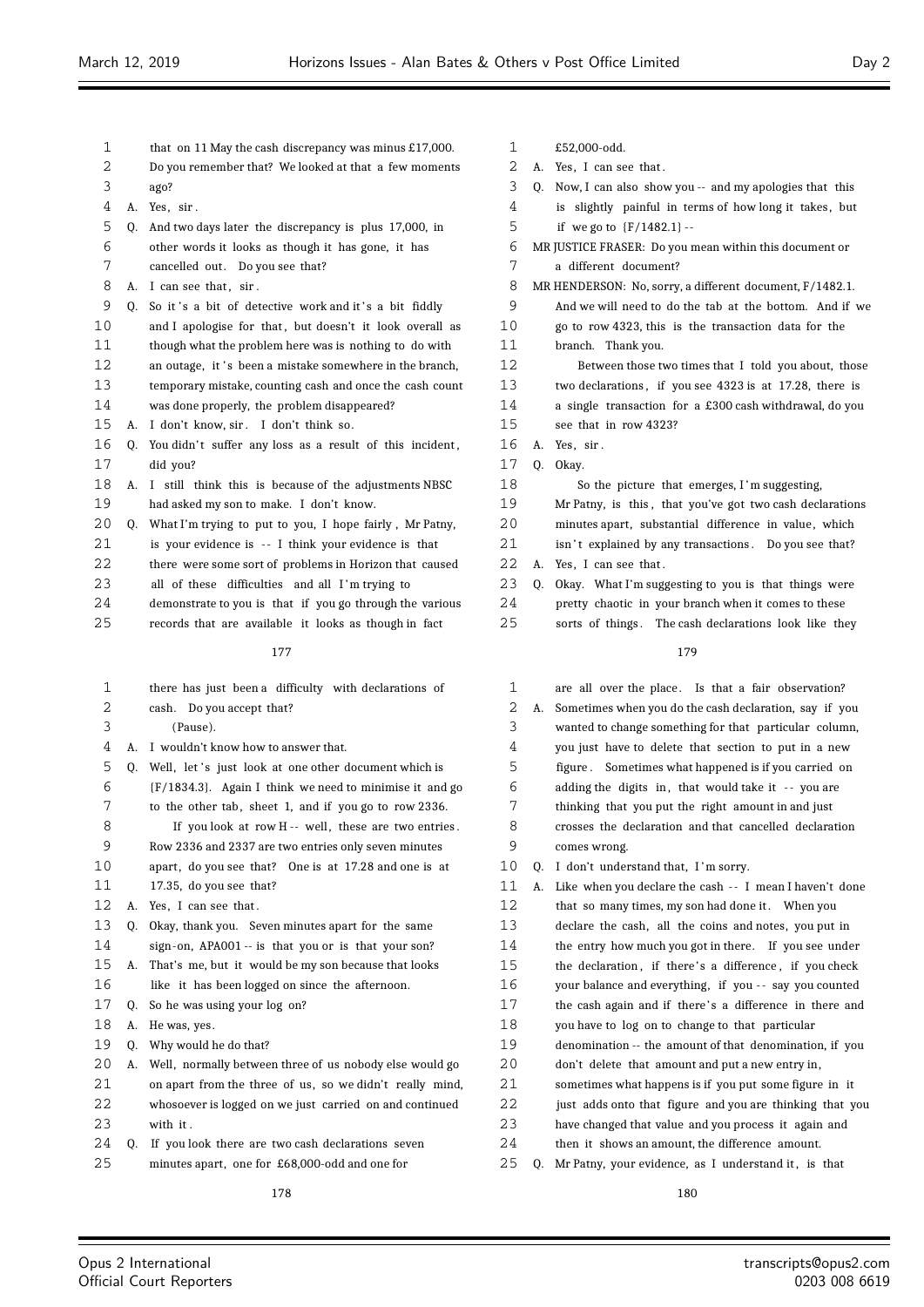1 that on 11 May the cash discrepancy was minus £17,000. Do you remember that? We looked at that a few moments ago? A. Yes, sir . Q. And two days later the discrepancy is plus 17,000, in other words it looks as though it has gone, it has cancelled out. Do you see that? 8 A. I can see that, sir. 9 Q. So it's a bit of detective work and it's a bit fiddly 10 and I apologise for that, but doesn't it look overall as though what the problem here was is nothing to do with 12 an outage, it 's been a mistake somewhere in the branch, temporary mistake, counting cash and once the cash count was done properly, the problem disappeared? A. I don't know, sir . I don't think so. 16 Q. You didn't suffer any loss as a result of this incident, did you? A. I still think this is because of the adjustments NBSC had asked my son to make. I don't know. 20 Q. What I'm trying to put to you, I hope fairly, Mr Patny, 21 is your evidence is -- I think your evidence is that there were some sort of problems in Horizon that caused 23 all of these difficulties and all I'm trying to demonstrate to you is that if you go through the various records that are available it looks as though in fact there has just been a difficulty with declarations of cash. Do you accept that? (Pause). A. I wouldn't know how to answer that. 5 0. Well, let's just look at one other document which is {F/1834.3}. Again I think we need to minimise it and go 7 to the other tab, sheet 1, and if you go to row 2336. 8 If you look at row H -- well, these are two entries. Row 2336 and 2337 are two entries only seven minutes apart , do you see that? One is at 17.28 and one is at 17.35, do you see that? A. Yes, I can see that . Q. Okay, thank you. Seven minutes apart for the same sign-on, APA001 -- is that you or is that your son? A. That's me, but it would be my son because that looks like it has been logged on since the afternoon. Q. So he was using your log on? A. He was, yes. Q. Why would he do that? A. Well, normally between three of us nobody else would go on apart from the three of us, so we didn't really mind, whosoever is logged on we just carried on and continued with it . Q. If you look there are two cash declarations seven minutes apart, one for £68,000-odd and one for £52,000-odd. A. Yes, sir . Q. Okay.

- 
- 2 A. Yes, I can see that.
- Q. Now, I can also show you -- and my apologies that this
- 4 is slightly painful in terms of how long it takes, but
- if we go to {F/1482.1} --
- MR JUSTICE FRASER: Do you mean within this document or a different document?
- MR HENDERSON: No, sorry, a different document, F/1482.1.
- And we will need to do the tab at the bottom. And if we
- go to row 4323, this is the transaction data for the
- branch. Thank you.
- Between those two times that I told you about, those two declarations , if you see 4323 is at 17.28, there is
- a single transaction for a £300 cash withdrawal, do you
- see that in row 4323?
- So the picture that emerges, I 'm suggesting,
- Mr Patny, is this , that you've got two cash declarations
- 20 minutes apart, substantial difference in value, which
- 21 isn't explained by any transactions. Do you see that?
- 22 A. Yes, I can see that.
- Q. Okay. What I'm suggesting to you is that things were
- pretty chaotic in your branch when it comes to these
- 25 sorts of things. The cash declarations look like they

# 

 are all over the place . Is that a fair observation? A. Sometimes when you do the cash declaration, say if you wanted to change something for that particular column, you just have to delete that section to put in a new figure . Sometimes what happened is if you carried on 6 adding the digits in, that would take it -- you are thinking that you put the right amount in and just crosses the declaration and that cancelled declaration comes wrong. 10 Q. I don't understand that, I'm sorry. 11 A. Like when you declare the cash -- I mean I haven't done 12 that so many times, my son had done it. When you declare the cash, all the coins and notes, you put in the entry how much you got in there. If you see under 15 the declaration, if there's a difference, if you check 16 your balance and everything, if you -- say you counted the cash again and if there' s a difference in there and you have to log on to change to that particular denomination -- the amount of that denomination, if you don't delete that amount and put a new entry in, sometimes what happens is if you put some figure in it just adds onto that figure and you are thinking that you have changed that value and you process it again and then it shows an amount, the difference amount. 25 Q. Mr Patny, your evidence, as I understand it, is that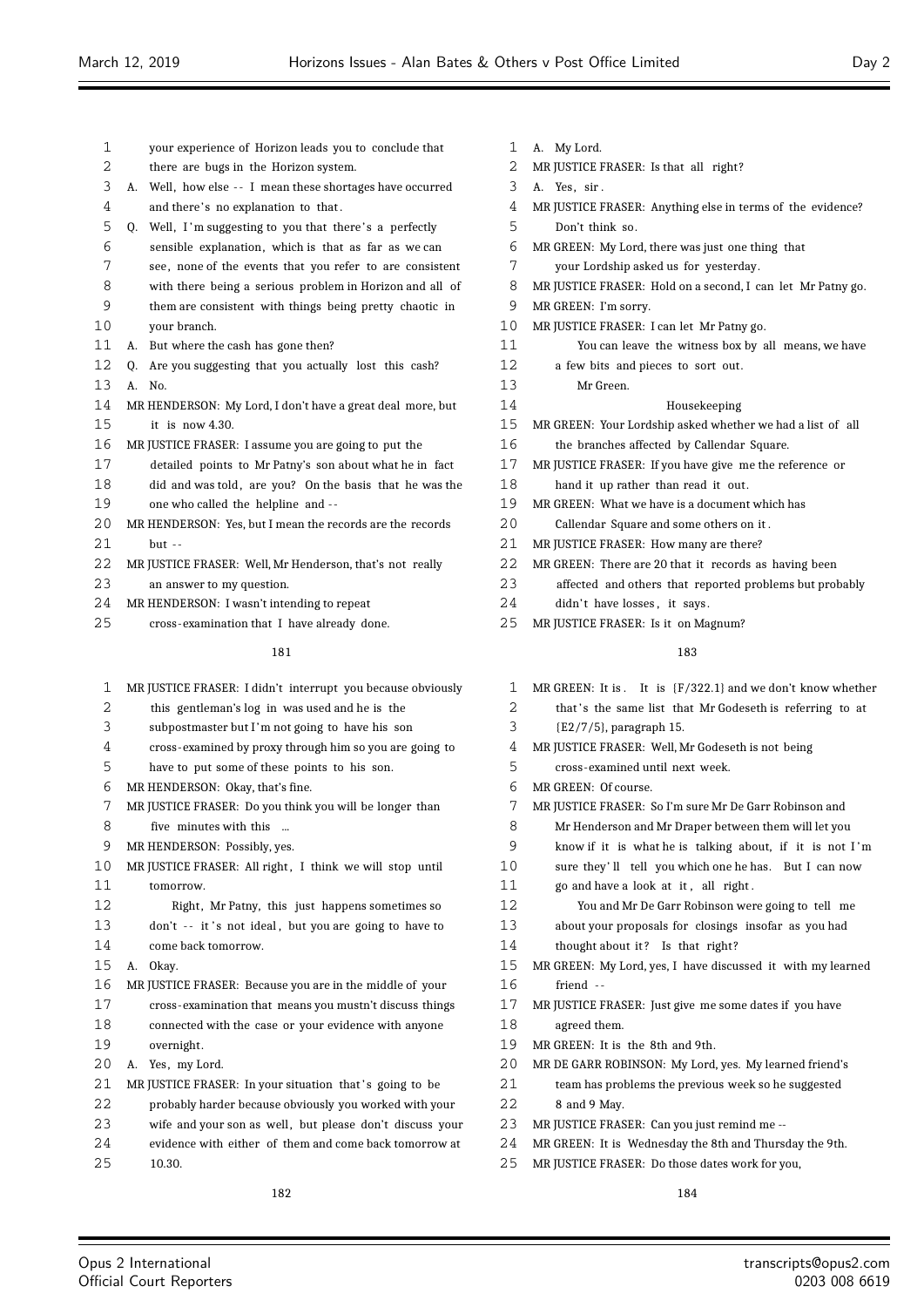| 1  |                | your experience of Horizon leads you to conclude that       |
|----|----------------|-------------------------------------------------------------|
| 2  |                | there are bugs in the Horizon system.                       |
| 3  | А.             | Well, how else -- I mean these shortages have occurred      |
| 4  |                | and there's no explanation to that.                         |
| 5  |                | Q. Well, I'm suggesting to you that there's a perfectly     |
| 6  |                | sensible explanation, which is that as far as we can        |
| 7  |                | see, none of the events that you refer to are consistent    |
| 8  |                | with there being a serious problem in Horizon and all of    |
| 9  |                | them are consistent with things being pretty chaotic in     |
| 10 |                | your branch.                                                |
| 11 | А.             | But where the cash has gone then?                           |
| 12 | 0.             | Are you suggesting that you actually lost this cash?        |
| 13 | $\mathbf{A}$ . | No.                                                         |
| 14 |                | MR HENDERSON: My Lord, I don't have a great deal more, but  |
| 15 |                | it is now $4.30$ .                                          |
| 16 |                | MR JUSTICE FRASER: I assume you are going to put the        |
| 17 |                | detailed points to Mr Patny's son about what he in fact     |
| 18 |                | did and was told, are you? On the basis that he was the     |
| 19 |                | one who called the helpline and --                          |
| 20 |                | MR HENDERSON: Yes, but I mean the records are the records   |
| 21 |                | $but --$                                                    |
| 22 |                | MR JUSTICE FRASER: Well, Mr Henderson, that's not really    |
| 23 |                | an answer to my question.                                   |
| 24 |                | MR HENDERSON: I wasn't intending to repeat                  |
| 25 |                | cross-examination that I have already done.                 |
|    |                | 181                                                         |
|    |                |                                                             |
| 1  |                | MR JUSTICE FRASER: I didn't interrupt you because obviously |
| 2  |                | this gentleman's log in was used and he is the              |
| 3  |                | subpostmaster but I'm not going to have his son             |

- cross-examined by proxy through him so you are going to
- have to put some of these points to his son.
- MR HENDERSON: Okay, that's fine.
- MR JUSTICE FRASER: Do you think you will be longer than
- five minutes with this ...
- MR HENDERSON: Possibly, yes.
- 10 MR JUSTICE FRASER: All right, I think we will stop until tomorrow.
- 12 Right, Mr Patny, this just happens sometimes so 13 don't -- it's not ideal, but you are going to have to
- come back tomorrow.
- A. Okay.
- MR JUSTICE FRASER: Because you are in the middle of your cross-examination that means you mustn't discuss things connected with the case or your evidence with anyone
- overnight.
- A. Yes, my Lord.
- 21 MR JUSTICE FRASER: In your situation that's going to be
- probably harder because obviously you worked with your 23 wife and your son as well, but please don't discuss your
- 24 evidence with either of them and come back tomorrow at
- 10.30.
	-
- A. My Lord.
- 2 MR JUSTICE FRASER: Is that all right?
- A. Yes, sir .
- MR JUSTICE FRASER: Anything else in terms of the evidence?
- Don't think so.
- MR GREEN: My Lord, there was just one thing that
- your Lordship asked us for yesterday.
- MR JUSTICE FRASER: Hold on a second, I can let Mr Patny go.
- MR GREEN: I'm sorry.
- MR JUSTICE FRASER: I can let Mr Patny go.
- You can leave the witness box by all means, we have
- a few bits and pieces to sort out.
- Mr Green.
- Housekeeping
- MR GREEN: Your Lordship asked whether we had a list of all
- the branches affected by Callendar Square.
- MR JUSTICE FRASER: If you have give me the reference or hand it up rather than read it out.
- 
- MR GREEN: What we have is a document which has
- Callendar Square and some others on it .
- MR JUSTICE FRASER: How many are there?
- MR GREEN: There are 20 that it records as having been
- affected and others that reported problems but probably 24 didn't have losses, it says.
- 25 MR JUSTICE FRASER: Is it on Magnum?

- MR GREEN: It is . It is {F/322.1} and we don't know whether
- 2 that's the same list that Mr Godeseth is referring to at
- {E2/7/5}, paragraph 15.
- MR JUSTICE FRASER: Well, Mr Godeseth is not being
- cross-examined until next week.
- MR GREEN: Of course.
- MR JUSTICE FRASER: So I'm sure Mr De Garr Robinson and
- Mr Henderson and Mr Draper between them will let you
- know if it is what he is talking about, if it is not I 'm
- sure they' ll tell you which one he has. But I can now
- go and have a look at it , all right .
- You and Mr De Garr Robinson were going to tell me
- about your proposals for closings insofar as you had
- 14 thought about it? Is that right?
- MR GREEN: My Lord, yes, I have discussed it with my learned friend - -
- MR JUSTICE FRASER: Just give me some dates if you have
- agreed them.
- MR GREEN: It is the 8th and 9th.
- MR DE GARR ROBINSON: My Lord, yes. My learned friend's
- team has problems the previous week so he suggested
- 8 and 9 May.
- MR JUSTICE FRASER: Can you just remind me --
- MR GREEN: It is Wednesday the 8th and Thursday the 9th.
- MR JUSTICE FRASER: Do those dates work for you,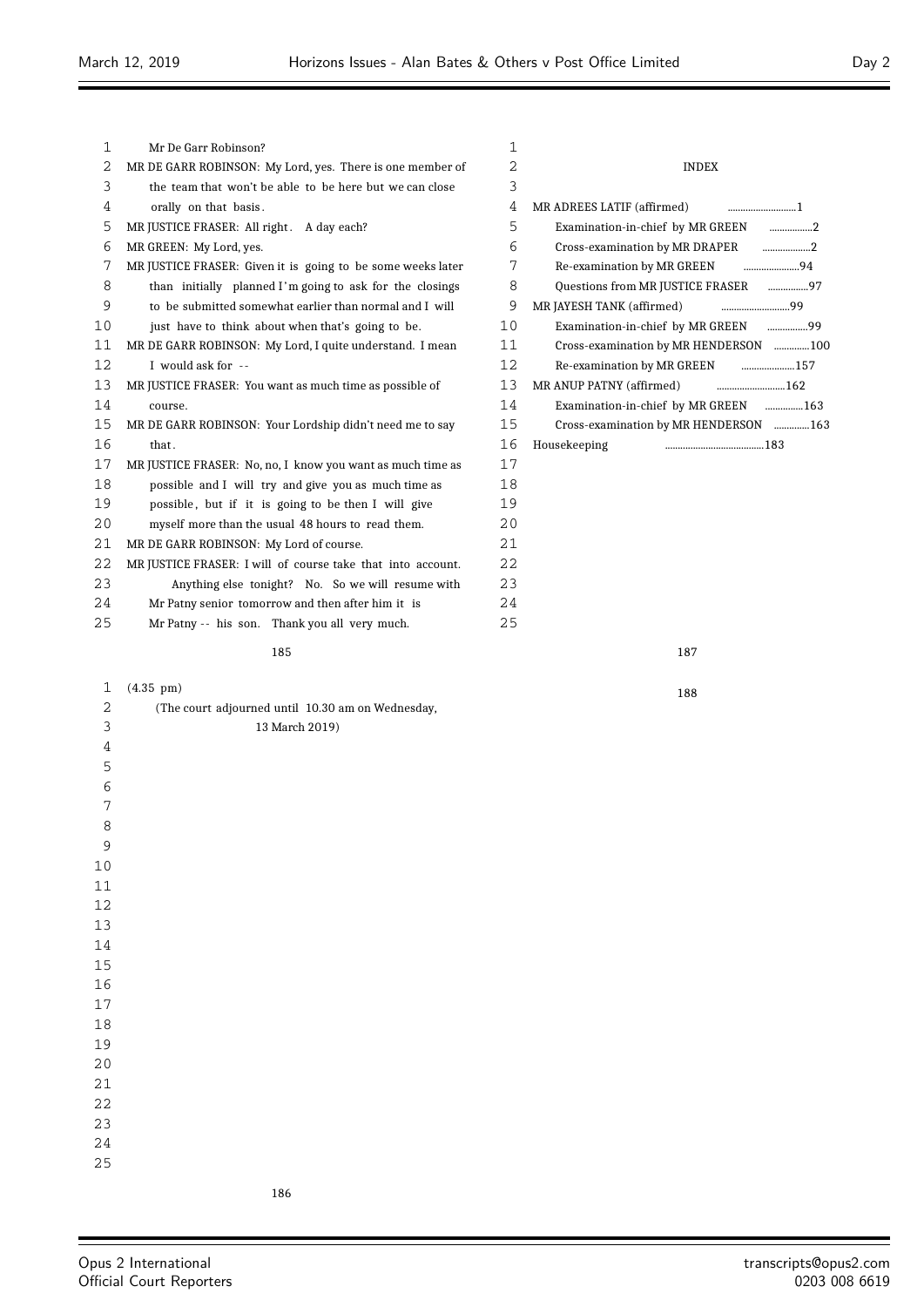$\equiv$ 

| Mr De Garr Robinson?                                        | 1  |                                       |
|-------------------------------------------------------------|----|---------------------------------------|
| MR DE GARR ROBINSON: My Lord, yes. There is one member of   | 2  | <b>INDEX</b>                          |
| the team that won't be able to be here but we can close     | 3  |                                       |
| orally on that basis.                                       | 4  | MR ADREES LATIF (affirmed)            |
| MR JUSTICE FRASER: All right. A day each?                   | 5  | Examination-in-chief by MR GREEN 2    |
| MR GREEN: My Lord, yes.                                     | 6  | Cross-examination by MR DRAPER 2      |
| MR JUSTICE FRASER: Given it is going to be some weeks later | 7  |                                       |
| than initially planned I'm going to ask for the closings    | 8  | Questions from MR JUSTICE FRASER 97   |
| to be submitted somewhat earlier than normal and I will     | 9  | MR JAYESH TANK (affirmed)             |
| just have to think about when that's going to be.           | 10 | Examination-in-chief by MR GREEN 99   |
| MR DE GARR ROBINSON: My Lord, I quite understand. I mean    | 11 | Cross-examination by MR HENDERSON 100 |
| I would ask for --                                          | 12 | Re-examination by MR GREEN 157        |
| MR JUSTICE FRASER: You want as much time as possible of     | 13 | MR ANUP PATNY (affirmed)              |
| course.                                                     | 14 | Examination-in-chief by MR GREEN 163  |
| MR DE GARR ROBINSON: Your Lordship didn't need me to say    | 15 | Cross-examination by MR HENDERSON 163 |
| that.                                                       | 16 | Housekeeping                          |
| MR JUSTICE FRASER: No, no, I know you want as much time as  | 17 |                                       |
| possible and I will try and give you as much time as        | 18 |                                       |
| possible, but if it is going to be then I will give         | 19 |                                       |
| myself more than the usual 48 hours to read them.           | 20 |                                       |
| MR DE GARR ROBINSON: My Lord of course.                     | 21 |                                       |
| MR JUSTICE FRASER: I will of course take that into account. | 22 |                                       |
| Anything else tonight? No. So we will resume with           | 23 |                                       |
| Mr Patny senior tomorrow and then after him it is           | 24 |                                       |
| Mr Patny -- his son. Thank you all very much.               | 25 |                                       |
| 185                                                         |    | 187                                   |
| $(4.35 \text{ pm})$                                         |    | 188                                   |
|                                                             |    |                                       |

| 2  | (The court adjourned until 10.30 am on Wednesday, |
|----|---------------------------------------------------|
| 3  | 13 March 2019)                                    |
| 4  |                                                   |
| 5  |                                                   |
| 6  |                                                   |
| 7  |                                                   |
| 8  |                                                   |
| 9  |                                                   |
| 10 |                                                   |
| 11 |                                                   |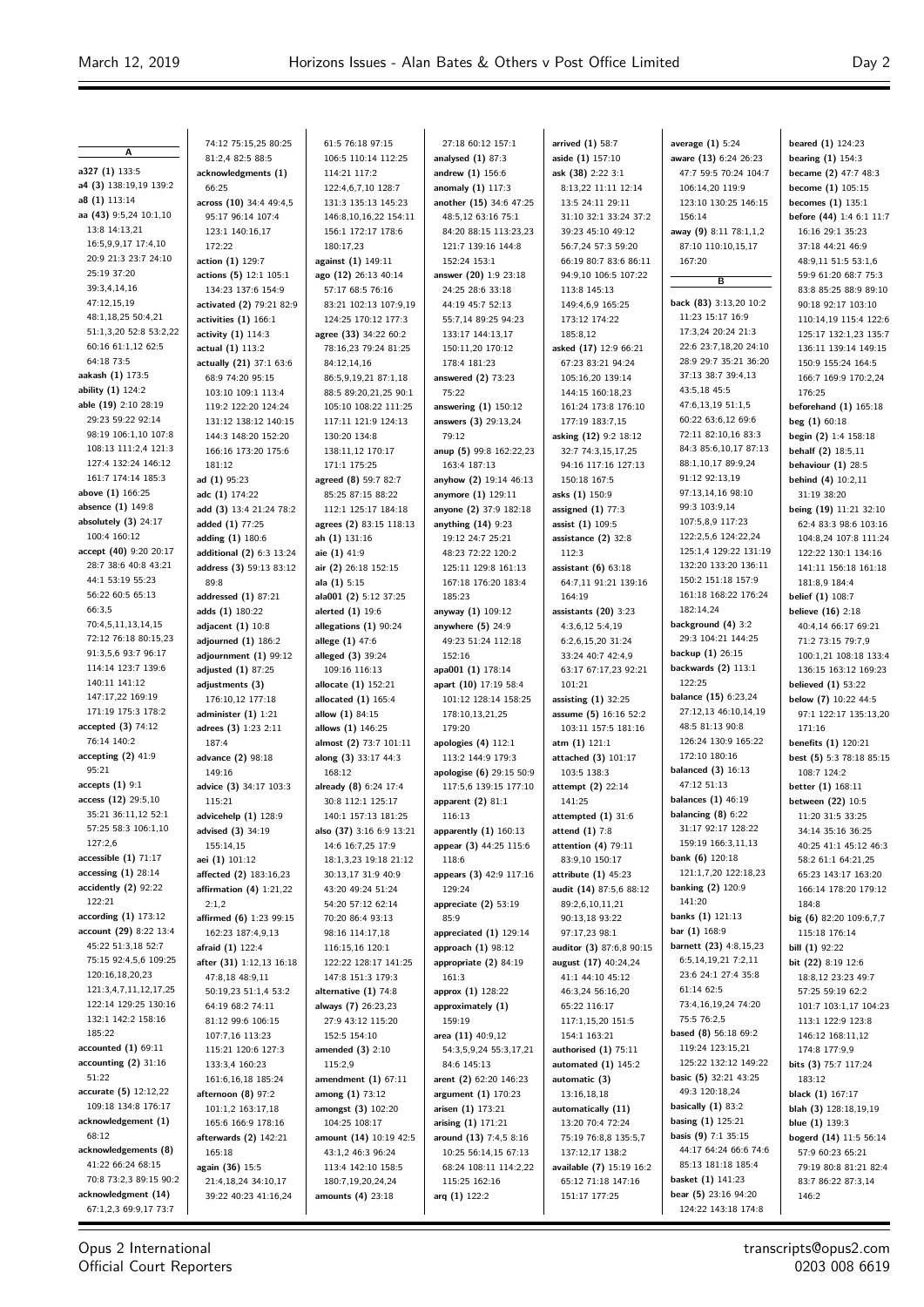**A a327 (1)** 133:5 **a4 (3)** 138:19,19 139:2 **a8 (1)** 113:14 **aa (43)** 9:5,24 10:1,10 13:8 14:13,21 16:5,9,9,17 17:4,10 20:9 21:3 23:7 24:10 25:19 37:20 39:3,4,14,16 47:12,15,19 48:1,18,25 50:4,21 51:1,3,20 52:8 53:2,22 60:16 61:1,12 62:5 64:18 73:5 **aakash (1)** 173:5 **ability (1)** 124:2 **able (19)** 2:10 28:19 29:23 59:22 92:14 98:19 106:1,10 107:8 108:13 111:2,4 121:3 127:4 132:24 146:12 161:7 174:14 185:3 **above (1)** 166:25 **absence (1)** 149:8 **absolutely (3)** 24:17 100:4 160:12 **accept (40)** 9:20 20:17 28:7 38:6 40:8 43:21 44:1 53:19 55:23 56:22 60:5 65:13 66:3,5 70:4,5,11,13,14,15 72:12 76:18 80:15,23 91:3,5,6 93:7 96:17 114:14 123:7 139:6 140:11 141:12 147:17,22 169:19 171:19 175:3 178:2 **accepted (3)** 74:12 76:14 140:2 **accepting (2)** 41:9 95:21 **accepts (1)** 9:1 **access (12)** 29:5,10 35:21 36:11,12 52:1 57:25 58:3 106:1,10  $127.26$ **accessible (1)** 71:17 **accessing (1)** 28:14 **accidently (2)** 92:22 122:21 **according (1)** 173:12 **account (29)** 8:22 13:4 45:22 51:3,18 52:7 75:15 92:4,5,6 109:25 120:16,18,20,23 121:3,4,7,11,12,17,25 122:14 129:25 130:16 132:1 142:2 158:16 185:22 **accounted (1)** 69:11 **accounting (2)** 31:16 51:22 **accurate (5)** 12:12,22 109:18 134:8 176:17 **acknowledgement (1)** 68:12 **acknowledgements (8)** 41:22 66:24 68:15 70:8 73:2,3 89:15 90:2 **acknowledgment (14)** 67:1,2,3 69:9,17 73:7

74:12 75:15,25 80:25 81:2,4 82:5 88:5 **acknowledgments (1)** 66:25 **across (10)** 34:4 49:4,5 95:17 96:14 107:4 123:1 140:16,17 172:22 **action (1)** 129:7 **actions (5)** 12:1 105:1 134:23 137:6 154:9 **activated (2)** 79:21 82:9 **activities (1)** 166:1 **activity (1)** 114:3 **actual (1)** 113:2 **actually (21)** 37:1 63:6 68:9 74:20 95:15 103:10 109:1 113:4 119:2 122:20 124:24 131:12 138:12 140:15 144:3 148:20 152:20 166:16 173:20 175:6 181:12 **ad (1)** 95:23 **adc (1)** 174:22 **add (3)** 13:4 21:24 78:2 **added (1)** 77:25 **adding (1)** 180:6 **additional (2)** 6:3 13:24 **address (3)** 59:13 83:12 89:8 **addressed (1)** 87:21 **adds (1)** 180:22 **adjacent (1)** 10:8 **adjourned (1)** 186:2 **adjournment (1)** 99:12 **adjusted (1)** 87:25 **adjustments (3)** 176:10,12 177:18 **administer (1)** 1:21 **adrees (3)** 1:23 2:11 187:4 **advance (2)** 98:18 149:16 **advice (3)** 34:17 103:3 115:21 **advicehelp (1)** 128:9 **advised (3)** 34:19 155:14,15 **aei (1)** 101:12 **affected (2)** 183:16,23 **affirmation (4)** 1:21,22  $2.1.2$ **affirmed (6)** 1:23 99:15 162:23 187:4,9,13 **afraid (1)** 122:4 **after (31)** 1:12,13 16:18 47:8,18 48:9,11 50:19,23 51:1,4 53:2 64:19 68:2 74:11 81:12 99:6 106:15 107:7,16 113:23 115:21 120:6 127:3 133:3,4 160:23 161:6,16,18 185:24 **afternoon (8)** 97:2 101:1,2 163:17,18 165:6 166:9 178:16 **afterwards (2)** 142:21 165:18 **again (36)** 15:5 21:4,18,24 34:10,17 39:22 40:23 41:16,24

61:5 76:18 97:15 106:5 110:14 112:25 114:21 117:2 122:4,6,7,10 128:7 131:3 135:13 145:23 146:8,10,16,22 154:11 156:1 172:17 178:6 180:17,23 **against (1)** 149:11 **ago (12)** 26:13 40:14 57:17 68:5 76:16 83:21 102:13 107:9,19 124:25 170:12 177:3 **agree (33)** 34:22 60:2 78:16,23 79:24 81:25 84:12,14,16 86:5,0,10,21,87:1,18 88:5 89:20,21,25 90:1 105:10 108:22 111:25 117:11 121:9 124:13 130:20 134:8 138:11,12 170:17 171:1 175:25 **agreed (8)** 59:7 82:7 85:25 87:15 88:22 112:1 125:17 184:18 **agrees (2)** 83:15 118:13 **ah (1)** 131:16 **aie (1)** 41:9 **air (2)** 26:18 152:15 **ala (1)** 5:15 **ala001 (2)** 5:12 37:25 **alerted (1)** 19:6 **allegations (1)** 90:24 **allege (1)** 47:6 **alleged (3)** 39:24 109:16 116:13 **allocate (1)** 152:21 **allocated (1)** 165:4 **allow (1)** 84:15 **allows (1)** 146:25 **almost (2)** 73:7 101:11 **along (3)** 33:17 44:3 168:12 **already (8)** 6:24 17:4 30:8 112:1 125:17 140:1 157:13 181:25 **also (37)** 3:16 6:9 13:21 14:6 16:7,25 17:9 18:1,3,23 19:18 21:12 30:13,17 31:9 40:9 43:20 49:24 51:24 54:20 57:12 62:14 70:20 86:4 93:13 98:16 114:17,18 116:15,16 120:1 122:22 128:17 141:25 147:8 151:3 179:3 **alternative (1)** 74:8 **always (7)** 26:23,23 27:9 43:12 115:20 152:5 154:10 **amended (3)** 2:10 115:2,9 **amendment (1)** 67:11 **among (1)** 73:12 **amongst (3)** 102:20 104:25 108:17 **amount (14)** 10:19 42:5 43:1,2 46:3 96:24 113:4 142:10 158:5 180:7,19,20,24,24 **amounts (4)** 23:18

27:18 60:12 157:1 **analysed (1)** 87:3 **andrew (1)** 156:6 **anomaly (1)** 117:3 **another (15)** 34:6 47:25 48:5,12 63:16 75:1 84:20 88:15 113:23,23 121:7 139:16 144:8 152:24 153:1 **answer (20)** 1:9 23:18 24:25 28:6 33:18 44:19 45:7 52:13 55:7,14 89:25 94:23 133:17 144:13,17 150:11,20 170:12 178:4 181:23 **answered (2)** 73:23 75:22 **answering (1)** 150:12 **answers (3)** 29:13,24 79:12 **anup (5)** 99:8 162:22,23 163:4 187:13 **anyhow (2)** 19:14 46:13 **anymore (1)** 129:11 **anyone (2)** 37:9 182:18 **anything (14)** 9:23 19:12 24:7 25:21 48:23 72:22 120:2 125:11 129:8 161:13 167:18 176:20 183:4 185:23 **anyway (1)** 109:12 **anywhere (5)** 24:9 49:23 51:24 112:18 152:16 **apa001 (1)** 178:14 **apart (10)** 17:19 58:4 101:12 128:14 158:25 178:10,13,21,25 179:20 **apologies (4)** 112:1 113:2 144:9 179:3 **apologise (6)** 29:15 50:9 117:5,6 139:15 177:10 **apparent (2)** 81:1 116:13 **apparently (1)** 160:13 **appear (3)** 44:25 115:6 118:6 **appears (3)** 42:9 117:16 129:24 **appreciate (2)** 53:19 85:9 **appreciated (1)** 129:14 **approach (1)** 98:12 **appropriate (2)** 84:19 161:3 **approx (1)** 128:22 **approximately (1)** 159:19 **area (11)** 40:9,12 54:3,5,9,24 55:3,17,21 84:6 145:13 **arent (2)** 62:20 146:23 **argument (1)** 170:23 **arisen (1)** 173:21 **arising (1)** 171:21 **around (13)** 7:4,5 8:16 10:25 56:14,15 67:13 68:24 108:11 114:2,22 115:25 162:16 **arq (1)** 122:2

**arrived (1)** 58:7 **aside (1)** 157:10 **ask (38)** 2:22 3:1 8:13,22 11:11 12:14 13:5 24:11 29:11 31:10 32:1 33:24 37:2 39:23 45:10 49:12 56:7,24 57:3 59:20 66:19 80:7 83:6 86:11 94:9,10 106:5 107:22 113:8 145:13 149:4,6,9 165:25 173:12 174:22 185:8,12 **asked (17)** 12:9 66:21 67:23 83:21 94:24 105:16,20 139:14 144:15 160:18,23 161:24 173:8 176:10 177:19 183:7,15 **asking (12)** 9:2 18:12 32:7 74:3,15,17,25 94:16 117:16 127:13 150:18 167:5 **asks (1)** 150:9 **assigned (1)** 77:3 **assist (1)** 109:5 **assistance (2)** 32:8 112:3 **assistant (6)** 63:18 64:7,11 91:21 139:16 164:19 **assistants (20)** 3:23 4:3,6,12 5:4,19 6:2,6,15,20 31:24 33:24 40:7 42:4,9 63:17 67:17,23 92:21 101:21 **assisting (1)** 32:25 **assume (5)** 16:16 52:2 103:11 157:5 181:16 **atm (1)** 121:1 **attached (3)** 101:17 103:5 138:3 **attempt (2)** 22:14 141:25 **attempted (1)** 31:6 **attend (1)** 7:8 **attention (4)** 79:11 83:9,10 150:17 **attribute (1)** 45:23 **audit (14)** 87:5,6 88:12 89:2,6,10,11,21 90:13,18 93:22 97:17,23 98:1 **auditor (3)** 87:6,8 90:15 **august (17)** 40:24,24 41:1 44:10 45:12 46:3,24 56:16,20 65:22 116:17 117:1,15,20 151:5 154:1 163:21 **authorised (1)** 75:11 **automated (1)** 145:2 **automatic (3)** 13:16,18,18 **automatically (11)** 13:20 70:4 72:24 75:19 76:8,8 135:5,7 137:12,17 138:2 **available (7)** 15:19 16:2 65:12 71:18 147:16 151:17 177:25

**average (1)** 5:24 **aware (13)** 6:24 26:23 47:7 59:5 70:24 104:7 106:14,20 119:9 123:10 130:25 146:15 156:14 **away (9)** 8:11 78:1,1,2 87:10 110:10,15,17 167:20 **B back (83)** 3:13,20 10:2 11:23 15:17 16:9 17:3,24 20:24 21:3 22:6 23:7,18,20 24:10 28:9 29:7 35:21 36:20 37:13 38:7 39:4,13 43:5,18 45:5 47:6,13,19 51:1,5 60:22 63:6,12 69:6 72:11 82:10,16 83:3 84:3 85:6,10,17 87:13 88:1,10,17 89:9,24 91:12 92:13,19 97:13,14,16 98:10 99:3 103:9,14 107:5,8,9 117:23 122:2,5,6 124:22,24 125:1,4 129:22 131:19 132:20 133:20 136:11 150:2 151:18 157:9 161:18 168:22 176:24 182:14,24 **background (4)** 3:2 29:3 104:21 144:25 **backup (1)** 26:15 **backwards (2)** 113:1 122:25 **balance (15)** 6:23,24 27:12,13 46:10,14,19 48:5 81:13 90:8 126:24 130:9 165:22 172:10 180:16 **balanced (3)** 16:13 47:12 51:13 **balances (1)** 46:19 **balancing (8)** 6:22 31:17 92:17 128:22 159:19 166:3,11,13 **bank (6)** 120:18 121:1,7,20 122:18,23 **banking (2)** 120:9 141:20 **banks (1)** 121:13 **bar (1)** 168:9 **barnett (23)** 4:8,15,23 6:5,14,19,21 7:2,11 23:6 24:1 27:4 35:8 61:14 62:5 73:4,16,19,24 74:20 75:5 76:2,5 **based (8)** 56:18 69:2 119:24 123:15,21 125:22 132:12 149:22 **basic (5)** 32:21 43:25 49:3 120:18,24 **basically (1)** 83:2 **basing (1)** 125:21 **basis (9)** 7:1 35:15 44:17 64:24 66:6 74:6 85:13 181:18 185:4 **basket (1)** 141:23 **bear (5)** 23:16 94:20 124:22 143:18 174:8

**beared (1)** 124:23 **bearing (1)** 154:3 **became (2)** 47:7 48:3 **become (1)** 105:15 **becomes (1)** 135:1 **before (44)** 1:4 6:1 11:7 16:16 29:1 35:23 37:18 44:21 46:9 48:9,11 51:5 53:1,6 59:9 61:20 68:7 75:3 83:8 85:25 88:9 89:10 90:18 92:17 103:10 110:14,19 115:4 122:6 125:17 132:1,23 135:7 136:11 139:14 149:15 150:9 155:24 164:5 166:7 169:9 170:2,24 176:25 **beforehand (1)** 165:18 **beg (1)** 60:18 **begin (2)** 1:4 158:18 **behalf (2)** 18:5,11 **behaviour (1)** 28:5 **behind (4)** 10:2,11 31:19 38:20 **being (19)** 11:21 32:10 62:4 83:3 98:6 103:16 104:8,24 107:8 111:24 122:22 130:1 134:16 141:11 156:18 161:18 181:8,9 184:4 **belief (1)** 108:7 **believe (16)** 2:18 40:4,14 66:17 69:21 71:2 73:15 79:7,9 100:1,21 108:18 133:4 136:15 163:12 169:23 **believed (1)** 53:22 **below (7)** 10:22 44:5 97:1 122:17 135:13,20 171:16 **benefits (1)** 120:21 **best (5)** 5:3 78:18 85:15 108:7 124:2 **better (1)** 168:11 **between (22)** 10:5 11:20 31:5 33:25 34:14 35:16 36:25 40:25 41:1 45:12 46:3 58:2 61:1 64:21,25 65:23 143:17 163:20 166:14 178:20 179:12 184:8 **big (6)** 82:20 109:6,7,7 115:18 176:14 **bill** (1) 92:22 **bit (22)** 8:19 12:6 18:8,12 23:23 49:7 57:25 59:19 62:2 101:7 103:1,17 104:23 113:1 122:9 123:8 146:12 168:11,12 174:8 177:9,9 **bits (3)** 75:7 117:24 183:12 **black (1)** 167:17 **blah (3)** 128:18,19,19 **blue (1)** 139:3 **bogerd (14)** 11:5 56:14 57:9 60:23 65:21 79:19 80:8 81:21 82:4 83:7 86:22 87:3,14 146:2

Opus 2 International Official Court Reporters

transcripts@opus2.com 0203 008 6619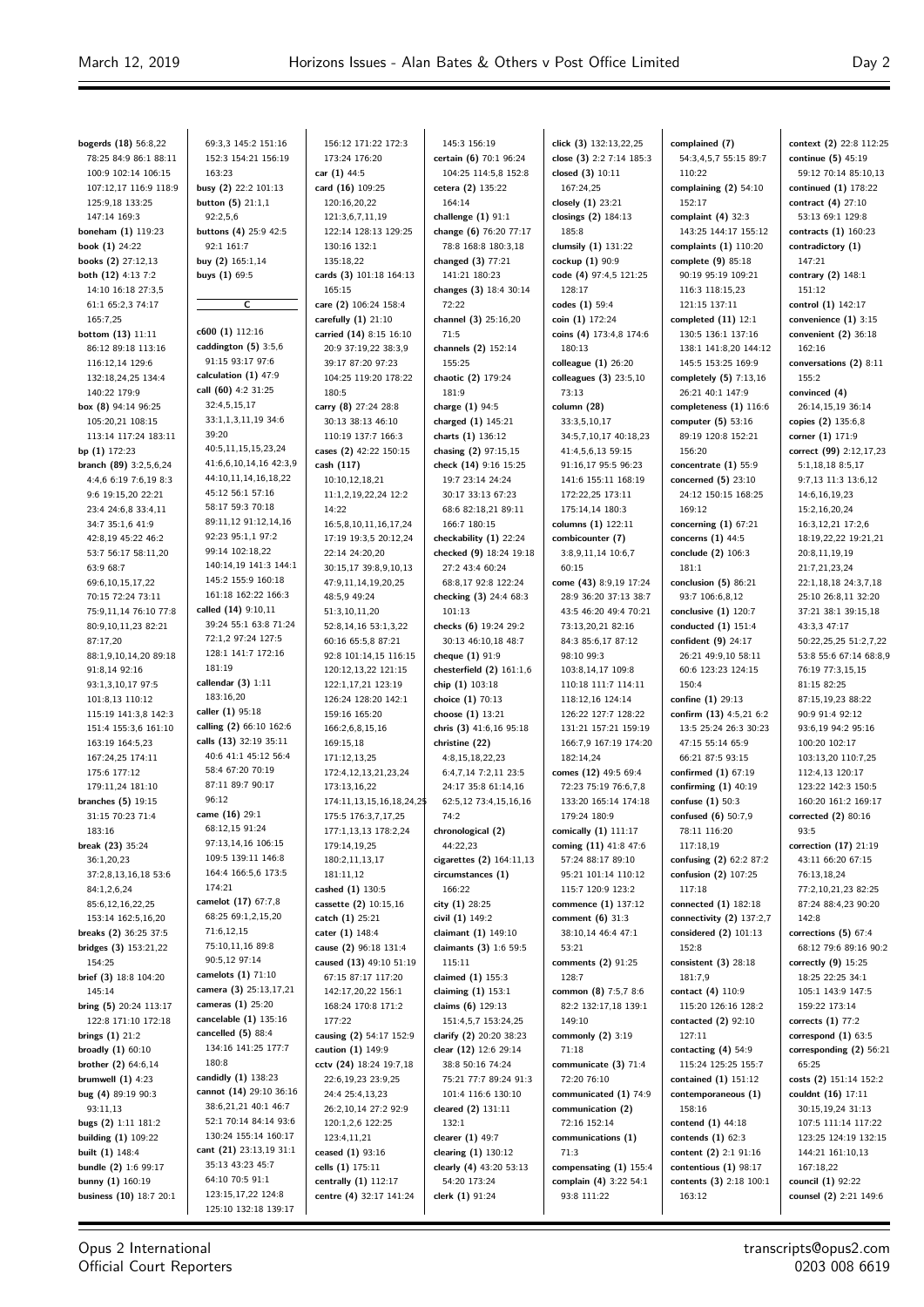**bogerds (18)** 56:8,22 78:25 84:9 86:1 88:11 100:9 102:14 106:15 107:12,17 116:9 118:9 125:9,18 133:25 147:14 169:3 **boneham (1)** 119:23 **book (1)** 24:22 **books (2)** 27:12,13 **both (12)** 4:13 7:2 14:10 16:18 27:3,5 61:1 65:2,3 74:17 165:7,25 **bottom (13)** 11:11 86:12 89:18 113:16 116:12,14 129:6 132:18,24,25 134:4 140:22 179:9 **box (8)** 94:14 96:25 105:20,21 108:15 113:14 117:24 183:11 **bp (1)** 172:23 **branch (89)** 3:2,5,6,24 4:4,6 6:19 7:6,19 8:3 9:6 19:15,20 22:21 23:4 24:6,8 33:4,11 34:7 35:1,6 41:9 42:8,19 45:22 46:2 53:7 56:17 58:11,20 63:9 68:7 69:6,10,15,17,22 70:15 72:24 73:11 75:9,11,14 76:10 77:8 80:9,10,11,23 82:21 87:17,20 88:1,9,10,14,20 89:18 91:8,14 92:16 93:1,3,10,17 97:5 101:8,13 110:12 115:19 141:3,8 142:3 151:4 155:3,6 161:10 163:19 164:5,23 167:24,25 174:11 175:6 177:12 179:11,24 181:10 **branches (5)** 19:15 31:15 70:23 71:4 183:16 **break (23)** 35:24 36:1,20,23 37:2,8,13,16,18 53:6 84:1,2,6,24 85:6,12,16,22,25 153:14 162:5,16,20 **breaks (2)** 36:25 37:5 **bridges (3)** 153:21,22 154:25 **brief (3)** 18:8 104:20 145:14 **bring (5)** 20:24 113:17 122:8 171:10 172:18 **brings (1)** 21:2 **broadly (1)** 60:10 **brother (2)** 64:6,14 **brumwell (1)** 4:23 **bug (4)** 89:19 90:3 93:11,13 **bugs (2)** 1:11 181:2 **building (1)** 109:22 **built (1)** 148:4 **bundle (2)** 1:6 99:17 **bunny (1)** 160:19 **business (10)** 18:7 20:1

69:3,3 145:2 151:16 152:3 154:21 156:19 163:23 **busy (2)** 22:2 101:13 **button (5)** 21:1,1  $92.256$ **buttons (4)** 25:9 42:5 92:1 161:7 **buy (2)** 165:1,14 **buys (1)** 69:5  $\overline{c}$ **c600 (1)** 112:16 **caddington (5)** 3:5,6 91:15 93:17 97:6 **calculation (1)** 47:9 **call (60)** 4:2 31:25 32:4,5,15,17 33:1,1,3,11,19 34:6 39:20 40:5,11,15,15,23,24 41:6,6,10,14,16 42:3,9 44:10,11,14,16,18,22 45:12 56:1 57:16 58:17 59:3 70:18 89:11,12 91:12,14,16 92:23 95:1,1 97:2 99:14 102:18,22 140:14,19 141:3 144:1 145:2 155:9 160:18 161:18 162:22 166:3 **called (14)** 9:10,11 39:24 55:1 63:8 71:24 72:1,2 97:24 127:5 128:1 141:7 172:16 181:19 **callendar (3)** 1:11 183:16,20 **caller (1)** 95:18 **calling (2)** 66:10 162:6 **calls (13)** 32:19 35:11 40:6 41:1 45:12 56:4 58:4 67:20 70:19 87:11 89:7 90:17  $06:12$ **came (16)** 29:1 68:12,15 91:24 97:13,14,16 106:15 109:5 139:11 146:8 164:4 166:5,6 173:5 174:21 **camelot (17)** 67:7,8 68:25,69:1,2,15,20 71:6,12,15 75:10,11,16 89:8 90:5,12 97:14 **camelots (1)** 71:10 **camera (3)** 25:13,17,21 **cameras (1)** 25:20 **cancelable (1)** 135:16 **cancelled (5)** 88:4 134:16 141:25 177:7 180:8 **candidly (1)** 138:23 **cannot (14)** 29:10 36:16 38:6,21,21 40:1 46:7 52:1 70:14 84:14 93:6 130:24 155:14 160:17 **cant (21)** 23:13,19 31:1 35:13 43:23 45:7 64:10 70:5 91:1 123:15,17,22 124:8 125:10 132:18 139:17

156:12 171:22 172:3 173:24 176:20 **car (1)** 44:5 **card (16)** 109:25 120:16,20,22 121:3,6,7,11,19 122:14 128:13 129:25 130:16 132:1 135:18,22 **cards (3)** 101:18 164:13 165:15 **care (2)** 106:24 158:4 **carefully (1)** 21:10 **carried (14)** 8:15 16:10 20:9 37:19,22 38:3,9 39:17 87:20 97:23 104:25 119:20 178:22 180:5 **carry (8)** 27:24 28:8 30:13 38:13 46:10 110:19 137:7 166:3 **cases (2)** 42:22 150:15 **cash (117)** 10:10,12,18,21 11:1,2,19,22,24 12:2 14:22 16:5,8,10,11,16,17,24 17:19 19:3,5 20:12,24 22:14 24:20,20 30:15,17 39:8,9,10,13 47:9,11,14,19,20,25 48:5,9 49:24 51:3,10,11,20 52:8,14,16 53:1,3,22 60:16 65:5,8 87:21 92:8 101:14,15 116:15 120:12,13,22 121:15 122:1,17,21 123:19 126:24 128:20 142:1 159:16 165:20 166:2,6,8,15,16 169:15,18 171:12,13,25 172:4,12,13,21,23,24 173:13,16,22 174:11,13,15,16,18,24,25 175:5 176:3,7,17,25 177:1,13,13 178:2,24 179:14,19,25 180:2,11,13,17 181:11,12 **cashed (1)** 130:5 **cassette (2)** 10:15,16 **catch (1)** 25:21 **cater (1)** 148:4 **cause (2)** 96:18 131:4 **caused (13)** 49:10 51:19 67:15 87:17 117:20 142:17,20,22 156:1 168:24 170:8 171:2 177:22 **causing (2)** 54:17 152:9 **caution (1)** 149:9 **cctv (24)** 18:24 19:7,18 22:6,19,23.23:95 24:4 25:4,13,23 26:2,10,14 27:2 92:9 120:1,2,6 122:25 123:4,11,21 **ceased (1)** 93:16 **cells (1)** 175:11 **centrally (1)** 112:17 **centre (4)** 32:17 141:24

145:3 156:19 **certain (6)** 70:1 96:24 104:25 114:5,8 152:8 **cetera (2)** 135:22 164:14 **challenge (1)** 91:1 **change (6)** 76:20 77:17 78:8 168:8 180:3,18 **changed (3)** 77:21 141:21 180:23 **changes (3)** 18:4 30:14 72:22 **channel (3)** 25:16,20 71:5 **channels (2)** 152:14 155:25 **chaotic (2)** 179:24 181:9 **charge (1)** 94:5 **charged (1)** 145:21 **charts (1)** 136:12 **chasing (2)** 97:15,15 **check (14)** 9:16 15:25 19:7 23:14 24:24 30:17 33:13 67:23 68:6 82:18,21 89:11 166:7 180:15 **checkability (1)** 22:24 **checked (9)** 18:24 19:18 27:2 43:4 60:24 68:8,17 92:8 122:24 **checking (3)** 24:4 68:3 101:13 **checks (6)** 19:24 29:2 30:13 46:10,18 48:7 **cheque (1)** 91:9 **chesterfield (2)** 161:1,6 **chip (1)** 103:18 **choice (1)** 70:13 **choose (1)** 13:21 **chris (3)** 41:6,16 95:18 **christine (22)** 4:8,15,18,22,23 6:4,7,14 7:2,11 23:5 24:17 35:8 61:14,16 62:5,12 73:4,15,16,16 74:2 **chronological (2)** 44:22,23 **cigarettes (2)** 164:11,13 **circumstances (1)** 166:22 **city (1)** 28:25 **civil (1)** 149:2 **claimant (1)** 149:10 **claimants (3)** 1:6 59:5 115:11 **claimed (1)** 155:3 **claiming (1)** 153:1 **claims (6)** 129:13 151:4,5,7 153:24,25 **clarify (2)** 20:20 38:23 **clear (12)** 12:6 29:14 38:8 50:16 74:24 75:21 77:7 89:24 91:3 101:4 116:6 130:10 **cleared (2)** 131:11 132:1 **clearer (1)** 49:7 **clearing (1)** 130:12 **clearly (4)** 43:20 53:13 54:20 173:24 **clerk (1)** 91:24

**click (3)** 132:13,22,25 **close (3)** 2:2 7:14 185:3 **closed (3)** 10:11 167:24,25 **closely (1)** 23:21 **closings (2)** 184:13 185:8 **clumsily (1)** 131:22 **cockup (1)** 90:9 **code (4)** 97:4,5 121:25 128:17 **codes (1)** 59:4 **coin (1)** 172:24 **coins (4)** 173:4,8 174:6 180:13 **colleague (1)** 26:20 **colleagues (3)** 23:5,10 73:13 **column (28)** 33:3,5,10,17 34:5,7,10,17 40:18,23 41:4,5,6,13 59:15 91:16,17 95:5 96:23 141:6 155:11 168:19 172:22,25 173:11 175:14,14 180:3 **columns (1)** 122:11 **combicounter (7)** 3:8,9,11,14 10:6,7 60:15 **come (43)** 8:9,19 17:24 28:9 36:20 37:13 38:7 43:5 46:20 49:4 70:21 73:13,20,21 82:16 84:3 85:6,17 87:12 98:10 99:3 103:8,14,17 109:8 110:18 111:7 114:11 118:12,16 124:14 126:22 127:7 128:22 131:21 157:21 159:19 166:7,9 167:19 174:20 182:14,24 **comes (12)** 49:5 69:4 72:23 75:19 76:6,7,8 133:20 165:14 174:18 179:24 180:9 **comically (1)** 111:17 **coming (11)** 41:8 47:6 57:24 88:17 89:10 95:21 101:14 110:12 115:7 120:9 123:2 **commence (1)** 137:12 **comment (6)** 31:3 38:10,14 46:4 47:1 53:21 **comments (2)** 91:25 128:7 **common (8)** 7:5,7 8:6 82:2 132:17,18 139:1 149:10 **commonly (2)** 3:19 71:18 **communicate (3)** 71:4 72:20 76:10 **communicated (1)** 74:9 **communication (2)** 72:16 152:14 **communications (1)** 71:3 **compensating (1)** 155:4 **complain (4)** 3:22 54:1 93:8 111:22

**complained (7)** 54:3,4,5,7 55:15 89:7 110:22 **complaining (2)** 54:10 152:17 **complaint (4)** 32:3 143:25 144:17 155:12 **complaints (1)** 110:20 **complete (9)** 85:18 90:19 95:19 109:21 116:3 118:15,23 121:15 137:11 **completed (11)** 12:1 130:5 136:1 137:16 138:1 141:8,20 144:12 145:5 153:25 169:9 **completely (5)** 7:13,16 26:21 40:1 147:9 **completeness (1)** 116:6 **computer (5)** 53:16 89:19 120:8 152:21 156:20 **concentrate (1)** 55:9 **concerned (5)** 23:10 24:12 150:15 168:25 169:12 **concerning (1)** 67:21 **concerns (1)** 44:5 **conclude (2)** 106:3 181:1 **conclusion (5)** 86:21 93:7 106:6,8,12 **conclusive (1)** 120:7 **conducted (1)** 151:4 **confident (9)** 24:17 26:21 49:9,10 58:11 60:6 123:23 124:15 150:4 **confine (1)** 29:13 **confirm (13)** 4:5,21 6:2 13:5 25:24 26:3 30:23 47:15 55:14 65:9 66:21 87:5 93:15 **confirmed (1)** 67:19 **confirming (1)** 40:19 **confuse (1)** 50:3 **confused (6)** 50:7,9 78:11 116:20 117:18,19 **confusing (2)** 62:2 87:2 **confusion (2)** 107:25 117:18 **connected (1)** 182:18 **connectivity (2)** 137:2,7 **considered (2)** 101:13 152:8 **consistent (3)** 28:18 181:7,9 **contact (4)** 110:9 115:20 126:16 128:2 **contacted (2)** 92:10 127:11 **contacting (4)** 54:9 115:24 125:25 155:7 **contained (1)** 151:12 **contemporaneous (1)** 158:16 **contend (1)** 44:18 **contends (1)** 62:3 **content (2)** 2:1 91:16 **contentious (1)** 98:17 **contents (3)** 2:18 100:1 163:12

**context (2)** 22:8 112:25 **continue (5)** 45:19 59:12 70:14 85:10,13 **continued (1)** 178:22 **contract (4)** 27:10 53:13 69:1 129:8 **contracts (1)** 160:23 **contradictory (1)** 147:21 **contrary (2)** 148:1 151:12 **control (1)** 142:17 **convenience (1)** 3:15 **convenient (2)** 36:18 162:16 **conversations (2)** 8:11 155:2 **convinced (4)** 26:14,15,19 36:14 **copies (2)** 135:6,8 **corner (1)** 171:9 **correct (99)** 2:12,17,23 5:1,18,18 8:5,17 9:7,13 11:3 13:6,12 14:6,16,19,23 15:2,16,20,24 16:3,12,21 17:2,6 18:19,22,22 19:21,21 20:8,11,19,19 21:7,21,23,24 22:1,18,18 24:3,7,18 25:10 26:8,11 32:20 37:21 38:1 39:15,18 43:3,3 47:17 50:22,25,25 51:2,7,22 53:8 55:6 67:14 68:8,9 76:19 77:3,15,15 81:15 82:25 87:15,19,23 88:22 90:9 91:4 92:12 93:6,19 94:2 95:16 100:20 102:17 103:13,20 110:7,25 112:4,13 120:17 123:22 142:3 150:5 160:20 161:2 169:17 **corrected (2)** 80:16 93:5 **correction (17)** 21:19 43:11 66:20 67:15 76:13,18,24 77:2,10,21,23 82:25 87:24 88:4,23 90:20 142:8 **corrections (5)** 67:4 68:12 79:6 89:16 90:2 **correctly (9)** 15:25 18:25 22:25 34:1 105:1 143:9 147:5 159:22 173:14 **corrects (1)** 77:2 **correspond (1)** 63:5 **corresponding (2)** 56:21 65:25 **costs (2)** 151:14 152:2 **couldnt (16)** 17:11 30:15,19,24 31:13 107:5 111:14 117:22 123:25 124:19 132:15 144:21 161:10,13 167:18,22 **council (1)** 92:22 **counsel (2)** 2:21 149:6

Opus 2 International Official Court Reporters transcripts@opus2.com 0203 008 6619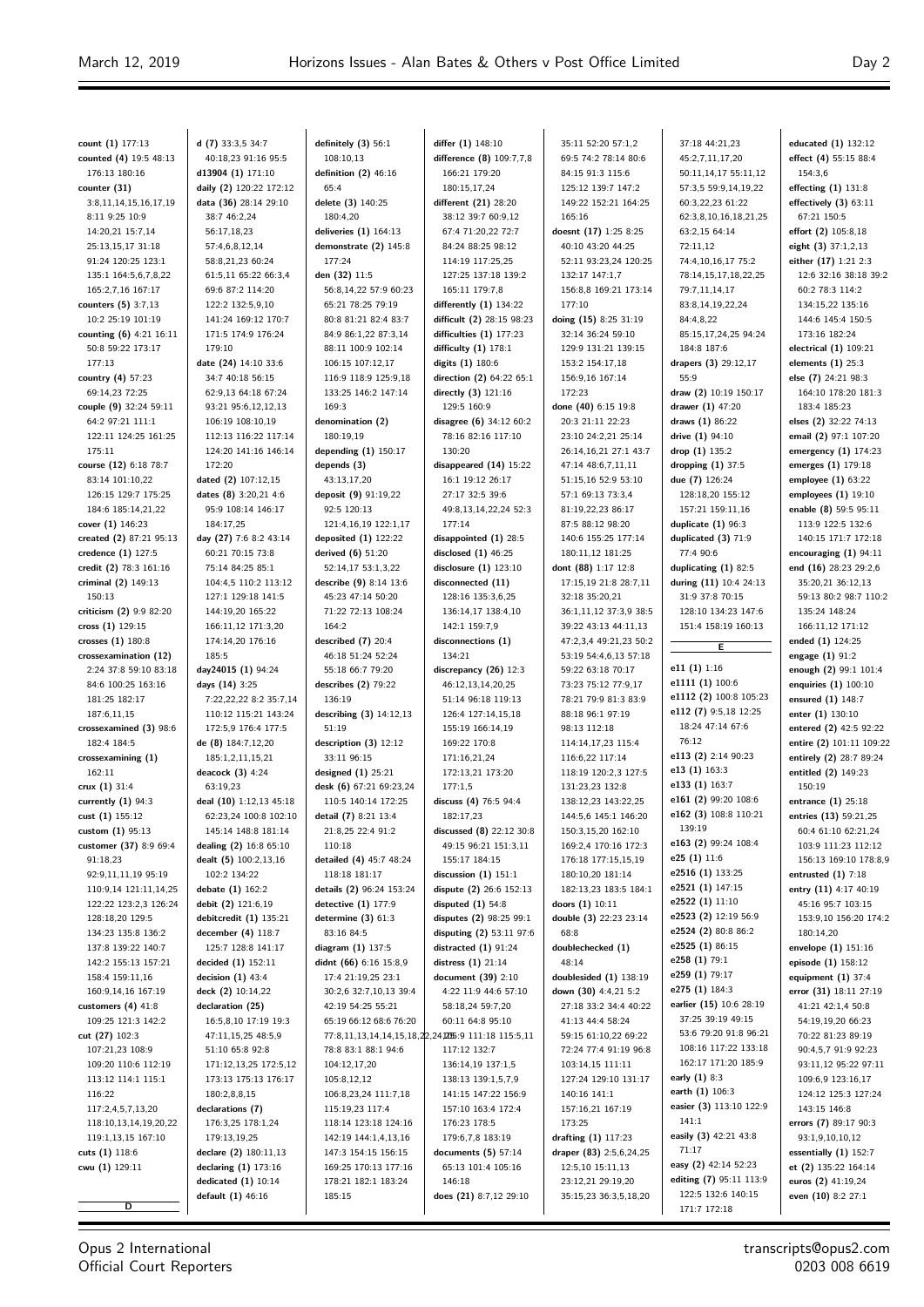$\equiv$ 

 $\equiv$ 

| count (1) 177:13        | d $(7)$ 33:3,5 34:7     | definitely $(3)$ 56:1     | differ (1) 148:10                                   | 35:11 52:20 57:1,2      | 37:18 44:21,23          | educated (1) 132:12      |
|-------------------------|-------------------------|---------------------------|-----------------------------------------------------|-------------------------|-------------------------|--------------------------|
| counted (4) 19:5 48:13  | 40:18,23 91:16 95:5     | 108:10,13                 | difference (8) 109:7,7,8                            | 69:5 74:2 78:14 80:6    | 45:2,7,11,17,20         | effect (4) 55:15 88:4    |
| 176:13 180:16           | d13904 (1) 171:10       | definition $(2)$ 46:16    | 166:21 179:20                                       | 84:15 91:3 115:6        | 50:11,14,17 55:11,12    | 154:3,6                  |
| counter (31)            | daily (2) 120:22 172:12 | 65:4                      | 180:15,17,24                                        | 125:12 139:7 147:2      | 57:3,5 59:9,14,19,22    | effecting (1) 131:8      |
| 3:8,11,14,15,16,17,19   | data (36) 28:14 29:10   | delete (3) 140:25         | different (21) 28:20                                | 149:22 152:21 164:25    | 60:3,22,23 61:22        | effectively $(3)$ 63:11  |
| 8:11 9:25 10:9          | 38:7 46:2,24            | 180:4,20                  | 38:12 39:7 60:9,12                                  | 165:16                  | 62:3,8,10,16,18,21,25   | 67:21 150:5              |
| 14:20,21 15:7,14        | 56:17,18,23             | deliveries $(1)$ 164:13   | 67:4 71:20,22 72:7                                  | doesnt (17) 1:25 8:25   | 63:2,15 64:14           | effort (2) 105:8,18      |
| 25:13,15,17 31:18       | 57:4,6,8,12,14          | demonstrate (2) 145:8     | 84:24 88:25 98:12                                   | 40:10 43:20 44:25       | 72:11,12                | eight (3) 37:1,2,13      |
| 91:24 120:25 123:1      | 58:8,21,23 60:24        | 177:24                    | 114:19 117:25,25                                    | 52:11 93:23,24 120:25   | 74:4,10,16,17 75:2      | either (17) 1:21 2:3     |
| 135:1 164:5,6,7,8,22    | 61:5,11 65:22 66:3,4    | den (32) 11:5             | 127:25 137:18 139:2                                 | 132:17 147:1,7          | 78:14,15,17,18,22,25    | 12:6 32:16 38:18 39:2    |
| 165:2,7,16 167:17       | 69:6 87:2 114:20        | 56:8,14,22 57:9 60:23     | 165:11 179:7,8                                      | 156:8,8 169:21 173:14   | 79:7,11,14,17           | 60:2 78:3 114:2          |
| counters (5) 3:7,13     | 122:2 132:5,9,10        | 65:21 78:25 79:19         | differently $(1)$ 134:22                            | 177:10                  | 83:8,14,19,22,24        | 134:15,22 135:16         |
| 10:2 25:19 101:19       | 141:24 169:12 170:7     | 80:8 81:21 82:4 83:7      | difficult (2) 28:15 98:23                           | doing (15) 8:25 31:19   | 84:4,8,22               | 144:6 145:4 150:5        |
|                         | 171:5 174:9 176:24      | 84:9 86:1,22 87:3,14      |                                                     | 32:14 36:24 59:10       |                         | 173:16 182:24            |
| counting (6) 4:21 16:11 |                         |                           | difficulties $(1)$ 177:23                           | 129:9 131:21 139:15     | 85:15,17,24,25 94:24    |                          |
| 50:8 59:22 173:17       | 179:10                  | 88:11 100:9 102:14        | difficulty $(1)$ 178:1                              |                         | 184:8 187:6             | electrical (1) 109:21    |
| 177:13                  | date (24) 14:10 33:6    | 106:15 107:12,17          | digits (1) 180:6                                    | 153:2 154:17,18         | drapers (3) 29:12,17    | elements $(1)$ 25:3      |
| country $(4)$ 57:23     | 34:7 40:18 56:15        | 116:9 118:9 125:9,18      | direction (2) 64:22 65:1                            | 156:9,16 167:14         | 55:9                    | else (7) 24:21 98:3      |
| 69:14,23 72:25          | 62:9,13 64:18 67:24     | 133:25 146:2 147:14       | directly (3) 121:16                                 | 172:23                  | draw (2) 10:19 150:17   | 164:10 178:20 181:3      |
| couple (9) 32:24 59:11  | 93:21 95:6,12,12,13     | 169:3                     | 129:5 160:9                                         | done (40) 6:15 19:8     | drawer (1) 47:20        | 183:4 185:23             |
| 64:2 97:21 111:1        | 106:19 108:10,19        | denomination (2)          | disagree (6) 34:12 60:2                             | 20:3 21:11 22:23        | draws (1) 86:22         | elses (2) 32:22 74:13    |
| 122:11 124:25 161:25    | 112:13 116:22 117:14    | 180:19,19                 | 78:16 82:16 117:10                                  | 23:10 24:2,21 25:14     | drive (1) 94:10         | email (2) 97:1 107:20    |
| 175:11                  | 124:20 141:16 146:14    | depending $(1)$ 150:17    | 130:20                                              | 26:14,16,21 27:1 43:7   | drop $(1)$ 135:2        | emergency $(1)$ 174:23   |
| course (12) 6:18 78:7   | 172:20                  | depends (3)               | disappeared (14) 15:22                              | 47:14 48:6,7,11,11      | dropping $(1)$ 37:5     | emerges (1) 179:18       |
| 83:14 101:10,22         | dated (2) 107:12.15     | 43:13,17,20               | 16:1 19:12 26:17                                    | 51:15,16 52:9 53:10     | due (7) 126:24          | employee (1) 63:22       |
| 126:15 129:7 175:25     | dates (8) 3:20,21 4:6   | deposit (9) 91:19,22      | 27:17 32:5 39:6                                     | 57:1 69:13 73:3,4       | 128:18,20 155:12        | employees $(1)$ 19:10    |
| 184:6 185:14,21,22      | 95:9 108:14 146:17      | 92:5 120:13               | 49:8,13,14,22,24 52:3                               | 81:19,22,23 86:17       | 157:21 159:11,16        | enable (8) 59:5 95:11    |
| cover (1) 146:23        | 184:17.25               | 121:4,16,19 122:1,17      | 177:14                                              | 87:5 88:12 98:20        | duplicate $(1)$ 96:3    | 113:9 122:5 132:6        |
| created (2) 87:21 95:13 | day (27) 7:6 8:2 43:14  | deposited $(1)$ 122:22    | disappointed (1) 28:5                               | 140:6 155:25 177:14     | duplicated (3) 71:9     | 140:15 171:7 172:18      |
| credence (1) 127:5      | 60:21 70:15 73:8        | derived (6) 51:20         | disclosed $(1)$ 46:25                               | 180:11,12 181:25        | 77:4 90:6               | encouraging $(1)$ 94:11  |
| credit (2) 78:3 161:16  | 75:14 84:25 85:1        | 52:14,17 53:1,3,22        | disclosure $(1)$ 123:10                             | dont (88) 1:17 12:8     | duplicating $(1)$ 82:5  | end (16) 28:23 29:2,6    |
| criminal (2) 149:13     | 104:4,5 110:2 113:12    | describe (9) 8:14 13:6    | disconnected (11)                                   | 17:15,19 21:8 28:7,11   | during (11) 10:4 24:13  | 35:20,21 36:12,13        |
| 150:13                  | 127:1 129:18 141:5      | 45:23 47:14 50:20         | 128:16 135:3,6,25                                   | 32:18 35:20,21          | 31:9 37:8 70:15         | 59:13 80:2 98:7 110:2    |
| criticism (2) 9:9 82:20 | 144:19,20 165:22        | 71:22 72:13 108:24        | 136:14,17 138:4,10                                  | 36:1,11,12 37:3,9 38:5  | 128:10 134:23 147:6     | 135:24 148:24            |
| cross (1) 129:15        | 166:11,12 171:3,20      | 164:2                     | 142:1 159:7,9                                       | 39:22 43:13 44:11,13    | 151:4 158:19 160:13     | 166:11,12 171:12         |
| crosses (1) 180:8       | 174:14,20 176:16        | described $(7)$ 20:4      | disconnections (1)                                  | 47:2,3,4 49:21,23 50:2  |                         | ended (1) 124:25         |
| crossexamination (12)   | 185:5                   | 46:18 51:24 52:24         | 134:21                                              | 53:19 54:4,6,13 57:18   | Έ                       | engage $(1)$ 91:2        |
| 2:24 37:8 59:10 83:18   | day24015 (1) 94:24      | 55:18 66:7 79:20          | discrepancy (26) 12:3                               | 59:22 63:18 70:17       | e11 $(1)$ 1:16          | enough (2) 99:1 101:4    |
| 84:6 100:25 163:16      | days (14) 3:25          | describes $(2)$ 79:22     | 46:12,13,14,20,25                                   | 73:23 75:12 77:9,17     | e1111 (1) 100:6         | enquiries (1) 100:10     |
| 181:25 182:17           | 7:22,22,22 8:2 35:7,14  | 136:19                    | 51:14 96:18 119:13                                  | 78:21 79:9 81:3 83:9    | e1112 (2) 100:8 105:23  | ensured (1) 148:7        |
|                         |                         |                           |                                                     |                         | e112 (7) 9:5,18 12:25   |                          |
| 187:6,11,15             | 110:12 115:21 143:24    | describing $(3)$ 14:12,13 | 126:4 127:14,15,18                                  | 88:18 96:1 97:19        | 18:24 47:14 67:6        | enter (1) 130:10         |
| crossexamined (3) 98:6  | 172:5,9 176:4 177:5     | 51:19                     | 155:19 166:14,19                                    | 98:13 112:18            | 76:12                   | entered (2) 42:5 92:22   |
| 182:4 184:5             | de (8) 184:7,12,20      | description (3) 12:12     | 169:22 170:8                                        | 114:14,17,23 115:4      | e113 (2) 2:14 90:23     | entire (2) 101:11 109:22 |
| crossexamining (1)      | 185:1,2,11,15,21        | 33:11 96:15               | 171:16,21,24                                        | 116:6,22 117:14         | e13 (1) 163:3           | entirely (2) 28:7 89:24  |
| 162:11                  | deacock (3) 4:24        | designed $(1)$ 25:21      | 172:13,21 173:20                                    | 118:19 120:2,3 127:5    | e133 (1) 163:7          | entitled (2) 149:23      |
| crux $(1)$ 31:4         | 63:19,23                | desk (6) 67:21 69:23,24   | 177:1.5                                             | 131:23,23 132:8         |                         | 150:19                   |
| currently $(1)$ 94:3    | deal (10) 1:12,13 45:18 | 110:5 140:14 172:25       | discuss (4) 76:5 94:4                               | 138:12,23 143:22,25     | e161 (2) 99:20 108:6    | entrance $(1)$ 25:18     |
| cust (1) 155:12         | 62:23,24 100:8 102:10   | detail (7) 8:21 13:4      | 182:17,23                                           | 144:5,6 145:1 146:20    | e162 (3) 108:8 110:21   | entries (13) 59:21,25    |
| custom $(1)$ 95:13      | 145:14 148:8 181:14     | 21:8,25 22:4 91:2         | discussed $(8)$ 22:12 30:8                          | 150:3,15,20 162:10      | 139:19                  | 60:4 61:10 62:21,24      |
| customer (37) 8:9 69:4  | dealing (2) 16:8 65:10  | 110:18                    | 49:15 96:21 151:3,11                                | 169:2,4 170:16 172:3    | e163 (2) 99:24 108:4    | 103:9 111:23 112:12      |
| 91:18,23                | dealt (5) 100:2,13,16   | detailed (4) 45:7 48:24   | 155:17 184:15                                       | 176:18 177:15,15,19     | e25 (1) 11:6            | 156:13 169:10 178:8,9    |
| 92:9,11,11,19 95:19     | 102:2 134:22            | 118:18 181:17             | discussion $(1)$ 151:1                              | 180:10,20 181:14        | e2516 (1) 133:25        | entrusted $(1)$ 7:18     |
| 110:9,14 121:11,14,25   | debate (1) 162:2        | details (2) 96:24 153:24  | dispute (2) 26:6 152:13                             | 182:13,23 183:5 184:1   | e2521 (1) 147:15        | entry (11) 4:17 40:19    |
| 122:22 123:2,3 126:24   | debit (2) 121:6,19      | detective $(1)$ 177:9     | disputed $(1)$ 54:8                                 | doors (1) 10:11         | e2522 (1) 11:10         | 45:16 95:7 103:15        |
| 128:18,20 129:5         | debitcredit (1) 135:21  | determine $(3)$ 61:3      | disputes (2) 98:25 99:1                             | double (3) 22:23 23:14  | e2523 (2) 12:19 56:9    | 153:9,10 156:20 174:2    |
| 134:23 135:8 136:2      | december (4) 118:7      | 83:16 84:5                | disputing (2) 53:11 97:6                            | 68:8                    | e2524 (2) 80:8 86:2     | 180:14,20                |
| 137:8 139:22 140:7      | 125:7 128:8 141:17      | diagram (1) 137:5         | distracted $(1)$ 91:24                              | doublechecked (1)       | e2525 (1) 86:15         | envelope (1) 151:16      |
| 142:2 155:13 157:21     | decided (1) 152:11      | didnt (66) 6:16 15:8,9    | distress $(1)$ 21:14                                | 48:14                   | e258 (1) 79:1           | episode (1) 158:12       |
| 158:4 159:11,16         | decision $(1)$ 43:4     | 17:4 21:19,25 23:1        | document (39) 2:10                                  | doublesided (1) 138:19  | e259 (1) 79:17          | equipment $(1)$ 37:4     |
| 160:9,14,16 167:19      | deck (2) 10:14,22       | 30:2,6 32:7,10,13 39:4    | 4:22 11:9 44:6 57:10                                | down (30) 4:4,21 5:2    | e275 (1) 184:3          | error (31) 18:11 27:19   |
| customers $(4)$ 41:8    | declaration (25)        | 42:19 54:25 55:21         | 58:18,24 59:7,20                                    | 27:18 33:2 34:4 40:22   | earlier (15) 10:6 28:19 | 41:21 42:1,4 50:8        |
| 109:25 121:3 142:2      | 16:5,8,10 17:19 19:3    | 65:19 66:12 68:6 76:20    | 60:11 64:8 95:10                                    | 41:13 44:4 58:24        | 37:25 39:19 49:15       | 54:19,19,20 66:23        |
| cut (27) 102:3          | 47:11,15,25 48:5,9      |                           | 77:8,11,13,14,14,15,18,22,24,2055:9 111:18 115:5,11 | 59:15 61:10,22 69:22    | 53:6 79:20 91:8 96:21   | 70:22 81:23 89:19        |
| 107:21,23 108:9         | 51:10 65:8 92:8         | 78:8 83:1 88:1 94:6       | 117:12 132:7                                        | 72:24 77:4 91:19 96:8   | 108:16 117:22 133:18    | 90:4,5,7 91:9 92:23      |
| 109:20 110:6 112:19     | 171:12,13,25 172:5,12   | 104:12,17,20              | 136:14,19 137:1,5                                   | 103:14,15 111:11        | 162:17 171:20 185:9     | 93:11,12 95:22 97:11     |
| 113:12 114:1 115:1      | 173:13 175:13 176:17    | 105:8,12,12               | 138:13 139:1,5,7,9                                  | 127:24 129:10 131:17    | early (1) 8:3           | 109:6,9 123:16,17        |
| 116:22                  | 180:2,8,8,15            | 106:8,23,24 111:7,18      | 141:15 147:22 156:9                                 | 140:16 141:1            | earth (1) 106:3         | 124:12 125:3 127:24      |
| 117:2,4,5,7,13,20       | declarations (7)        | 115:19,23 117:4           | 157:10 163:4 172:4                                  | 157:16,21 167:19        | easier (3) 113:10 122:9 | 143:15 146:8             |
| 118:10,13,14,19,20,22   | 176:3,25 178:1,24       | 118:14 123:18 124:16      | 176:23 178:5                                        | 173:25                  | 141:1                   | errors (7) 89:17 90:3    |
| 119:1,13,15 167:10      | 179:13,19,25            | 142:19 144:1,4,13,16      | 179:6,7,8 183:19                                    | drafting (1) 117:23     | easily (3) 42:21 43:8   | 93:1,9,10,10,12          |
| cuts (1) 118:6          | declare (2) 180:11,13   | 147:3 154:15 156:15       | documents $(5)$ 57:14                               | draper (83) 2:5,6,24,25 | 71:17                   | essentially (1) 152:7    |
| cwu (1) 129:11          | declaring $(1)$ 173:16  | 169:25 170:13 177:16      | 65:13 101:4 105:16                                  | 12:5,10 15:11,13        | easy (2) 42:14 52:23    | et (2) 135:22 164:14     |
|                         | dedicated $(1)$ 10:14   | 178:21 182:1 183:24       | 146:18                                              | 23:12,21 29:19,20       | editing (7) 95:11 113:9 | euros (2) 41:19,24       |
|                         | default (1) 46:16       | 185:15                    | does (21) 8:7,12 29:10                              | 35:15,23 36:3,5,18,20   | 122:5 132:6 140:15      | even (10) 8:2 27:1       |
| D                       |                         |                           |                                                     |                         | 171:7 172:18            |                          |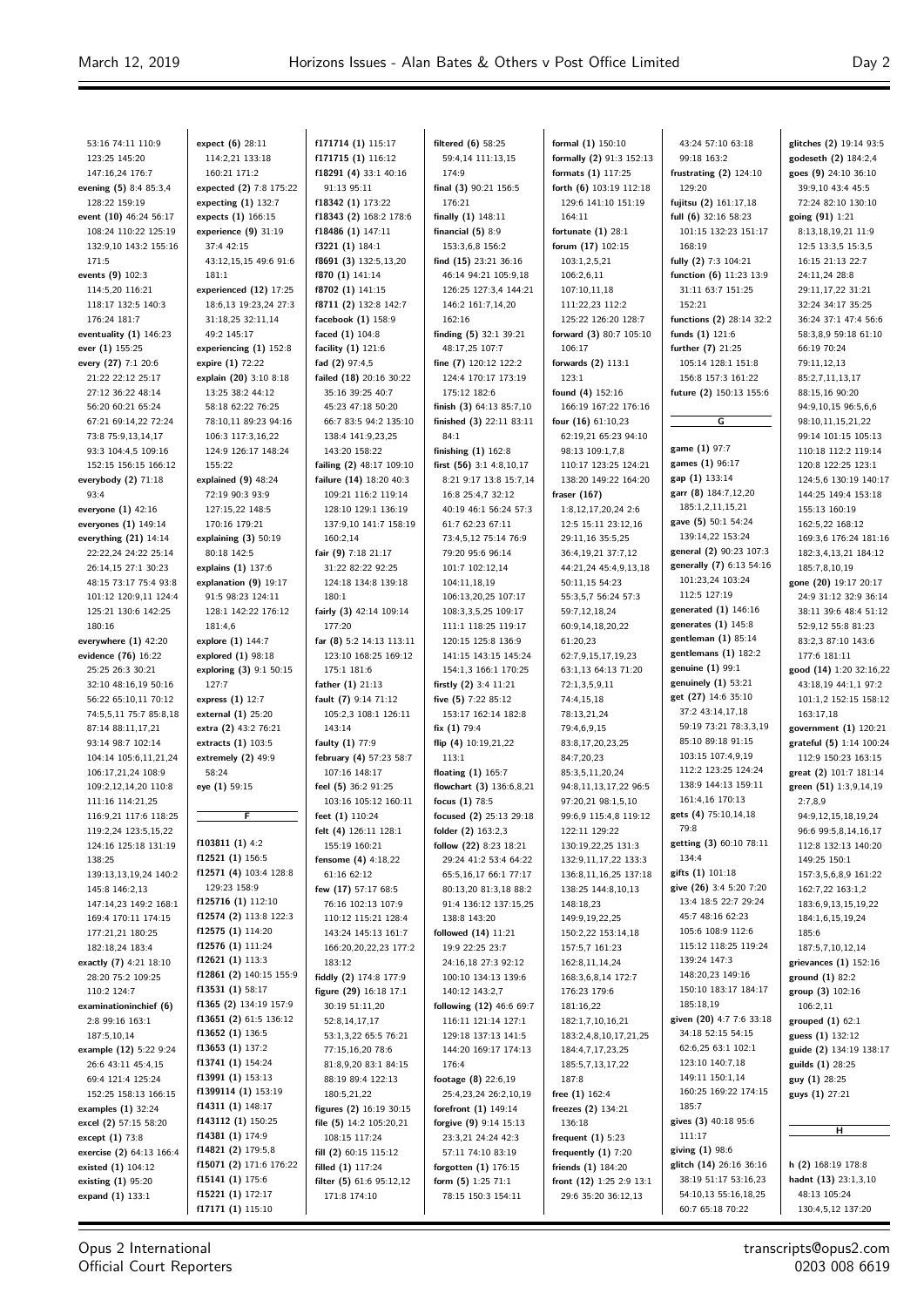53:16 74:11 110:9 123:25 145:20 147:16,24 176:7 **evening (5)** 8:4 85:3,4 128:22 159:19 **event (10)** 46:24 56:17 108:24 110:22 125:19 132:9,10 143:2 155:16 171:5 **events (9)** 102:3 114:5,20 116:21 118:17 132:5 140:3 176:24 181:7 **eventuality (1)** 146:23 **ever (1)** 155:25 **every (27)** 7:1 20:6 21:22 22:12 25:17 27:12 36:22 48:14 56:20 60:21 65:24 67:21 69:14,22 72:24 73:8 75:9,13,14,17 93:3 104:4,5 109:16 152:15 156:15 166:12 **everybody (2)** 71:18  $93.4$ **everyone (1)** 42:16 **everyones (1)** 149:14 **everything (21)** 14:14 22:22,24 24:22 25:14 26:14,15 27:1 30:23 48:15 73:17 75:4 93:8 101:12 120:9,11 124:4 125:21 130:6 142:25 180:16 **everywhere (1)** 42:20 **evidence (76)** 16:22 25:25 26:3 30:21 32:10 48:16,19 50:16 56:22 65:10,11 70:12 74:5,5,11 75:7 85:8,18 87:14 88:11,17,21 93:14 98:7 102:14 104:14 105:6,11,21,24 106:17,21,24 108:9 109:2,12,14,20 110:8 111:16 114:21,25 116:9,21 117:6 118:25 119:2,24 123:5,15,22 124:16 125:18 131:19 138:25 139:13,13,19,24 140:2 145:8 146:2,13 147:14,23 149:2 168:1 169:4 170:11 174:15 177:21,21 180:25 182:18,24 183:4 **exactly (7)** 4:21 18:10 28:20 75:2 109:25 110:2 124:7 **examinationinchief (6)** 2:8 99:16 163:1 187:5,10,14 **example (12)** 5:22 9:24 26:6 43:11 45:4,15 69:4 121:4 125:24 152:25 158:13 166:15 **examples (1)** 32:24 **excel (2)** 57:15 58:20 **except (1)** 73:8 **exercise (2)** 64:13 166:4 **existed (1)** 104:12 **existing (1)** 95:20 **expand (1)** 133:1

**expect (6)** 28:11 114:2,21 133:18 160:21 171:2 **expected (2)** 7:8 175:22 **expecting (1)** 132:7 **expects (1)** 166:15 **experience (9)** 31:19 37:4 42:15 43:12,15,15 49:6 91:6 181:1 **experienced (12)** 17:25 18:6,13 19:23,24 27:3 31:18,25 32:11,14 49:2 145:17 **experiencing (1)** 152:8 **expire (1)** 72:22 **explain (20)** 3:10 8:18 13:25 38:2 44:12 58:18 62:22 76:25 78:10,11 89:23 94:16 106:3 117:3,16,22 124:9 126:17 148:24 155:22 **explained (9)** 48:24 72:19 90:3 93:9 127:15,22 148:5 170:16 179:21 **explaining (3)** 50:19 80:18 142:5 **explains (1)** 137:6 **explanation (9)** 19:17 91:5 98:23 124:11 128:1 142:22 176:12 181:4,6 **explore (1)** 144:7 **explored (1)** 98:18 **exploring (3)** 9:1 50:15 127:7 **express (1)** 12:7 **external (1)** 25:20 **extra (2)** 43:2 76:21 **extracts (1)** 103:5 **extremely (2)** 49:9 58:24 **eye (1)** 59:15 **F f103811 (1)** 4:2 **f12521 (1)** 156:5 **f12571 (4)** 103:4 128:8 129:23 158:9 **f125716 (1)** 112:10 **f12574 (2)** 113:8 122:3 **f12575 (1)** 114:20 **f12576 (1)** 111:24 **f12621 (1)** 113:3 **f12861 (2)** 140:15 155:9 **f13531 (1)** 58:17 **f1365 (2)** 134:19 157:9 **f13651 (2)** 61:5 136:12 **f13652 (1)** 136:5 **f13653 (1)** 137:2 **f13741 (1)** 154:24 **f13991 (1)** 153:13 **f1399114 (1)** 153:19 **f14311 (1)** 148:17 **f143112 (1)** 150:25 **f14381 (1)** 174:9 **f14821 (2)** 179:5,8 **f15071 (2)** 171:6 176:22 **f15141 (1)** 175:6 **f15221 (1)** 172:17 **f17171 (1)** 115:10

**f171714 (1)** 115:17 **f171715 (1)** 116:12 **f18291 (4)** 33:1 40:16 91:13 95:11 **f18342 (1)** 173:22 **f18343 (2)** 168:2 178:6 **f18486 (1)** 147:11 **f3221 (1)** 184:1 **f8691 (3)** 132:5,13,20 **f870 (1)** 141:14 **f8702 (1)** 141:15 **f8711 (2)** 132:8 142:7 **facebook (1)** 158:9 **faced (1)** 104:8 **facility (1)** 121:6 **fad (2)** 97:4,5 **failed (18)** 20:16 30:22 35:16 39:25 40:7 45:23 47:18 50:20 66:7 83:5 94:2 135:10 138:4 141:9,23,25 143:20 158:22 **failing (2)** 48:17 109:10 **failure (14)** 18:20 40:3 109:21 116:2 119:14 128:10 129:1 136:19 137:9,10 141:7 158:19 160:2,14 **fair (9)** 7:18 21:17 31:22 82:22 92:25 124:18 134:8 139:18 180:1 **fairly (3)** 42:14 109:14 177:20 **far (8)** 5:2 14:13 113:11 123:10 168:25 169:12 175:1 181:6 **father (1)** 21:13 **fault (7)** 9:14 71:12 105:2,3 108:1 126:11 143:14 **faulty (1)** 77:9 **february (4)** 57:23 58:7 107:16 148:17 **feel (5)** 36:2 91:25 103:16 105:12 160:11 **feet (1)** 110:24 **felt (4)** 126:11 128:1 155:19 160:21 **fensome (4)** 4:18,22 61:16 62:12 **few (17)** 57:17 68:5 76:16 102:13 107:9 110:12 115:21 128:4 143:24 145:13 161:7 166:20,20,22,23 177:2 183:12 **fiddly (2)** 174:8 177:9 **figure (29)** 16:18 17:1 30:19 51:11,20 52:8,14,17,17 53:1,3,22 65:5 76:21 77:15,16,20 78:6 81:8,9,20 83:1 84:15 88:19 89:4 122:13 180:5,21,22 **figures (2)** 16:19 30:15 **file (5)** 14:2 105:20,21 108:15 117:24 **fill (2)** 60:15 115:12 **filled (1)** 117:24 **filter (5)** 61:6 95:12,12 171:8 174:10

**filtered (6)** 58:25 59:4,14 111:13,15 174:9 **final (3)** 90:21 156:5 176:21 **finally (1)** 148:11 **financial (5)** 8:9 153:3,6,8 156:2 **find (15)** 23:21 36:16 46:14 94:21 105:9,18 126:25 127:3,4 144:21 146:2 161:7,14,20 162:16 **finding (5)** 32:1 39:21 48:17,25 107:7 **fine (7)** 120:12 122:2 124:4 170:17 173:19 175:12 182:6 **finish (3)** 64:13 85:7,10 **finished (3)** 22:11 83:11 84:1 **finishing (1)** 162:8 **first (56)** 3:1 4:8,10,17 8:21 9:17 13:8 15:7,14 16:8 25:4,7 32:12 40:19 46:1 56:24 57:3 61:7 62:23 67:11 73:4,5,12 75:14 76:9 79:20 95:6 96:14 101:7 102:12,14 104:11,18,19 106:13,20,25 107:17 108:3,3,5,25 109:17 111:1 118:25 119:17 120:15 125:8 136:9 141:15 143:15 145:24 154:1,3 166:1 170:25 **firstly (2)** 3:4 11:21 **five (5)** 7:22 85:12 153:17 162:14 182:8 **fix (1)** 79:4 flip (4) 10:19 21-22 113:1 **floating (1)** 165:7 **flowchart (3)** 136:6,8,21 **focus (1)** 78:5 **focused (2)** 25:13 29:18 **folder (2)** 163:2,3 **follow (22)** 8:23 18:21 29:24 41:2 53:4 64:22 65:5,16,17 66:1 77:17 80:13,20 81:3,18 88:2 91:4 136:12 137:15,25 138:8 143:20 **followed (14)** 11:21 19:9 22:25 23:7 24:16,18 27:3 92:12 100:10 134:13 139:6 140:12 143:2,7 **following (12)** 46:6 69:7 116:11 121:14 127:1 129:18 137:13 141:5 144:20 169:17 174:13 176:4 **footage (8)** 22:6,19 25:4,23,24 26:2,10,19 **forefront (1)** 149:14 **forgive (9)** 9:14 15:13 23:3,21 24:24 42:3 57:11 74:10 83:19 **forgotten (1)** 176:15 **form (5)** 1:25 71:1 78:15 150:3 154:11

**formal (1)** 150:10 **formally (2)** 91:3 152:13 **formats (1)** 117:25 **forth (6)** 103:19 112:18 129:6 141:10 151:19 164:11 **fortunate (1)** 28:1 **forum (17)** 102:15 103:1,2,5,21 106:2,6,11 107:10,11,18 111:22,23 112:2 125:22 126:20 128:7 **forward (3)** 80:7 105:10 106:17 **forwards (2)** 113:1 123:1 **found (4)** 152:16 166:19 167:22 176:16 **four (16)** 61:10,23 62:19,21 65:23 94:10 98:13 109:1,7,8 110:17 123:25 124:21 138:20 149:22 164:20 **fraser (167)** 1:8,12,17,20,24 2:6 12:5 15:11 23:12,16 29:11,16 35:5,25 36:4,19,21 37:7,12 44:21,24 45:4,9,13,18 50:11,15 54:23 55:3,5,7 56:24 57:3 59:7,12,18,24 60:9,14,18,20,22 61:20,23 62:7,9,15,17,19,23 63:1,13 64:13 71:20 72:1,3,5,9,11 74:4,15,18 78:13,21,24 79:4,6,9,15 83:8,17,20,23,25 84:7,20,23 85:3,5,11,20,24 04:8,11,13,17,22,06:5 97:20,21 98:1,5,10 99:6,9 115:4,8 119:12 122:11 129:22 130:19,22,25 131:3 132:9,11,17,22 133:3 136:8,11,16,25 137:18 138:25 144:8,10,13 148:18,23 149:9,19,22,25 150:2,22 153:14,18 157:5,7 161:23 162:8,11,14,24 168:3,6,8,14 172:7 176:23 179:6 181:16,22 182:1,7,10,16,21 183:2,4,8,10,17,21,25 184:4,7,17,23,25 185:5,7,13,17,22 187:8 **free (1)** 162:4 **freezes (2)** 134:21 136:18 **frequent (1)** 5:23 **frequently (1)** 7:20 **friends (1)** 184:20 **front (12)** 1:25 2:9 13:1 29:6 35:20 36:12,13

43:24 57:10 63:18 99:18 163:2 **frustrating (2)** 124:10 129:20 **fujitsu (2)** 161:17,18 **full (6)** 32:16 58:23 101:15 132:23 151:17 168:19 **fully (2)** 7:3 104:21 **function (6)** 11:23 13:9 31:11 63:7 151:25 152:21 **functions (2)** 28:14 32:2 **funds (1)** 121:6 **further (7)** 21:25 105:14 128:1 151:8 156:8 157:3 161:22 **future (2)** 150:13 155:6 **G game (1)** 97:7 **games (1)** 96:17 **gap (1)** 133:14 **garr (8)** 184:7,12,20 185:1,2,11,15,21 **gave (5)** 50:1 54:24 139:14,22 153:24 **general (2)** 90:23 107:3 **generally (7)** 6:13 54:16 101:23,24 103:24 112:5 127:19 **generated (1)** 146:16 **generates (1)** 145:8 **gentleman (1)** 85:14 **gentlemans (1)** 182:2 **genuine (1)** 99:1 **genuinely (1)** 53:21 **get (27)** 14:6 35:10 37:2 43:14,17,18 59:19 73:21 78:3,3,19 85:10 89:18 91:15 103:15 107:4,9,19 112:2 123:25 124:24 138:9 144:13 159:11 161:4,16 170:13 **gets (4)** 75:10,14,18 79:8 **getting (3)** 60:10 78:11 134:4 **gifts (1)** 101:18 **give (26)** 3:4 5:20 7:20 13:4 18:5 22:7 29:24 45:7 48:16 62:23 105:6 108:9 112:6 115:12 118:25 119:24 139:24 147:3 148:20,23 149:16 150:10 183:17 184:17 185:18,19 **given (20)** 4:7 7:6 33:18 34:18 52:15 54:15 62:6,25 63:1 102:1 123:10 140:7,18 149:11 150:1,14 160:25 169:22 174:15 185:7 **gives (3)** 40:18 95:6 111:17 **giving (1)** 98:6 **glitch (14)** 26:16 36:16 38:19 51:17 53:16,23 54:10,13 55:16,18,25 60:7 65:18 70:22

**glitches (2)** 19:14 93:5 **godeseth (2)** 184:2,4 **goes (9)** 24:10 36:10 39:9,10 43:4 45:5 72:24 82:10 130:10 **going (91)** 1:21 8:13,18,19,21 11:9 12:5 13:3,5 15:3,5 16:15 21:13 22:7 24:11,24 28:8 29:11,17,22 31:21 32:24 34:17 35:25 36:24 37:1 47:4 56:6 58:3,8,9 59:18 61:10 66:19 70:24 79:11,12,13 85:2,7,11,13,17 88:15,16 90:20 94:9,10,15 96:5,6,6 98:10,11,15,21,22 99:14 101:15 105:13 110:18 112:2 119:14 120:8 122:25 123:1 124:5,6 130:19 140:17 144:25 149:4 153:18 155:13 160:19 162:5,22 168:12 169:3,6 176:24 181:16 182:3,4,13,21 184:12 185:7,8,10,19 **gone (20)** 19:17 20:17 24:9 31:12 32:9 36:14 38:11 39:6 48:4 51:12 52:9,12 55:8 81:23 83:2,3 87:10 143:6 177:6 181:11 **good (14)** 1:20 32:16,22 43:18,19 44:1,1 97:2 101:1,2 152:15 158:12 163:17,18 **government (1)** 120:21 **grateful (5)** 1:14 100:24 112:9 150:23 163:15 **great (2)** 101:7 181:14 **green (51)** 1:3,9,14,19 2:7,8,9 94:9,12,15,18,19,24 96:6 99:5,8,14,16,17 112:8 132:13 140:20 149:25 150:1 157:3,5,6,8,9 161:22 162:7,22 163:1,2 183:6,9,13,15,19,22 184:1,6,15,19,24 185:6 187:5,7,10,12,14 **grievances (1)** 152:16 **ground (1)** 82:2 **group (3)** 102:16 106:2,11 **grouped (1)** 62:1 **guess (1)** 132:12 **guide (2)** 134:19 138:17 **guilds (1)** 28:25 **guy (1)** 28:25 **guys (1)** 27:21 **H h (2)** 168:19 178:8 **hadnt (13)** 23:1,3,10 48:13 105:24

Opus 2 International Official Court Reporters

transcripts@opus2.com 0203 008 6619

130:4,5,12 137:20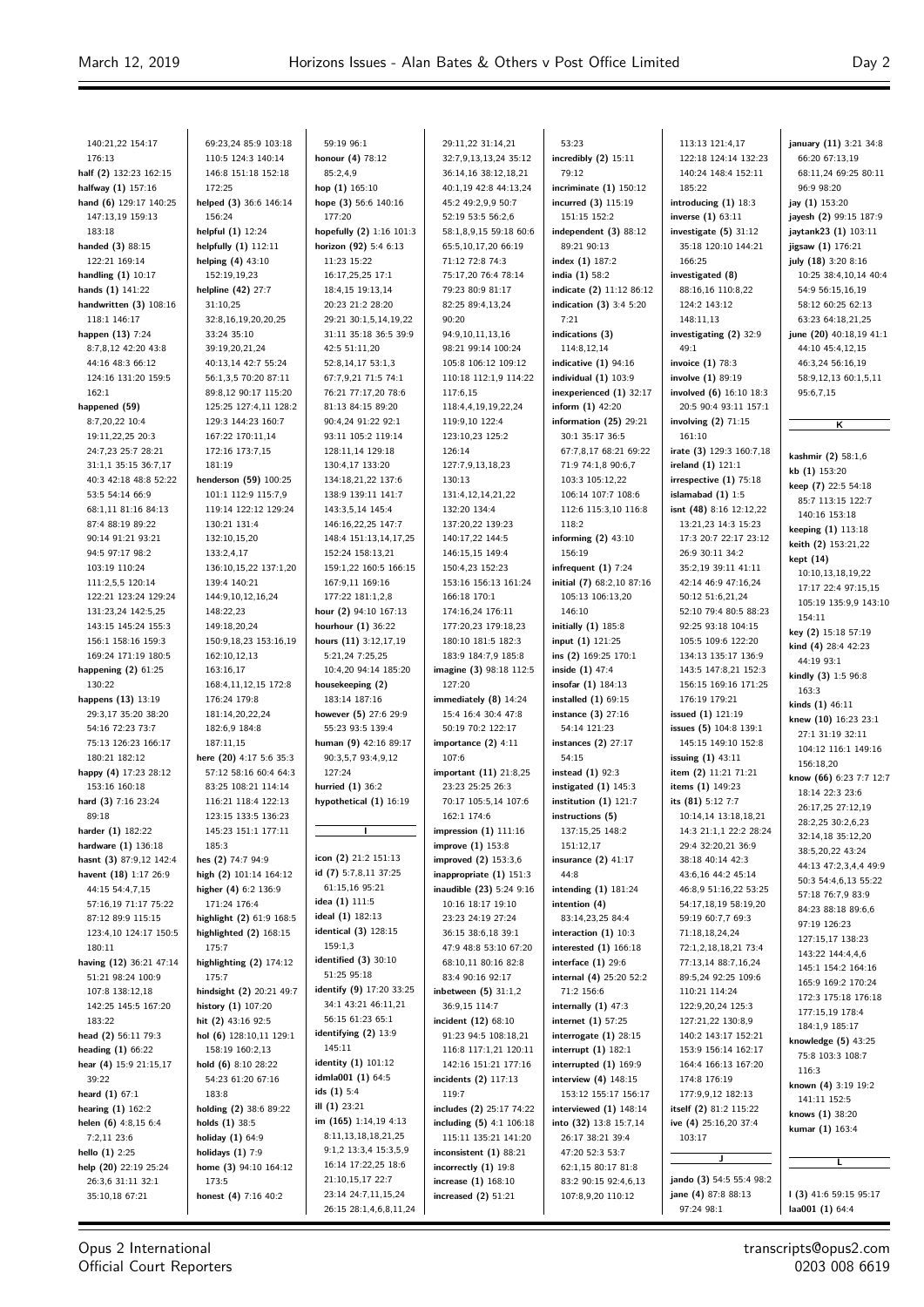$\equiv$ 

| 140:21,22 154:17        | 69:23,24 85:9 103:18     | 59:19 96:1               | 29:11,22 31:14,21         | 53:23                     | 113:13 121:4,17          | january (11) 3:21 34:8  |
|-------------------------|--------------------------|--------------------------|---------------------------|---------------------------|--------------------------|-------------------------|
| 176:13                  | 110:5 124:3 140:14       | honour (4) 78:12         | 32:7,9,13,13,24 35:12     | incredibly (2) 15:11      | 122:18 124:14 132:23     | 66:20 67:13,19          |
| half (2) 132:23 162:15  | 146:8 151:18 152:18      | 85:2,4,9                 | 36:14,16 38:12,18,21      | 79:12                     | 140:24 148:4 152:11      | 68:11,24 69:25 80:11    |
| halfway (1) 157:16      | 172:25                   | hop $(1)$ 165:10         | 40:1,19 42:8 44:13,24     | incriminate $(1)$ 150:12  | 185:22                   | 96:9 98:20              |
| hand (6) 129:17 140:25  | helped (3) 36:6 146:14   | hope (3) 56:6 140:16     | 45:2 49:2,9,9 50:7        | incurred (3) 115:19       | introducing $(1)$ 18:3   | jay (1) 153:20          |
| 147:13,19 159:13        | 156:24                   | 177:20                   | 52:19 53:5 56:2,6         | 151:15 152:2              | inverse $(1)$ 63:11      | jayesh (2) 99:15 187:9  |
| 183:18                  | helpful (1) 12:24        | hopefully (2) 1:16 101:3 | 58:1,8,9,15 59:18 60:6    | independent $(3)$ 88:12   | investigate $(5)$ 31:12  | jaytank23 (1) 103:11    |
| handed (3) 88:15        | helpfully $(1)$ 112:11   | horizon (92) 5:4 6:13    | 65:5,10,17,20 66:19       | 89:21 90:13               | 35:18 120:10 144:21      | jigsaw (1) 176:21       |
| 122:21 169:14           | helping $(4)$ 43:10      | 11:23 15:22              | 71:12 72:8 74:3           | index $(1)$ 187:2         | 166:25                   | july (18) 3:20 8:16     |
| handling $(1)$ 10:17    | 152:19,19,23             | 16:17,25,25 17:1         | 75:17,20 76:4 78:14       | india (1) 58:2            | investigated (8)         | 10:25 38:4,10,14 40:4   |
| hands $(1)$ 141:22      | helpline (42) 27:7       | 18:4,15 19:13,14         | 79:23 80:9 81:17          | indicate (2) 11:12 86:12  | 88:16,16 110:8,22        | 54:9 56:15,16,19        |
| handwritten (3) 108:16  | 31:10,25                 | 20:23 21:2 28:20         | 82:25 89:4,13,24          | indication $(3)$ 3:4 5:20 | 124:2 143:12             | 58:12 60:25 62:13       |
| 118:1 146:17            | 32:8,16,19,20,20,25      | 29:21 30:1,5,14,19,22    | 90:20                     | 7:21                      | 148:11,13                | 63:23 64:18,21,25       |
| happen (13) 7:24        | 33:24 35:10              | 31:11 35:18 36:5 39:9    | 94:9,10,11,13,16          | indications (3)           | investigating (2) 32:9   | june (20) 40:18,19 41:1 |
| 8:7,8,12 42:20 43:8     | 39:19,20,21,24           | 42:5 51:11,20            | 98:21 99:14 100:24        | 114:8,12,14               | 49:1                     | 44:10 45:4,12,15        |
| 44:16 48:3 66:12        | 40:13,14 42:7 55:24      | 52:8,14,17 53:1,3        | 105:8 106:12 109:12       | indicative $(1)$ 94:16    | invoice $(1)$ 78:3       | 46:3,24 56:16,19        |
| 124:16 131:20 159:5     | 56:1,3,5 70:20 87:11     | 67:7,9,21 71:5 74:1      | 110:18 112:1,9 114:22     | individual $(1)$ 103:9    | involve (1) 89:19        | 58:9,12,13 60:1,5,11    |
| 162:1                   | 89:8,12 90:17 115:20     | 76:21 77:17,20 78:6      | 117:6,15                  | inexperienced (1) 32:17   | involved (6) 16:10 18:3  | 95:6,7,15               |
| happened (59)           | 125:25 127:4,11 128:2    | 81:13 84:15 89:20        | 118:4,4,19,19,22,24       | inform $(1)$ 42:20        | 20:5 90:4 93:11 157:1    |                         |
| 8:7,20,22 10:4          | 129:3 144:23 160:7       | 90:4,24 91:22 92:1       | 119:9,10 122:4            | information (25) 29:21    | involving $(2)$ 71:15    |                         |
| 19:11,22,25 20:3        | 167:22 170:11,14         | 93:11 105:2 119:14       | 123:10,23 125:2           | 30:1 35:17 36:5           | 161:10                   | ĸ                       |
| 24:7,23 25:7 28:21      | 172:16 173:7,15          | 128:11,14 129:18         | 126:14                    | 67:7,8,17 68:21 69:22     | irate (3) 129:3 160:7,18 |                         |
| 31:1,1 35:15 36:7,17    | 181:19                   | 130:4,17 133:20          | 127:7,9,13,18,23          | 71:9 74:1,8 90:6,7        | ireland $(1)$ 121:1      | kashmir (2) 58:1,6      |
| 40:3 42:18 48:8 52:22   | henderson (59) 100:25    | 134:18,21,22 137:6       | 130:13                    | 103:3 105:12,22           | irrespective $(1)$ 75:18 | kb(1) 153:20            |
| 53:5 54:14 66:9         | 101:1 112:9 115:7,9      | 138:9 139:11 141:7       | 131:4,12,14,21,22         | 106:14 107:7 108:6        | islamabad $(1)$ 1:5      | keep (7) 22:5 54:18     |
| 68:1,11 81:16 84:13     | 119:14 122:12 129:24     | 143:3,5,14 145:4         | 132:20 134:4              | 112:6 115:3,10 116:8      | isnt (48) 8:16 12:12,22  | 85:7 113:15 122:7       |
| 87:4 88:19 89:22        | 130:21 131:4             | 146:16,22,25 147:7       | 137:20,22 139:23          | 118:2                     | 13:21,23 14:3 15:23      | 140:16 153:18           |
| 90:14 91:21 93:21       | 132:10,15,20             | 148:4 151:13,14,17,25    | 140:17,22 144:5           | informing $(2)$ 43:10     | 17:3 20:7 22:17 23:12    | keeping (1) 113:18      |
| 94:5 97:17 98:2         | 133:2,4,17               | 152:24 158:13,21         | 146:15,15 149:4           | 156:19                    | 26:9 30:11 34:2          | keith (2) 153:21,22     |
| 103:19 110:24           | 136:10,15,22 137:1,20    | 159:1,22 160:5 166:15    | 150:4,23 152:23           |                           | 35:2,19 39:11 41:11      | kept (14)               |
|                         | 139:4 140:21             | 167:9,11 169:16          |                           | infrequent $(1)$ 7:24     |                          | 10:10,13,18,19,22       |
| 111:2,5,5 120:14        |                          |                          | 153:16 156:13 161:24      | initial (7) 68:2,10 87:16 | 42:14 46:9 47:16,24      | 17:17 22:4 97:15,15     |
| 122:21 123:24 129:24    | 144:9,10,12,16,24        | 177:22 181:1,2,8         | 166:18 170:1              | 105:13 106:13,20          | 50:12 51:6,21,24         | 105:19 135:9,9 143:10   |
| 131:23,24 142:5,25      | 148:22,23                | hour (2) 94:10 167:13    | 174:16,24 176:11          | 146:10                    | 52:10 79:4 80:5 88:23    | 154:11                  |
| 143:15 145:24 155:3     | 149:18,20,24             | hourhour $(1)$ 36:22     | 177:20,23 179:18,23       | initially $(1)$ 185:8     | 92:25 93:18 104:15       | key (2) 15:18 57:19     |
| 156:1 158:16 159:3      | 150:9,18,23 153:16,19    | hours (11) 3:12,17,19    | 180:10 181:5 182:3        | input (1) 121:25          | 105:5 109:6 122:20       | kind (4) 28:4 42:23     |
| 169:24 171:19 180:5     | 162:10,12,13             | 5:21,24 7:25,25          | 183:9 184:7,9 185:8       | ins (2) 169:25 170:1      | 134:13 135:17 136:9      | 44:19 93:1              |
| happening $(2)$ 61:25   | 163:16,17                | 10:4,20 94:14 185:20     | imagine (3) 98:18 112:5   | inside $(1)$ 47:4         | 143:5 147:8,21 152:3     | kindly (3) 1:5 96:8     |
| 130:22                  | 168:4,11,12,15 172:8     | housekeeping (2)         | 127:20                    | insofar $(1)$ 184:13      | 156:15 169:16 171:25     | 163:3                   |
| happens (13) 13:19      | 176:24 179:8             | 183:14 187:16            | immediately $(8)$ 14:24   | installed $(1)$ 69:15     | 176:19 179:21            | kinds $(1)$ 46:11       |
| 29:3,17 35:20 38:20     | 181:14,20,22,24          | however (5) 27:6 29:9    | 15:4 16:4 30:4 47:8       | instance (3) 27:16        | issued (1) 121:19        | knew (10) 16:23 23:1    |
| 54:16 72:23 73:7        | 182:6,9 184:8            | 55:23 93:5 139:4         | 50:19 70:2 122:17         | 54:14 121:23              | issues (5) 104:8 139:1   | 27:1 31:19 32:11        |
| 75:13 126:23 166:17     | 187:11.15                | human (9) 42:16 89:17    | importance $(2)$ 4:11     | instances $(2)$ 27:17     | 145:15 149:10 152:8      | 104:12 116:1 149:16     |
| 180:21 182:12           | here (20) 4:17 5:6 35:3  | 90:3,5,7 93:4,9,12       | 107:6                     | 54:15                     | issuing $(1)$ 43:11      | 156:18,20               |
| happy (4) 17:23 28:12   | 57:12 58:16 60:4 64:3    | 127:24                   | important (11) 21:8,25    | instead $(1)$ 92:3        | item (2) 11:21 71:21     | know (66) 6:23 7:7 12:7 |
| 153:16 160:18           | 83:25 108:21 114:14      | hurried (1) 36:2         | 23:23 25:25 26:3          | instigated $(1)$ 145:3    | items (1) 149:23         | 18:14 22:3 23:6         |
| hard (3) 7:16 23:24     | 116:21 118:4 122:13      | hypothetical (1) 16:19   | 70:17 105:5,14 107:6      | institution $(1)$ 121:7   | its (81) 5:12 7:7        | 26:17,25 27:12,19       |
| 89:18                   | 123:15 133:5 136:23      |                          | 162:1 174:6               | instructions (5)          | 10:14,14 13:18,18,21     | 28:2,25 30:2,6,23       |
| harder (1) 182:22       | 145:23 151:1 177:11      |                          | impression $(1)$ 111:16   | 137:15,25 148:2           | 14:3 21:1,1 22:2 28:24   | 32:14,18 35:12,20       |
| hardware (1) 136:18     | 185:3                    |                          | improve (1) 153:8         | 151:12,17                 | 29:4 32:20,21 36:9       | 38:5,20,22 43:24        |
| hasnt (3) 87:9,12 142:4 | hes (2) 74:7 94:9        | icon (2) 21:2 151:13     | improved (2) 153:3,6      | insurance $(2)$ 41:17     | 38:18 40:14 42:3         | 44:13 47:2,3,4,4 49:9   |
| havent (18) 1:17 26:9   | high (2) 101:14 164:12   | id (7) 5:7,8,11 37:25    | inappropriate $(1)$ 151:3 | 44:8                      | 43:6,16 44:2 45:14       | 50:3 54:4,6,13 55:22    |
| 44:15 54:4,7,15         | higher (4) 6:2 136:9     | 61:15,16 95:21           | inaudible (23) 5:24 9:16  | intending $(1)$ 181:24    | 46:8,9 51:16,22 53:25    | 57:18 76:7,9 83:9       |
| 57:16,19 71:17 75:22    | 171:24 176:4             | idea (1) 111:5           | 10:16 18:17 19:10         | intention (4)             | 54:17,18,19 58:19,20     | 84:23 88:18 89:6,6      |
| 87:12 89:9 115:15       | highlight (2) 61:9 168:5 | ideal (1) 182:13         | 23:23 24:19 27:24         | 83:14,23,25 84:4          | 59:19 60:7,7 69:3        | 97:19 126:23            |
| 123:4,10 124:17 150:5   | highlighted $(2)$ 168:15 | identical (3) 128:15     | 36:15 38:6,18 39:1        | interaction $(1)$ 10:3    | 71:18,18,24,24           | 127:15,17 138:23        |
| 180:11                  | 175:7                    | 159:1,3                  | 47:9 48:8 53:10 67:20     | interested $(1)$ 166:18   | 72:1,2,18,18,21 73:4     | 143:22 144:4,4,6        |
| having (12) 36:21 47:14 | highlighting (2) 174:12  | identified $(3)$ 30:10   | 68:10,11 80:16 82:8       | interface $(1)$ 29:6      | 77:13,14 88:7,16,24      | 145:1 154:2 164:16      |
| 51:21 98:24 100:9       | 175:7                    | 51:25 95:18              | 83:4 90:16 92:17          | internal (4) 25:20 52:2   | 89:5,24 92:25 109:6      | 165:9 169:2 170:24      |
| 107:8 138:12,18         | hindsight (2) 20:21 49:7 | identify (9) 17:20 33:25 | inbetween $(5)$ 31:1,2    | 71:2 156:6                | 110:21 114:24            | 172:3 175:18 176:18     |
| 142:25 145:5 167:20     | history (1) 107:20       | 34:1 43:21 46:11,21      | 36:9,15 114:7             | internally $(1)$ 47:3     | 122:9,20,24 125:3        | 177:15,19 178:4         |
| 183:22                  | hit (2) 43:16 92:5       | 56:15 61:23 65:1         | incident (12) 68:10       | internet $(1)$ 57:25      | 127:21,22 130:8,9        | 184:1,9 185:17          |
| head (2) 56:11 79:3     | hol (6) 128:10,11 129:1  | identifying $(2)$ 13:9   | 91:23 94:5 108:18,21      | interrogate $(1)$ 28:15   | 140:2 143:17 152:21      | knowledge (5) 43:25     |
| heading $(1)$ 66:22     | 158:19 160:2,13          | 145:11                   | 116:8 117:1,21 120:11     | interrupt $(1)$ 182:1     | 153:9 156:14 162:17      | 75:8 103:3 108:7        |
| hear (4) 15:9 21:15,17  | hold (6) 8:10 28:22      | identity (1) 101:12      | 142:16 151:21 177:16      | interrupted $(1)$ 169:9   | 164:4 166:13 167:20      | 116:3                   |
| 39:22                   | 54:23 61:20 67:16        | idmla001 (1) 64:5        | incidents $(2)$ 117:13    | interview $(4)$ 148:15    | 174:8 176:19             | known (4) 3:19 19:2     |
| heard $(1)$ 67:1        | 183:8                    | ids $(1)$ 5:4            | 119:7                     | 153:12 155:17 156:17      | 177:9,9,12 182:13        | 141:11 152:5            |
| hearing $(1)$ 162:2     | holding (2) 38:6 89:22   | ill $(1)$ 23:21          | includes (2) 25:17 74:22  | interviewed $(1)$ 148:14  | itself $(2)$ 81:2 115:22 | knows $(1)$ 38:20       |
| helen (6) 4:8,15 6:4    | holds $(1)$ 38:5         | im (165) 1:14,19 4:13    | including (5) 4:1 106:18  | into (32) 13:8 15:7,14    | ive (4) 25:16,20 37:4    | kumar (1) 163:4         |
| 7:2,11 23:6             | holiday $(1)$ 64:9       | 8:11,13,18,18,21,25      | 115:11 135:21 141:20      | 26:17 38:21 39:4          | 103:17                   |                         |
| hello $(1)$ 2:25        | holidays $(1)$ 7:9       | 9:1,2 13:3,4 15:3,5,9    | inconsistent $(1)$ 88:21  | 47:20 52:3 53:7           | J                        |                         |
| help (20) 22:19 25:24   | home (3) 94:10 164:12    | 16:14 17:22,25 18:6      | incorrectly (1) 19:8      | 62:1,15 80:17 81:8        |                          |                         |
| 26:3,6 31:11 32:1       | 173:5                    | 21:10,15,17 22:7         | increase (1) 168:10       | 83:2 90:15 92:4,6,13      | jando (3) 54:5 55:4 98:2 |                         |
| 35:10,18 67:21          | honest $(4)$ 7:16 40:2   | 23:14 24:7,11,15,24      | increased $(2)$ 51:21     | 107:8,9,20 110:12         | jane (4) 87:8 88:13      | $1(3)$ 41:6 59:15 95:17 |
|                         |                          | 26:15 28:1,4,6,8,11,24   |                           |                           | 97:24 98:1               | laa001 (1) 64:4         |

transcripts@opus2.com 0203 008 6619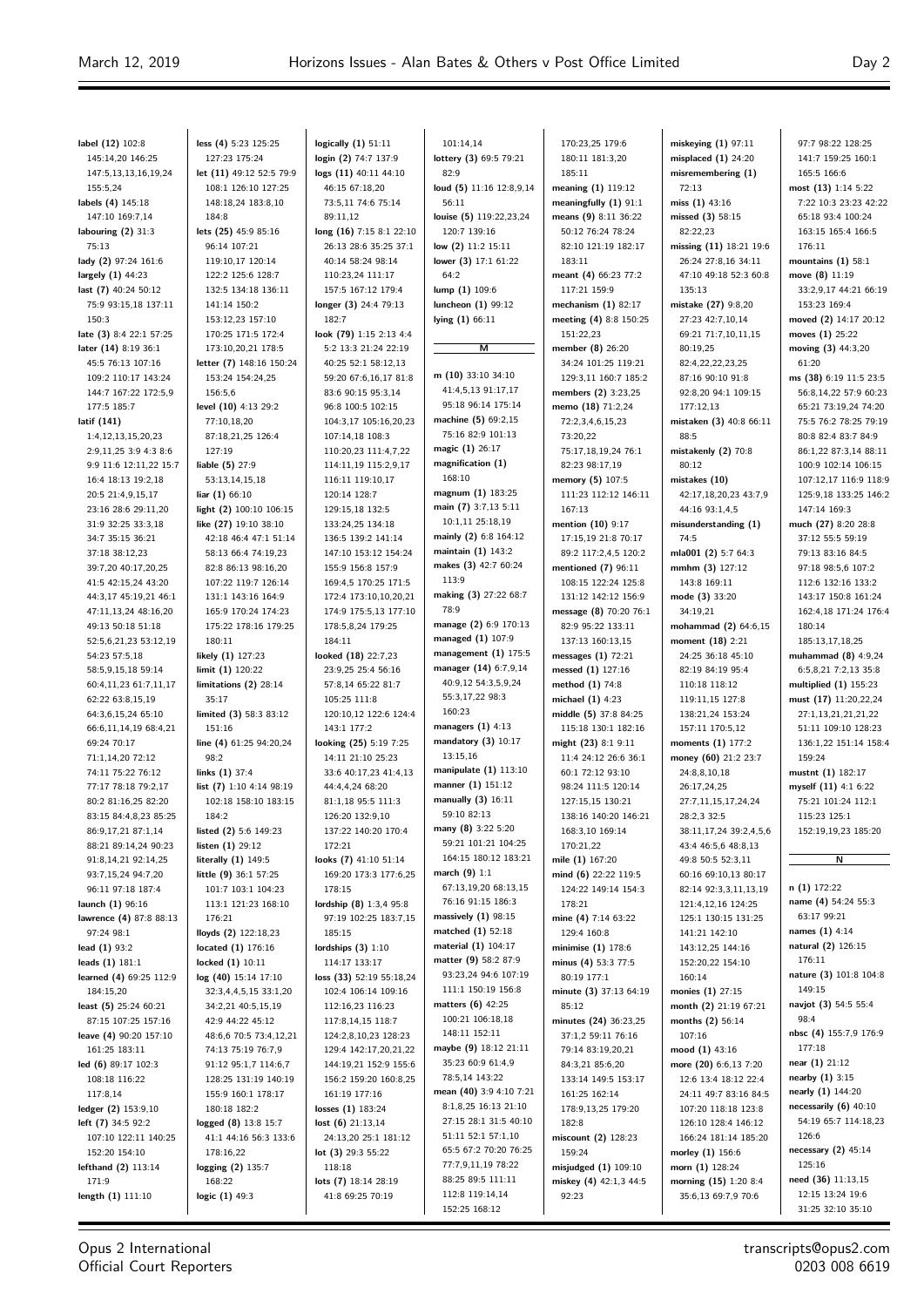$\equiv$ 

| label (12) 102:8                                 | less (4) 5:23 125:25                        | logically $(1)$ 51:11                            | 101:14,14                                | 170:23,25 179:6                                 | miskeying $(1)$ 97:11                       | 97:7 98:22 128:25                            |
|--------------------------------------------------|---------------------------------------------|--------------------------------------------------|------------------------------------------|-------------------------------------------------|---------------------------------------------|----------------------------------------------|
| 145:14,20 146:25<br>147:5,13,13,16,19,24         | 127:23 175:24<br>let (11) 49:12 52:5 79:9   | login (2) 74:7 137:9<br>logs (11) 40:11 44:10    | lottery (3) 69:5 79:21<br>82:9           | 180:11 181:3,20<br>185:11                       | misplaced $(1)$ 24:20<br>misremembering (1) | 141:7 159:25 160:1<br>165:5 166:6            |
| 155:5,24                                         | 108:1 126:10 127:25                         | 46:15 67:18,20                                   | loud (5) 11:16 12:8,9,14                 | meaning (1) 119:12                              | 72:13                                       | most $(13)$ 1:14 5:22                        |
| labels (4) 145:18                                | 148:18,24 183:8,10                          | 73:5,11 74:6 75:14                               | 56:11                                    | meaningfully $(1)$ 91:1                         | miss $(1)$ 43:16                            | 7:22 10:3 23:23 42:22                        |
| 147:10 169:7,14                                  | 184:8                                       | 89:11,12                                         | louise (5) 119:22,23,24                  | means (9) 8:11 36:22                            | missed (3) 58:15                            | 65:18 93:4 100:24                            |
| labouring $(2)$ 31:3                             | lets (25) 45:9 85:16                        | long (16) 7:15 8:1 22:10                         | 120:7 139:16                             | 50:12 76:24 78:24                               | 82:22,23                                    | 163:15 165:4 166:5                           |
| 75:13                                            | 96:14 107:21                                | 26:13 28:6 35:25 37:1                            | low (2) 11:2 15:11                       | 82:10 121:19 182:17                             | missing (11) 18:21 19:6                     | 176:11                                       |
| lady (2) 97:24 161:6                             | 119:10,17 120:14                            | 40:14 58:24 98:14                                | lower (3) 17:1 61:22                     | 183:11                                          | 26:24 27:8,16 34:11                         | mountains $(1)$ 58:1                         |
| largely (1) 44:23                                | 122:2 125:6 128:7                           | 110:23,24 111:17                                 | 64:2                                     | meant (4) 66:23 77:2                            | 47:10 49:18 52:3 60:8                       | move (8) 11:19                               |
| last (7) 40:24 50:12<br>75:9 93:15,18 137:11     | 132:5 134:18 136:11                         | 157:5 167:12 179:4                               | $lump(1)$ 109:6                          | 117:21 159:9                                    | 135:13<br>mistake (27) 9:8,20               | 33:2,9,17 44:21 66:19<br>153:23 169:4        |
| 150:3                                            | 141:14 150:2<br>153:12,23 157:10            | longer (3) 24:4 79:13<br>182:7                   | luncheon (1) 99:12<br>lying (1) 66:11    | mechanism $(1)$ 82:17<br>meeting (4) 8:8 150:25 | 27:23 42:7,10,14                            | moved (2) 14:17 20:12                        |
| late (3) 8:4 22:1 57:25                          | 170:25 171:5 172:4                          | look (79) 1:15 2:13 4:4                          |                                          | 151:22,23                                       | 69:21 71:7,10,11,15                         | moves (1) 25:22                              |
| later (14) 8:19 36:1                             | 173:10,20,21 178:5                          | 5:2 13:3 21:24 22:19                             | м                                        | member (8) 26:20                                | 80:19,25                                    | moving (3) 44:3,20                           |
| 45:5 76:13 107:16                                | letter (7) 148:16 150:24                    | 40:25 52:1 58:12,13                              |                                          | 34:24 101:25 119:21                             | 82:4,22,22,23,25                            | 61:20                                        |
| 109:2 110:17 143:24                              | 153:24 154:24,25                            | 59:20 67:6,16,17 81:8                            | m $(10)$ 33:10 34:10                     | 129:3,11 160:7 185:2                            | 87:16 90:10 91:8                            | ms (38) 6:19 11:5 23:5                       |
| 144:7 167:22 172:5,9                             | 156:5.6                                     | 83:6 90:15 95:3,14                               | 41:4,5,13 91:17,17                       | members (2) 3:23,25                             | 92:8,20 94:1 109:15                         | 56:8,14,22 57:9 60:23                        |
| 177:5 185:7                                      | level (10) 4:13 29:2                        | 96:8 100:5 102:15                                | 95:18 96:14 175:14                       | memo (18) 71:2,24                               | 177:12,13                                   | 65:21 73:19,24 74:20                         |
| latif (141)                                      | 77:10,18,20                                 | 104:3,17 105:16,20,23                            | machine (5) 69:2,15<br>75:16 82:9 101:13 | 72:2,3,4,6,15,23                                | mistaken (3) 40:8 66:11                     | 75:5 76:2 78:25 79:19                        |
| 1:4, 12, 13, 15, 20, 23<br>2:9,11,25 3:9 4:3 8:6 | 87:18,21,25 126:4<br>127:19                 | 107:14,18 108:3<br>110:20,23 111:4,7,22          | magic (1) 26:17                          | 73:20,22                                        | 88:5<br>mistakenly (2) 70:8                 | 80:8 82:4 83:7 84:9                          |
| 9:9 11:6 12:11,22 15:7                           | liable $(5)$ 27:9                           | 114:11,19 115:2,9,17                             | magnification (1)                        | 75:17,18,19,24 76:1<br>82:23 98:17,19           | 80:12                                       | 86:1,22 87:3,14 88:11<br>100:9 102:14 106:15 |
| 16:4 18:13 19:2,18                               | 53:13,14,15,18                              | 116:11 119:10,17                                 | 168:10                                   | memory (5) 107:5                                | mistakes (10)                               | 107:12,17 116:9 118:9                        |
| 20:5 21:4,9,15,17                                | liar $(1)$ 66:10                            | 120:14 128:7                                     | magnum (1) 183:25                        | 111:23 112:12 146:11                            | 42:17,18,20,23 43:7,9                       | 125:9,18 133:25 146:2                        |
| 23:16 28:6 29:11,20                              | light (2) 100:10 106:15                     | 129:15,18 132:5                                  | main (7) 3:7,13 5:11                     | 167:13                                          | 44:16 93:1,4,5                              | 147:14 169:3                                 |
| 31:9 32:25 33:3,18                               | like (27) 19:10 38:10                       | 133:24,25 134:18                                 | 10:1,11 25:18,19                         | mention (10) 9:17                               | misunderstanding (1)                        | much (27) 8:20 28:8                          |
| 34:7 35:15 36:21                                 | 42:18 46:4 47:1 51:14                       | 136:5 139:2 141:14                               | mainly (2) 6:8 164:12                    | 17:15,19 21:8 70:17                             | 74:5                                        | 37:12 55:5 59:19                             |
| 37:18 38:12,23                                   | 58:13 66:4 74:19,23                         | 147:10 153:12 154:24                             | maintain (1) 143:2                       | 89:2 117:2,4,5 120:2                            | mla001 (2) 5:7 64:3                         | 79:13 83:16 84:5                             |
| 39:7,20 40:17,20,25                              | 82:8 86:13 98:16,20                         | 155:9 156:8 157:9                                | makes (3) 42:7 60:24                     | mentioned (7) 96:11                             | mmhm $(3)$ 127:12                           | 97:18 98:5,6 107:2                           |
| 41:5 42:15,24 43:20                              | 107:22 119:7 126:14                         | 169:4,5 170:25 171:5                             | 113:9                                    | 108:15 122:24 125:8                             | 143:8 169:11                                | 112:6 132:16 133:2                           |
| 44:3,17 45:19,21 46:1                            | 131:1 143:16 164:9                          | 172:4 173:10,10,20,21                            | making (3) 27:22 68:7<br>78:9            | 131:12 142:12 156:9                             | mode (3) 33:20                              | 143:17 150:8 161:24                          |
| 47:11,13,24 48:16,20<br>49:13 50:18 51:18        | 165:9 170:24 174:23<br>175:22 178:16 179:25 | 174:9 175:5,13 177:10<br>178:5,8,24 179:25       | manage (2) 6:9 170:13                    | message (8) 70:20 76:1<br>82:9 95:22 133:11     | 34:19,21<br>mohammad (2) 64:6,15            | 162:4,18 171:24 176:4<br>180:14              |
| 52:5,6,21,23 53:12,19                            | 180:11                                      | 184:11                                           | managed $(1)$ 107:9                      | 137:13 160:13,15                                | moment (18) 2:21                            | 185:13,17,18,25                              |
| 54:23 57:5,18                                    | likely (1) 127:23                           | looked (18) 22:7,23                              | management $(1)$ 175:5                   | messages $(1)$ 72:21                            | 24:25 36:18 45:10                           | muhammad $(8)$ 4:9,24                        |
| 58:5,9,15,18 59:14                               | limit $(1)$ 120:22                          | 23:9,25 25:4 56:16                               | manager (14) 6:7,9,14                    | messed (1) 127:16                               | 82:19 84:19 95:4                            | 6:5,8,21 7:2,13 35:8                         |
| 60:4,11,23 61:7,11,17                            | limitations $(2)$ 28:14                     | 57:8,14 65:22 81:7                               | 40:9,12 54:3,5,9,24                      | method (1) 74:8                                 | 110:18 118:12                               | multiplied $(1)$ 155:23                      |
| 62:22 63:8,15,19                                 | 35:17                                       | 105:25 111:8                                     | 55:3,17,22 98:3                          | michael $(1)$ 4:23                              | 119:11,15 127:8                             | must (17) 11:20,22,24                        |
| 64:3,6,15,24 65:10                               | limited (3) 58:3 83:12                      | 120:10,12 122:6 124:4                            | 160:23                                   | middle (5) 37:8 84:25                           | 138:21,24 153:24                            | 27:1,13,21,21,21,22                          |
| 66:6,11,14,19 68:4,21                            | 151:16                                      | 143:1 177:2                                      | managers $(1)$ 4:13                      | 115:18 130:1 182:16                             | 157:11 170:5,12                             | 51:11 109:10 128:23                          |
| 69:24 70:17                                      | line (4) 61:25 94:20,24                     | looking (25) 5:19 7:25                           | mandatory $(3)$ 10:17<br>13:15,16        | might (23) 8:1 9:11                             | moments (1) 177:2                           | 136:1,22 151:14 158:4                        |
| 71:1,14,20 72:12<br>74:11 75:22 76:12            | 98:2<br>links $(1)$ 37:4                    | 14:11 21:10 25:23<br>33:6 40:17,23 41:4,13       | manipulate $(1)$ 113:10                  | 11:4 24:12 26:6 36:1<br>60:1 72:12 93:10        | money (60) 21:2 23:7<br>24:8,8,10,18        | 159:24<br>mustnt (1) 182:17                  |
| 77:17 78:18 79:2,17                              | list (7) 1:10 4:14 98:19                    | 44:4,4,24 68:20                                  | manner (1) 151:12                        | 98:24 111:5 120:14                              | 26:17,24,25                                 | myself (11) 4:1 6:22                         |
| 80:2 81:16,25 82:20                              | 102:18 158:10 183:15                        | 81:1,18 95:5 111:3                               | manually (3) 16:11                       | 127:15,15 130:21                                | 27:7,11,15,17,24,24                         | 75:21 101:24 112:1                           |
| 83:15 84:4,8,23 85:25                            | 184:2                                       | 126:20 132:9,10                                  | 59:10 82:13                              | 138:16 140:20 146:21                            | 28:2,3 32:5                                 | 115:23 125:1                                 |
| 86:9,17,21 87:1,14                               | listed (2) 5:6 149:23                       | 137:22 140:20 170:4                              | many (8) 3:22 5:20                       | 168:3,10 169:14                                 | 38:11,17,24 39:2,4,5,6                      | 152:19,19,23 185:20                          |
| 88:21 89:14,24 90:23                             | listen $(1)$ 29:12                          | 172:21                                           | 59:21 101:21 104:25                      | 170:21,22                                       | 43:4 46:5,6 48:8,13                         |                                              |
| 91:8,14,21 92:14,25                              | literally $(1)$ 149:5                       | looks (7) 41:10 51:14                            | 164:15 180:12 183:21                     | mile (1) 167:20                                 | 49:8 50:5 52:3,11                           | $\overline{\mathsf{N}}$                      |
| 93:7,15,24 94:7,20                               | little (9) 36:1 57:25                       | 169:20 173:3 177:6,25                            | march $(9)$ 1:1<br>67:13,19,20 68:13,15  | mind (6) 22:22 119:5                            | 60:16 69:10,13 80:17                        |                                              |
| 96:11 97:18 187:4                                | 101:7 103:1 104:23                          | 178:15                                           | 76:16 91:15 186:3                        | 124:22 149:14 154:3                             | 82:14 92:3,3,11,13,19                       | $n(1)$ 172:22<br>name (4) 54:24 55:3         |
| launch (1) 96:16<br>lawrence (4) 87:8 88:13      | 113:1 121:23 168:10<br>176:21               | lordship (8) 1:3,4 95:8<br>97:19 102:25 183:7,15 | massively $(1)$ 98:15                    | 178:21<br>mine (4) 7:14 63:22                   | 121:4,12,16 124:25<br>125:1 130:15 131:25   | 63:17 99:21                                  |
| 97:24 98:1                                       | lloyds (2) 122:18,23                        | 185:15                                           | matched (1) 52:18                        | 129:4 160:8                                     | 141:21 142:10                               | names (1) 4:14                               |
| lead (1) 93:2                                    | located $(1)$ 176:16                        | lordships $(3)$ 1:10                             | material (1) 104:17                      | minimise (1) 178:6                              | 143:12,25 144:16                            | natural (2) 126:15                           |
| leads (1) 181:1                                  | locked $(1)$ 10:11                          | 114:17 133:17                                    | matter (9) 58:2 87:9                     | minus (4) 53:3 77:5                             | 152:20,22 154:10                            | 176:11                                       |
| learned (4) 69:25 112:9                          | log (40) 15:14 17:10                        | loss (33) 52:19 55:18,24                         | 93:23,24 94:6 107:19                     | 80:19 177:1                                     | 160:14                                      | nature (3) 101:8 104:8                       |
| 184:15,20                                        | 32:3,4,4,5,15 33:1,20                       | 102:4 106:14 109:16                              | 111:1 150:19 156:8                       | minute (3) 37:13 64:19                          | monies (1) 27:15                            | 149:15                                       |
| least (5) 25:24 60:21                            | 34:2,21 40:5,15,19                          | 112:16,23 116:23                                 | matters $(6)$ 42:25                      | 85:12                                           | month (2) 21:19 67:21                       | navjot (3) 54:5 55:4                         |
| 87:15 107:25 157:16                              | 42:9 44:22 45:12                            | 117:8,14,15 118:7                                | 100:21 106:18,18<br>148:11 152:11        | minutes (24) 36:23,25                           | months (2) 56:14                            | 98:4<br>nbsc (4) 155:7,9 176:9               |
| leave (4) 90:20 157:10                           | 48:6,6 70:5 73:4,12,21                      | 124:2,8,10,23 128:23                             | maybe (9) 18:12 21:11                    | 37:1,2 59:11 76:16                              | 107:16                                      | 177:18                                       |
| 161:25 183:11<br>led (6) 89:17 102:3             | 74:13 75:19 76:7,9<br>91:12 95:1,7 114:6,7  | 129:4 142:17,20,21,22<br>144:19,21 152:9 155:6   | 35:23 60:9 61:4,9                        | 79:14 83:19,20,21<br>84:3,21 85:6,20            | mood $(1)$ 43:16<br>more (20) 6:6,13 7:20   | near (1) 21:12                               |
| 108:18 116:22                                    | 128:25 131:19 140:19                        | 156:2 159:20 160:8,25                            | 78:5,14 143:22                           | 133:14 149:5 153:17                             | 12:6 13:4 18:12 22:4                        | nearby (1) 3:15                              |
| 117:8,14                                         | 155:9 160:1 178:17                          | 161:19 177:16                                    | mean (40) 3:9 4:10 7:21                  | 161:25 162:14                                   | 24:11 49:7 83:16 84:5                       | nearly (1) 144:20                            |
| ledger (2) 153:9,10                              | 180:18 182:2                                | losses $(1)$ 183:24                              | 8:1,8,25 16:13 21:10                     | 178:9,13,25 179:20                              | 107:20 118:18 123:8                         | necessarily $(6)$ 40:10                      |
| left (7) 34:5 92:2                               | logged (8) 13:8 15:7                        | lost $(6)$ 21:13,14                              | 27:15 28:1 31:5 40:10                    | 182:8                                           | 126:10 128:4 146:12                         | 54:19 65:7 114:18,23                         |
| 107:10 122:11 140:25                             | 41:1 44:16 56:3 133:6                       | 24:13,20 25:1 181:12                             | 51:11 52:1 57:1,10                       | miscount (2) 128:23                             | 166:24 181:14 185:20                        | 126:6                                        |
| 152:20 154:10                                    | 178:16,22                                   | lot $(3)$ 29:3 55:22                             | 65:5 67:2 70:20 76:25                    | 159:24                                          | morley (1) 156:6                            | necessary (2) 45:14                          |
| lefthand (2) 113:14                              | logging $(2)$ 135:7                         | 118:18                                           | 77:7,9,11,19 78:22                       | misjudged (1) 109:10                            | morn $(1)$ 128:24                           | 125:16                                       |
| 171:9                                            | 168:22                                      | lots (7) 18:14 28:19                             | 88:25 89:5 111:11                        | miskey (4) 42:1,3 44:5                          | morning (15) 1:20 8:4                       | need (36) 11:13,15                           |
| length (1) 111:10                                | logic (1) 49:3                              | 41:8 69:25 70:19                                 | 112:8 119:14,14<br>152:25 168:12         | 92:23                                           | 35:6,13 69:7,9 70:6                         | 12:15 13:24 19:6<br>31:25 32:10 35:10        |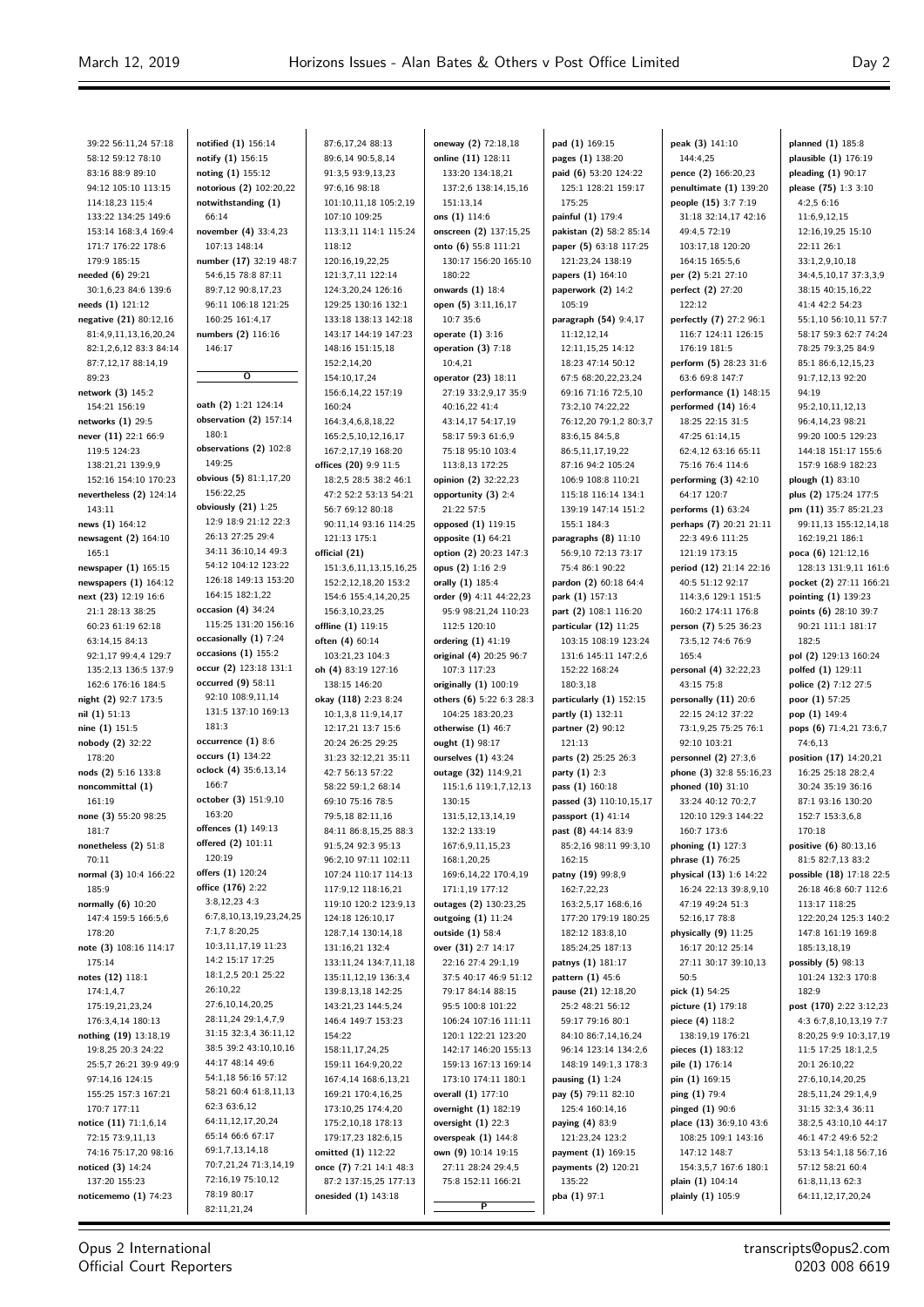39:22 56:11,24 57:18 58:12 59:12 78:10 83:16 88:9 89:10 94:12 105:10 113:15 114:18,23 115:4 133:22 134:25 149:6 153:14 168:3,4 169:4 171:7 176:22 178:6 179:9 185:15 **needed (6)** 29:21 30:1,6,23 84:6 139:6 **needs (1)** 121:12 **negative (21)** 80:12,16 81:4,9,11,13,16,20,24 82:1,2,6,12 83:3 84:14 87:7,12,17 88:14,19 89:23 **network (3)** 145:2 154:21 156:19 **networks (1)** 29:5 **never (11)** 22:1 66:9 119:5 124:23 138:21,21 139:9,9 152:16 154:10 170:23 **nevertheless (2)** 124:14 143:11 **news (1)** 164:12 **newsagent (2)** 164:10 165:1 **newspaper (1)** 165:15 **newspapers (1)** 164:12 **next (23)** 12:19 16:6 21:1 28:13 38:25 60:23 61:19 62:18 63:14,15 84:13 92:1,17 99:4,4 129:7 135:2,13 136:5 137:9 162:6 176:16 184:5 **night (2)** 92:7 173:5 **nil (1)** 51:13 **nine (1)** 151:5 **nobody (2)** 32:22 178:20 **nods (2)** 5:16 133:8 **noncommittal (1)** 161:19 **none (3)** 55:20 98:25 181:7 **nonetheless (2)** 51:8 70:11 **normal (3)** 10:4 166:22 185:9 **normally (6)** 10:20 147:4 159:5 166:5,6 178:20 **note (3)** 108:16 114:17 175:14 **notes (12)** 118:1  $174.1A7$ 175:19,21,23,24 176:3,4,14 180:13 **nothing (19)** 13:18,19 19:8,25 20:3 24:22 25:5,7 26:21 39:9 49:9 97:14,16 124:15 155:25 157:3 167:21 170:7 177:11 **notice (11)** 71:1,6,14 72:15 73:9,11,13 74:16 75:17,20 98:16 **noticed (3)** 14:24 137:20 155:23 **noticememo (1)** 74:23

**notified (1)** 156:14 **notify (1)** 156:15 **noting (1)** 155:12 **notorious (2)** 102:20,22 **notwithstanding (1)** 66:14 **november (4)** 33:4,23 107:13 148:14 **number (17)** 32:19 48:7 54:6,15 78:8 87:11 89:7,12 90:8,17,23 96:11 106:18 121:25 160:25 161:4,17 **numbers (2)** 116:16 146:17 **O oath (2)** 1:21 124:14 **observation (2)** 157:14 180:1 **observations (2)** 102:8 149:25 **obvious (5)** 81:1,17,20 156:22,25 **obviously (21)** 1:25 12:9 18:9 21:12 22:3 26:13 27:25 29:4 34:11 36:10,14 49:3 54:12 104:12 123:22 126:18 149:13 153:20 164:15 182:1,22 **occasion (4)** 34:24 115:25 131:20 156:16 **occasionally (1)** 7:24 **occasions (1)** 155:2 **occur (2)** 123:18 131:1 **occurred (9)** 58:11 92:10 108:9,11,14 131:5 137:10 169:13 181:3 **occurrence (1)** 8:6 **occurs (1)** 134:22 **oclock (4)** 35:6,13,14 166:7 **october (3)** 151:9,10 163:20 **offences (1)** 149:13 **offered (2)** 101:11 120:19 **offers (1)** 120:24 **office (176)** 2:22 3:8,12,23 4:3 6:7,8,10,13,19,23,24,25 7:1,7 8:20,25 10:3,11,17,19 11:23 14:2 15:17 17:25 18:1,2,5 20:1 25:22 26:10,22 27:6,10,14,20,25 28:11,24 29:1,4,7,9 31:15 32:3,4 36:11,12 38:5 39:2 43:10,10,16 44:17 48:14 49:6 54:1,18 56:16 57:12 58:21 60:4 61:8,11,13 62:3 63:6,12 64:11,12,17,20,24 65:14 66:6 67:17 69:1,7,13,14,18 70:7,21,24 71:3,14,19 72:16,19 75:10,12 78:19 80:17 82:11,21,24

87:6,17,24 88:13 89:6,14 90:5,8,14 91:3,5 93:9,13,23 97:6,16 98:18 101:10,11,18 105:2,19 107:10 109:25 113:3,11 114:1 115:24 118:12 120:16,19,22,25 121:3,7,11 122:14 124:3,20,24 126:16 129:25 130:16 132:1 133:18 138:13 142:18 143:17 144:19 147:23 148:16 151:15,18 152:2,14,20 154:10,17,24 156:6,14,22 157:19 160:24 164:3,4,6,8,18,22 165:2,5,10,12,16,17 167:2,17,19 168:20 **offices (20)** 9:9 11:5 18:2,5 28:5 38:2 46:1 47:2 52:2 53:13 54:21 56:7 69:12 80:18 90:11,14 93:16 114:25 121:13 175:1 **official (21)** 151:3,6,11,13,15,16,25 152:2,12,18,20 153:2 154:6 155:4,14,20,25 156:3,10,23,25 **offline (1)** 119:15 **often (4)** 60:14 103:21,23 104:3 **oh (4)** 83:19 127:16 138:15 146:20 **okay (118)** 2:23 8:24 10:1,3,8 11:9,14,17 12:17,21 13:7 15:6 20:24 26:25 29:25 31:23 32:12,21 35:11 42:7 56:13 57:22 58:22 59:1,2 68:14 69:10 75:16 78:5 79:5,18 82:11,16 84:11 86:8,15,25 88:3 91:5,24 92:3 95:13 96:2,10 97:11 102:11 107:24 110:17 114:13 117:9,12 118:16,21 119:10 120:2 123:9,13 124:18 126:10,17 128:7,14 130:14,18 131:16,21 132:4 133:11,24 134:7,11,18 135:11,12,19 136:3,4 139:8,13,18 142:25 143:21,23 144:5,24 146:4 149:7 153:23 154:22 158:11,17,24,25 159:11 164:9,20,22 167:4,14 168:6,13,21 169:21 170:4,16,25 173:10,25 174:4,20 175:2,10,18 178:13 179:17,23 182:6,15 **omitted (1)** 112:22 **once (7)** 7:21 14:1 48:3 87:2 137:15,25 177:13 **onesided (1)** 143:18

**oneway (2)** 72:18,18 **online (11)** 128:11 133:20 134:18,21 137:2,6 138:14,15,16 151:13,14 **ons (1)** 114:6 **onscreen (2)** 137:15,25 **onto (6)** 55:8 111:21 130:17 156:20 165:10 180:22 **onwards (1)** 18:4 **open (5)** 3:11,16,17 10:7 35:6 **operate (1)** 3:16 **operation (3)** 7:18 10:4,21 **operator (23)** 18:11 27:19 33:2,9,17 35:9 40:16,22 41:4 43:14,17 54:17,19 58:17 59:3 61:6,9 75:18 95:10 103:4 113:8,13 172:25 **opinion (2)** 32:22,23 **opportunity (3)** 2:4 21:22 57:5 **opposed (1)** 119:15 **opposite (1)** 64:21 **option (2)** 20:23 147:3 **opus (2)** 1:16 2:9 **orally (1)** 185:4 **order (9)** 4:11 44:22,23 95:9 98:21,24 110:23 112:5 120:10 **ordering (1)** 41:19 **original (4)** 20:25 96:7 107:3 117:23 **originally (1)** 100:19 **others (6)** 5:22 6:3 28:3 104:25 183:20,23 **otherwise (1)** 46:7 **ought (1)** 98:17 **ourselves (1)** 43:24 **outage (32)** 114:9,21 115:1,6 119:1,7,12,13 130:15 131:5,12,13,14,19 132:2 133:19 167:6,9,11,15,23 168:1,20,25 169:6,14,22 170:4,19 171:1,19 177:12 **outages (2)** 130:23,25 **outgoing (1)** 11:24 **outside (1)** 58:4 **over (31)** 2:7 14:17 22:16 27:4 29:1,19 37:5 40:17 46:9 51:12 79:17 84:14 88:15 95:5 100:8 101:22 106:24 107:16 111:11 120:1 122:21 123:20 142:17 146:20 155:13 159:13 167:13 169:14 173:10 174:11 180:1 **overall (1)** 177:10 **overnight (1)** 182:19 **oversight (1)** 22:3 **overspeak (1)** 144:8 **own (9)** 10:14 19:15 27:11 28:24 29:4,5 75:8 152:11 166:21

**P**

**pad (1)** 169:15 **pages (1)** 138:20 **paid (6)** 53:20 124:22 125:1 128:21 159:17 175:25 **painful (1)** 179:4 **pakistan (2)** 58:2 85:14 **paper (5)** 63:18 117:25 121:23,24 138:19 **papers (1)** 164:10 **paperwork (2)** 14:2 105:19 **paragraph (54)** 9:4,17 11:12,12,14 12:11,15,25 14:12 18:23 47:14 50:12 67:5 68:20,22,23,24 69:16 71:16 72:5,10 73:2,10 74:22,22 76:12,20 79:1,2 80:3,7 83:6,15 84:5,8 86:5,11,17,19,22 87:16 94:2 105:24 106:9 108:8 110:21 115:18 116:14 134:1 139:19 147:14 151:2 155:1 184:3 **paragraphs (8)** 11:10 56:9,10 72:13 73:17 75:4 86:1 90:22 **pardon (2)** 60:18 64:4 **park (1)** 157:13 **part (2)** 108:1 116:20 **particular (12)** 11:25 103:15 108:19 123:24 131:6 145:11 147:2,6 152:22 168:24 180:3,18 **particularly (1)** 152:15 **partly (1)** 132:11 **partner (2)** 90:12 121:13 **parts (2)** 25:25 26:3 **party (1)** 2:3 **pass (1)** 160:18 **passed (3)** 110:10,15,17 **passport (1)** 41:14 **past (8)** 44:14 83:9 85:2,16 98:11 99:3,10 162:15 **patny (19)** 99:8,9 162:7,22,23 163:2,5,17 168:6,16 177:20 179:19 180:25 182:12 183:8,10 185:24,25 187:13 **patnys (1)** 181:17 **pattern (1)** 45:6 **pause (21)** 12:18,20 25:2 48:21 56:12 59:17 79:16 80:1 84:10 86:7,14,16,24 96:14 123:14 134:2,6 148:19 149:1,3 178:3 **pausing (1)** 1:24 **pay (5)** 79:11 82:10 125:4 160:14,16 **paying (4)** 83:9 121:23,24 123:2 **payment (1)** 169:15 **payments (2)** 120:21 135:22 **pba (1)** 97:1

**peak (3)** 141:10 144:4,25 **pence (2)** 166:20,23 **penultimate (1)** 139:20 **people (15)** 3:7 7:19 31:18 32:14,17 42:16 49:4,5 72:19 103:17,18 120:20 164:15 165:5,6 **per (2)** 5:21 27:10 **perfect (2)** 27:20 122:12 **perfectly (7)** 27:2 96:1 116:7 124:11 126:15 176:19 181:5 **perform (5)** 28:23 31:6 63:6 69:8 147:7 **performance (1)** 148:15 **performed (14)** 16:4 18:25 22:15 31:5 47:25 61:14,15 62:4,12 63:16 65:11 75:16 76:4 114:6 **performing (3)** 42:10 64:17 120:7 **performs (1)** 63:24 **perhaps (7)** 20:21 21:11 22:3 49:6 111:25 121:19 173:15 **period (12)** 21:14 22:16 40:5 51:12 92:17 114:3,6 129:1 151:5 160:2 174:11 176:8 **person (7)** 5:25 36:23 73:5,12 74:6 76:9 165:4 **personal (4)** 32:22,23 43:15 75:8 **personally (11)** 20:6 22:15 24:12 37:22 73:1,9,25 75:25 76:1 92:10 103:21 **personnel (2)** 27:3,6 **phone (3)** 32:8 55:16,23 **phoned (10)** 31:10 33:24 40:12 70:2,7 120:10 129:3 144:22 160:7 173:6 **phoning (1)** 127:3 **phrase (1)** 76:25 **physical (13)** 1:6 14:22 16:24 22:13 39:8,9,10 47:19 49:24 51:3 52:16,17 78:8 **physically (9)** 11:25 16:17 20:12 25:14 27:11 30:17 39:10,13 50:5 **pick (1)** 54:25 **picture (1)** 179:18 **piece (4)** 118:2 138:19,19 176:21 **pieces (1)** 183:12 **pile (1)** 176:14 **pin (1)** 169:15 **ping (1)** 79:4 **pinged (1)** 90:6 **place (13)** 36:9,10 43:6 108:25 109:1 143:16 147:12 148:7 154:3,5,7 167:6 180:1 **plain (1)** 104:14 **plainly (1)** 105:9

**planned (1)** 185:8 **plausible (1)** 176:19 **pleading (1)** 90:17 **please (75)** 1:3 3:10  $4.256 \cdot 16$ 11:6,9,12,15 12:16,19,25 15:10 22:11 26:1 33:1,2,9,10,18 34:4,5,10,17 37:3,3,9 38:15 40:15,16,22 41:4 42:2 54:23 55:1,10 56:10,11 57:7 58:17 59:3 62:7 74:24 78:25 79:3,25 84:9 85:1 86:6,12,15,23 91:7,12,13 92:20 94:19 95:2,10,11,12,13 96:4,14,23 98:21 99:20 100:5 129:23 144:18 151:17 155:6 157:9 168:9 182:23 **plough (1)** 83:10 **plus (2)** 175:24 177:5 **pm (11)** 35:7 85:21,23 99:11,13 155:12,14,18 162:19,21 186:1 **poca (6)** 121:12,16 128:13 131:9,11 161:6 **pocket (2)** 27:11 166:21 **pointing (1)** 139:23 **points (6)** 28:10 39:7 90:21 111:1 181:17 182:5 **pol (2)** 129:13 160:24 **polfed (1)** 129:11 **police (2)** 7:12 27:5 **poor (1)** 57:25 **pop (1)** 149:4 **pops (6)** 71:4,21 73:6,7 74:6,13 **position (17)** 14:20,21 16:25 25:18 28:2,4 30:24 35:19 36:16 87:1 93:16 130:20 152:7 153:3,6,8 170:18 **positive (6)** 80:13,16 81:5 82:7,13 83:2 **possible (18)** 17:18 22:5 26:18 46:8 60:7 112:6 113:17 118:25 122:20,24 125:3 140:2 147:8 161:19 169:8 185:13,18,19 **possibly (5)** 98:13 101:24 132:3 170:8 182:9 **post (170)** 2:22 3:12,23 4:3 6:7,8,10,13,19 7:7 8:20,25 9:9 10:3,17,19 11:5 17:25 18:1,2,5 20:1 26:10,22 27:6,10,14,20,25 28:5,11,24 29:1,4,9 31:15 32:3,4 36:11 38:2,5 43:10,10 44:17 46:1 47:2 49:6 52:2 53:13 54:1,18 56:7,16 57:12 58:21 60:4 61:8,11,13 62:3 64:11,12,17,20,24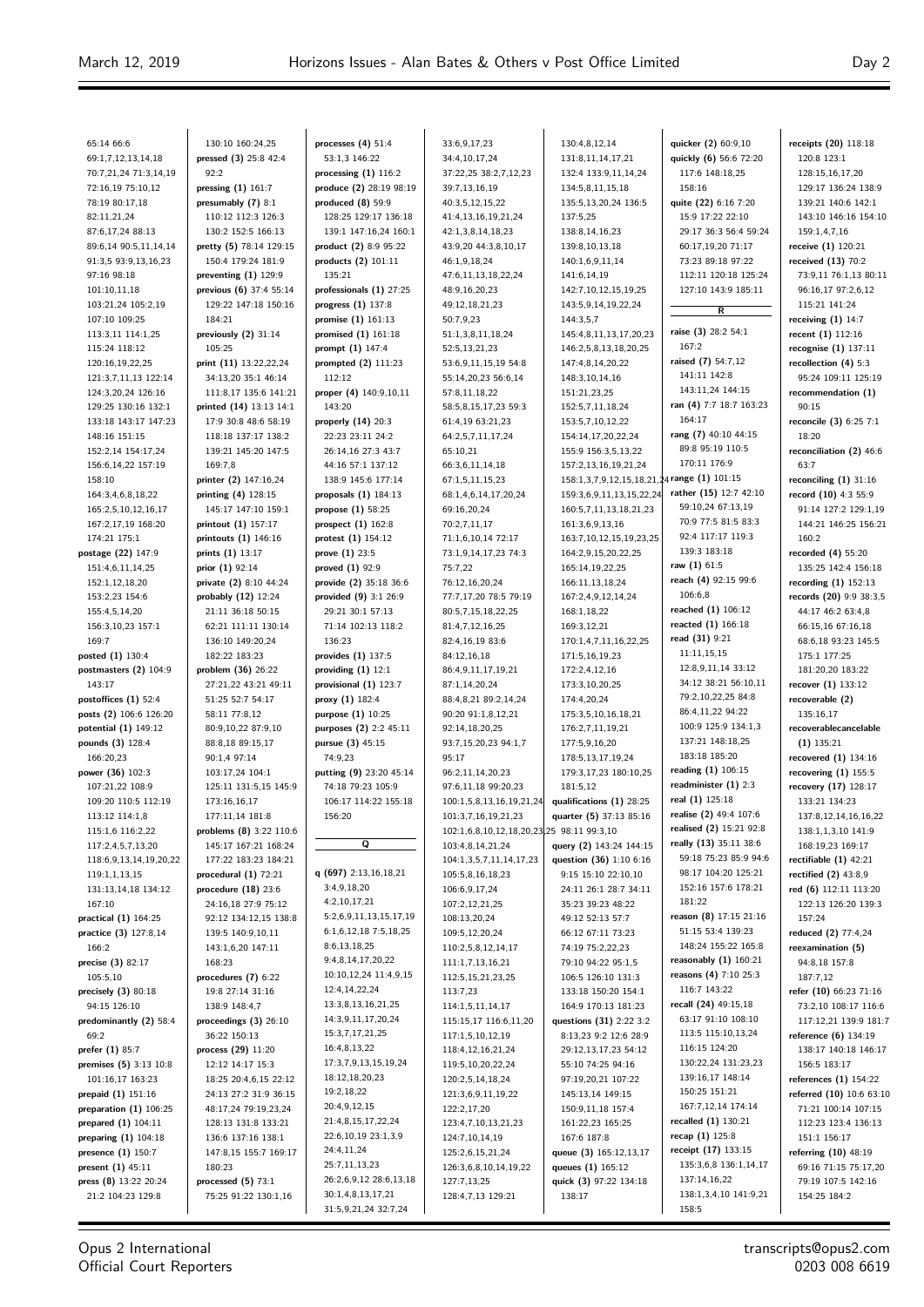$\equiv$ 

| 65:14 66:6               | 130:10 160:24,25        | processes $(4)$ 51:4    | 33:6,9,17,23                              | 130:4,8,12,14                               | quicker (2) 60:9,10     | receipts (20) 118:18     |
|--------------------------|-------------------------|-------------------------|-------------------------------------------|---------------------------------------------|-------------------------|--------------------------|
| 69:1,7,12,13,14,18       | pressed (3) 25:8 42:4   | 53:1,3 146:22           | 34:4,10,17,24                             | 131:8,11,14,17,21                           | quickly (6) 56:6 72:20  | 120:8 123:1              |
| 70:7,21,24 71:3,14,19    | 92:2                    | processing $(1)$ 116:2  | 37:22,25 38:2,7,12,23                     | 132:4 133:9,11,14,24                        | 117:6 148:18,25         | 128:15,16,17,20          |
|                          |                         |                         |                                           |                                             |                         |                          |
| 72:16,19 75:10,12        | pressing $(1)$ 161:7    | produce (2) 28:19 98:19 | 39:7,13,16,19                             | 134:5,8,11,15,18                            | 158:16                  | 129:17 136:24 138:9      |
| 78:19 80:17,18           | presumably $(7)$ 8:1    | produced $(8)$ 59:9     | 40:3,5,12,15,22                           | 135:5,13,20,24 136:5                        | quite (22) 6:16 7:20    | 139:21 140:6 142:1       |
| 82:11,21,24              | 110:12 112:3 126:3      | 128:25 129:17 136:18    | 41:4,13,16,19,21,24                       | 137:5,25                                    | 15:9 17:22 22:10        | 143:10 146:16 154:10     |
| 87:6,17,24 88:13         | 130:2 152:5 166:13      | 139:1 147:16,24 160:1   | 42:1,3,8,14,18,23                         | 138:8,14,16,23                              | 29:17 36:3 56:4 59:24   | 159:1,4,7,16             |
|                          |                         |                         |                                           |                                             |                         |                          |
| 89:6,14 90:5,11,14,14    | pretty (5) 78:14 129:15 | product (2) 8:9 95:22   | 43:9,20 44:3,8,10,17                      | 139:8,10,13,18                              | 60:17,19,20 71:17       | receive (1) 120:21       |
| 91:3,5 93:9,13,16,23     | 150:4 179:24 181:9      | products (2) 101:11     | 46:1,9,18,24                              | 140:1,6,9,11,14                             | 73:23 89:18 97:22       | received (13) 70:2       |
| 97:16 98:18              | preventing $(1)$ 129:9  | 135:21                  | 47:6,11,13,18,22,24                       | 141:6,14,19                                 | 112:11 120:18 125:24    | 73:9,11 76:1,13 80:11    |
| 101:10,11,18             | previous (6) 37:4 55:14 | professionals (1) 27:25 | 48:9,16,20,23                             | 142:7,10,12,15,19,25                        | 127:10 143:9 185:11     | 96:16,17 97:2,6,12       |
|                          |                         |                         |                                           |                                             |                         |                          |
| 103:21,24 105:2,19       | 129:22 147:18 150:16    | progress (1) 137:8      | 49:12,18,21,23                            | 143:5,9,14,19,22,24                         | $\overline{R}$          | 115:21 141:24            |
| 107:10 109:25            | 184:21                  | promise $(1)$ 161:13    | 50:7,9,23                                 | 144:3,5,7                                   |                         | receiving $(1)$ 14:7     |
| 113:3,11 114:1,25        | previously (2) 31:14    | promised $(1)$ 161:18   | 51:1,3,8,11,18,24                         | 145:4,8,11,13,17,20,23                      | raise (3) 28:2 54:1     | recent $(1) 112:16$      |
| 115:24 118:12            | 105:25                  | prompt (1) 147:4        | 52:5,13,21,23                             | 146:2,5,8,13,18,20,25                       | 167:2                   | recognise $(1)$ 137:11   |
|                          |                         |                         |                                           |                                             | raised (7) 54:7,12      |                          |
| 120:16,19,22,25          | print (11) 13:22,22,24  | prompted $(2)$ 111:23   | 53:6,9,11,15,19 54:8                      | 147:4,8,14,20,22                            |                         | recollection $(4)$ 5:3   |
| 121:3,7,11,13 122:14     | 34:13,20 35:1 46:14     | 112:12                  | 55:14,20,23 56:6,14                       | 148:3,10,14,16                              | 141:11 142:8            | 95:24 109:11 125:19      |
| 124:3,20,24 126:16       | 111:8,17 135:6 141:21   | proper (4) 140:9,10,11  | 57:8,11,18,22                             | 151:21,23,25                                | 143:11,24 144:15        | recommendation (1)       |
| 129:25 130:16 132:1      | printed (14) 13:13 14:1 | 143:20                  | 58:5,8,15,17,23 59:3                      | 152:5,7,11,18,24                            | ran (4) 7:7 18:7 163:23 | 90:15                    |
| 133:18 143:17 147:23     | 17:9 30:8 48:6 58:19    |                         | 61:4,19 63:21,23                          | 153:5,7,10,12,22                            | 164:17                  |                          |
|                          |                         | properly $(14)$ 20:3    |                                           |                                             |                         | reconcile (3) 6:25 7:1   |
| 148:16 151:15            | 118:18 137:17 138:2     | 22:23 23:11 24:2        | 64:2,5,7,11,17,24                         | 154:14,17,20,22,24                          | rang (7) 40:10 44:15    | 18:20                    |
| 152:2,14 154:17,24       | 139:21 145:20 147:5     | 26:14,16 27:3 43:7      | 65:10,21                                  | 155:9 156:3,5,13,22                         | 89:8 95:19 110:5        | reconciliation (2) 46:6  |
| 156:6,14,22 157:19       | 169:7.8                 | 44:16 57:1 137:12       | 66:3,6,11,14,18                           | 157:2,13,16,19,21,24                        | 170:11 176:9            | 63:7                     |
| 158:10                   | printer (2) 147:16,24   | 138:9 145:6 177:14      |                                           | 158:1,3,7,9,12,15,18,21,24 range (1) 101:15 |                         | reconciling $(1)$ 31:16  |
|                          |                         |                         | 67:1,5,11,15,23                           |                                             |                         |                          |
| 164:3,4,6,8,18,22        | printing (4) 128:15     | proposals $(1)$ 184:13  | 68:1,4,6,14,17,20,24                      | 159:3,6,9,11,13,15,22,24                    | rather (15) 12:7 42:10  | record (10) 4:3 55:9     |
| 165:2,5,10,12,16,17      | 145:17 147:10 159:1     | propose (1) 58:25       | 69:16,20,24                               | 160:5,7,11,13,18,21,23                      | 59:10,24 67:13,19       | 91:14 127:2 129:1,19     |
| 167:2,17,19 168:20       | printout (1) 157:17     | prospect $(1)$ 162:8    | 70:2,7,11,17                              | 161:3,6,9,13,16                             | 70:9 77:5 81:5 83:3     | 144:21 146:25 156:21     |
| 174:21 175:1             | printouts (1) 146:16    | protest (1) 154:12      | 71:1,6,10,14 72:17                        | 163:7,10,12,15,19,23,25                     | 92:4 117:17 119:3       | 160:2                    |
|                          |                         |                         |                                           |                                             |                         |                          |
| postage (22) 147:9       | prints (1) 13:17        | prove $(1)$ 23:5        | 73:1,9,14,17,23 74:3                      | 164:2,9,15,20,22,25                         | 139:3 183:18            | recorded $(4)$ 55:20     |
| 151:4,6,11,14,25         | prior (1) 92:14         | proved $(1)$ 92:9       | 75:7,22                                   | 165:14,19,22,25                             | raw (1) 61:5            | 135:25 142:4 156:18      |
| 152:1,12,18,20           | private (2) 8:10 44:24  | provide (2) 35:18 36:6  | 76:12,16,20,24                            | 166:11,13,18,24                             | reach (4) 92:15 99:6    | recording $(1)$ 152:13   |
| 153:2,23 154:6           | probably (12) 12:24     | provided (9) 3:1 26:9   | 77:7,17,20 78:5 79:19                     | 167:2,4,9,12,14,24                          | 106:6.8                 | records (20) 9:9 38:3,5  |
|                          |                         |                         |                                           |                                             | reached (1) 106:12      |                          |
| 155:4,5,14,20            | 21:11 36:18 50:15       | 29:21 30:1 57:13        | 80:5,7,15,18,22,25                        | 168:1,18,22                                 |                         | 44:17 46:2 63:4,8        |
| 156:3,10,23 157:1        | 62:21 111:11 130:14     | 71:14 102:13 118:2      | 81:4,7,12,16,25                           | 169:3,12,21                                 | reacted (1) 166:18      | 66:15,16 67:16,18        |
| 169:7                    | 136:10 149:20,24        | 136:23                  | 82:4,16,19 83:6                           | 170:1,4,7,11,16,22,25                       | read (31) 9:21          | 68:6,18 93:23 145:5      |
| posted (1) 130:4         | 182:22 183:23           | provides $(1)$ 137:5    | 84:12,16,18                               | 171:5,16,19,23                              | 11:11,15,15             | 175:1 177:25             |
|                          |                         |                         |                                           |                                             | 12:8,9,11,14 33:12      |                          |
| postmasters (2) 104:9    | problem (36) 26:22      | providing $(1)$ 12:1    | 86:4,9,11,17,19,21                        | 172:2,4,12,16                               |                         | 181:20,20 183:22         |
| 143:17                   | 27:21,22 43:21 49:11    | provisional (1) 123:7   | 87:1,14,20,24                             | 173:3,10,20,25                              | 34:12 38:21 56:10,11    | recover (1) 133:12       |
| postoffices $(1)$ 52:4   | 51:25 52:7 54:17        | proxy (1) 182:4         | 88:4,8,21 89:2,14,24                      | 174:4,20,24                                 | 79:2,10,22,25 84:8      | recoverable (2)          |
| posts (2) 106:6 126:20   | 58:11 77:8,12           | purpose (1) 10:25       | 90:20 91:1,8,12,21                        | 175:3,5,10,16,18,21                         | 86:4,11,22 94:22        | 135:16,17                |
| potential (1) 149:12     | 80:9,10,22 87:9,10      |                         | 92:14,18,20,25                            | 176:2,7,11,19,21                            | 100:9 125:9 134:1,3     | recoverablecancelable    |
|                          |                         | purposes (2) 2:2 45:11  |                                           |                                             |                         |                          |
| pounds (3) 128:4         | 88:8,18 89:15,17        | pursue (3) 45:15        | 93:7,15,20,23 94:1,7                      | 177:5,9,16,20                               | 137:21 148:18,25        | $(1)$ 135:21             |
| 166:20,23                | 90:1,4 97:14            | 74:9,23                 | 95:17                                     | 178:5,13,17,19,24                           | 183:18 185:20           | recovered $(1)$ 134:16   |
| power (36) 102:3         | 103:17,24 104:1         | putting (9) 23:20 45:14 | 96:2,11,14,20,23                          | 179:3,17,23 180:10,25                       | reading (1) 106:15      | recovering $(1)$ 155:5   |
| 107:21,22 108:9          | 125:11 131:5,15 145:9   | 74:18 79:23 105:9       | 97:6,11,18 99:20,23                       | 181:5,12                                    | readminister $(1)$ 2:3  | recovery (17) 128:17     |
|                          |                         |                         |                                           |                                             | real (1) 125:18         |                          |
| 109:20 110:5 112:19      | 173:16,16,17            | 106:17 114:22 155:18    | 100:1,5,8,13,16,19,21,24                  | qualifications (1) 28:25                    |                         | 133:21 134:23            |
| 113:12 114:1,8           | 177:11,14 181:8         | 156:20                  | 101:3,7,16,19,21,23                       | quarter (5) 37:13 85:16                     | realise (2) 49:4 107:6  | 137:8,12,14,16,16,22     |
| 115:1,6 116:2,22         | problems (8) 3:22 110:6 |                         | 102:1,6,8,10,12,18,20,23,25 98:11 99:3,10 |                                             | realised (2) 15:21 92:8 | 138:1,1,3,10 141:9       |
| 117:2,4,5,7,13,20        | 145:17 167:21 168:24    | Q                       | 103:4,8,14,21,24                          | query (2) 143:24 144:15                     | really (13) 35:11 38:6  | 168:19,23 169:17         |
|                          |                         |                         |                                           |                                             | 59:18 75:23 85:9 94:6   |                          |
| 118:6,9,13,14,19,20,22   | 177:22 183:23 184:21    |                         | 104:1,3,5,7,11,14,17,23                   | question (36) 1:10 6:16                     |                         | rectifiable $(1)$ 42:21  |
| 119:1,1,13,15            | procedural $(1)$ 72:21  | q (697) $2:13,16,18,21$ | 105:5,8,16,18,23                          | 9:15 15:10 22:10,10                         | 98:17 104:20 125:21     | rectified $(2)$ 43:8,9   |
| 131:13,14,18 134:12      | procedure $(18)$ 23:6   | 3:4,9,18,20             | 106:6,9,17,24                             | 24:11 26:1 28:7 34:11                       | 152:16 157:6 178:21     | red (6) 112:11 113:20    |
| 167:10                   | 24:16.18 27:9 75:12     | 4:2,10,17,21            | 107:2,12,21,25                            | 35:23 39:23 48:22                           | 181:22                  | 122:13 126:20 139:3      |
| practical (1) 164:25     | 92:12 134:12,15 138:8   | 5:2,6,9,11,13,15,17,19  | 108:13,20,24                              | 49:12 52:13 57:7                            | reason (8) 17:15 21:16  | 157:24                   |
|                          |                         | 6:1,6,12,18 7:5,18,25   |                                           |                                             | 51:15 53:4 139:23       |                          |
| practice (3) 127:8,14    | 139:5 140:9,10,11       |                         | 109:5,12,20,24                            | 66:12 67:11 73:23                           |                         | reduced (2) 77:4,24      |
| 166:2                    | 143:1,6,20 147:11       | 8:6,13,18,25            | 110:2,5,8,12,14,17                        | 74:19 75:2,22,23                            | 148:24 155:22 165:8     | reexamination (5)        |
| precise $(3)$ 82:17      | 168:23                  | 9:4,8,14,17,20,22       | 111:1,7,13,16,21                          | 79:10 94:22 95:1,5                          | reasonably $(1)$ 160:21 | 94:8,18 157:8            |
| 105:5,10                 | procedures $(7)$ 6:22   | 10:10,12,24 11:4,9,15   | 112:5, 15, 21, 23, 25                     | 106:5 126:10 131:3                          | reasons (4) 7:10 25:3   | 187:7,12                 |
|                          |                         | 12:4,14,22,24           |                                           |                                             | 116:7 143:22            |                          |
| precisely $(3)$ 80:18    | 19:8 27:14 31:16        |                         | 113:7,23                                  | 133:18 150:20 154:1                         |                         | refer (10) 66:23 71:16   |
| 94:15 126:10             | 138:9 148:4,7           | 13:3,8,13,16,21,25      | 114:1,5,11,14,17                          | 164:9 170:13 181:23                         | recall (24) 49:15,18    | 73:2,10 108:17 116:6     |
| predominantly (2) 58:4   | proceedings $(3)$ 26:10 | 14:3,9,11,17,20,24      | 115:15,17 116:6,11,20                     | questions (31) 2:22 3:2                     | 63:17 91:10 108:10      | 117:12,21 139:9 181:7    |
| 69:2                     | 36:22 150:13            | 15:3,7,17,21,25         | 117:1,5,10,12,19                          | 8:13,23 9:2 12:6 28:9                       | 113:5 115:10,13,24      | reference (6) 134:19     |
| prefer (1) 85:7          | process (29) 11:20      | 16:4,8,13,22            | 118:4, 12, 16, 21, 24                     | 29:12,13,17,23 54:12                        | 116:15 124:20           | 138:17 140:18 146:17     |
|                          |                         |                         |                                           |                                             |                         |                          |
| premises (5) 3:13 10:8   | 12:12 14:17 15:3        | 17:3,7,9,13,15,19,24    | 119:5,10,20,22,24                         | 55:10 74:25 94:16                           | 130:22,24 131:23,23     | 156:5 183:17             |
| 101:16,17 163:23         | 18:25 20:4,6,15 22:12   | 18:12,18,20,23          | 120:2,5,14,18,24                          | 97:19,20,21 107:22                          | 139:16,17 148:14        | references $(1)$ 154:22  |
| prepaid (1) 151:16       | 24:13 27:2 31:9 36:15   | 19:2,18,22              | 121:3,6,9,11,19,22                        | 145:13,14 149:15                            | 150:25 151:21           | referred (10) 10:6 63:10 |
| preparation $(1)$ 106:25 | 48:17,24 79:19,23,24    | 20:4,9,12,15            | 122:2,17,20                               | 150:9,11,18 157:4                           | 167:7,12,14 174:14      | 71:21 100:14 107:15      |
|                          |                         | 21:4,8,15,17,22,24      |                                           |                                             | recalled (1) 130:21     |                          |
| prepared (1) 104:11      | 128:13 131:8 133:21     |                         | 123:4,7,10,13,21,23                       | 161:22,23 165:25                            |                         | 112:23 123:4 136:13      |
| preparing $(1)$ 104:18   | 136:6 137:16 138:1      | 22:6,10,19 23:1,3,9     | 124:7,10,14,19                            | 167:6 187:8                                 | recap (1) 125:8         | 151:1 156:17             |
| presence (1) 150:7       | 147:8,15 155:7 169:17   | 24:4,11,24              | 125:2,6,15,21,24                          | queue (3) 165:12,13,17                      | receipt (17) 133:15     | referring (10) 48:19     |
| present $(1)$ 45:11      | 180:23                  | 25:7,11,13,23           | 126:3,6,8,10,14,19,22                     | queues (1) 165:12                           | 135:3,6,8 136:1,14,17   | 69:16 71:15 75:17,20     |
|                          |                         | 26:2,6,9,12 28:6,13,18  |                                           |                                             | 137:14,16,22            |                          |
| press $(8)$ 13:22 20:24  | processed $(5)$ 73:1    |                         | 127:7,13,25                               | quick (3) 97:22 134:18                      |                         | 79:19 107:5 142:16       |
| 21:2 104:23 129:8        | 75:25 91:22 130:1,16    | 30:1,4,8,13,17,21       | 128:4,7,13 129:21                         | 138:17                                      | 138:1,3,4,10 141:9,21   | 154:25 184:2             |
|                          |                         | 31:5,9,21,24 32:7,24    |                                           |                                             | 158:5                   |                          |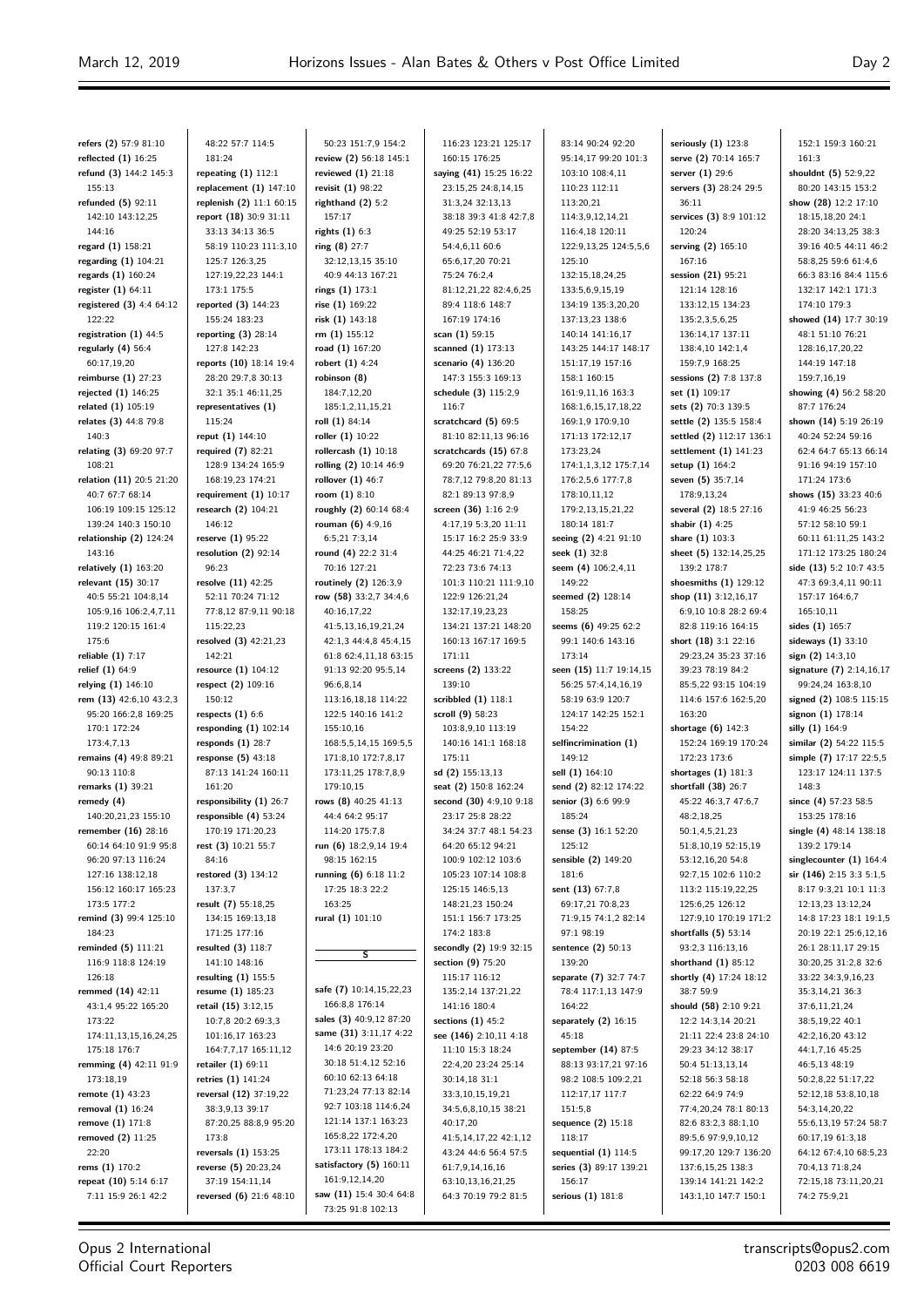**refers (2)** 57:9 81:10 **reflected (1)** 16:25 **refund (3)** 144:2 145:3 155:13 **refunded (5)** 92:11 142:10 143:12,25 144:16 **regard (1)** 158:21 **regarding (1)** 104:21 **regards (1)** 160:24 **register (1)** 64:11 **registered (3)** 4:4 64:12 122:22 **registration (1)** 44:5 **regularly (4)** 56:4 60:17,19,20 **reimburse (1)** 27:23 **rejected (1)** 146:25 **related (1)** 105:19 **relates (3)** 44:8 79:8 140:3 **relating (3)** 69:20 97:7 108:21 **relation (11)** 20:5 21:20 40:7 67:7 68:14 106:19 109:15 125:12 139:24 140:3 150:10 **relationship (2)** 124:24 143:16 **relatively (1)** 163:20 **relevant (15)** 30:17 40:5 55:21 104:8,14 105:9,16 106:2,4,7,11 119:2 120:15 161:4 175:6 **reliable (1)** 7:17 **relief (1)** 64:9 **relying (1)** 146:10 **rem (13)** 42:6,10 43:2,3 95:20 166:2,8 169:25 170:1 172:24 173:4,7,13 **remains (4)** 49:8 89:21 90:13 110:8 **remarks (1)** 39:21 **remedy (4)** 140:20,21,23 155:10 **remember (16)** 28:16 60:14 64:10 91:9 95:8 96:20 97:13 116:24 127:16 138:12,18 156:12 160:17 165:23 173:5 177:2 **remind (3)** 99:4 125:10 184:23 **reminded (5)** 111:21 116:9 118:8 124:19 126:18 **remmed (14)** 42:11 43:1,4 95:22 165:20 173:22 174:11,13,15,16,24,25 175:18 176:7 **remming (4)** 42:11 91:9 173:18,19 **remote (1)** 43:23 **removal (1)** 16:24 **remove (1)** 171:8 **removed (2)** 11:25 22:20 **rems (1)** 170:2 **repeat (10)** 5:14 6:17 7:11 15:9 26:1 42:2

48:22 57:7 114:5 181:24 **repeating (1)** 112:1 **replacement (1)** 147:10 **replenish (2)** 11:1 60:15 **report (18)** 30:9 31:11 33:13 34:13 36:5 58:19 110:23 111:3,10 125:7 126:3,25 127:19,22,23 144:1 173:1 175:5 **reported (3)** 144:23 155:24 183:23 **reporting (3)** 28:14 127:8 142:23 **reports (10)** 18:14 19:4 28:20 29:7,8 30:13 32:1 35:1 46:11,25 **representatives (1)** 115:24 **reput (1)** 144:10 **required (7)** 82:21 128:9 134:24 165:9 168:19,23 174:21 **requirement (1)** 10:17 **research (2)** 104:21 146:12 **reserve (1)** 95:22 **resolution (2)** 92:14 96:23 **resolve (11)** 42:25 52:11 70:24 71:12 77:8,12 87:9,11 90:18 115:22,23 **resolved (3)** 42:21,23 142:21 **resource (1)** 104:12 **respect (2)** 109:16 150:12 **respects (1)** 6:6 **responding (1)** 102:14 **responds (1)** 28:7 **response (5)** 43:18 87:13 141:24 160:11 161:20 **responsibility (1)** 26:7 **responsible (4)** 53:24 170:19 171:20,23 **rest (3)** 10:21 55:7 84:16 **restored (3)** 134:12 137:3,7 **result (7)** 55:18,25 134:15 169:13,18 171:25 177:16 **resulted (3)** 118:7 141:10 148:16 **resulting (1)** 155:5 **resume (1)** 185:23 **retail (15)** 3:12,15 10:7,8 20:2 69:3,3 101:16,17 163:23 164:7,7,17 165:11,12 **retailer (1)** 69:11 **retries (1)** 141:24 **reversal (12)** 37:19,22 38:3,9,13 39:17 87:20,25 88:8,9 95:20 173:8 **reversals (1)** 153:25 **reverse (5)** 20:23,24 37:19 154:11,14 **reversed (6)** 21:6 48:10

50:23 151:7,9 154:2 **review (2)** 56:18 145:1 **reviewed (1)** 21:18 **revisit (1)** 98:22 **righthand (2)** 5:2 157:17 **rights (1)** 6:3 **ring (8)** 27:7 32:12,13,15 35:10 40:9 44:13 167:21 **rings (1)** 173:1 **rise (1)** 169:22 **risk (1)** 143:18 **rm (1)** 155:12 **road (1)** 167:20 **robert (1)** 4:24 **robinson (8)** 184:7,12,20 185:1,2,11,15,21 **roll (1)** 84:14 **roller (1)** 10:22 **rollercash (1)** 10:18 **rolling (2)** 10:14 46:9 **rollover (1)** 46:7 **room (1)** 8:10 **roughly (2)** 60:14 68:4 **rouman (6)** 4:9,16 6:5,21 7:3,14 **round (4)** 22:2 31:4 70:16 127:21 **routinely (2)** 126:3,9 **row (58)** 33:2,7 34:4,6 40:16,17,22 41:5,13,16,19,21,24 42:1,3 44:4,8 45:4,15 61:8 62:4,11,18 63:15 91:13 92:20 95:5,14 96:6,8,14 113:16,18,18 114:22 122:5 140:16 141:2 155:10,16 168:5,5,14,15 169:5,5 171:8,10 172:7,8,17 173:11,25 178:7,8,9 179:10,15 **rows (8)** 40:25 41:13 44:4 64:2 95:17 114:20 175:7,8 **run (6)** 18:2,9,14 19:4 98:15 162:15 **running (6)** 6:18 11:2 17:25 18:3 22:2 163:25 **rural (1)** 101:10 **S safe (7)** 10:14,15,22,23 166:8,8 176:14 **sales (3)** 40:9,12 87:20 **same (31)** 3:11,17 4:22 14:6 20:19 23:20 30:18 51:4,12 52:16 60:10 62:13 64:18 71:23,24 77:13 82:14 92:7 103:18 114:6,24 121:14 137:1 163:23 165:8,22 172:4,20 173:11 178:13 184:2 **satisfactory (5)** 160:11 161:9,12,14,20

**saw (11)** 15:4 30:4 64:8 73:25 91:8 102:13

116:23 123:21 125:17 160:15 176:25 **saying (41)** 15:25 16:22 23:15,25 24:8,14,15 31:3,24 32:13,13 38:18 39:3 41:8 42:7,8 49:25 52:19 53:17 54:4,6,11 60:6 65:6,17,20 70:21 75:24 76:2,4 81:12,21,22,82:4,6,25 89:4 118:6 148:7 167:19 174:16 **scan (1)** 59:15 **scanned (1)** 173:13 **scenario (4)** 136:20 147:3 155:3 169:13 **schedule (3)** 115:2,9 116:7 **scratchcard (5)** 69:5 81:10 82:11,13 96:16 **scratchcards (15)** 67:8 69:20 76:21,22 77:5,6 78:7,12 79:8,20 81:13 82:1 89:13 97:8,9 **screen (36)** 1:16 2:9 4:17,19 5:3,20 11:11 15:17 16:2 25:9 33:9 44:25 46:21 71:4,22 72:23 73:6 74:13 101:3 110:21 111:9,10 122:9 126:21,24 132:17,19,23,23 134:21 137:21 148:20 160:13 167:17 169:5 171:11 **screens (2)** 133:22 139:10 **scribbled (1)** 118:1 **scroll (9)** 58:23 103:8,9,10 113:19 140:16 141:1 168:18 175:11 **sd (2)** 155:13,13 **seat (2)** 150:8 162:24 **second (30)** 4:9,10 9:18 23:17 25:8 28:22 34:24 37:7 48:1 54:23 64:20 65:12 94:21 100:9 102:12 103:6 105:23 107:14 108:8 125:15 146:5,13 148:21,23 150:24 151:1 156:7 173:25 174:2 183:8 **secondly (2)** 19:9 32:15 **section (9)** 75:20 115:17 116:12 135:2,14 137:21,22 141:16 180:4 **sections (1)** 45:2 **see (146)** 2:10,11 4:18 11:10 15:3 18:24 22:4,20 23:24 25:14 30:14,18 31:1 33:3,10,15,19,21 34:5,6,8,10,15 38:21  $40.17,20$ 41:5,14,17,22 42:1,12 43:24 44:6 56:4 57:5 61:7,9,14,16,16 63:10,13,16,21,25 64:3 70:19 79:2 81:5

83:14 90:24 92:20 95:14,17 99:20 101:3 103:10 108:4,11 110:23 112:11 113:20,21 114:3,9,12,14,21 116:4,18 120:11 122:9,13,25 124:5,5,6 125:10 132:15,18,24,25 133:5,6,9,15,19 134:19 135:3,20,20 137:13,23 138:6 140:14 141:16,17 143:25 144:17 148:17 151:17,19 157:16 158:1 160:15 161:9,11,16 163:3 168:1,6,15,17,18,22 169:1,9 170:9,10 171:13 172:12,17 173:23,24 174:1,1,3,12 175:7,14 176:2,5,6 177:7,8 178:10,11,12 179:2,13,15,21,22 180:14 181:7 **seeing (2)** 4:21 91:10 **seek (1)** 32:8 **seem (4)** 106:2,4,11 149:22 **seemed (2)** 128:14 158:25 **seems (6)** 49:25 62:2 99:1 140:6 143:16 173:14 **seen (15)** 11:7 19:14,15 56:25 57:4,14,16,19 58:19 63:9 120:7 124:17 142:25 152:1 154:22 **selfincrimination (1)** 149:12 **sell (1)** 164:10 **send (2)** 82:12 174:22 **senior (3)** 6:6 99:9 185:24 **sense (3)** 16:1 52:20 125:12 **sensible (2)** 149:20 181:6 **sent (13)** 67:7,8 69:17,21 70:8,23 71:9,15 74:1,2 82:14 97:1 98:19 **sentence (2)** 50:13 139:20 **separate (7)** 32:7 74:7 78:4 117:1,13 147:9 164:22 **separately (2)** 16:15 45:18 **september (14)** 87:5 88:13 93:17,21 97:16 98:2 108:5 109:2,21 112:17,17 117:7 151:5,8 **sequence (2)** 15:18 118:17 **sequential (1)** 114:5 **series (3)** 89:17 139:21 156:17 **serious (1)** 181:8

**seriously (1)** 123:8 **serve (2)** 70:14 165:7 **server (1)** 29:6 **servers (3)** 28:24 29:5 36:11 **services (3)** 8:9 101:12 120:24 **serving (2)** 165:10 167:16 **session (21)** 95:21 121:14 128:16 133:12,15 134:23 135:2,3,5,6,25 136:14,17 137:11 138:4,10 142:1,4 159:7,9 168:25 **sessions (2)** 7:8 137:8 **set (1)** 109:17 **sets (2)** 70:3 139:5 **settle (2)** 135:5 158:4 **settled (2)** 112:17 136:1 **settlement (1)** 141:23 **setup (1)** 164:2 **seven (5)** 35:7,14 178:9,13,24 **several (2)** 18:5 27:16 **shabir (1)** 4:25 **share (1)** 103:3 **sheet (5)** 132:14,25,25 139:2 178:7 **shoesmiths (1)** 129:12 **shop (11)** 3:12,16,17 6:9,10 10:8 28:2 69:4 82:8 119:16 164:15 **short (18)** 3:1 22:16 29:23,24 35:23 37:16 39:23 78:19 84:2 85:5,22 93:15 104:19 114:6 157:6 162:5,20 163:20 **shortage (6)** 142:3 152:24 169:19 170:24 172:23 173:6 **shortages (1)** 181:3 **shortfall (38)** 26:7 45:22 46:3,7 47:6,7 48:2,18,25 50:1,4,5,21,23 51:8,10,19 52:15,19 53:12,16,20 54:8 92:7,15 102:6 110:2 113:2 115:19,22,25 125:6,25 126:12 127:9,10 170:19 171:2 **shortfalls (5)** 53:14 93:2,3 116:13,16 **shorthand (1)** 85:12 **shortly (4)** 17:24 18:12 38:7 59:9 **should (58)** 2:10 9:21 12:2 14:3,14 20:21 21:11 22:4 23:8 24:10 29:23 34:12 38:17 50:4 51:13,13,14 52:18 56:3 58:18 62:22 64:9 74:9 77:4,20,24 78:1 80:13 82:6 83:2,3 88:1,10 89:5,6 97:9,9,10,12 99:17,20 129:7 136:20 137:6,15,25 138:3 139:14 141:21 142:2 143:1,10 147:7 150:1

152:1 159:3 160:21 161:3 **shouldnt (5)** 52:9,22 80:20 143:15 153:2 **show (28)** 12:2 17:10 18:15,18,20 24:1 28:20 34:13,25 38:3 39:16 40:5 44:11 46:2 58:8,25 59:6 61:4,6 66:3 83:16 84:4 115:6 132:17 142:1 171:3 174:10 179:3 **showed (14)** 17:7 30:19 48:1 51:10 76:21 128:16,17,20,22 144:19 147:18 159:7,16,19 **showing (4)** 56:2 58:20 87:7 176:24 **shown (14)** 5:19 26:19 40:24 52:24 59:16 62:4 64:7 65:13 66:14 91:16 94:19 157:10 171:24 173:6 **shows (15)** 33:23 40:6 41:9 46:25 56:23 57:12 58:10 59:1 60:11 61:11,25 143:2 171:12 173:25 180:24 **side (13)** 5:2 10:7 43:5 47:3 69:3,4,11 90:11 157:17 164:6,7 165:10,11 **sides (1)** 165:7 **sideways (1)** 33:10 **sign (2)** 14:3,10 **signature (7)** 2:14,16,17 99:24,24 163:8,10 **signed (2)** 108:5 115:15 **signon (1)** 178:14 **silly (1)** 164:9 **similar (2)** 54:22 115:5 **simple (7)** 17:17 22:5,5 123:17 124:11 137:5 148:3 **since (4)** 57:23 58:5 153:25 178:16 **single (4)** 48:14 138:18 139:2 179:14 **singlecounter (1)** 164:4 **sir (146)** 2:15 3:3 5:1,5 8:17 9:3,21 10:1 11:3 12:13,23 13:12,24 14:8 17:23 18:1 19:1,5 20:19 22:1 25:6,12,16 26:1 28:11,17 29:15 30:20,25 31:2,8 32:6 33:22 34:3,9,16,23 35:3,14,21 36:3 37:6,11,21,24 38:5,19,22 40:1 42:2,16,20 43:12 44:1,7,16 45:25 46:5,13 48:19 50:2,8,22 51:17,22 52:12,18 53:8,10,18 54:3,14,20,22 55:6,13,19 57:24 58:7 60:17,19 61:3,18 64:12 67:4,10 68:5,23 70:4,13 71:8,24 72:15,18 73:11,20,21 74:2 75:9,21

Opus 2 International Official Court Reporters transcripts@opus2.com 0203 008 6619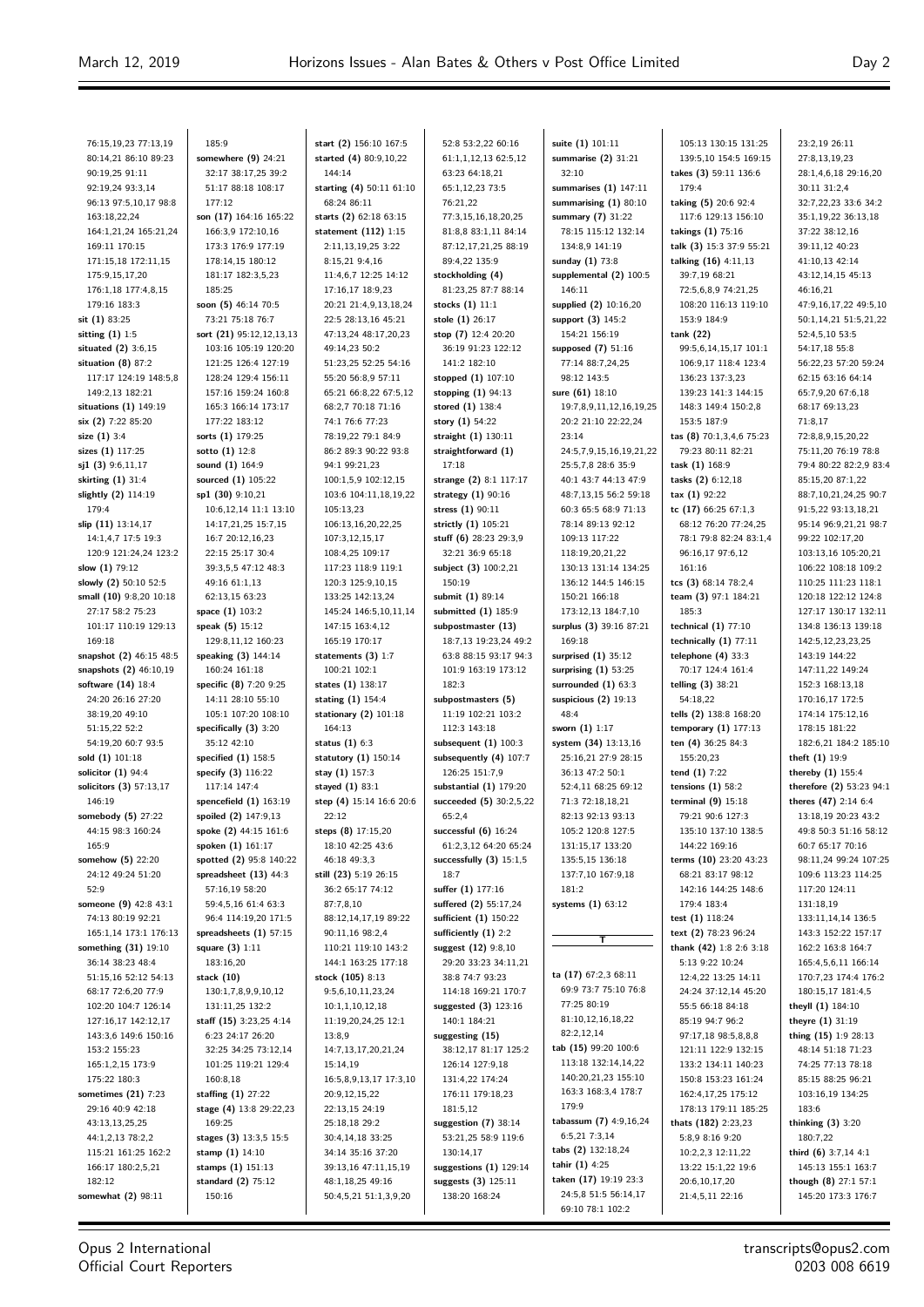23:2,19 26:11

76:15,19,23 77:13,19 80:14,21 86:10 89:23 90:19,25 91:11 92:19,24 93:3,14 96:13 97:5,10,17 98:8 163:18,22,24 164:1,21,24 165:21,24 169:11 170:15 171:15,18 172:11,15 175:9,15,17,20 176:1,18 177:4,8,15 179:16 183:3 **sit (1)** 83:25 **sitting (1)** 1:5 **situated (2)** 3:6,15 **situation (8)** 87:2 117:17 124:19 148:5,8 149:2,13 182:21 **situations (1)** 149:19 **six (2)** 7:22 85:20 **size (1)** 3:4 **sizes (1)** 117:25 **sj1 (3)** 9:6,11,17 **skirting (1)** 31:4 **slightly (2)** 114:19 179:4 **slip (11)** 13:14,17 14:1,4,7 17:5 19:3 120:9 121:24,24 123:2 **slow (1)** 79:12 **slowly (2)** 50:10 52:5 **small (10)** 9:8,20 10:18 27:17 58:2 75:23 101:17 110:19 129:13 169:18 **snapshot (2)** 46:15 48:5 **snapshots (2)** 46:10,19 **software (14)** 18:4 24:20 26:16 27:20 38:19,20 49:10 51:15,22 52:2 54:19,20 60:7 93:5 **sold (1)** 101:18 **solicitor (1)** 94:4 **solicitors (3)** 57:13,17 146:19 **somebody (5)** 27:22 44:15 98:3 160:24 165:9 **somehow (5)** 22:20 24:12 49:24 51:20 52:9 **someone (9)** 42:8 43:1 74:13 80:19 92:21 165:1,14 173:1 176:13 **something (31)** 19:10 36:14 38:23 48:4 51:15,16 52:12 54:13 68:17 72:6,20 77:9 102:20 104:7 126:14 127:16,17 142:12,17 143:3,6 149:6 150:16 153:2 155:23 165:1,2,15 173:9 175:22 180:3 **sometimes (21)** 7:23 29:16 40:9 42:18 43:13,13,25,25 44:1, 2, 13, 78:2, 2 115:21 161:25 162:2 166:17 180:2,5,21 182:12 **somewhat (2)** 98:11

185:9 **somewhere (9)** 24:21 32:17 38:17,25 39:2 51:17 88:18 108:17 177:12 **son (17)** 164:16 165:22 166:3,9 172:10,16 173:3 176:9 177:19 178:14,15 180:12 181:17 182:3,5,23 185:25 **soon (5)** 46:14 70:5 73:21 75:18 76:7 **sort (21)** 95:12,12,13,13 103:16 105:19 120:20 121:25 126:4 127:19 128:24 129:4 156:11 157:16 159:24 160:8 165:3 166:14 173:17 177:22 183:12 **sorts (1)** 179:25 **sotto (1)** 12:8 **sound (1)** 164:9 **sourced (1)** 105:22 **sp1 (30)** 9:10,21 10:6,12,14 11:1 13:10 14:17,21,25 15:7,15 16:7 20:12,16,23 22:15 25:17 30:4 39:3,5,5 47:12 48:3 49:16 61:1,13 62:13,15 63:23 **space (1)** 103:2 **speak (5)** 15:12 129:8,11,12 160:23 **speaking (3)** 144:14 160:24 161:18 **specific (8)** 7:20 9:25 14:11 28:10 55:10 105:1 107:20 108:10 **specifically (3)** 3:20 35:12 42:10 **specified (1)** 158:5 **specify (3)** 116:22 117:14 147:4 **spencefield (1)** 163:19 **spoiled (2)** 147:9,13 **spoke (2)** 44:15 161:6 **spoken (1)** 161:17 **spotted (2)** 95:8 140:22 **spreadsheet (13)** 44:3 57:16,19 58:20 59:4,5,16 61:4 63:3 96:4 114:19,20 171:5 **spreadsheets (1)** 57:15 **square (3)** 1:11 183:16,20 **stack (10)** 130:1,7,8,9,9,10,12 131:11,25 132:2 **staff (15)** 3:23,25 4:14 6:23 24:17 26:20 32:25 34:25 73:12,14 101:25 119:21 129:4 160:8,18 **staffing (1)** 27:22 **stage (4)** 13:8 29:22,23 169:25 **stages (3)** 13:3,5 15:5 **stamp (1)** 14:10 **stamps (1)** 151:13 **standard (2)** 75:12 150:16

**start (2)** 156:10 167:5 **started (4)** 80:9,10,22 144:14 **starting (4)** 50:11 61:10 68:24 86:11 **starts (2)** 62:18 63:15 **statement (112)** 1:15 2:11,13,19,25 3:22 8:15,21 9:4,16 11:4,6,7 12:25 14:12 17:16,17,18:0,23 20:21 21:4,9,13,18,24 22:5 28:13,16 45:21 47:13,24 48:17,20,23 49:14,23 50:2 51:23,25 52:25 54:16 55:20 56:8,9 57:11 65:21 66:8,22 67:5,12 68:2,7 70:18 71:16 74:1 76:6 77:23 78:19,22 79:1 84:9 86:2 89:3 90:22 93:8 94:1 99:21,23 100:1,5,9 102:12,15 103:6 104:11,18,19,22 105:13,23 106:13,16,20,22,25 107:3,12,15,17 108:4,25 109:17 117:23 118:9 119:1 120:3 125:9,10,15 133:25 142:13,24 145:24 146:5,10,11,14 147:15 163:4,12 165:19 170:17 **statements (3)** 1:7 100:21 102:1 **states (1)** 138:17 **stating (1)** 154:4 **stationary (2)** 101:18 164:13 **status (1)** 6:3 **statutory (1)** 150:14 **stay (1)** 157:3 **stayed (1)** 83:1 **step (4)** 15:14 16:6 20:6 22:12 **steps (8)** 17:15,20 18:10 42:25 43:6 46:18 49:3,3 **still (23)** 5:19 26:15 36:2 65:17 74:12 87:7,8,10 88:12,14,17,19 89:22 90:11,16 98:2,4 110:21 119:10 143:2 144:1 163:25 177:18 **stock (105)** 8:13 9:5,6,10,11,23,24 10:1,1,10,12,18 11:19,20,24,25 12:1 13:8,9 14:7,13,17,20,21,24 15:14,19 16:5,8,9,13,17 17:3,10 20:9,12,15,22 22:13,15 24:19 25:18,18 29:2 30:4,14,18 33:25 34:14 35:16 37:20 39:13,16 47:11,15,19 48:1,18,25 49:16 50:4,5,21 51:1,3,9,20

52:8 53:2,22 60:16 61:1,1,12,13 62:5,12 63:23 64:18,21 65:1,12,23 73:5 76:21,22 77:3,15,16,18,20,25 81:8,8 83:1,11 84:14 87:12,17,21,25 88:19 89:4,22 135:9 **stockholding (4)** 81:23,25 87:7 88:14 **stocks (1)** 11:1 **stole (1)** 26:17 **stop (7)** 12:4 20:20 36:19 91:23 122:12 141:2 182:10 **stopped (1)** 107:10 **stopping (1)** 94:13 **stored (1)** 138:4 **story (1)** 54:22 **straight (1)** 130:11 **straightforward (1)** 17:18 **strange (2)** 8:1 117:17 **strategy (1)** 90:16 **stress (1)** 90:11 **strictly (1)** 105:21 **stuff (6)** 28:23 29:3,9 32:21 36:9 65:18 **subject (3)** 100:2,21 150:19 **submit (1)** 89:14 **submitted (1)** 185:9 **subpostmaster (13)** 18:7,13 19:23,24 49:2 63:8 88:15 93:17 94:3 101:9 163:19 173:12 182:3 **subpostmasters (5)** 11:19 102:21 103:2 112:3 143:18 **subsequent (1)** 100:3 **subsequently (4)** 107:7 126:25 151:7,9 **substantial (1)** 179:20 **succeeded (5)** 30:2,5,22 65:2,4 **successful (6)** 16:24 61:2,3,12 64:20 65:24 **successfully (3)** 15:1,5 18:7 **suffer (1)** 177:16 **suffered (2)** 55:17,24 **sufficient (1)** 150:22 **sufficiently (1)** 2:2 **suggest (12)** 9:8,10 29:20 33:23 34:11,21 38:8 74:7 93:23 114:18 169:21 170:7 **suggested (3)** 123:16 140:1 184:21 **suggesting (15)** 38:12,17 81:17 125:2 126:14 127:9,18 131:4,22 174:24 176:11 179:18,23 181:5,12 **suggestion (7)** 38:14 53:21,25 58:9 119:6 130:14,17 **suggestions (1)** 129:14 **suggests (3)** 125:11 138:20 168:24

**suite (1)** 101:11 **summarise (2)** 31:21 32:10 **summarises (1)** 147:11 **summarising (1)** 80:10 **summary (7)** 31:22 78:15 115:12 132:14 134:8,9 141:19 **sunday (1)** 73:8 **supplemental (2)** 100:5 146:11 **supplied (2)** 10:16,20 **support (3)** 145:2 154:21 156:19 **supposed (7)** 51:16 77:14 88:7,24,25 98:12 143:5 **sure (61)** 18:10 19:7,8,9,11,12,16,19,25 20:2 21:10 22:22,24 23:14 24:5,7,9,15,16,19,21,22 25:5,7,8 28:6 35:9 40:1 43:7 44:13 47:9 48:7,13,15 56:2 59:18 60:3 65:5 68:9 71:13 78:14 89:13 92:12 109:13 117:22 118:19,20,21,22 130:13 131:14 134:25 136:12 144:5 146:15 150:21 166:18 173:12,13 184:7,10 **surplus (3)** 39:16 87:21 169:18 **surprised (1)** 35:12 **surprising (1)** 53:25 **surrounded (1)** 63:3 **suspicious (2)** 19:13  $A8.4$ **sworn (1)** 1:17 **system (34)** 13:13,16 25:16,21 27:9 28:15 36:13 47:2 50:1 52:4,11 68:25 69:12 71:3 72:18,18,21 82:13 92:13 93:13 105:2 120:8 127:5 131:15,17 133:20 135:5,15 136:18 137:7,10 167:9,18 181:2 **systems (1)** 63:12 —<br>ग **ta (17)** 67:2,3 68:11 69:9 73:7 75:10 76:8 77:25 80:19 81:10,12,16,18,22 82:2,12,14 **tab (15)** 99:20 100:6 113:18 132:14,14,22 140:20,21,23 155:10 163:3 168:3,4 178:7 179:9 **tabassum (7)** 4:9,16,24 6:5,21 7:3,14 **tabs (2)** 132:18,24 **tahir (1)** 4:25 **taken (17)** 19:19 23:3 24:5,8 51:5 56:14,17 69:10 78:1 102:2

105:13 130:15 131:25 139:5,10 154:5 169:15 **takes (3)** 59:11 136:6 179:4 **taking (5)** 20:6 92:4 117:6 129:13 156:10 **takings (1)** 75:16 **talk (3)** 15:3 37:9 55:21 **talking (16)** 4:11,13 39:7,19 68:21 72:5,6,8,9 74:21,25 108:20 116:13 119:10 153:9 184:9 **tank (22)** 99:5,6,14,15,17 101:1 106:9,17 118:4 123:4 136:23 137:3,23 139:23 141:3 144:15 148:3 149:4 150:2,8 153:5 187:9 **tas (8)** 70:1,3,4,6 75:23 79:23 80:11 82:21 **task (1)** 168:9 **tasks (2)** 6:12,18 **tax (1)** 92:22 **tc (17)** 66:25 67:1,3 68:12 76:20 77:24,25 78:1 79:8 82:24 83:1,4 96:16,17 97:6,12 161:16 **tcs (3)** 68:14 78:2,4 **team (3)** 97:1 184:21 185:3 **technical (1)** 77:10 **technically (1)** 77:11 **telephone (4)** 33:3 70:17 124:4 161:4 **telling (3)** 38:21 54:18,22 **tells (2)** 138:8 168:20 **temporary (1)** 177:13 **ten (4)** 36:25 84:3 155:20,23 **tend (1)** 7:22 **tensions (1)** 58:2 **terminal (9)** 15:18 79:21 90:6 127:3 135:10 137:10 138:5 144:22 169:16 **terms (10)** 23:20 43:23 68:21 83:17 98:12 142:16 144:25 148:6 179:4 183:4 **test (1)** 118:24 **text (2)** 78:23 96:24 **thank (42)** 1:8 2:6 3:18 5:13 9:22 10:24 12:4,22 13:25 14:11 24:24 37:12,14 45:20 55:5 66:18 84:18 85:19 94:7 96:2 97:17,18 98:5,8,8,8 121:11 122:9 132:15 133:2 134:11 140:23 150:8 153:23 161:24 162:4,17,25 175:12 178:13 179:11 185:25 **thats (182)** 2:23,23 5:8,9 8:16 9:20 10:2,2,3 12:11,22 13:22 15:1,22 19:6 20:6,10,17,20 21:4,5,11 22:16

27:8,13,19,23 28:1,4,6,18 29:16,20 30:11 31:2,4 32:7,22,23 33:6 34:2 35:1,19,22 36:13,18 37:22 38:12,16 39:11,12 40:23 41:10,13 42:14 43:12,14,15 45:13 46:16,21 47:9,16,17,22 49:5,10 50:1,14,21 51:5,21,22 52:4,5,10 53:5 54:17,18 55:8 56:22,23 57:20 59:24 62:15 63:16 64:14 65:7,9,20 67:6,18 68:17 69:13,23 71:8,17 72:8,8,9,15,20,22 75:11,20 76:19 78:8 79:4 80:22 82:2,9 83:4 85:15,20 87:1,22 88:7,10,21,24,25,90:7 91:5,22 93:13,18,21 95:14 96:9,21,21 98:7 99:22 102:17,20 103:13,16 105:20,21 106:22 108:18 109:2 110:25 111:23 118:1 120:18 122:12 124:8 127:17 130:17 132:11 134:8 136:13 139:18 142:5,12,23,23,25 143:19 144:22 147:11,22 149:24 152:3 168:13,18 170:16,17 172:5 174:14 175:12,16 178:15 181:22 182:6,21 184:2 185:10 **theft (1)** 19:9 **thereby (1)** 155:4 **therefore (2)** 53:23 94:1 **theres (47)** 2:14 6:4 13:18,19 20:23 43:2 49:8 50:3 51:16 58:12 60:7 65:17 70:16 98:11,24 99:24 107:25 109:6 113:23 114:25 117:20 124:11 131:18,19 133:11,14,14 136:5 143:3 152:22 157:17 162:2 163:8 164:7 165:4,5,6,11 166:14 170:7,23 174:4 176:2 180:15,17 181:4,5 **theyll (1)** 184:10 **theyre (1)** 31:19 **thing (15)** 1:9 28:13 48:14 51:18 71:23 74:25 77:13 78:18 85:15 88:25 96:21 103:16,19 134:25 183:6 **thinking (3)** 3:20 180:7,22 **third (6)** 3:7,14 4:1 145:13 155:1 163:7 **though (8)** 27:1 57:1 145:20 173:3 176:7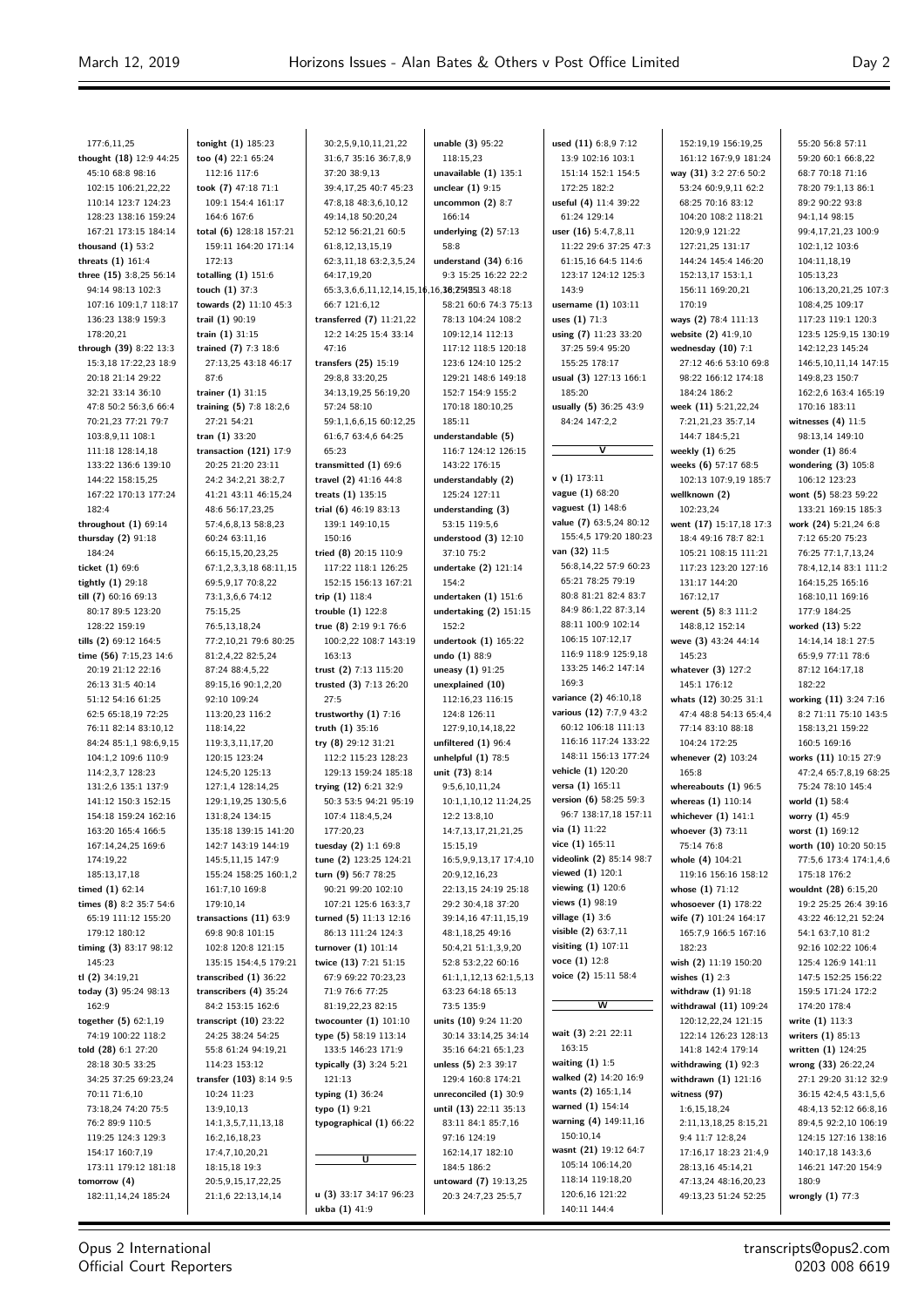55:20 56:8 57:11

| 177:6,11,25                                  | tonight (1) 185:23                              | 30:2,5,9,10,11,21,22                                | unable (3) 95:22                              | used (11) 6:8,9 7:12                            | 152:19,19 156:19,25                          |
|----------------------------------------------|-------------------------------------------------|-----------------------------------------------------|-----------------------------------------------|-------------------------------------------------|----------------------------------------------|
| thought $(18)$ 12:9 44:25                    | too (4) 22:1 65:24                              | 31:6,7 35:16 36:7,8,9                               | 118:15,23                                     | 13:9 102:16 103:1                               | 161:12 167:9,9 181:24                        |
| 45:10 68:8 98:16                             | 112:16 117:6                                    | 37:20 38:9,13                                       | unavailable $(1)$ 135:1                       | 151:14 152:1 154:5                              | way (31) 3:2 27:6 50:2                       |
| 102:15 106:21,22,22                          | took (7) 47:18 71:1                             | 39:4,17,25 40:7 45:23                               | unclear $(1)$ 9:15                            | 172:25 182:2                                    | 53:24 60:9,9,11 62:2                         |
| 110:14 123:7 124:23                          | 109:1 154:4 161:17                              | 47:8,18 48:3,6,10,12                                | uncommon (2) 8:7                              | useful (4) 11:4 39:22                           | 68:25 70:16 83:12                            |
| 128:23 138:16 159:24<br>167:21 173:15 184:14 | 164:6 167:6                                     | 49:14,18 50:20,24<br>52:12 56:21,21 60:5            | 166:14<br>underlying $(2)$ 57:13              | 61:24 129:14                                    | 104:20 108:2 118:21<br>120:9,9 121:22        |
| thousand $(1)$ 53:2                          | total (6) 128:18 157:21<br>159:11 164:20 171:14 | 61:8,12,13,15,19                                    | 58:8                                          | user (16) 5:4,7,8,11<br>11:22 29:6 37:25 47:3   | 127:21,25 131:17                             |
| threats (1) 161:4                            | 172:13                                          | 62:3,11,18 63:2,3,5,24                              | understand $(34)$ 6:16                        | 61:15,16 64:5 114:6                             | 144:24 145:4 146:20                          |
| three (15) 3:8,25 56:14                      | totalling $(1)$ 151:6                           | 64:17,19,20                                         | 9:3 15:25 16:22 22:2                          | 123:17 124:12 125:3                             | 152:13,17 153:1,1                            |
| 94:14 98:13 102:3                            | touch $(1)$ 37:3                                | 65:3,3,6,6,11,12,14,15,16,16,36;2542513 48:18       |                                               | 143:9                                           | 156:11 169:20,21                             |
| 107:16 109:1,7 118:17                        | towards (2) 11:10 45:3                          | 66:7 121:6.12                                       | 58:21 60:6 74:3 75:13                         | username (1) 103:11                             | 170:19                                       |
| 136:23 138:9 159:3                           | trail (1) 90:19                                 | transferred $(7)$ 11:21,22                          | 78:13 104:24 108:2                            | uses (1) 71:3                                   | ways (2) 78:4 111:13                         |
| 178:20,21                                    | train (1) 31:15                                 | 12:2 14:25 15:4 33:14                               | 109:12,14 112:13                              | using (7) 11:23 33:20                           | website (2) 41:9,10                          |
| through (39) 8:22 13:3                       | trained (7) 7:3 18:6                            | 47:16                                               | 117:12 118:5 120:18                           | 37:25 59:4 95:20                                | wednesday $(10)$ 7:1                         |
| 15:3,18 17:22,23 18:9                        | 27:13,25 43:18 46:17                            | transfers $(25)$ 15:19                              | 123:6 124:10 125:2                            | 155:25 178:17                                   | 27:12 46:6 53:10 69:8                        |
| 20:18 21:14 29:22                            | 87:6                                            | 29:8,8 33:20,25                                     | 129:21 148:6 149:18                           | usual (3) 127:13 166:1                          | 98:22 166:12 174:18                          |
| 32:21 33:14 36:10                            | trainer $(1)$ 31:15                             | 34:13,19,25 56:19,20                                | 152:7 154:9 155:2<br>170:18 180:10,25         | 185:20                                          | 184:24 186:2                                 |
| 47:8 50:2 56:3,6 66:4<br>70:21,23 77:21 79:7 | training (5) 7:8 18:2,6<br>27:21 54:21          | 57:24 58:10<br>59:1,1,6,6,15 60:12,25               | 185:11                                        | usually (5) 36:25 43:9<br>84:24 147:2,2         | week (11) 5:21,22,24<br>7:21,21,23 35:7,14   |
| 103:8,9,11 108:1                             | tran $(1)$ 33:20                                | 61:6,7 63:4,6 64:25                                 | understandable (5)                            |                                                 | 144:7 184:5,21                               |
| 111:18 128:14,18                             | transaction $(121)$ 17:9                        | 65:23                                               | 116:7 124:12 126:15                           | $\overline{\mathsf{v}}$                         | weekly $(1)$ 6:25                            |
| 133:22 136:6 139:10                          | 20:25 21:20 23:11                               | transmitted $(1)$ 69:6                              | 143:22 176:15                                 |                                                 | weeks (6) 57:17 68:5                         |
| 144:22 158:15.25                             | 24:2 34:2,21 38:2,7                             | travel (2) 41:16 44:8                               | understandably (2)                            | v(1) 173:11                                     | 102:13 107:9,19 185:7                        |
| 167:22 170:13 177:24                         | 41:21 43:11 46:15,24                            | treats $(1)$ 135:15                                 | 125:24 127:11                                 | vague (1) 68:20                                 | wellknown (2)                                |
| 182:4                                        | 48:6 56:17,23,25                                | trial (6) 46:19 83:13                               | understanding (3)                             | <b>vaguest</b> $(1)$ 148:6                      | 102:23,24                                    |
| throughout $(1)$ 69:14                       | 57:4,6,8,13 58:8,23                             | 139:1 149:10,15                                     | 53:15 119:5,6                                 | value (7) 63:5,24 80:12                         | went (17) 15:17,18 17:3                      |
| thursday (2) 91:18                           | 60:24 63:11,16                                  | 150:16                                              | understood $(3)$ 12:10                        | 155:4,5 179:20 180:23                           | 18:4 49:16 78:7 82:1                         |
| 184:24                                       | 66:15,15,20,23,25                               | tried (8) 20:15 110:9                               | 37:10 75:2                                    | van (32) 11:5                                   | 105:21 108:15 111:21                         |
| ticket $(1)$ 69:6                            | 67:1,2,3,3,18 68:11,15                          | 117:22 118:1 126:25                                 | undertake (2) 121:14                          | 56:8,14,22 57:9 60:23                           | 117:23 123:20 127:16                         |
| tightly $(1)$ 29:18                          | 69:5,9,17 70:8,22                               | 152:15 156:13 167:21                                | 154:2                                         | 65:21 78:25 79:19                               | 131:17 144:20                                |
| till $(7)$ 60:16 69:13                       | 73:1,3,6,6 74:12                                | trip (1) 118:4                                      | undertaken $(1)$ 151:6                        | 80:8 81:21 82:4 83:7<br>84:9 86:1,22 87:3,14    | 167:12,17                                    |
| 80:17 89:5 123:20                            | 75:15,25                                        | trouble $(1)$ 122:8                                 | undertaking $(2)$ 151:15                      | 88:11 100:9 102:14                              | werent (5) 8:3 111:2                         |
| 128:22 159:19<br>tills (2) 69:12 164:5       | 76:5,13,18,24<br>77:2,10,21 79:6 80:25          | true (8) $2:19$ $9:1$ 76:6<br>100:2,22 108:7 143:19 | 152:2<br>undertook (1) 165:22                 | 106:15 107:12,17                                | 148:8,12 152:14<br>weve (3) 43:24 44:14      |
| time (56) 7:15,23 14:6                       | 81:2,4,22 82:5,24                               | 163:13                                              | undo (1) 88:9                                 | 116:9 118:9 125:9,18                            | 145:23                                       |
| 20:19 21:12 22:16                            | 87:24 88:4,5,22                                 | trust (2) 7:13 115:20                               | uneasy (1) 91:25                              | 133:25 146:2 147:14                             | whatever $(3)$ 127:2                         |
| 26:13 31:5 40:14                             | 89:15,16 90:1,2,20                              | trusted (3) 7:13 26:20                              | unexplained (10)                              | 169:3                                           | 145:1 176:12                                 |
| 51:12 54:16 61:25                            | 92:10 109:24                                    | 27:5                                                | 112:16,23 116:15                              | variance (2) 46:10,18                           | whats $(12)$ 30:25 31:1                      |
| 62:5 65:18,19 72:25                          | 113:20,23 116:2                                 | trustworthy $(1)$ 7:16                              | 124:8 126:11                                  | various (12) 7:7,9 43:2                         | 47:4 48:8 54:13 65:4,4                       |
| 76:11 82:14 83:10,12                         | 118:14,22                                       | truth (1) 35:16                                     | 127:9,10,14,18,22                             | 60:12 106:18 111:13                             | 77:14 83:10 88:18                            |
| 84:24 85:1,1 98:6,9,15                       | 119:3,3,11,17,20                                | try (8) 29:12 31:21                                 | unfiltered $(1)$ 96:4                         | 116:16 117:24 133:22                            | 104:24 172:25                                |
| 104:1,2 109:6 110:9                          | 120:15 123:24                                   | 112:2 115:23 128:23                                 | unhelpful $(1)$ 78:5                          | 148:11 156:13 177:24                            | whenever (2) 103:24                          |
| 114:2,3,7 128:23                             | 124:5,20 125:13                                 | 129:13 159:24 185:18                                | unit (73) 8:14                                | vehicle (1) 120:20                              | 165:8                                        |
| 131:2,6 135:1 137:9                          | 127:1,4 128:14,25                               | trying (12) 6:21 32:9                               | 9:5,6,10,11,24                                | versa (1) 165:11                                | whereabouts $(1)$ 96:5                       |
| 141:12 150:3 152:15                          | 129:1,19,25 130:5,6                             | 50:3 53:5 94:21 95:19                               | 10:1,1,10,12 11:24,25                         | version (6) 58:25 59:3<br>96:7 138:17,18 157:11 | whereas $(1)$ 110:14                         |
| 154:18 159:24 162:16<br>163:20 165:4 166:5   | 131:8,24 134:15                                 | 107:4 118:4,5,24                                    | 12:2 13:8,10                                  | via (1) 11:22                                   | whichever $(1)$ 141:1                        |
| 167:14,24,25 169:6                           | 135:18 139:15 141:20<br>142:7 143:19 144:19     | 177:20,23<br>tuesday (2) 1:1 69:8                   | 14:7,13,17,21,21,25<br>15:15,19               | vice $(1)$ 165:11                               | whoever $(3)$ 73:11<br>75:14 76:8            |
| 174:19,22                                    | 145:5,11,15 147:9                               | tune (2) 123:25 124:21                              | 16:5,9,9,13,17 17:4,10                        | videolink (2) 85:14 98:7                        | whole (4) 104:21                             |
| 185:13,17,18                                 | 155:24 158:25 160:1,2                           | turn (9) 56:7 78:25                                 | 20:9,12,16,23                                 | viewed $(1)$ 120:1                              | 119:16 156:16 158:12                         |
| timed (1) 62:14                              | 161:7,10 169:8                                  | 90:21 99:20 102:10                                  | 22:13,15 24:19 25:18                          | viewing $(1)$ 120:6                             | whose $(1)$ 71:12                            |
| times (8) 8:2 35:7 54:6                      | 179:10,14                                       | 107:21 125:6 163:3,7                                | 29:2 30:4,18 37:20                            | views (1) 98:19                                 | whosoever $(1)$ 178:22                       |
| 65:19 111:12 155:20                          | transactions $(11)$ 63:9                        | turned (5) 11:13 12:16                              | 39:14,16 47:11,15,19                          | village (1) 3:6                                 | wife (7) 101:24 164:17                       |
| 179:12 180:12                                | 69:8 90:8 101:15                                | 86:13 111:24 124:3                                  | 48:1,18,25 49:16                              | visible $(2)$ 63:7,11                           | 165:7,9 166:5 167:16                         |
| timing (3) 83:17 98:12                       | 102:8 120:8 121:15                              | turnover (1) 101:14                                 | 50:4,21 51:1,3,9,20                           | visiting (1) 107:11                             | 182:23                                       |
| 145:23                                       | 135:15 154:4,5 179:21                           | twice (13) 7:21 51:15                               | 52:8 53:2,22 60:16                            | voce $(1)$ 12:8                                 | wish (2) 11:19 150:20                        |
| tl $(2)$ 34:19,21                            | transcribed $(1)$ 36:22                         | 67:9 69:22 70:23,23                                 | 61:1,1,12,13 62:1,5,13                        | voice (2) 15:11 58:4                            | wishes $(1)$ 2:3                             |
| today (3) 95:24 98:13                        | transcribers (4) 35:24                          | 71:9 76:6 77:25                                     | 63:23 64:18 65:13                             |                                                 | withdraw (1) 91:18                           |
| 162:9                                        | 84:2 153:15 162:6                               | 81:19,22,23 82:15                                   | 73:5 135:9                                    | w                                               | withdrawal (11) 109:24                       |
| together $(5)$ 62:1,19                       | transcript $(10)$ 23:22                         | twocounter $(1)$ 101:10                             | units (10) 9:24 11:20                         | wait (3) 2:21 22:11                             | 120:12,22,24 121:15                          |
| 74:19 100:22 118:2                           | 24:25 38:24 54:25                               | type (5) 58:19 113:14                               | 30:14 33:14,25 34:14                          | 163:15                                          | 122:14 126:23 128:13                         |
| told (28) 6:1 27:20<br>28:18 30:5 33:25      | 55:8 61:24 94:19,21<br>114:23 153:12            | 133:5 146:23 171:9<br>typically (3) 3:24 5:21       | 35:16 64:21 65:1,23<br>unless $(5)$ 2:3 39:17 | waiting $(1)$ 1:5                               | 141:8 142:4 179:14<br>withdrawing $(1)$ 92:3 |
| 34:25 37:25 69:23,24                         | transfer (103) 8:14 9:5                         | 121:13                                              | 129:4 160:8 174:21                            | walked (2) 14:20 16:9                           | withdrawn (1) 121:16                         |
| 70:11 71:6,10                                | 10:24 11:23                                     | typing (1) 36:24                                    | unreconciled (1) 30:9                         | wants (2) 165:1,14                              | witness (97)                                 |
| 73:18,24 74:20 75:5                          | 13:9,10,13                                      | typo (1) 9:21                                       | until (13) 22:11 35:13                        | warned (1) 154:14                               | 1:6,15,18,24                                 |
| 76:2 89:9 110:5                              | 14:1,3,5,7,11,13,18                             | typographical (1) 66:22                             | 83:11 84:1 85:7,16                            | warning (4) 149:11,16                           | 2:11,13,18,25 8:15,21                        |
| 119:25 124:3 129:3                           | 16:2,16,18,23                                   |                                                     | 97:16 124:19                                  | 150:10,14                                       | 9:4 11:7 12:8,24                             |
| 154:17 160:7,19                              | 17:4,7,10,20,21                                 | U                                                   | 162:14,17 182:10                              | wasnt (21) 19:12 64:7                           | 17:16,17 18:23 21:4,9                        |
| 173:11 179:12 181:18                         | 18:15,18 19:3                                   |                                                     | 184:5 186:2                                   | 105:14 106:14,20                                | 28:13,16 45:14,21                            |
| tomorrow (4)                                 | 20:5,9,15,17,22,25                              |                                                     | untoward (7) 19:13,25                         | 118:14 119:18,20                                | 47:13,24 48:16,20,23                         |
| 182:11,14,24 185:24                          | 21:1,6 22:13,14,14                              | u (3) 33:17 34:17 96:23                             | 20:3 24:7,23 25:5,7                           | 120:6,16 121:22                                 | 49:13,23 51:24 52:25                         |

**ukba (1)** 41:9

 $\overline{\phantom{a}}$ 

59:20 60:1 66:8,22 68:7 70:18 71:16 78:20 79:1,13 86:1 89:2 90:22 93:8 94:1,14 98:15 99:4,17,21,23 100:9 102:1,12 103:6 104:11,18,19 105:13,23 106:13,20,21,25 107:3 108:4,25 109:17 117:23 119:1 120:3 123:5 125:9,15 130:19 142:12,23 145:24 146:5,10,11,14 147:15 149:8,23 150:7 162:2,6 163:4 165:19 170:16 183:11 **witnesses (4)** 11:5 98:13,14 149:10 **wonder (1)** 86:4 **wondering (3)** 105:8 106:12 123:23 **wont (5)** 58:23 59:22 133:21 169:15 185:3 **work (24)** 5:21,24 6:8 7:12 65:20 75:23 76:25 77:1,7,13,24 78:4,12,14 83:1 111:2 164:15,25 165:16 168:10,11 169:16 177:9 184:25 **worked (13)** 5:22 14:14,14 18:1 27:5 65:9,9 77:11 78:6 87:12 164:17,18 182:22 **working (11)** 3:24 7:16 8:2 71:11 75:10 143:5 158:13,21 159:22 160:5 169:16 **works (11)** 10:15 27:9 47:2,4 65:7,8,19 68:25 75:24 78:10 145:4 **world (1)** 58:4 **worry (1)** 45:9 **worst (1)** 169:12 **worth (10)** 10:20 50:15 77:5,6 173:4 174:1,4,6 175:18 176:2 **wouldnt (28)** 6:15,20 19:2 25:25 26:4 39:16 43:22 46:12,21 52:24 54:1 63:7,10 81:2 92:16 102:22 106:4 125:4 126:9 141:11 147:5 152:25 156:22 159:5 171:24 172:2 174:20 178:4 **write (1)** 113:3 **writers (1)** 85:13 **written (1)** 124:25 **wrong (33)** 26:22,24 27:1 29:20 31:12 32:9 36:15 42:4,5 43:1,5,6 48:4,13 52:12 66:8,16 89:4,5 92:2,10 106:19 124:15 127:16 138:16 140:17,18 143:3,6 146:21 147:20 154:9 180:9 **wrongly (1)** 77:3

Opus 2 International Official Court Reporters

transcripts@opus2.com 0203 008 6619

140:11 144:4

 $\overline{\phantom{a}}$ 

 $\overline{\phantom{a}}$